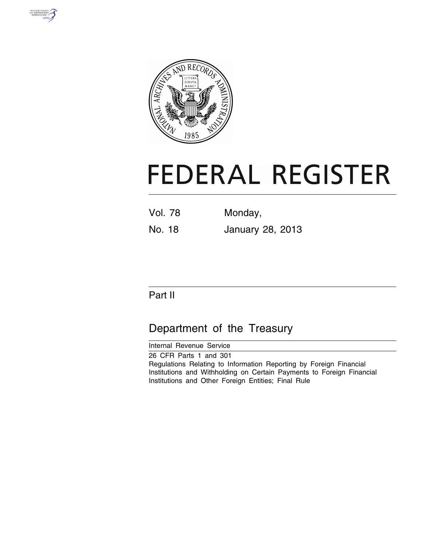



# **FEDERAL REGISTER**

| Vol. 78 | Monday, |
|---------|---------|
|         |         |

No. 18 January 28, 2013

## Part II

# Department of the Treasury

Internal Revenue Service 26 CFR Parts 1 and 301 Regulations Relating to Information Reporting by Foreign Financial Institutions and Withholding on Certain Payments to Foreign Financial Institutions and Other Foreign Entities; Final Rule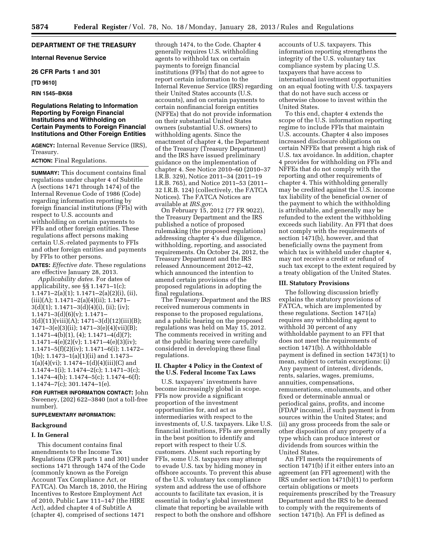## **DEPARTMENT OF THE TREASURY**

## **Internal Revenue Service**

## **26 CFR Parts 1 and 301**

**[TD 9610]** 

#### **RIN 1545–BK68**

## **Regulations Relating to Information Reporting by Foreign Financial Institutions and Withholding on Certain Payments to Foreign Financial Institutions and Other Foreign Entities**

**AGENCY:** Internal Revenue Service (IRS), Treasury.

## **ACTION:** Final Regulations.

**SUMMARY:** This document contains final regulations under chapter 4 of Subtitle A (sections 1471 through 1474) of the Internal Revenue Code of 1986 (Code) regarding information reporting by foreign financial institutions (FFIs) with respect to U.S. accounts and withholding on certain payments to FFIs and other foreign entities. These regulations affect persons making certain U.S.-related payments to FFIs and other foreign entities and payments by FFIs to other persons.

**DATES:** *Effective date.* These regulations are effective January 28, 2013.

*Applicability dates.* For dates of applicability, see §§ 1.1471–1(c); 1.1471–2(a)(1); 1.1471–2(a)(2)(i), (ii),  $(iii)(A); 1.1471-2(a)(4)(ii); 1.1471-$ 3(d)(1); 1.1471–3(d)(4)(i), (ii); (iv); 1.1471–3(d)(6)(v); 1.1471–  $3(d)(11)(viii)(A); 1471-3(d)(12)(iii)(B);$ 1471–3(e)(3)(ii); 1471–3(e)(4)(vii)(B); 1.1471–4(b)(1), (4); 1.1471–4(d)(7); 1.1471–4(e)(2)(v); 1.1471–4(e)(3)(iv); 1.1471–5(f)(2)(iv); 1.1471–6(i); 1.1472– 1(b); 1.1473–1(a)(1)(ii) and 1.1473–  $1(a)(4)(vi); 1.1474-1(d)(4)(iii)(C)$  and 1.1474–1(i); 1.1474–2(c); 1.1471–3(c); 1.1474–4(b); 1.1474–5(c); 1.1474–6(f); 1.1474–7(c); 301.1474–1(e).

**FOR FURTHER INFORMATION CONTACT:** John Sweeney, (202) 622–3840 (not a toll-free number).

#### **SUPPLEMENTARY INFORMATION:**

#### **Background**

## **I. In General**

This document contains final amendments to the Income Tax Regulations (CFR parts 1 and 301) under sections 1471 through 1474 of the Code (commonly known as the Foreign Account Tax Compliance Act, or FATCA). On March 18, 2010, the Hiring Incentives to Restore Employment Act of 2010, Public Law 111–147 (the HIRE Act), added chapter 4 of Subtitle A (chapter 4), comprised of sections 1471

through 1474, to the Code. Chapter 4 generally requires U.S. withholding agents to withhold tax on certain payments to foreign financial institutions (FFIs) that do not agree to report certain information to the Internal Revenue Service (IRS) regarding their United States accounts (U.S. accounts), and on certain payments to certain nonfinancial foreign entities (NFFEs) that do not provide information on their substantial United States owners (substantial U.S. owners) to withholding agents. Since the enactment of chapter 4, the Department of the Treasury (Treasury Department) and the IRS have issued preliminary guidance on the implementation of chapter 4. See Notice 2010–60 (2010–37 I.R.B. 329), Notice 2011–34 (2011–19 I.R.B. 765), and Notice 2011–53 (2011– 32 I.R.B. 124) (collectively, the FATCA Notices). The FATCA Notices are available at *IRS.gov.* 

On February 15, 2012 (77 FR 9022), the Treasury Department and the IRS published a notice of proposed rulemaking (the proposed regulations) addressing chapter 4's due diligence, withholding, reporting, and associated requirements. On October 24, 2012, the Treasury Department and the IRS released Announcement 2012–42, which announced the intention to amend certain provisions of the proposed regulations in adopting the final regulations.

The Treasury Department and the IRS received numerous comments in response to the proposed regulations, and a public hearing on the proposed regulations was held on May 15, 2012. The comments received in writing and at the public hearing were carefully considered in developing these final regulations.

## **II. Chapter 4 Policy in the Context of the U.S. Federal Income Tax Laws**

U.S. taxpayers' investments have become increasingly global in scope. FFIs now provide a significant proportion of the investment opportunities for, and act as intermediaries with respect to the investments of, U.S. taxpayers. Like U.S. financial institutions, FFIs are generally in the best position to identify and report with respect to their U.S. customers. Absent such reporting by FFIs, some U.S. taxpayers may attempt to evade U.S. tax by hiding money in offshore accounts. To prevent this abuse of the U.S. voluntary tax compliance system and address the use of offshore accounts to facilitate tax evasion, it is essential in today's global investment climate that reporting be available with respect to both the onshore and offshore

accounts of U.S. taxpayers. This information reporting strengthens the integrity of the U.S. voluntary tax compliance system by placing U.S. taxpayers that have access to international investment opportunities on an equal footing with U.S. taxpayers that do not have such access or otherwise choose to invest within the United States.

To this end, chapter 4 extends the scope of the U.S. information reporting regime to include FFIs that maintain U.S. accounts. Chapter 4 also imposes increased disclosure obligations on certain NFFEs that present a high risk of U.S. tax avoidance. In addition, chapter 4 provides for withholding on FFIs and NFFEs that do not comply with the reporting and other requirements of chapter 4. This withholding generally may be credited against the U.S. income tax liability of the beneficial owner of the payment to which the withholding is attributable, and generally may be refunded to the extent the withholding exceeds such liability. An FFI that does not comply with the requirements of section 1471(b), however, and that beneficially owns the payment from which tax is withheld under chapter 4, may not receive a credit or refund of such tax except to the extent required by a treaty obligation of the United States.

## **III. Statutory Provisions**

The following discussion briefly explains the statutory provisions of FATCA, which are implemented by these regulations. Section 1471(a) requires any withholding agent to withhold 30 percent of any withholdable payment to an FFI that does not meet the requirements of section 1471(b). A withholdable payment is defined in section 1473(1) to mean, subject to certain exceptions: (i) Any payment of interest, dividends, rents, salaries, wages, premiums, annuities, compensations, remunerations, emoluments, and other fixed or determinable annual or periodical gains, profits, and income (FDAP income), if such payment is from sources within the United States; and (ii) any gross proceeds from the sale or other disposition of any property of a type which can produce interest or dividends from sources within the United States.

An FFI meets the requirements of section 1471(b) if it either enters into an agreement (an FFI agreement) with the IRS under section 1471(b)(1) to perform certain obligations or meets requirements prescribed by the Treasury Department and the IRS to be deemed to comply with the requirements of section 1471(b). An FFI is defined as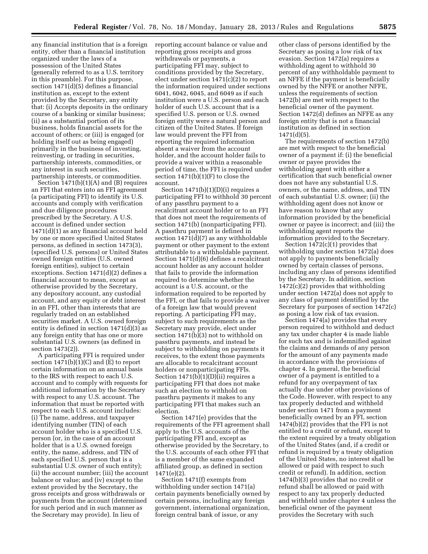any financial institution that is a foreign entity, other than a financial institution organized under the laws of a possession of the United States (generally referred to as a U.S. territory in this preamble). For this purpose, section 1471(d)(5) defines a financial institution as, except to the extent provided by the Secretary, any entity that: (i) Accepts deposits in the ordinary course of a banking or similar business; (ii) as a substantial portion of its business, holds financial assets for the account of others; or (iii) is engaged (or holding itself out as being engaged) primarily in the business of investing, reinvesting, or trading in securities, partnership interests, commodities, or any interest in such securities, partnership interests, or commodities.

Section 1471(b)(1)(A) and (B) requires an FFI that enters into an FFI agreement (a participating FFI) to identify its U.S. accounts and comply with verification and due diligence procedures prescribed by the Secretary. A U.S. account is defined under section 1471(d)(1) as any financial account held by one or more specified United States persons, as defined in section 1473(3), (specified U.S. persons) or United States owned foreign entities (U.S. owned foreign entities), subject to certain exceptions. Section 1471(d)(2) defines a financial account to mean, except as otherwise provided by the Secretary, any depository account, any custodial account, and any equity or debt interest in an FFI, other than interests that are regularly traded on an established securities market. A U.S. owned foreign entity is defined in section 1471(d)(3) as any foreign entity that has one or more substantial U.S. owners (as defined in section 1473(2)).

A participating FFI is required under section  $1471(b)(1)(C)$  and  $(E)$  to report certain information on an annual basis to the IRS with respect to each U.S. account and to comply with requests for additional information by the Secretary with respect to any U.S. account. The information that must be reported with respect to each U.S. account includes: (i) The name, address, and taxpayer identifying number (TIN) of each account holder who is a specified U.S. person (or, in the case of an account holder that is a U.S. owned foreign entity, the name, address, and TIN of each specified U.S. person that is a substantial U.S. owner of such entity); (ii) the account number; (iii) the account balance or value; and (iv) except to the extent provided by the Secretary, the gross receipts and gross withdrawals or payments from the account (determined for such period and in such manner as the Secretary may provide). In lieu of

reporting account balance or value and reporting gross receipts and gross withdrawals or payments, a participating FFI may, subject to conditions provided by the Secretary, elect under section 1471(c)(2) to report the information required under sections 6041, 6042, 6045, and 6049 as if such institution were a U.S. person and each holder of such U.S. account that is a specified U.S. person or U.S. owned foreign entity were a natural person and citizen of the United States. If foreign law would prevent the FFI from reporting the required information absent a waiver from the account holder, and the account holder fails to provide a waiver within a reasonable period of time, the FFI is required under section  $1471(b)(1)(F)$  to close the account.

Section  $1471(b)(1)(D)(i)$  requires a participating FFI to withhold 30 percent of any passthru payment to a recalcitrant account holder or to an FFI that does not meet the requirements of section 1471(b) (nonparticipating FFI). A passthru payment is defined in section 1471(d)(7) as any withholdable payment or other payment to the extent attributable to a withholdable payment. Section 1471(d)(6) defines a recalcitrant account holder as any account holder that fails to provide the information required to determine whether the account is a U.S. account, or the information required to be reported by the FFI, or that fails to provide a waiver of a foreign law that would prevent reporting. A participating FFI may, subject to such requirements as the Secretary may provide, elect under section 1471(b)(3) not to withhold on passthru payments, and instead be subject to withholding on payments it receives, to the extent those payments are allocable to recalcitrant account holders or nonparticipating FFIs. Section  $1471(b)(1)(D)(ii)$  requires a participating FFI that does not make such an election to withhold on passthru payments it makes to any participating FFI that makes such an election.

Section 1471(e) provides that the requirements of the FFI agreement shall apply to the U.S. accounts of the participating FFI and, except as otherwise provided by the Secretary, to the U.S. accounts of each other FFI that is a member of the same expanded affiliated group, as defined in section 1471(e)(2).

Section 1471(f) exempts from withholding under section 1471(a) certain payments beneficially owned by certain persons, including any foreign government, international organization, foreign central bank of issue, or any

other class of persons identified by the Secretary as posing a low risk of tax evasion. Section 1472(a) requires a withholding agent to withhold 30 percent of any withholdable payment to an NFFE if the payment is beneficially owned by the NFFE or another NFFE, unless the requirements of section 1472(b) are met with respect to the beneficial owner of the payment. Section 1472(d) defines an NFFE as any foreign entity that is not a financial institution as defined in section 1471(d)(5).

The requirements of section 1472(b) are met with respect to the beneficial owner of a payment if: (i) the beneficial owner or payee provides the withholding agent with either a certification that such beneficial owner does not have any substantial U.S. owners, or the name, address, and TIN of each substantial U.S. owner; (ii) the withholding agent does not know or have reason to know that any information provided by the beneficial owner or payee is incorrect; and (iii) the withholding agent reports the information provided to the Secretary.

Section 1472(c)(1) provides that withholding under section 1472(a) does not apply to payments beneficially owned by certain classes of persons, including any class of persons identified by the Secretary. In addition, section 1472(c)(2) provides that withholding under section 1472(a) does not apply to any class of payment identified by the Secretary for purposes of section 1472(c) as posing a low risk of tax evasion.

Section 1474(a) provides that every person required to withhold and deduct any tax under chapter 4 is made liable for such tax and is indemnified against the claims and demands of any person for the amount of any payments made in accordance with the provisions of chapter 4. In general, the beneficial owner of a payment is entitled to a refund for any overpayment of tax actually due under other provisions of the Code. However, with respect to any tax properly deducted and withheld under section 1471 from a payment beneficially owned by an FFI, section 1474(b)(2) provides that the FFI is not entitled to a credit or refund, except to the extent required by a treaty obligation of the United States (and, if a credit or refund is required by a treaty obligation of the United States, no interest shall be allowed or paid with respect to such credit or refund). In addition, section 1474(b)(3) provides that no credit or refund shall be allowed or paid with respect to any tax properly deducted and withheld under chapter 4 unless the beneficial owner of the payment provides the Secretary with such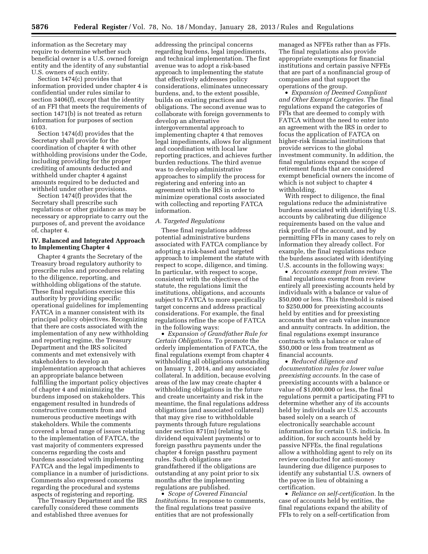information as the Secretary may require to determine whether such beneficial owner is a U.S. owned foreign entity and the identity of any substantial U.S. owners of such entity.

Section 1474(c) provides that information provided under chapter 4 is confidential under rules similar to section 3406(f), except that the identity of an FFI that meets the requirements of section 1471(b) is not treated as return information for purposes of section 6103.

Section 1474(d) provides that the Secretary shall provide for the coordination of chapter 4 with other withholding provisions under the Code, including providing for the proper crediting of amounts deducted and withheld under chapter 4 against amounts required to be deducted and withheld under other provisions.

Section 1474(f) provides that the Secretary shall prescribe such regulations or other guidance as may be necessary or appropriate to carry out the purposes of, and prevent the avoidance of, chapter 4.

## **IV. Balanced and Integrated Approach to Implementing Chapter 4**

Chapter 4 grants the Secretary of the Treasury broad regulatory authority to prescribe rules and procedures relating to the diligence, reporting, and withholding obligations of the statute. These final regulations exercise this authority by providing specific operational guidelines for implementing FATCA in a manner consistent with its principal policy objectives. Recognizing that there are costs associated with the implementation of any new withholding and reporting regime, the Treasury Department and the IRS solicited comments and met extensively with stakeholders to develop an implementation approach that achieves an appropriate balance between fulfilling the important policy objectives of chapter 4 and minimizing the burdens imposed on stakeholders. This engagement resulted in hundreds of constructive comments from and numerous productive meetings with stakeholders. While the comments covered a broad range of issues relating to the implementation of FATCA, the vast majority of commenters expressed concerns regarding the costs and burdens associated with implementing FATCA and the legal impediments to compliance in a number of jurisdictions. Comments also expressed concerns regarding the procedural and systems aspects of registering and reporting.

The Treasury Department and the IRS carefully considered these comments and established three avenues for

addressing the principal concerns regarding burdens, legal impediments, and technical implementation. The first avenue was to adopt a risk-based approach to implementing the statute that effectively addresses policy considerations, eliminates unnecessary burdens, and, to the extent possible, builds on existing practices and obligations. The second avenue was to collaborate with foreign governments to develop an alternative intergovernmental approach to implementing chapter 4 that removes legal impediments, allows for alignment and coordination with local law reporting practices, and achieves further burden reductions. The third avenue was to develop administrative approaches to simplify the process for registering and entering into an agreement with the IRS in order to minimize operational costs associated with collecting and reporting FATCA information.

#### *A. Targeted Regulations*

These final regulations address potential administrative burdens associated with FATCA compliance by adopting a risk-based and targeted approach to implement the statute with respect to scope, diligence, and timing. In particular, with respect to scope, consistent with the objectives of the statute, the regulations limit the institutions, obligations, and accounts subject to FATCA to more specifically target concerns and address practical considerations. For example, the final regulations refine the scope of FATCA in the following ways:

• *Expansion of Grandfather Rule for Certain Obligations.* To promote the orderly implementation of FATCA, the final regulations exempt from chapter 4 withholding all obligations outstanding on January 1, 2014, and any associated collateral. In addition, because evolving areas of the law may create chapter 4 withholding obligations in the future and create uncertainty and risk in the meantime, the final regulations address obligations (and associated collateral) that may give rise to withholdable payments through future regulations under section 871(m) (relating to dividend equivalent payments) or to foreign passthru payments under the chapter 4 foreign passthru payment rules. Such obligations are grandfathered if the obligations are outstanding at any point prior to six months after the implementing regulations are published.

• *Scope of Covered Financial Institutions.* In response to comments, the final regulations treat passive entities that are not professionally

managed as NFFEs rather than as FFIs. The final regulations also provide appropriate exemptions for financial institutions and certain passive NFFEs that are part of a nonfinancial group of companies and that support the operations of the group.

• *Expansion of Deemed Compliant and Other Exempt Categories.* The final regulations expand the categories of FFIs that are deemed to comply with FATCA without the need to enter into an agreement with the IRS in order to focus the application of FATCA on higher-risk financial institutions that provide services to the global investment community. In addition, the final regulations expand the scope of retirement funds that are considered exempt beneficial owners the income of which is not subject to chapter 4 withholding.

With respect to diligence, the final regulations reduce the administrative burdens associated with identifying U.S. accounts by calibrating due diligence requirements based on the value and risk profile of the account, and by permitting FFIs in many cases to rely on information they already collect. For example, the final regulations reduce the burdens associated with identifying U.S. accounts in the following ways:

• *Accounts exempt from review.* The final regulations exempt from review entirely all preexisting accounts held by individuals with a balance or value of \$50,000 or less. This threshold is raised to \$250,000 for preexisting accounts held by entities and for preexisting accounts that are cash value insurance and annuity contracts. In addition, the final regulations exempt insurance contracts with a balance or value of \$50,000 or less from treatment as financial accounts.

• *Reduced diligence and documentation rules for lower value preexisting accounts.* In the case of preexisting accounts with a balance or value of \$1,000,000 or less, the final regulations permit a participating FFI to determine whether any of its accounts held by individuals are U.S. accounts based solely on a search of electronically searchable account information for certain U.S. indicia. In addition, for such accounts held by passive NFFEs, the final regulations allow a withholding agent to rely on its review conducted for anti-money laundering due diligence purposes to identify any substantial U.S. owners of the payee in lieu of obtaining a certification.

• *Reliance on self-certification.* In the case of accounts held by entities, the final regulations expand the ability of FFIs to rely on a self-certification from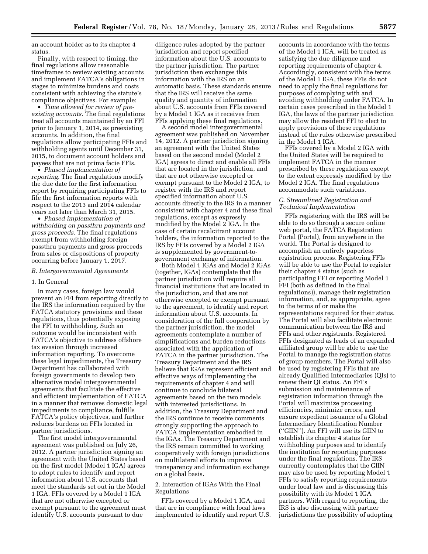an account holder as to its chapter 4 status.

Finally, with respect to timing, the final regulations allow reasonable timeframes to review existing accounts and implement FATCA's obligations in stages to minimize burdens and costs consistent with achieving the statute's compliance objectives. For example:

• *Time allowed for review of preexisting accounts.* The final regulations treat all accounts maintained by an FFI prior to January 1, 2014, as preexisting accounts. In addition, the final regulations allow participating FFIs and withholding agents until December 31, 2015, to document account holders and payees that are not prima facie FFIs.

• *Phased implementation of reporting.* The final regulations modify the due date for the first information report by requiring participating FFIs to file the first information reports with respect to the 2013 and 2014 calendar years not later than March 31, 2015.

• *Phased implementation of withholding on passthru payments and gross proceeds.* The final regulations exempt from withholding foreign passthru payments and gross proceeds from sales or dispositions of property occurring before January 1, 2017.

#### *B. Intergovernmental Agreements*

#### 1. In General

In many cases, foreign law would prevent an FFI from reporting directly to the IRS the information required by the FATCA statutory provisions and these regulations, thus potentially exposing the FFI to withholding. Such an outcome would be inconsistent with FATCA's objective to address offshore tax evasion through increased information reporting. To overcome these legal impediments, the Treasury Department has collaborated with foreign governments to develop two alternative model intergovernmental agreements that facilitate the effective and efficient implementation of FATCA in a manner that removes domestic legal impediments to compliance, fulfills FATCA's policy objectives, and further reduces burdens on FFIs located in partner jurisdictions.

The first model intergovernmental agreement was published on July 26, 2012. A partner jurisdiction signing an agreement with the United States based on the first model (Model 1 IGA) agrees to adopt rules to identify and report information about U.S. accounts that meet the standards set out in the Model 1 IGA. FFIs covered by a Model 1 IGA that are not otherwise excepted or exempt pursuant to the agreement must identify U.S. accounts pursuant to due

diligence rules adopted by the partner jurisdiction and report specified information about the U.S. accounts to the partner jurisdiction. The partner jurisdiction then exchanges this information with the IRS on an automatic basis. These standards ensure that the IRS will receive the same quality and quantity of information about U.S. accounts from FFIs covered by a Model 1 IGA as it receives from FFIs applying these final regulations.

A second model intergovernmental agreement was published on November 14, 2012. A partner jurisdiction signing an agreement with the United States based on the second model (Model 2 IGA) agrees to direct and enable all FFIs that are located in the jurisdiction, and that are not otherwise excepted or exempt pursuant to the Model 2 IGA, to register with the IRS and report specified information about U.S. accounts directly to the IRS in a manner consistent with chapter 4 and these final regulations, except as expressly modified by the Model 2 IGA. In the case of certain recalcitrant account holders, the information reported to the IRS by FFIs covered by a Model 2 IGA is supplemented by government-togovernment exchange of information.

Both Model 1 IGAs and Model 2 IGAs (together, IGAs) contemplate that the partner jurisdiction will require all financial institutions that are located in the jurisdiction, and that are not otherwise excepted or exempt pursuant to the agreement, to identify and report information about U.S. accounts. In consideration of the full cooperation by the partner jurisdiction, the model agreements contemplate a number of simplifications and burden reductions associated with the application of FATCA in the partner jurisdiction. The Treasury Department and the IRS believe that IGAs represent efficient and effective ways of implementing the requirements of chapter 4 and will continue to conclude bilateral agreements based on the two models with interested jurisdictions. In addition, the Treasury Department and the IRS continue to receive comments strongly supporting the approach to FATCA implementation embodied in the IGAs. The Treasury Department and the IRS remain committed to working cooperatively with foreign jurisdictions on multilateral efforts to improve transparency and information exchange on a global basis.

## 2. Interaction of IGAs With the Final Regulations

FFIs covered by a Model 1 IGA, and that are in compliance with local laws implemented to identify and report U.S. accounts in accordance with the terms of the Model 1 IGA, will be treated as satisfying the due diligence and reporting requirements of chapter 4. Accordingly, consistent with the terms of the Model 1 IGA, these FFIs do not need to apply the final regulations for purposes of complying with and avoiding withholding under FATCA. In certain cases prescribed in the Model 1 IGA, the laws of the partner jurisdiction may allow the resident FFI to elect to apply provisions of these regulations instead of the rules otherwise prescribed in the Model 1 IGA.

FFIs covered by a Model 2 IGA with the United States will be required to implement FATCA in the manner prescribed by these regulations except to the extent expressly modified by the Model 2 IGA. The final regulations accommodate such variations.

## *C. Streamlined Registration and Technical Implementation*

FFIs registering with the IRS will be able to do so through a secure online web portal, the FATCA Registration Portal (Portal), from anywhere in the world. The Portal is designed to accomplish an entirely paperless registration process. Registering FFIs will be able to use the Portal to register their chapter 4 status (such as participating FFI or reporting Model 1 FFI (both as defined in the final regulations)), manage their registration information, and, as appropriate, agree to the terms of or make the representations required for their status. The Portal will also facilitate electronic communication between the IRS and FFIs and other registrants. Registered FFIs designated as leads of an expanded affiliated group will be able to use the Portal to manage the registration status of group members. The Portal will also be used by registering FFIs that are already Qualified Intermediaries (QIs) to renew their QI status. An FFI's submission and maintenance of registration information through the Portal will maximize processing efficiencies, minimize errors, and ensure expedient issuance of a Global Intermediary Identification Number (''GIIN''). An FFI will use its GIIN to establish its chapter 4 status for withholding purposes and to identify the institution for reporting purposes under the final regulations. The IRS currently contemplates that the GIIN may also be used by reporting Model 1 FFIs to satisfy reporting requirements under local law and is discussing this possibility with its Model 1 IGA partners. With regard to reporting, the IRS is also discussing with partner jurisdictions the possibility of adopting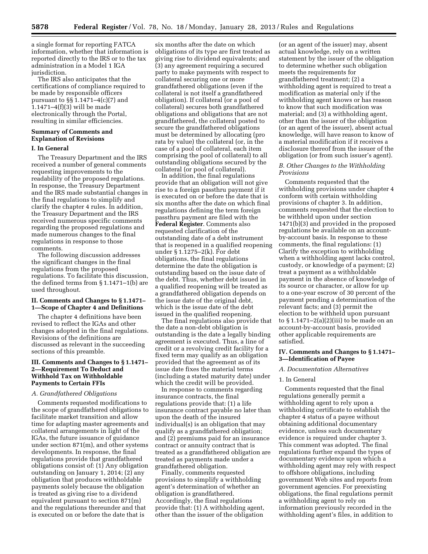a single format for reporting FATCA information, whether that information is reported directly to the IRS or to the tax administration in a Model 1 IGA jurisdiction.

The IRS also anticipates that the certifications of compliance required to be made by responsible officers pursuant to §§ 1.1471–4(c)(7) and 1.1471–4(f)(3) will be made electronically through the Portal, resulting in similar efficiencies.

## **Summary of Comments and Explanation of Revisions**

## **I. In General**

The Treasury Department and the IRS received a number of general comments requesting improvements to the readability of the proposed regulations. In response, the Treasury Department and the IRS made substantial changes in the final regulations to simplify and clarify the chapter 4 rules. In addition, the Treasury Department and the IRS received numerous specific comments regarding the proposed regulations and made numerous changes to the final regulations in response to those comments.

The following discussion addresses the significant changes in the final regulations from the proposed regulations. To facilitate this discussion, the defined terms from § 1.1471–1(b) are used throughout.

#### **II. Comments and Changes to § 1.1471– 1—Scope of Chapter 4 and Definitions**

The chapter 4 definitions have been revised to reflect the IGAs and other changes adopted in the final regulations. Revisions of the definitions are discussed as relevant in the succeeding sections of this preamble.

## **III. Comments and Changes to § 1.1471– 2—Requirement To Deduct and Withhold Tax on Withholdable Payments to Certain FFIs**

#### *A. Grandfathered Obligations*

Comments requested modifications to the scope of grandfathered obligations to facilitate market transition and allow time for adapting master agreements and collateral arrangements in light of the IGAs, the future issuance of guidance under section 871(m), and other systems developments. In response, the final regulations provide that grandfathered obligations consist of: (1) Any obligation outstanding on January 1, 2014; (2) any obligation that produces withholdable payments solely because the obligation is treated as giving rise to a dividend equivalent pursuant to section 871(m) and the regulations thereunder and that is executed on or before the date that is

six months after the date on which obligations of its type are first treated as giving rise to dividend equivalents; and (3) any agreement requiring a secured party to make payments with respect to collateral securing one or more grandfathered obligations (even if the collateral is not itself a grandfathered obligation). If collateral (or a pool of collateral) secures both grandfathered obligations and obligations that are not grandfathered, the collateral posted to secure the grandfathered obligations must be determined by allocating (pro rata by value) the collateral (or, in the case of a pool of collateral, each item comprising the pool of collateral) to all outstanding obligations secured by the collateral (or pool of collateral).

In addition, the final regulations provide that an obligation will not give rise to a foreign passthru payment if it is executed on or before the date that is six months after the date on which final regulations defining the term foreign passthru payment are filed with the **Federal Register**. Comments also requested clarification of the outstanding date of a debt instrument that is reopened in a qualified reopening under § 1.1275–2(k). For debt obligations, the final regulations determine the date the obligation is outstanding based on the issue date of the debt. Thus, whether debt issued in a qualified reopening will be treated as a grandfathered obligation depends on the issue date of the original debt, which is the issue date of the debt issued in the qualified reopening.

The final regulations also provide that the date a non-debt obligation is outstanding is the date a legally binding agreement is executed. Thus, a line of credit or a revolving credit facility for a fixed term may qualify as an obligation provided that the agreement as of its issue date fixes the material terms (including a stated maturity date) under which the credit will be provided.

In response to comments regarding insurance contracts, the final regulations provide that: (1) a life insurance contract payable no later than upon the death of the insured individual(s) is an obligation that may qualify as a grandfathered obligation; and (2) premiums paid for an insurance contract or annuity contract that is treated as a grandfathered obligation are treated as payments made under a grandfathered obligation.

Finally, comments requested provisions to simplify a withholding agent's determination of whether an obligation is grandfathered. Accordingly, the final regulations provide that: (1) A withholding agent, other than the issuer of the obligation

(or an agent of the issuer) may, absent actual knowledge, rely on a written statement by the issuer of the obligation to determine whether such obligation meets the requirements for grandfathered treatment; (2) a withholding agent is required to treat a modification as material only if the withholding agent knows or has reason to know that such modification was material; and (3) a withholding agent, other than the issuer of the obligation (or an agent of the issuer), absent actual knowledge, will have reason to know of a material modification if it receives a disclosure thereof from the issuer of the obligation (or from such issuer's agent).

## *B. Other Changes to the Withholding Provisions*

Comments requested that the withholding provisions under chapter 4 conform with certain withholding provisions of chapter 3. In addition, comments requested that the election to be withheld upon under section 1471(b)(3) and provided in the proposed regulations be available on an accountby-account basis. In response to these comments, the final regulations: (1) Clarify the exception to withholding when a withholding agent lacks control, custody, or knowledge of a payment; (2) treat a payment as a withholdable payment in the absence of knowledge of its source or character, or allow for up to a one-year escrow of 30 percent of the payment pending a determination of the relevant facts; and (3) permit the election to be withheld upon pursuant to  $\S 1.1471-2(a)(2)(iii)$  to be made on an account-by-account basis, provided other applicable requirements are satisfied.

#### **IV. Comments and Changes to § 1.1471– 3—Identification of Payee**

#### *A. Documentation Alternatives*

## 1. In General

Comments requested that the final regulations generally permit a withholding agent to rely upon a withholding certificate to establish the chapter 4 status of a payee without obtaining additional documentary evidence, unless such documentary evidence is required under chapter 3. This comment was adopted. The final regulations further expand the types of documentary evidence upon which a withholding agent may rely with respect to offshore obligations, including government Web sites and reports from government agencies. For preexisting obligations, the final regulations permit a withholding agent to rely on information previously recorded in the withholding agent's files, in addition to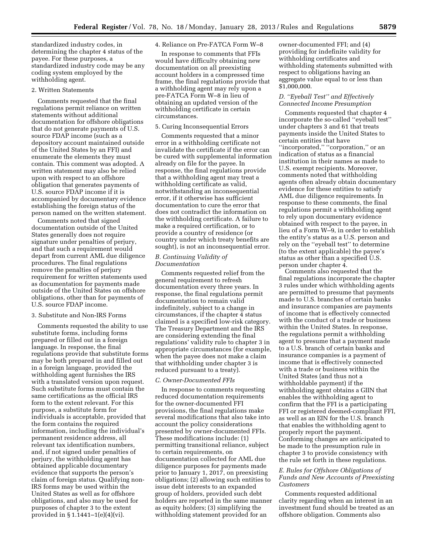standardized industry codes, in determining the chapter 4 status of the payee. For these purposes, a standardized industry code may be any coding system employed by the withholding agent.

#### 2. Written Statements

Comments requested that the final regulations permit reliance on written statements without additional documentation for offshore obligations that do not generate payments of U.S. source FDAP income (such as a depository account maintained outside of the United States by an FFI) and enumerate the elements they must contain. This comment was adopted. A written statement may also be relied upon with respect to an offshore obligation that generates payments of U.S. source FDAP income if it is accompanied by documentary evidence establishing the foreign status of the person named on the written statement.

Comments noted that signed documentation outside of the United States generally does not require signature under penalties of perjury, and that such a requirement would depart from current AML due diligence procedures. The final regulations remove the penalties of perjury requirement for written statements used as documentation for payments made outside of the United States on offshore obligations, other than for payments of U.S. source FDAP income.

#### 3. Substitute and Non-IRS Forms

Comments requested the ability to use substitute forms, including forms prepared or filled out in a foreign language. In response, the final regulations provide that substitute forms may be both prepared in and filled out in a foreign language, provided the withholding agent furnishes the IRS with a translated version upon request. Such substitute forms must contain the same certifications as the official IRS form to the extent relevant. For this purpose, a substitute form for individuals is acceptable, provided that the form contains the required information, including the individual's permanent residence address, all relevant tax identification numbers, and, if not signed under penalties of perjury, the withholding agent has obtained applicable documentary evidence that supports the person's claim of foreign status. Qualifying non-IRS forms may be used within the United States as well as for offshore obligations, and also may be used for purposes of chapter 3 to the extent provided in § 1.1441–1(e)(4)(vi).

#### 4. Reliance on Pre-FATCA Form W–8

In response to comments that FFIs would have difficulty obtaining new documentation on all preexisting account holders in a compressed time frame, the final regulations provide that a withholding agent may rely upon a pre-FATCA Form W–8 in lieu of obtaining an updated version of the withholding certificate in certain circumstances.

#### 5. Curing Inconsequential Errors

Comments requested that a minor error in a withholding certificate not invalidate the certificate if the error can be cured with supplemental information already on file for the payee. In response, the final regulations provide that a withholding agent may treat a withholding certificate as valid, notwithstanding an inconsequential error, if it otherwise has sufficient documentation to cure the error that does not contradict the information on the withholding certificate. A failure to make a required certification, or to provide a country of residence (or country under which treaty benefits are sought), is not an inconsequential error.

#### *B. Continuing Validity of Documentation*

Comments requested relief from the general requirement to refresh documentation every three years. In response, the final regulations permit documentation to remain valid indefinitely, subject to a change in circumstances, if the chapter 4 status claimed is a specified low-risk category. The Treasury Department and the IRS are considering extending the final regulations' validity rule to chapter 3 in appropriate circumstances (for example, when the payee does not make a claim that withholding under chapter 3 is reduced pursuant to a treaty).

#### *C. Owner-Documented FFIs*

In response to comments requesting reduced documentation requirements for the owner-documented FFI provisions, the final regulations make several modifications that also take into account the policy considerations presented by owner-documented FFIs. These modifications include: (1) permitting transitional reliance, subject to certain requirements, on documentation collected for AML due diligence purposes for payments made prior to January 1, 2017, on preexisting obligations; (2) allowing such entities to issue debt interests to an expanded group of holders, provided such debt holders are reported in the same manner as equity holders; (3) simplifying the withholding statement provided for an

owner-documented FFI; and (4) providing for indefinite validity for withholding certificates and withholding statements submitted with respect to obligations having an aggregate value equal to or less than \$1,000,000.

## *D. ''Eyeball Test'' and Effectively Connected Income Presumption*

Comments requested that chapter 4 incorporate the so-called ''eyeball test'' under chapters 3 and 61 that treats payments inside the United States to certain entities that have ''incorporated,'' ''corporation,'' or an indication of status as a financial institution in their names as made to U.S. exempt recipients. Moreover, comments noted that withholding agents often already obtain documentary evidence for these entities to satisfy AML due diligence requirements. In response to these comments, the final regulations permit a withholding agent to rely upon documentary evidence obtained with respect to the payee, in lieu of a Form W–9, in order to establish the entity's status as a U.S. person and rely on the ''eyeball test'' to determine (to the extent applicable) the payee's status as other than a specified U.S. person under chapter 4.

Comments also requested that the final regulations incorporate the chapter 3 rules under which withholding agents are permitted to presume that payments made to U.S. branches of certain banks and insurance companies are payments of income that is effectively connected with the conduct of a trade or business within the United States. In response, the regulations permit a withholding agent to presume that a payment made to a U.S. branch of certain banks and insurance companies is a payment of income that is effectively connected with a trade or business within the United States (and thus not a withholdable payment) if the withholding agent obtains a GIIN that enables the withholding agent to confirm that the FFI is a participating FFI or registered deemed-compliant FFI, as well as an EIN for the U.S. branch that enables the withholding agent to properly report the payment. Conforming changes are anticipated to be made to the presumption rule in chapter 3 to provide consistency with the rule set forth in these regulations.

## *E. Rules for Offshore Obligations of Funds and New Accounts of Preexisting Customers*

Comments requested additional clarity regarding when an interest in an investment fund should be treated as an offshore obligation. Comments also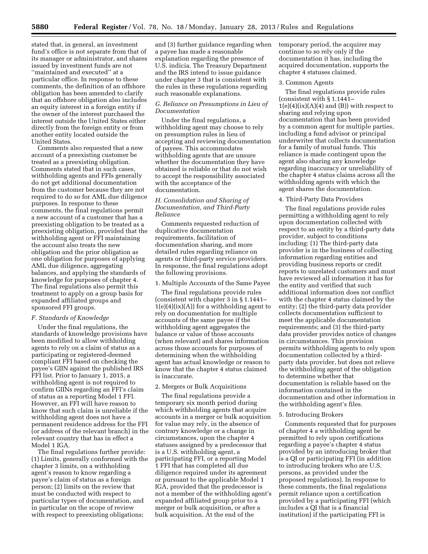stated that, in general, an investment fund's office is not separate from that of its manager or administrator, and shares issued by investment funds are not ''maintained and executed'' at a particular office. In response to these comments, the definition of an offshore obligation has been amended to clarify that an offshore obligation also includes an equity interest in a foreign entity if the owner of the interest purchased the interest outside the United States either directly from the foreign entity or from another entity located outside the United States.

Comments also requested that a new account of a preexisting customer be treated as a preexisting obligation. Comments stated that in such cases, withholding agents and FFIs generally do not get additional documentation from the customer because they are not required to do so for AML due diligence purposes. In response to these comments, the final regulations permit a new account of a customer that has a preexisting obligation to be treated as a preexisting obligation, provided that the withholding agent or FFI maintaining the account also treats the new obligation and the prior obligation as one obligation for purposes of applying AML due diligence, aggregating balances, and applying the standards of knowledge for purposes of chapter 4. The final regulations also permit this treatment to apply on a group basis for expanded affiliated groups and sponsored FFI groups.

#### *F. Standards of Knowledge*

Under the final regulations, the standards of knowledge provisions have been modified to allow withholding agents to rely on a claim of status as a participating or registered-deemed compliant FFI based on checking the payee's GIIN against the published IRS FFI list. Prior to January 1, 2015, a withholding agent is not required to confirm GIINs regarding an FFI's claim of status as a reporting Model 1 FFI. However, an FFI will have reason to know that such claim is unreliable if the withholding agent does not have a permanent residence address for the FFI (or address of the relevant branch) in the relevant country that has in effect a Model 1 IGA.

The final regulations further provide: (1) Limits, generally conformed with the chapter 3 limits, on a withholding agent's reason to know regarding a payee's claim of status as a foreign person; (2) limits on the review that must be conducted with respect to particular types of documentation, and in particular on the scope of review with respect to preexisting obligations;

and (3) further guidance regarding when a payee has made a reasonable explanation regarding the presence of U.S. indicia. The Treasury Department and the IRS intend to issue guidance under chapter 3 that is consistent with the rules in these regulations regarding such reasonable explanations.

## *G. Reliance on Presumptions in Lieu of Documentation*

Under the final regulations, a withholding agent may choose to rely on presumption rules in lieu of accepting and reviewing documentation of payees. This accommodates withholding agents that are unsure whether the documentation they have obtained is reliable or that do not wish to accept the responsibility associated with the acceptance of the documentation.

## *H. Consolidation and Sharing of Documentation, and Third-Party Reliance*

Comments requested reduction of duplicative documentation requirements, facilitation of documentation sharing, and more detailed rules regarding reliance on agents or third-party service providers. In response, the final regulations adopt the following provisions.

## 1. Multiple Accounts of the Same Payee

The final regulations provide rules (consistent with chapter 3 in § 1.1441–  $1(e)(4)(ix)(A)$  for a withholding agent to rely on documentation for multiple accounts of the same payee if the withholding agent aggregates the balance or value of those accounts (when relevant) and shares information across those accounts for purposes of determining when the withholding agent has actual knowledge or reason to know that the chapter 4 status claimed is inaccurate.

#### 2. Mergers or Bulk Acquisitions

The final regulations provide a temporary six month period during which withholding agents that acquire accounts in a merger or bulk acquisition for value may rely, in the absence of contrary knowledge or a change in circumstances, upon the chapter 4 statuses assigned by a predecessor that is a U.S. withholding agent, a participating FFI, or a reporting Model 1 FFI that has completed all due diligence required under its agreement or pursuant to the applicable Model 1 IGA, provided that the predecessor is not a member of the withholding agent's expanded affiliated group prior to a merger or bulk acquisition, or after a bulk acquisition. At the end of the

temporary period, the acquirer may continue to so rely only if the documentation it has, including the acquired documentation, supports the chapter 4 statuses claimed.

## 3. Common Agents

The final regulations provide rules (consistent with § 1.1441–  $1(e)(4)(ix)(A)(4)$  and  $(B)$ ) with respect to sharing and relying upon documentation that has been provided by a common agent for multiple parties, including a fund advisor or principal underwriter that collects documentation for a family of mutual funds. This reliance is made contingent upon the agent also sharing any knowledge regarding inaccuracy or unreliability of the chapter 4 status claims across all the withholding agents with which the agent shares the documentation.

#### 4. Third-Party Data Providers

The final regulations provide rules permitting a withholding agent to rely upon documentation collected with respect to an entity by a third-party data provider, subject to conditions including: (1) The third-party data provider is in the business of collecting information regarding entities and providing business reports or credit reports to unrelated customers and must have reviewed all information it has for the entity and verified that such additional information does not conflict with the chapter 4 status claimed by the entity; (2) the third-party data provider collects documentation sufficient to meet the applicable documentation requirements; and (3) the third-party data provider provides notice of changes in circumstances. This provision permits withholding agents to rely upon documentation collected by a thirdparty data provider, but does not relieve the withholding agent of the obligation to determine whether that documentation is reliable based on the information contained in the documentation and other information in the withholding agent's files.

## 5. Introducing Brokers

Comments requested that for purposes of chapter 4 a withholding agent be permitted to rely upon certifications regarding a payee's chapter 4 status provided by an introducing broker that is a QI or participating FFI (in addition to introducing brokers who are U.S. persons, as provided under the proposed regulations). In response to these comments, the final regulations permit reliance upon a certification provided by a participating FFI (which includes a QI that is a financial institution) if the participating FFI is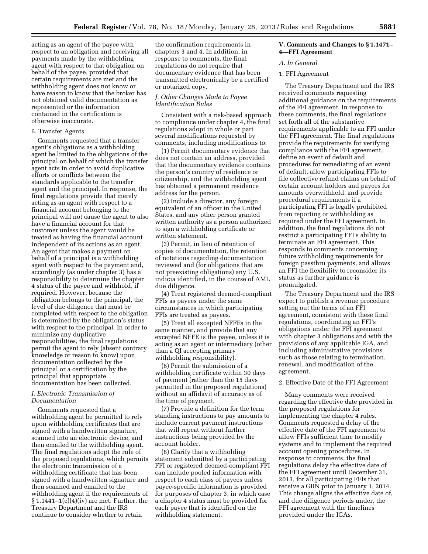acting as an agent of the payee with respect to an obligation and receiving all payments made by the withholding agent with respect to that obligation on behalf of the payee, provided that certain requirements are met and the withholding agent does not know or have reason to know that the broker has not obtained valid documentation as represented or the information contained in the certification is otherwise inaccurate.

## 6. Transfer Agents

Comments requested that a transfer agent's obligations as a withholding agent be limited to the obligations of the principal on behalf of which the transfer agent acts in order to avoid duplicative efforts or conflicts between the standards applicable to the transfer agent and the principal. In response, the final regulations provide that merely acting as an agent with respect to a financial account belonging to the principal will not cause the agent to also have a financial account for that customer unless the agent would be treated as having the financial account independent of its actions as an agent. An agent that makes a payment on behalf of a principal is a withholding agent with respect to the payment and, accordingly (as under chapter 3) has a responsibility to determine the chapter 4 status of the payee and withhold, if required. However, because the obligation belongs to the principal, the level of due diligence that must be completed with respect to the obligation is determined by the obligation's status with respect to the principal. In order to minimize any duplicative responsibilities, the final regulations permit the agent to rely (absent contrary knowledge or reason to know) upon documentation collected by the principal or a certification by the principal that appropriate documentation has been collected.

## *I. Electronic Transmission of Documentation*

Comments requested that a withholding agent be permitted to rely upon withholding certificates that are signed with a handwritten signature, scanned into an electronic device, and then emailed to the withholding agent. The final regulations adopt the rule of the proposed regulations, which permits the electronic transmission of a withholding certificate that has been signed with a handwritten signature and then scanned and emailed to the withholding agent if the requirements of § 1.1441–1(e)(4)(iv) are met. Further, the Treasury Department and the IRS continue to consider whether to retain

the confirmation requirements in chapters 3 and 4. In addition, in response to comments, the final regulations do not require that documentary evidence that has been transmitted electronically be a certified or notarized copy.

#### *J. Other Changes Made to Payee Identification Rules*

Consistent with a risk-based approach to compliance under chapter 4, the final regulations adopt in whole or part several modifications requested by comments, including modifications to:

(1) Permit documentary evidence that does not contain an address, provided that the documentary evidence contains the person's country of residence or citizenship, and the withholding agent has obtained a permanent residence address for the person.

(2) Include a director, any foreign equivalent of an officer in the United States, and any other person granted written authority as a person authorized to sign a withholding certificate or written statement.

(3) Permit, in lieu of retention of copies of documentation, the retention of notations regarding documentation reviewed and (for obligations that are not preexisting obligations) any U.S. indicia identified, in the course of AML due diligence.

(4) Treat registered deemed-compliant FFIs as payees under the same circumstances in which participating FFIs are treated as payees.

(5) Treat all excepted NFFEs in the same manner, and provide that any excepted NFFE is the payee, unless it is acting as an agent or intermediary (other than a QI accepting primary withholding responsibility).

(6) Permit the submission of a withholding certificate within 30 days of payment (rather than the 15 days permitted in the proposed regulations) without an affidavit of accuracy as of the time of payment.

(7) Provide a definition for the term standing instructions to pay amounts to include current payment instructions that will repeat without further instructions being provided by the account holder.

(8) Clarify that a withholding statement submitted by a participating FFI or registered deemed-compliant FFI can include pooled information with respect to each class of payees unless payee-specific information is provided for purposes of chapter 3, in which case a chapter 4 status must be provided for each payee that is identified on the withholding statement.

## **V. Comments and Changes to § 1.1471– 4—FFI Agreement**

## *A. In General*

## 1. FFI Agreement

The Treasury Department and the IRS received comments requesting additional guidance on the requirements of the FFI agreement. In response to these comments, the final regulations set forth all of the substantive requirements applicable to an FFI under the FFI agreement. The final regulations provide the requirements for verifying compliance with the FFI agreement, define an event of default and procedures for remediating of an event of default, allow participating FFIs to file collective refund claims on behalf of certain account holders and payees for amounts overwithheld, and provide procedural requirements if a participating FFI is legally prohibited from reporting or withholding as required under the FFI agreement. In addition, the final regulations do not restrict a participating FFI's ability to terminate an FFI agreement. This responds to comments concerning future withholding requirements for foreign passthru payments, and allows an FFI the flexibility to reconsider its status as further guidance is promulgated.

The Treasury Department and the IRS expect to publish a revenue procedure setting out the terms of an FFI agreement, consistent with these final regulations, coordinating an FFI's obligations under the FFI agreement with chapter 3 obligations and with the provisions of any applicable IGA, and including administrative provisions such as those relating to termination, renewal, and modification of the agreement.

#### 2. Effective Date of the FFI Agreement

Many comments were received regarding the effective date provided in the proposed regulations for implementing the chapter 4 rules. Comments requested a delay of the effective date of the FFI agreement to allow FFIs sufficient time to modify systems and to implement the required account opening procedures. In response to comments, the final regulations delay the effective date of the FFI agreement until December 31, 2013, for all participating FFIs that receive a GIIN prior to January 1, 2014. This change aligns the effective date of, and due diligence periods under, the FFI agreement with the timelines provided under the IGAs.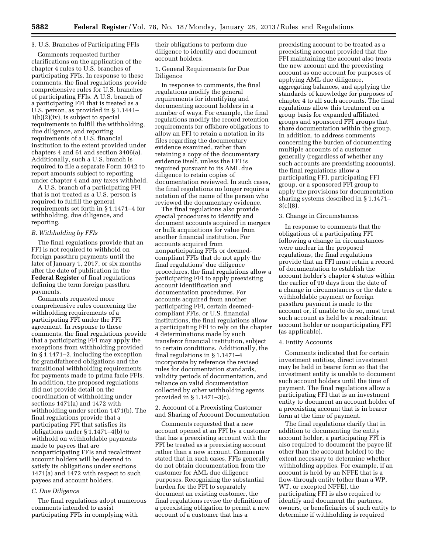## 3. U.S. Branches of Participating FFIs

Comments requested further clarifications on the application of the chapter 4 rules to U.S. branches of participating FFIs. In response to these comments, the final regulations provide comprehensive rules for U.S. branches of participating FFIs. A U.S. branch of a participating FFI that is treated as a U.S. person, as provided in § 1.1441– 1(b)(2)(iv), is subject to special requirements to fulfill the withholding, due diligence, and reporting requirements of a U.S. financial institution to the extent provided under chapters 4 and 61 and section 3406(a). Additionally, such a U.S. branch is required to file a separate Form 1042 to report amounts subject to reporting under chapter 4 and any taxes withheld.

A U.S. branch of a participating FFI that is not treated as a U.S. person is required to fulfill the general requirements set forth in § 1.1471–4 for withholding, due diligence, and reporting.

#### *B. Withholding by FFIs*

The final regulations provide that an FFI is not required to withhold on foreign passthru payments until the later of January 1, 2017, or six months after the date of publication in the **Federal Register** of final regulations defining the term foreign passthru payments.

Comments requested more comprehensive rules concerning the withholding requirements of a participating FFI under the FFI agreement. In response to these comments, the final regulations provide that a participating FFI may apply the exceptions from withholding provided in § 1.1471–2, including the exception for grandfathered obligations and the transitional withholding requirements for payments made to prima facie FFIs. In addition, the proposed regulations did not provide detail on the coordination of withholding under sections 1471(a) and 1472 with withholding under section 1471(b). The final regulations provide that a participating FFI that satisfies its obligations under § 1.1471–4(b) to withhold on withholdable payments made to payees that are nonparticipating FFIs and recalcitrant account holders will be deemed to satisfy its obligations under sections 1471(a) and 1472 with respect to such payees and account holders.

#### *C. Due Diligence*

The final regulations adopt numerous comments intended to assist participating FFIs in complying with

their obligations to perform due diligence to identify and document account holders.

1. General Requirements for Due Diligence

In response to comments, the final regulations modify the general requirements for identifying and documenting account holders in a number of ways. For example, the final regulations modify the record retention requirements for offshore obligations to allow an FFI to retain a notation in its files regarding the documentary evidence examined, rather than retaining a copy of the documentary evidence itself, unless the FFI is required pursuant to its AML due diligence to retain copies of documentation reviewed. In such cases, the final regulations no longer require a notation of the name of the person who reviewed the documentary evidence.

The final regulations also provide special procedures to identify and document accounts acquired in mergers or bulk acquisitions for value from another financial institution. For accounts acquired from nonparticipating FFIs or deemedcompliant FFIs that do not apply the final regulations' due diligence procedures, the final regulations allow a participating FFI to apply preexisting account identification and documentation procedures. For accounts acquired from another participating FFI, certain deemedcompliant FFIs, or U.S. financial institutions, the final regulations allow a participating FFI to rely on the chapter 4 determinations made by such transferor financial institution, subject to certain conditions. Additionally, the final regulations in § 1.1471–4 incorporate by reference the revised rules for documentation standards, validity periods of documentation, and reliance on valid documentation collected by other withholding agents provided in § 1.1471–3(c).

2. Account of a Preexisting Customer and Sharing of Account Documentation

Comments requested that a new account opened at an FFI by a customer that has a preexisting account with the FFI be treated as a preexisting account rather than a new account. Comments stated that in such cases, FFIs generally do not obtain documentation from the customer for AML due diligence purposes. Recognizing the substantial burden for the FFI to separately document an existing customer, the final regulations revise the definition of a preexisting obligation to permit a new account of a customer that has a

preexisting account to be treated as a preexisting account provided that the FFI maintaining the account also treats the new account and the preexisting account as one account for purposes of applying AML due diligence, aggregating balances, and applying the standards of knowledge for purposes of chapter 4 to all such accounts. The final regulations allow this treatment on a group basis for expanded affiliated groups and sponsored FFI groups that share documentation within the group. In addition, to address comments concerning the burden of documenting multiple accounts of a customer generally (regardless of whether any such accounts are preexisting accounts), the final regulations allow a participating FFI, participating FFI group, or a sponsored FFI group to apply the provisions for documentation sharing systems described in § 1.1471– 3(c)(8).

#### 3. Change in Circumstances

In response to comments that the obligations of a participating FFI following a change in circumstances were unclear in the proposed regulations, the final regulations provide that an FFI must retain a record of documentation to establish the account holder's chapter 4 status within the earlier of 90 days from the date of a change in circumstances or the date a withholdable payment or foreign passthru payment is made to the account or, if unable to do so, must treat such account as held by a recalcitrant account holder or nonparticipating FFI (as applicable).

#### 4. Entity Accounts

Comments indicated that for certain investment entities, direct investment may be held in bearer form so that the investment entity is unable to document such account holders until the time of payment. The final regulations allow a participating FFI that is an investment entity to document an account holder of a preexisting account that is in bearer form at the time of payment.

The final regulations clarify that in addition to documenting the entity account holder, a participating FFI is also required to document the payee (if other than the account holder) to the extent necessary to determine whether withholding applies. For example, if an account is held by an NFFE that is a flow-through entity (other than a WP, WT, or excepted NFFE), the participating FFI is also required to identify and document the partners, owners, or beneficiaries of such entity to determine if withholding is required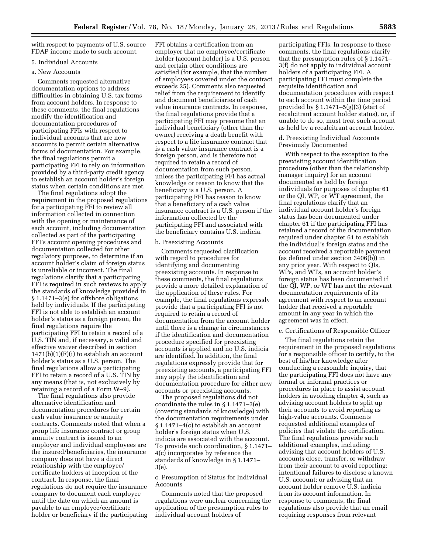with respect to payments of U.S. source FDAP income made to such account.

## 5. Individual Accounts

## a. New Accounts

Comments requested alternative documentation options to address difficulties in obtaining U.S. tax forms from account holders. In response to these comments, the final regulations modify the identification and documentation procedures of participating FFIs with respect to individual accounts that are new accounts to permit certain alternative forms of documentation. For example, the final regulations permit a participating FFI to rely on information provided by a third-party credit agency to establish an account holder's foreign status when certain conditions are met.

The final regulations adopt the requirement in the proposed regulations for a participating FFI to review all information collected in connection with the opening or maintenance of each account, including documentation collected as part of the participating FFI's account opening procedures and documentation collected for other regulatory purposes, to determine if an account holder's claim of foreign status is unreliable or incorrect. The final regulations clarify that a participating FFI is required in such reviews to apply the standards of knowledge provided in § 1.1471–3(e) for offshore obligations held by individuals. If the participating FFI is not able to establish an account holder's status as a foreign person, the final regulations require the participating FFI to retain a record of a U.S. TIN and, if necessary, a valid and effective waiver described in section  $1471(b)(1)(F)(i)$  to establish an account holder's status as a U.S. person. The final regulations allow a participating FFI to retain a record of a U.S. TIN by any means (that is, not exclusively by retaining a record of a Form W–9).

The final regulations also provide alternative identification and documentation procedures for certain cash value insurance or annuity contracts. Comments noted that when a group life insurance contract or group annuity contract is issued to an employer and individual employees are the insured/beneficiaries, the insurance company does not have a direct relationship with the employee/ certificate holders at inception of the contract. In response, the final regulations do not require the insurance company to document each employee until the date on which an amount is payable to an employee/certificate holder or beneficiary if the participating FFI obtains a certification from an employer that no employee/certificate holder (account holder) is a U.S. person and certain other conditions are satisfied (for example, that the number of employees covered under the contract exceeds 25). Comments also requested relief from the requirement to identify and document beneficiaries of cash value insurance contracts. In response, the final regulations provide that a participating FFI may presume that an individual beneficiary (other than the owner) receiving a death benefit with respect to a life insurance contract that is a cash value insurance contract is a foreign person, and is therefore not required to retain a record of documentation from such person, unless the participating FFI has actual knowledge or reason to know that the beneficiary is a U.S. person. A participating FFI has reason to know that a beneficiary of a cash value insurance contract is a U.S. person if the information collected by the participating FFI and associated with the beneficiary contains U.S. indicia.

#### b. Preexisting Accounts

Comments requested clarification with regard to procedures for identifying and documenting preexisting accounts. In response to these comments, the final regulations provide a more detailed explanation of the application of these rules. For example, the final regulations expressly provide that a participating FFI is not required to retain a record of documentation from the account holder until there is a change in circumstances if the identification and documentation procedure specified for preexisting accounts is applied and no U.S. indicia are identified. In addition, the final regulations expressly provide that for preexisting accounts, a participating FFI may apply the identification and documentation procedure for either new accounts or preexisting accounts.

The proposed regulations did not coordinate the rules in § 1.1471–3(e) (covering standards of knowledge) with the documentation requirements under § 1.1471–4(c) to establish an account holder's foreign status when U.S. indicia are associated with the account. To provide such coordination, § 1.1471– 4(c) incorporates by reference the standards of knowledge in § 1.1471– 3(e).

c. Presumption of Status for Individual Accounts

Comments noted that the proposed regulations were unclear concerning the application of the presumption rules to individual account holders of

participating FFIs. In response to these comments, the final regulations clarify that the presumption rules of § 1.1471– 3(f) do not apply to individual account holders of a participating FFI. A participating FFI must complete the requisite identification and documentation procedures with respect to each account within the time period provided by § 1.1471–5(g)(3) (start of recalcitrant account holder status), or, if unable to do so, must treat such account as held by a recalcitrant account holder.

d. Preexisting Individual Accounts Previously Documented

With respect to the exception to the preexisting account identification procedure (other than the relationship manager inquiry) for an account documented as held by foreign individuals for purposes of chapter 61 or the QI, WP, or WT agreement, the final regulations clarify that an individual account holder's foreign status has been documented under chapter 61 if the participating FFI has retained a record of the documentation required under chapter 61 to establish the individual's foreign status and the account received a reportable payment (as defined under section 3406(b)) in any prior year. With respect to QIs, WPs, and WTs, an account holder's foreign status has been documented if the QI, WP, or WT has met the relevant documentation requirements of its agreement with respect to an account holder that received a reportable amount in any year in which the agreement was in effect.

#### e. Certifications of Responsible Officer

The final regulations retain the requirement in the proposed regulations for a responsible officer to certify, to the best of his/her knowledge after conducting a reasonable inquiry, that the participating FFI does not have any formal or informal practices or procedures in place to assist account holders in avoiding chapter 4, such as advising account holders to split up their accounts to avoid reporting as high-value accounts. Comments requested additional examples of policies that violate the certification. The final regulations provide such additional examples, including: advising that account holders of U.S. accounts close, transfer, or withdraw from their account to avoid reporting; intentional failures to disclose a known U.S. account; or advising that an account holder remove U.S. indicia from its account information. In response to comments, the final regulations also provide that an email requiring responses from relevant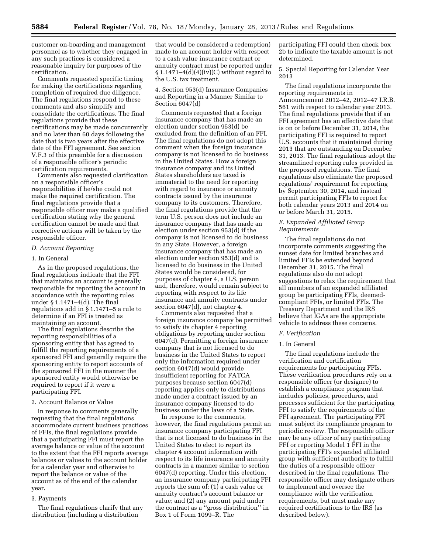customer on-boarding and management personnel as to whether they engaged in any such practices is considered a reasonable inquiry for purposes of the certification.

Comments requested specific timing for making the certifications regarding completion of required due diligence. The final regulations respond to these comments and also simplify and consolidate the certifications. The final regulations provide that these certifications may be made concurrently and no later than 60 days following the date that is two years after the effective date of the FFI agreement. See section V.F.3 of this preamble for a discussion of a responsible officer's periodic certification requirements.

Comments also requested clarification on a responsible officer's responsibilities if he/she could not make the required certification. The final regulations provide that a responsible officer may make a qualified certification stating why the general certification cannot be made and that corrective actions will be taken by the responsible officer.

#### *D. Account Reporting*

## 1. In General

As in the proposed regulations, the final regulations indicate that the FFI that maintains an account is generally responsible for reporting the account in accordance with the reporting rules under § 1.1471–4(d). The final regulations add in § 1.1471–5 a rule to determine if an FFI is treated as maintaining an account.

The final regulations describe the reporting responsibilities of a sponsoring entity that has agreed to fulfill the reporting requirements of a sponsored FFI and generally require the sponsoring entity to report accounts of the sponsored FFI in the manner the sponsored entity would otherwise be required to report if it were a participating FFI.

#### 2. Account Balance or Value

In response to comments generally requesting that the final regulations accommodate current business practices of FFIs, the final regulations provide that a participating FFI must report the average balance or value of the account to the extent that the FFI reports average balances or values to the account holder for a calendar year and otherwise to report the balance or value of the account as of the end of the calendar year.

#### 3. Payments

The final regulations clarify that any distribution (including a distribution

that would be considered a redemption) made to an account holder with respect to a cash value insurance contract or annuity contract must be reported under  $$1.1471–4(d)(4)(iv)(C)$  without regard to the U.S. tax treatment.

4. Section 953(d) Insurance Companies and Reporting in a Manner Similar to Section 6047(d)

Comments requested that a foreign insurance company that has made an election under section 953(d) be excluded from the definition of an FFI. The final regulations do not adopt this comment when the foreign insurance company is not licensed to do business in the United States. How a foreign insurance company and its United States shareholders are taxed is immaterial to the need for reporting with regard to insurance or annuity contracts issued by the insurance company to its customers. Therefore, the final regulations provide that the term U.S. person does not include an insurance company that has made an election under section 953(d) if the company is not licensed to do business in any State. However, a foreign insurance company that has made an election under section 953(d) and is licensed to do business in the United States would be considered, for purposes of chapter 4, a U.S. person and, therefore, would remain subject to reporting with respect to its life insurance and annuity contracts under section 6047(d), not chapter 4.

Comments also requested that a foreign insurance company be permitted to satisfy its chapter 4 reporting obligations by reporting under section 6047(d). Permitting a foreign insurance company that is not licensed to do business in the United States to report only the information required under section 6047(d) would provide insufficient reporting for FATCA purposes because section 6047(d) reporting applies only to distributions made under a contract issued by an insurance company licensed to do business under the laws of a State.

In response to the comments, however, the final regulations permit an insurance company participating FFI that is not licensed to do business in the United States to elect to report its chapter 4 account information with respect to its life insurance and annuity contracts in a manner similar to section 6047(d) reporting. Under this election, an insurance company participating FFI reports the sum of: (1) a cash value or annuity contract's account balance or value; and (2) any amount paid under the contract as a ''gross distribution'' in Box 1 of Form 1099–R. The

participating FFI could then check box 2b to indicate the taxable amount is not determined.

5. Special Reporting for Calendar Year 2013

The final regulations incorporate the reporting requirements in Announcement 2012–42, 2012–47 I.R.B. 561 with respect to calendar year 2013. The final regulations provide that if an FFI agreement has an effective date that is on or before December 31, 2014, the participating FFI is required to report U.S. accounts that it maintained during 2013 that are outstanding on December 31, 2013. The final regulations adopt the streamlined reporting rules provided in the proposed regulations. The final regulations also eliminate the proposed regulations' requirement for reporting by September 30, 2014, and instead permit participating FFIs to report for both calendar years 2013 and 2014 on or before March 31, 2015.

#### *E. Expanded Affiliated Group Requirements*

The final regulations do not incorporate comments suggesting the sunset date for limited branches and limited FFIs be extended beyond December 31, 2015. The final regulations also do not adopt suggestions to relax the requirement that all members of an expanded affiliated group be participating FFIs, deemedcompliant FFIs, or limited FFIs. The Treasury Department and the IRS believe that IGAs are the appropriate vehicle to address these concerns.

## *F. Verification*

## 1. In General

The final regulations include the verification and certification requirements for participating FFIs. These verification procedures rely on a responsible officer (or designee) to establish a compliance program that includes policies, procedures, and processes sufficient for the participating FFI to satisfy the requirements of the FFI agreement. The participating FFI must subject its compliance program to periodic review. The responsible officer may be any officer of any participating FFI or reporting Model 1 FFI in the participating FFI's expanded affiliated group with sufficient authority to fulfill the duties of a responsible officer described in the final regulations. The responsible officer may designate others to implement and oversee the compliance with the verification requirements, but must make any required certifications to the IRS (as described below).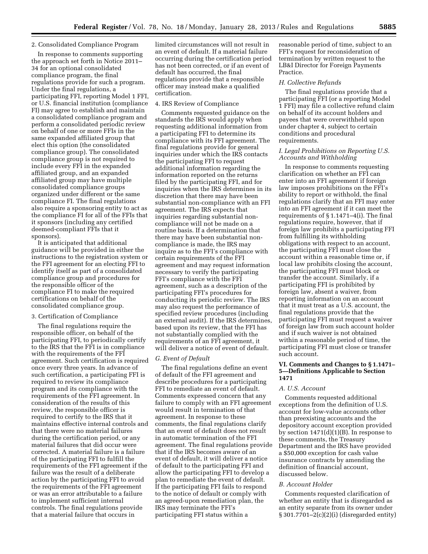## 2. Consolidated Compliance Program

In response to comments supporting the approach set forth in Notice 2011– 34 for an optional consolidated compliance program, the final regulations provide for such a program. Under the final regulations, a participating FFI, reporting Model 1 FFI, or U.S. financial institution (compliance FI) may agree to establish and maintain a consolidated compliance program and perform a consolidated periodic review on behalf of one or more FFIs in the same expanded affiliated group that elect this option (the consolidated compliance group). The consolidated compliance group is not required to include every FFI in the expanded affiliated group, and an expanded affiliated group may have multiple consolidated compliance groups organized under different or the same compliance FI. The final regulations also require a sponsoring entity to act as the compliance FI for all of the FFIs that it sponsors (including any certified deemed-compliant FFIs that it sponsors).

It is anticipated that additional guidance will be provided in either the instructions to the registration system or the FFI agreement for an electing FFI to identify itself as part of a consolidated compliance group and procedures for the responsible officer of the compliance FI to make the required certifications on behalf of the consolidated compliance group.

#### 3. Certification of Compliance

The final regulations require the responsible officer, on behalf of the participating FFI, to periodically certify to the IRS that the FFI is in compliance with the requirements of the FFI agreement. Such certification is required once every three years. In advance of such certification, a participating FFI is required to review its compliance program and its compliance with the requirements of the FFI agreement. In consideration of the results of this review, the responsible officer is required to certify to the IRS that it maintains effective internal controls and that there were no material failures during the certification period, or any material failures that did occur were corrected. A material failure is a failure of the participating FFI to fulfill the requirements of the FFI agreement if the failure was the result of a deliberate action by the participating FFI to avoid the requirements of the FFI agreement or was an error attributable to a failure to implement sufficient internal controls. The final regulations provide that a material failure that occurs in

limited circumstances will not result in an event of default. If a material failure occurring during the certification period has not been corrected, or if an event of default has occurred, the final regulations provide that a responsible officer may instead make a qualified certification.

## 4. IRS Review of Compliance

Comments requested guidance on the standards the IRS would apply when requesting additional information from a participating FFI to determine its compliance with its FFI agreement. The final regulations provide for general inquiries under which the IRS contacts the participating FFI to request additional information regarding the information reported on the returns filed by the participating FFI, and for inquiries when the IRS determines in its discretion that there may have been substantial non-compliance with an FFI agreement. The IRS expects that inquiries regarding substantial noncompliance will not be made on a routine basis. If a determination that there may have been substantial noncompliance is made, the IRS may inquire as to the FFI's compliance with certain requirements of the FFI agreement and may request information necessary to verify the participating FFI's compliance with the FFI agreement, such as a description of the participating FFI's procedures for conducting its periodic review. The IRS may also request the performance of specified review procedures (including an external audit). If the IRS determines, based upon its review, that the FFI has not substantially complied with the requirements of an FFI agreement, it will deliver a notice of event of default.

#### *G. Event of Default*

The final regulations define an event of default of the FFI agreement and describe procedures for a participating FFI to remediate an event of default. Comments expressed concern that any failure to comply with an FFI agreement would result in termination of that agreement. In response to these comments, the final regulations clarify that an event of default does not result in automatic termination of the FFI agreement. The final regulations provide that if the IRS becomes aware of an event of default, it will deliver a notice of default to the participating FFI and allow the participating FFI to develop a plan to remediate the event of default. If the participating FFI fails to respond to the notice of default or comply with an agreed-upon remediation plan, the IRS may terminate the FFI's participating FFI status within a

reasonable period of time, subject to an FFI's request for reconsideration of termination by written request to the LB&I Director for Foreign Payments Practice.

#### *H. Collective Refunds*

The final regulations provide that a participating FFI (or a reporting Model 1 FFI) may file a collective refund claim on behalf of its account holders and payees that were overwithheld upon under chapter 4, subject to certain conditions and procedural requirements.

## *I. Legal Prohibitions on Reporting U.S. Accounts and Withholding*

In response to comments requesting clarification on whether an FFI can enter into an FFI agreement if foreign law imposes prohibitions on the FFI's ability to report or withhold, the final regulations clarify that an FFI may enter into an FFI agreement if it can meet the requirements of § 1.1471–4(i). The final regulations require, however, that if foreign law prohibits a participating FFI from fulfilling its withholding obligations with respect to an account, the participating FFI must close the account within a reasonable time or, if local law prohibits closing the account, the participating FFI must block or transfer the account. Similarly, if a participating FFI is prohibited by foreign law, absent a waiver, from reporting information on an account that it must treat as a U.S. account, the final regulations provide that the participating FFI must request a waiver of foreign law from such account holder and if such waiver is not obtained within a reasonable period of time, the participating FFI must close or transfer such account.

## **VI. Comments and Changes to § 1.1471– 5—Definitions Applicable to Section 1471**

## *A. U.S. Account*

Comments requested additional exceptions from the definition of U.S. account for low-value accounts other than preexisting accounts and the depository account exception provided by section  $1471(d)(1)(B)$ . In response to these comments, the Treasury Department and the IRS have provided a \$50,000 exception for cash value insurance contracts by amending the definition of financial account, discussed below.

#### *B. Account Holder*

Comments requested clarification of whether an entity that is disregarded as an entity separate from its owner under § 301.7701–2(c)(2)(i) (disregarded entity)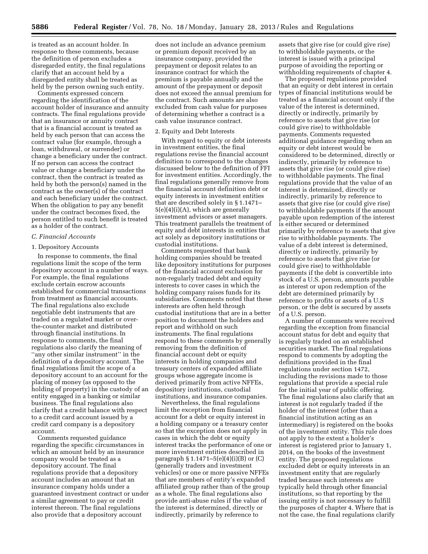is treated as an account holder. In response to these comments, because the definition of person excludes a disregarded entity, the final regulations clarify that an account held by a disregarded entity shall be treated as held by the person owning such entity.

Comments expressed concern regarding the identification of the account holder of insurance and annuity contracts. The final regulations provide that an insurance or annuity contract that is a financial account is treated as held by each person that can access the contract value (for example, through a loan, withdrawal, or surrender) or change a beneficiary under the contract. If no person can access the contract value or change a beneficiary under the contract, then the contract is treated as held by both the person(s) named in the contract as the owner(s) of the contract and each beneficiary under the contract. When the obligation to pay any benefit under the contract becomes fixed, the person entitled to such benefit is treated as a holder of the contract.

## *C. Financial Accounts*

#### 1. Depository Accounts

In response to comments, the final regulations limit the scope of the term depository account in a number of ways. For example, the final regulations exclude certain escrow accounts established for commercial transactions from treatment as financial accounts. The final regulations also exclude negotiable debt instruments that are traded on a regulated market or overthe-counter market and distributed through financial institutions. In response to comments, the final regulations also clarify the meaning of ''any other similar instrument'' in the definition of a depository account. The final regulations limit the scope of a depository account to an account for the placing of money (as opposed to the holding of property) in the custody of an entity engaged in a banking or similar business. The final regulations also clarify that a credit balance with respect to a credit card account issued by a credit card company is a depository account.

Comments requested guidance regarding the specific circumstances in which an amount held by an insurance company would be treated as a depository account. The final regulations provide that a depository account includes an amount that an insurance company holds under a guaranteed investment contract or under a similar agreement to pay or credit interest thereon. The final regulations also provide that a depository account

does not include an advance premium or premium deposit received by an insurance company, provided the prepayment or deposit relates to an insurance contract for which the premium is payable annually and the amount of the prepayment or deposit does not exceed the annual premium for the contract. Such amounts are also excluded from cash value for purposes of determining whether a contract is a cash value insurance contract.

## 2. Equity and Debt Interests

With regard to equity or debt interests in investment entities, the final regulations revise the financial account definition to correspond to the changes discussed below to the definition of FFI for investment entities. Accordingly, the final regulations generally remove from the financial account definition debt or equity interests in investment entities that are described solely in § 1.1471– 5(e)(4)(i)(A), which are generally investment advisors or asset managers. This treatment parallels the treatment of equity and debt interests in entities that act solely as depository institutions or custodial institutions.

Comments requested that bank holding companies should be treated like depository institutions for purposes of the financial account exclusion for non-regularly traded debt and equity interests to cover cases in which the holding company raises funds for its subsidiaries. Comments noted that these interests are often held through custodial institutions that are in a better position to document the holders and report and withhold on such instruments. The final regulations respond to these comments by generally removing from the definition of financial account debt or equity interests in holding companies and treasury centers of expanded affiliate groups whose aggregate income is derived primarily from active NFFEs, depository institutions, custodial institutions, and insurance companies.

Nevertheless, the final regulations limit the exception from financial account for a debt or equity interest in a holding company or a treasury center so that the exception does not apply in cases in which the debt or equity interest tracks the performance of one or more investment entities described in paragraph § 1.1471–5(e)(4)(i)(B) or (C) (generally traders and investment vehicles) or one or more passive NFFEs that are members of entity's expanded affiliated group rather than of the group as a whole. The final regulations also provide anti-abuse rules if the value of the interest is determined, directly or indirectly, primarily by reference to

assets that give rise (or could give rise) to withholdable payments, or the interest is issued with a principal purpose of avoiding the reporting or withholding requirements of chapter 4.

The proposed regulations provided that an equity or debt interest in certain types of financial institutions would be treated as a financial account only if the value of the interest is determined, directly or indirectly, primarily by reference to assets that give rise (or could give rise) to withholdable payments. Comments requested additional guidance regarding when an equity or debt interest would be considered to be determined, directly or indirectly, primarily by reference to assets that give rise (or could give rise) to withholdable payments. The final regulations provide that the value of an interest is determined, directly or indirectly, primarily by reference to assets that give rise (or could give rise) to withholdable payments if the amount payable upon redemption of the interest is either secured or determined primarily by reference to assets that give rise to withholdable payments. The value of a debt interest is determined, directly or indirectly, primarily by reference to assets that give rise (or could give rise) to withholdable payments if the debt is convertible into stock of a U.S. person, amounts payable as interest or upon redemption of the debt are determined primarily by reference to profits or assets of a U.S person, or the debt is secured by assets of a U.S. person.

A number of comments were received regarding the exception from financial account status for debt and equity that is regularly traded on an established securities market. The final regulations respond to comments by adopting the definitions provided in the final regulations under section 1472, including the revisions made to those regulations that provide a special rule for the initial year of public offering. The final regulations also clarify that an interest is not regularly traded if the holder of the interest (other than a financial institution acting as an intermediary) is registered on the books of the investment entity. This rule does not apply to the extent a holder's interest is registered prior to January 1, 2014, on the books of the investment entity. The proposed regulations excluded debt or equity interests in an investment entity that are regularly traded because such interests are typically held through other financial institutions, so that reporting by the issuing entity is not necessary to fulfill the purposes of chapter 4. Where that is not the case, the final regulations clarify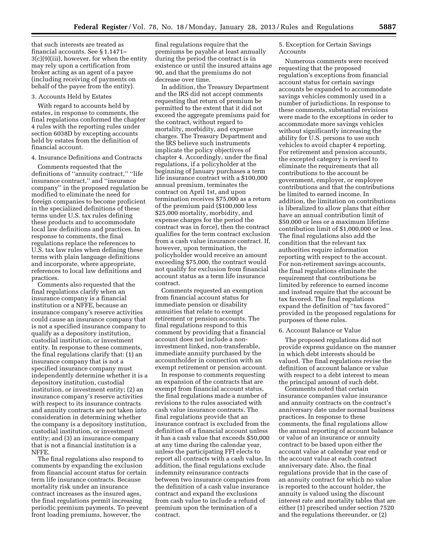that such interests are treated as financial accounts. See § 1.1471– 3(c)(9)(iii), however, for when the entity may rely upon a certification from broker acting as an agent of a payee (including receiving of payments on behalf of the payee from the entity).

## 3. Accounts Held by Estates

With regard to accounts held by estates, in response to comments, the final regulations conformed the chapter 4 rules with the reporting rules under section 6038D by excepting accounts held by estates from the definition of financial account.

## 4. Insurance Definitions and Contracts

Comments requested that the definitions of ''annuity contract,'' ''life insurance contract,'' and ''insurance company'' in the proposed regulation be modified to eliminate the need for foreign companies to become proficient in the specialized definitions of these terms under U.S. tax rules defining these products and to accommodate local law definitions and practices. In response to comments, the final regulations replace the references to U.S. tax law rules when defining these terms with plain language definitions and incorporate, where appropriate, references to local law definitions and practices.

Comments also requested that the final regulations clarify when an insurance company is a financial institution or a NFFE, because an insurance company's reserve activities could cause an insurance company that is not a specified insurance company to qualify as a depository institution, custodial institution, or investment entity. In response to these comments, the final regulations clarify that: (1) an insurance company that is not a specified insurance company must independently determine whether it is a depository institution, custodial institution, or investment entity; (2) an insurance company's reserve activities with respect to its insurance contracts and annuity contracts are not taken into consideration in determining whether the company is a depository institution, custodial institution, or investment entity; and (3) an insurance company that is not a financial institution is a NFFE.

The final regulations also respond to comments by expanding the exclusion from financial account status for certain term life insurance contracts. Because mortality risk under an insurance contract increases as the insured ages, the final regulations permit increasing periodic premium payments. To prevent front loading premiums, however, the

final regulations require that the premiums be payable at least annually during the period the contract is in existence or until the insured attains age 90, and that the premiums do not decrease over time.

In addition, the Treasury Department and the IRS did not accept comments requesting that return of premium be permitted to the extent that it did not exceed the aggregate premiums paid for the contract, without regard to mortality, morbidity, and expense charges. The Treasury Department and the IRS believe such instruments implicate the policy objectives of chapter 4. Accordingly, under the final regulations, if a policyholder at the beginning of January purchases a term life insurance contract with a \$100,000 annual premium, terminates the contract on April 1st, and upon termination receives \$75,000 as a return of the premium paid (\$100,000 less \$25,000 mortality, morbidity, and expense charges for the period the contract was in force), then the contract qualifies for the term contract exclusion from a cash value insurance contract. If, however, upon termination, the policyholder would receive an amount exceeding \$75,000, the contract would not qualify for exclusion from financial account status as a term life insurance contract.

Comments requested an exemption from financial account status for immediate pension or disability annuities that relate to exempt retirement or pension accounts. The final regulations respond to this comment by providing that a financial account does not include a noninvestment linked, non-transferable, immediate annuity purchased by the accountholder in connection with an exempt retirement or pension account.

In response to comments requesting an expansion of the contracts that are exempt from financial account status, the final regulations made a number of revisions to the rules associated with cash value insurance contracts. The final regulations provide that an insurance contract is excluded from the definition of a financial account unless it has a cash value that exceeds \$50,000 at any time during the calendar year, unless the participating FFI elects to report all contracts with a cash value. In addition, the final regulations exclude indemnity reinsurance contracts between two insurance companies from the definition of a cash value insurance contract and expand the exclusions from cash value to include a refund of premium upon the termination of a contract.

5. Exception for Certain Savings Accounts

Numerous comments were received requesting that the proposed regulation's exceptions from financial account status for certain savings accounts be expanded to accommodate savings vehicles commonly used in a number of jurisdictions. In response to these comments, substantial revisions were made to the exceptions in order to accommodate more savings vehicles without significantly increasing the ability for U.S. persons to use such vehicles to avoid chapter 4 reporting. For retirement and pension accounts, the excepted category is revised to eliminate the requirements that all contributions to the account be government, employer, or employee contributions and that the contributions be limited to earned income. In addition, the limitation on contributions is liberalized to allow plans that either have an annual contribution limit of \$50,000 or less or a maximum lifetime contribution limit of \$1,000,000 or less. The final regulations also add the condition that the relevant tax authorities require information reporting with respect to the account. For non-retirement savings accounts, the final regulations eliminate the requirement that contributions be limited by reference to earned income and instead require that the account be tax favored. The final regulations expand the definition of ''tax favored'' provided in the proposed regulations for purposes of these rules.

#### 6. Account Balance or Value

The proposed regulations did not provide express guidance on the manner in which debt interests should be valued. The final regulations revise the definition of account balance or value with respect to a debt interest to mean the principal amount of such debt.

Comments noted that certain insurance companies value insurance and annuity contracts on the contract's anniversary date under normal business practices. In response to these comments, the final regulations allow the annual reporting of account balance or value of an insurance or annuity contract to be based upon either the account value at calendar year end or the account value at each contract anniversary date. Also, the final regulations provide that in the case of an annuity contract for which no value is reported to the account holder, the annuity is valued using the discount interest rate and mortality tables that are either (1) prescribed under section 7520 and the regulations thereunder, or (2)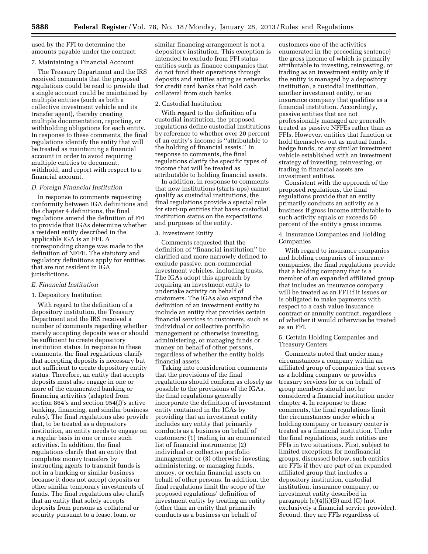used by the FFI to determine the amounts payable under the contract.

#### 7. Maintaining a Financial Account

The Treasury Department and the IRS received comments that the proposed regulations could be read to provide that a single account could be maintained by multiple entities (such as both a collective investment vehicle and its transfer agent), thereby creating multiple documentation, reporting, or withholding obligations for each entity. In response to these comments, the final regulations identify the entity that will be treated as maintaining a financial account in order to avoid requiring multiple entities to document, withhold, and report with respect to a financial account.

## *D. Foreign Financial Institution*

In response to comments requesting conformity between IGA definitions and the chapter 4 definitions, the final regulations amend the definition of FFI to provide that IGAs determine whether a resident entity described in the applicable IGA is an FFI. A corresponding change was made to the definition of NFFE. The statutory and regulatory definitions apply for entities that are not resident in IGA jurisdictions.

## *E. Financial Institution*

#### 1. Depository Institution

With regard to the definition of a depository institution, the Treasury Department and the IRS received a number of comments regarding whether merely accepting deposits was or should be sufficient to create depository institution status. In response to these comments, the final regulations clarify that accepting deposits is necessary but not sufficient to create depository entity status. Therefore, an entity that accepts deposits must also engage in one or more of the enumerated banking or financing activities (adapted from section 864's and section 954(f)'s active banking, financing, and similar business rules). The final regulations also provide that, to be treated as a depository institution, an entity needs to engage on a regular basis in one or more such activities. In addition, the final regulations clarify that an entity that completes money transfers by instructing agents to transmit funds is not in a banking or similar business because it does not accept deposits or other similar temporary investments of funds. The final regulations also clarify that an entity that solely accepts deposits from persons as collateral or security pursuant to a lease, loan, or

similar financing arrangement is not a depository institution. This exception is intended to exclude from FFI status entities such as finance companies that do not fund their operations through deposits and entities acting as networks for credit card banks that hold cash collateral from such banks.

#### 2. Custodial Institution

With regard to the definition of a custodial institution, the proposed regulations define custodial institutions by reference to whether over 20 percent of an entity's income is ''attributable to the holding of financial assets.'' In response to comments, the final regulations clarify the specific types of income that will be treated as attributable to holding financial assets.

In addition, in response to comments that new institutions (starts-ups) cannot qualify as custodial institutions, the final regulations provide a special rule for start-up entities that bases custodial institution status on the expectations and purposes of the entity.

## 3. Investment Entity

Comments requested that the definition of ''financial institution'' be clarified and more narrowly defined to exclude passive, non-commercial investment vehicles, including trusts. The IGAs adopt this approach by requiring an investment entity to undertake activity on behalf of customers. The IGAs also expand the definition of an investment entity to include an entity that provides certain financial services to customers, such as individual or collective portfolio management or otherwise investing, administering, or managing funds or money on behalf of other persons, regardless of whether the entity holds financial assets.

Taking into consideration comments that the provisions of the final regulations should conform as closely as possible to the provisions of the IGAs, the final regulations generally incorporate the definition of investment entity contained in the IGAs by providing that an investment entity includes any entity that primarily conducts as a business on behalf of customers: (1) trading in an enumerated list of financial instruments; (2) individual or collective portfolio management; or (3) otherwise investing, administering, or managing funds, money, or certain financial assets on behalf of other persons. In addition, the final regulations limit the scope of the proposed regulations' definition of investment entity by treating an entity (other than an entity that primarily conducts as a business on behalf of

customers one of the activities enumerated in the preceding sentence) the gross income of which is primarily attributable to investing, reinvesting, or trading as an investment entity only if the entity is managed by a depository institution, a custodial institution, another investment entity, or an insurance company that qualifies as a financial institution. Accordingly, passive entities that are not professionally managed are generally treated as passive NFFEs rather than as FFIs. However, entities that function or hold themselves out as mutual funds, hedge funds, or any similar investment vehicle established with an investment strategy of investing, reinvesting, or trading in financial assets are investment entities.

Consistent with the approach of the proposed regulations, the final regulations provide that an entity primarily conducts an activity as a business if gross income attributable to such activity equals or exceeds 50 percent of the entity's gross income.

## 4. Insurance Companies and Holding Companies

With regard to insurance companies and holding companies of insurance companies, the final regulations provide that a holding company that is a member of an expanded affiliated group that includes an insurance company will be treated as an FFI if it issues or is obligated to make payments with respect to a cash value insurance contract or annuity contract, regardless of whether it would otherwise be treated as an FFI.

## 5. Certain Holding Companies and Treasury Centers

Comments noted that under many circumstances a company within an affiliated group of companies that serves as a holding company or provides treasury services for or on behalf of group members should not be considered a financial institution under chapter 4. In response to these comments, the final regulations limit the circumstances under which a holding company or treasury center is treated as a financial institution. Under the final regulations, such entities are FFIs in two situations. First, subject to limited exceptions for nonfinancial groups, discussed below, such entities are FFIs if they are part of an expanded affiliated group that includes a depository institution, custodial institution, insurance company, or investment entity described in paragraph  $(e)(4)(i)(B)$  and  $(C)$  (not exclusively a financial service provider). Second, they are FFIs regardless of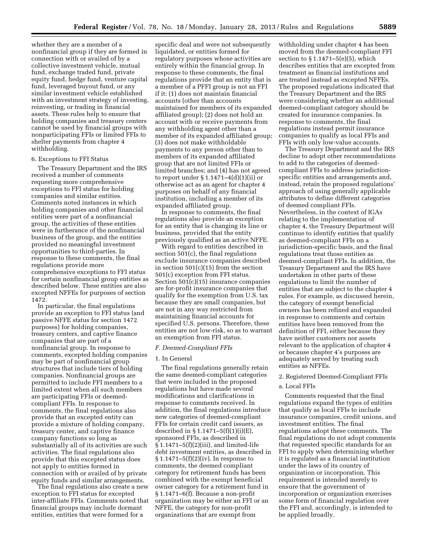whether they are a member of a nonfinancial group if they are formed in connection with or availed of by a collective investment vehicle, mutual fund, exchange traded fund, private equity fund, hedge fund, venture capital fund, leveraged buyout fund, or any similar investment vehicle established with an investment strategy of investing, reinvesting, or trading in financial assets. These rules help to ensure that holding companies and treasury centers cannot be used by financial groups with nonparticipating FFIs or limited FFIs to shelter payments from chapter 4 withholding.

#### 6. Exceptions to FFI Status

The Treasury Department and the IRS received a number of comments requesting more comprehensive exceptions to FFI status for holding companies and similar entities. Comments noted instances in which holding companies and other financial entities were part of a nonfinancial group, the activities of these entities were in furtherance of the nonfinancial business of the group, and the entities provided no meaningful investment opportunities to third-parties. In response to these comments, the final regulations provide more comprehensive exceptions to FFI status for certain nonfinancial group entities as described below. These entities are also excepted NFFEs for purposes of section 1472.

In particular, the final regulations provide an exception to FFI status (and passive NFFE status for section 1472 purposes) for holding companies, treasury centers, and captive finance companies that are part of a nonfinancial group. In response to comments, excepted holding companies may be part of nonfinancial group structures that include tiers of holding companies. Nonfinancial groups are permitted to include FFI members to a limited extent when all such members are participating FFIs or deemedcompliant FFIs. In response to comments, the final regulations also provide that an excepted entity can provide a mixture of holding company, treasury center, and captive finance company functions so long as substantially all of its activities are such activities. The final regulations also provide that this excepted status does not apply to entities formed in connection with or availed of by private equity funds and similar arrangements.

The final regulations also create a new exception to FFI status for excepted inter-affiliate FFIs. Comments noted that financial groups may include dormant entities, entities that were formed for a

specific deal and were not subsequently liquidated, or entities formed for regulatory purposes whose activities are entirely within the financial group. In response to these comments, the final regulations provide that an entity that is a member of a PFFI group is not an FFI if it: (1) does not maintain financial accounts (other than accounts maintained for members of its expanded affiliated group); (2) does not hold an account with or receive payments from any withholding agent other than a member of its expanded affiliated group; (3) does not make withholdable payments to any person other than to members of its expanded affiliated group that are not limited FFIs or limited branches; and (4) has not agreed to report under § 1.1471–4(d)(1)(ii) or otherwise act as an agent for chapter 4 purposes on behalf of any financial institution, including a member of its expanded affiliated group.

In response to comments, the final regulations also provide an exception for an entity that is changing its line or business, provided that the entity previously qualified as an active NFFE.

With regard to entities described in section 501(c), the final regulations exclude insurance companies described in section 501(c)(15) from the section 501(c) exception from FFI status. Section 501(c)(15) insurance companies are for-profit insurance companies that qualify for the exemption from U.S. tax because they are small companies, but are not in any way restricted from maintaining financial accounts for specified U.S. persons. Therefore, these entities are not low-risk, so as to warrant an exemption from FFI status.

#### *F. Deemed-Compliant FFIs*

#### 1. In General

The final regulations generally retain the same deemed-compliant categories that were included in the proposed regulations but have made several modifications and clarifications in response to comments received. In addition, the final regulations introduce new categories of deemed-compliant FFIs for certain credit card issuers, as described in § 1.1471–5 $(f)(1)(i)(E)$ , sponsored FFIs, as described in § 1.1471–5(f)(2)(iii), and limited-life debt investment entities, as described in § 1.1471–5(f)(2)(iv). In response to comments, the deemed compliant category for retirement funds has been combined with the exempt beneficial owner category for a retirement fund in § 1.1471–6(f). Because a non-profit organization may be either an FFI or an NFFE, the category for non-profit organizations that are exempt from

withholding under chapter 4 has been moved from the deemed-compliant FFI section to  $\S 1.1471 - 5(e)(5)$ , which describes entities that are excepted from treatment as financial institutions and are treated instead as excepted NFFEs. The proposed regulations indicated that the Treasury Department and the IRS were considering whether an additional deemed-compliant category should be created for insurance companies. In response to comments, the final regulations instead permit insurance companies to qualify as local FFIs and FFIs with only low-value accounts.

The Treasury Department and the IRS decline to adopt other recommendations to add to the categories of deemedcompliant FFIs to address jurisdictionspecific entities and arrangements and, instead, retain the proposed regulations' approach of using generally applicable attributes to define different categories of deemed compliant FFIs. Nevertheless, in the context of IGAs relating to the implementation of chapter 4, the Treasury Department will continue to identify entities that qualify as deemed-compliant FFIs on a jurisdiction-specific basis, and the final regulations treat those entities as deemed-compliant FFIs. In addition, the Treasury Department and the IRS have undertaken in other parts of these regulations to limit the number of entities that are subject to the chapter 4 rules. For example, as discussed herein, the category of exempt beneficial owners has been refined and expanded in response to comments and certain entities have been removed from the definition of FFI, either because they have neither customers nor assets relevant to the application of chapter 4 or because chapter 4's purposes are adequately served by treating such entities as NFFEs.

## 2. Registered Deemed-Compliant FFIs

#### a. Local FFIs

Comments requested that the final regulations expand the types of entities that qualify as local FFIs to include insurance companies, credit unions, and investment entities. The final regulations adopt these comments. The final regulations do not adopt comments that requested specific standards for an FFI to apply when determining whether it is regulated as a financial institution under the laws of its country of organization or incorporation. This requirement is intended merely to ensure that the government of incorporation or organization exercises some form of financial regulation over the FFI and, accordingly, is intended to be applied broadly.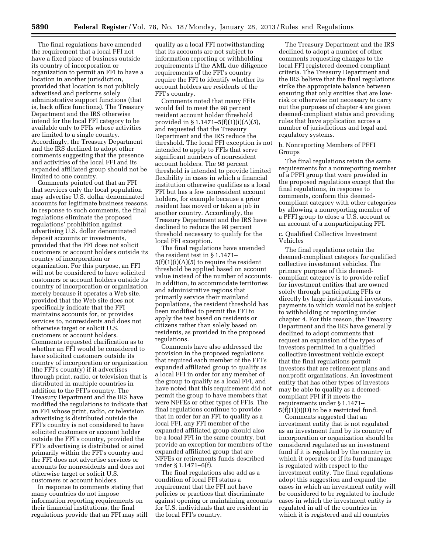The final regulations have amended the requirement that a local FFI not have a fixed place of business outside its country of incorporation or organization to permit an FFI to have a location in another jurisdiction, provided that location is not publicly advertised and performs solely administrative support functions (that is, back office functions). The Treasury Department and the IRS otherwise intend for the local FFI category to be available only to FFIs whose activities are limited to a single country. Accordingly, the Treasury Department and the IRS declined to adopt other comments suggesting that the presence and activities of the local FFI and its expanded affiliated group should not be limited to one country.

Comments pointed out that an FFI that services only the local population may advertise U.S. dollar denominated accounts for legitimate business reasons. In response to such comments, the final regulations eliminate the proposed regulations' prohibition against advertising U.S. dollar denominated deposit accounts or investments, provided that the FFI does not solicit customers or account holders outside its country of incorporation or organization. For this purpose, an FFI will not be considered to have solicited customers or account holders outside its country of incorporation or organization merely because it operates a Web site, provided that the Web site does not specifically indicate that the FFI maintains accounts for, or provides services to, nonresidents and does not otherwise target or solicit U.S. customers or account holders. Comments requested clarification as to whether an FFI would be considered to have solicited customers outside its country of incorporation or organization (the FFI's country) if it advertises through print, radio, or television that is distributed in multiple countries in addition to the FFI's country. The Treasury Department and the IRS have modified the regulations to indicate that an FFI whose print, radio, or television advertising is distributed outside the FFI's country is not considered to have solicited customers or account holder outside the FFI's country, provided the FFI's advertising is distributed or aired primarily within the FFI's country and the FFI does not advertise services or accounts for nonresidents and does not otherwise target or solicit U.S. customers or account holders.

In response to comments stating that many countries do not impose information reporting requirements on their financial institutions, the final regulations provide that an FFI may still

qualify as a local FFI notwithstanding that its accounts are not subject to information reporting or withholding requirements if the AML due diligence requirements of the FFI's country require the FFI to identify whether its account holders are residents of the FFI's country.

Comments noted that many FFIs would fail to meet the 98 percent resident account holder threshold provided in § 1.1471–5(f)(1)(i)(A)(*5*), and requested that the Treasury Department and the IRS reduce the threshold. The local FFI exception is not intended to apply to FFIs that serve significant numbers of nonresident account holders. The 98 percent threshold is intended to provide limited flexibility in cases in which a financial institution otherwise qualifies as a local FFI but has a few nonresident account holders, for example because a prior resident has moved or taken a job in another country. Accordingly, the Treasury Department and the IRS have declined to reduce the 98 percent threshold necessary to qualify for the local FFI exception.

The final regulations have amended the resident test in § 1.1471– 5(f)(1)(i)(A)(*5*) to require the resident threshold be applied based on account value instead of the number of accounts. In addition, to accommodate territories and administrative regions that primarily service their mainland populations, the resident threshold has been modified to permit the FFI to apply the test based on residents or citizens rather than solely based on residents, as provided in the proposed regulations.

Comments have also addressed the provision in the proposed regulations that required each member of the FFI's expanded affiliated group to qualify as a local FFI in order for any member of the group to qualify as a local FFI, and have noted that this requirement did not permit the group to have members that were NFFEs or other types of FFIs. The final regulations continue to provide that in order for an FFI to qualify as a local FFI, any FFI member of the expanded affiliated group should also be a local FFI in the same country, but provide an exception for members of the expanded affiliated group that are NFFEs or retirements funds described under § 1.1471–6(f).

The final regulations also add as a condition of local FFI status a requirement that the FFI not have policies or practices that discriminate against opening or maintaining accounts for U.S. individuals that are resident in the local FFI's country.

The Treasury Department and the IRS declined to adopt a number of other comments requesting changes to the local FFI registered deemed compliant criteria. The Treasury Department and the IRS believe that the final regulations strike the appropriate balance between ensuring that only entities that are lowrisk or otherwise not necessary to carry out the purposes of chapter 4 are given deemed-compliant status and providing rules that have application across a number of jurisdictions and legal and regulatory systems.

## b. Nonreporting Members of PFFI Groups

The final regulations retain the same requirements for a nonreporting member of a PFFI group that were provided in the proposed regulations except that the final regulations, in response to comments, conform this deemedcompliant category with other categories by allowing a nonreporting member of a PFFI group to close a U.S. account or an account of a nonparticipating FFI.

c. Qualified Collective Investment Vehicles

The final regulations retain the deemed-compliant category for qualified collective investment vehicles. The primary purpose of this deemedcompliant category is to provide relief for investment entities that are owned solely through participating FFIs or directly by large institutional investors, payments to which would not be subject to withholding or reporting under chapter 4. For this reason, the Treasury Department and the IRS have generally declined to adopt comments that request an expansion of the types of investors permitted in a qualified collective investment vehicle except that the final regulations permit investors that are retirement plans and nonprofit organizations. An investment entity that has other types of investors may be able to qualify as a deemedcompliant FFI if it meets the requirements under § 1.1471–  $5(f)(1)(i)(D)$  to be a restricted fund.

Comments suggested that an investment entity that is not regulated as an investment fund by its country of incorporation or organization should be considered regulated as an investment fund if it is regulated by the country in which it operates or if its fund manager is regulated with respect to the investment entity. The final regulations adopt this suggestion and expand the cases in which an investment entity will be considered to be regulated to include cases in which the investment entity is regulated in all of the countries in which it is registered and all countries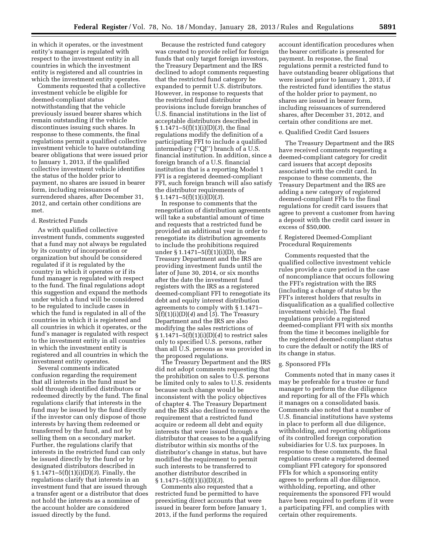in which it operates, or the investment entity's manager is regulated with respect to the investment entity in all countries in which the investment entity is registered and all countries in which the investment entity operates.

Comments requested that a collective investment vehicle be eligible for deemed-compliant status notwithstanding that the vehicle previously issued bearer shares which remain outstanding if the vehicle discontinues issuing such shares. In response to these comments, the final regulations permit a qualified collective investment vehicle to have outstanding bearer obligations that were issued prior to January 1, 2013, if the qualified collective investment vehicle identifies the status of the holder prior to payment, no shares are issued in bearer form, including reissuances of surrendered shares, after December 31, 2012, and certain other conditions are met.

#### d. Restricted Funds

As with qualified collective investment funds, comments suggested that a fund may not always be regulated by its country of incorporation or organization but should be considered regulated if it is regulated by the country in which it operates or if its fund manager is regulated with respect to the fund. The final regulations adopt this suggestion and expand the methods under which a fund will be considered to be regulated to include cases in which the fund is regulated in all of the countries in which it is registered and all countries in which it operates, or the fund's manager is regulated with respect to the investment entity in all countries in which the investment entity is registered and all countries in which the investment entity operates.

Several comments indicated confusion regarding the requirement that all interests in the fund must be sold through identified distributors or redeemed directly by the fund. The final regulations clarify that interests in the fund may be issued by the fund directly if the investor can only dispose of those interests by having them redeemed or transferred by the fund, and not by selling them on a secondary market. Further, the regulations clarify that interests in the restricted fund can only be issued directly by the fund or by designated distributors described in § 1.1471–5(f)(1)(i)(D)(*3*). Finally, the regulations clarify that interests in an investment fund that are issued through a transfer agent or a distributor that does not hold the interests as a nominee of the account holder are considered issued directly by the fund.

Because the restricted fund category was created to provide relief for foreign funds that only target foreign investors, the Treasury Department and the IRS declined to adopt comments requesting that the restricted fund category be expanded to permit U.S. distributors. However, in response to requests that the restricted fund distributor provisions include foreign branches of U.S. financial institutions in the list of acceptable distributors described in § 1.1471–5(f)(1)(i)(D)(*3*), the final regulations modify the definition of a participating FFI to include a qualified intermediary (''QI'') branch of a U.S. financial institution. In addition, since a foreign branch of a U.S. financial institution that is a reporting Model 1 FFI is a registered deemed-compliant FFI, such foreign branch will also satisfy the distributor requirements of § 1.1471–5(f)(1)(i)(D)(*3*).

In response to comments that the renegotiation of distribution agreements will take a substantial amount of time and requests that a restricted fund be provided an additional year in order to renegotiate its distribution agreements to include the prohibitions required under § 1.1471–5(f)(1)(i)(D), the Treasury Department and the IRS are providing investment funds until the later of June 30, 2014, or six months after the date the investment fund registers with the IRS as a registered deemed-compliant FFI to renegotiate its debt and equity interest distribution agreements to comply with § 1.1471– 5(f)(1)(i)(D)(*4*) and (*5*). The Treasury Department and the IRS are also modifying the sales restrictions of § 1.1471–5(f)(1)(i)(D)(*4*) to restrict sales only to specified U.S. persons, rather than all U.S. persons as was provided in the proposed regulations.

The Treasury Department and the IRS did not adopt comments requesting that the prohibition on sales to U.S. persons be limited only to sales to U.S. residents because such change would be inconsistent with the policy objectives of chapter 4. The Treasury Department and the IRS also declined to remove the requirement that a restricted fund acquire or redeem all debt and equity interests that were issued through a distributor that ceases to be a qualifying distributor within six months of the distributor's change in status, but have modified the requirement to permit such interests to be transferred to another distributor described in § 1.1471–5(f)(1)(i)(D)(*3*).

Comments also requested that a restricted fund be permitted to have preexisting direct accounts that were issued in bearer form before January 1, 2013, if the fund performs the required

account identification procedures when the bearer certificate is presented for payment. In response, the final regulations permit a restricted fund to have outstanding bearer obligations that were issued prior to January 1, 2013, if the restricted fund identifies the status of the holder prior to payment, no shares are issued in bearer form, including reissuances of surrendered shares, after December 31, 2012, and certain other conditions are met.

#### e. Qualified Credit Card Issuers

The Treasury Department and the IRS have received comments requesting a deemed-compliant category for credit card issuers that accept deposits associated with the credit card. In response to these comments, the Treasury Department and the IRS are adding a new category of registered deemed-compliant FFIs to the final regulations for credit card issuers that agree to prevent a customer from having a deposit with the credit card issuer in excess of \$50,000.

## f. Registered Deemed-Compliant Procedural Requirements

Comments requested that the qualified collective investment vehicle rules provide a cure period in the case of noncompliance that occurs following the FFI's registration with the IRS (including a change of status by the FFI's interest holders that results in disqualification as a qualified collective investment vehicle). The final regulations provide a registered deemed-compliant FFI with six months from the time it becomes ineligible for the registered deemed-compliant status to cure the default or notify the IRS of its change in status.

## g. Sponsored FFIs

Comments noted that in many cases it may be preferable for a trustee or fund manager to perform the due diligence and reporting for all of the FFIs which it manages on a consolidated basis. Comments also noted that a number of U.S. financial institutions have systems in place to perform all due diligence, withholding, and reporting obligations of its controlled foreign corporation subsidiaries for U.S. tax purposes. In response to these comments, the final regulations create a registered deemed compliant FFI category for sponsored FFIs for which a sponsoring entity agrees to perform all due diligence, withholding, reporting, and other requirements the sponsored FFI would have been required to perform if it were a participating FFI, and complies with certain other requirements.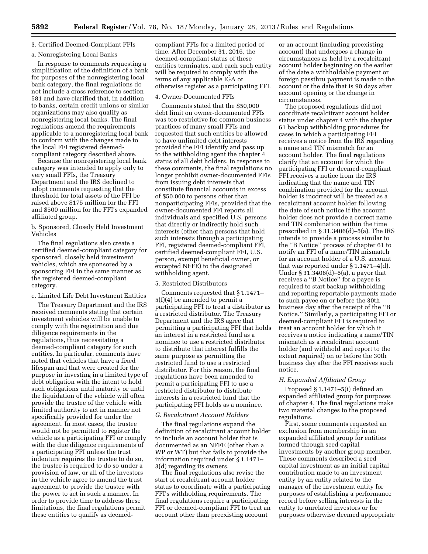## 3. Certified Deemed-Compliant FFIs

## a. Nonregistering Local Banks

In response to comments requesting a simplification of the definition of a bank for purposes of the nonregistering local bank category, the final regulations do not include a cross reference to section 581 and have clarified that, in addition to banks, certain credit unions or similar organizations may also qualify as nonregistering local banks. The final regulations amend the requirements applicable to a nonregistering local bank to conform with the changes made to the local FFI registered deemedcompliant category described above.

Because the nonregistering local bank category was intended to apply only to very small FFIs, the Treasury Department and the IRS declined to adopt comments requesting that the threshold for total assets of the FFI be raised above \$175 million for the FFI and \$500 million for the FFI's expanded affiliated group.

## b. Sponsored, Closely Held Investment Vehicles

The final regulations also create a certified deemed-compliant category for sponsored, closely held investment vehicles, which are sponsored by a sponsoring FFI in the same manner as the registered deemed-compliant category.

c. Limited Life Debt Investment Entities

The Treasury Department and the IRS received comments stating that certain investment vehicles will be unable to comply with the registration and due diligence requirements in the regulations, thus necessitating a deemed-compliant category for such entities. In particular, comments have noted that vehicles that have a fixed lifespan and that were created for the purpose in investing in a limited type of debt obligation with the intent to hold such obligations until maturity or until the liquidation of the vehicle will often provide the trustee of the vehicle with limited authority to act in manner not specifically provided for under the agreement. In most cases, the trustee would not be permitted to register the vehicle as a participating FFI or comply with the due diligence requirements of a participating FFI unless the trust indenture requires the trustee to do so, the trustee is required to do so under a provision of law, or all of the investors in the vehicle agree to amend the trust agreement to provide the trustee with the power to act in such a manner. In order to provide time to address these limitations, the final regulations permit these entities to qualify as deemedcompliant FFIs for a limited period of time. After December 31, 2016, the deemed-compliant status of these entities terminates, and each such entity will be required to comply with the terms of any applicable IGA or otherwise register as a participating FFI.

## 4. Owner-Documented FFIs

Comments stated that the \$50,000 debt limit on owner-documented FFIs was too restrictive for common business practices of many small FFIs and requested that such entities be allowed to have unlimited debt interests provided the FFI identify and pass up to the withholding agent the chapter 4 status of all debt holders. In response to these comments, the final regulations no longer prohibit owner-documented FFIs from issuing debt interests that constitute financial accounts in excess of \$50,000 to persons other than nonparticipating FFIs, provided that the owner-documented FFI reports all individuals and specified U.S. persons that directly or indirectly hold such interests (other than persons that hold such interests through a participating FFI, registered deemed-compliant FFI, certified deemed-compliant FFI, U.S. person, exempt beneficial owner, or excepted NFFE) to the designated withholding agent.

#### 5. Restricted Distributors

Comments requested that § 1.1471– 5(f)(4) be amended to permit a participating FFI to treat a distributor as a restricted distributor. The Treasury Department and the IRS agree that permitting a participating FFI that holds an interest in a restricted fund as a nominee to use a restricted distributor to distribute that interest fulfills the same purpose as permitting the restricted fund to use a restricted distributor. For this reason, the final regulations have been amended to permit a participating FFI to use a restricted distributor to distribute interests in a restricted fund that the participating FFI holds as a nominee.

#### *G. Recalcitrant Account Holders*

The final regulations expand the definition of recalcitrant account holder to include an account holder that is documented as an NFFE (other than a WP or WT) but that fails to provide the information required under § 1.1471– 3(d) regarding its owners.

The final regulations also revise the start of recalcitrant account holder status to coordinate with a participating FFI's withholding requirements. The final regulations require a participating FFI or deemed-compliant FFI to treat an account other than preexisting account

or an account (including preexisting account) that undergoes a change in circumstances as held by a recalcitrant account holder beginning on the earlier of the date a withholdable payment or foreign passthru payment is made to the account or the date that is 90 days after account opening or the change in circumstances.

The proposed regulations did not coordinate recalcitrant account holder status under chapter 4 with the chapter 61 backup withholding procedures for cases in which a participating FFI receives a notice from the IRS regarding a name and TIN mismatch for an account holder. The final regulations clarify that an account for which the participating FFI or deemed-compliant FFI receives a notice from the IRS indicating that the name and TIN combination provided for the account holder is incorrect will be treated as a recalcitrant account holder following the date of such notice if the account holder does not provide a correct name and TIN combination within the time prescribed in § 31.3406(d)–5(a). The IRS intends to provide a process similar to the ''B Notice'' process of chapter 61 to notify an FFI of a name/TIN mismatch for an account holder of a U.S. account that was reported under § 1.1471–4(d). Under § 31.3406(d)–5(a), a payor that receives a ''B Notice'' for a payee is required to start backup withholding and reporting reportable payments made to such payee on or before the 30th business day after the receipt of the ''B Notice.'' Similarly, a participating FFI or deemed-compliant FFI is required to treat an account holder for which it receives a notice indicating a name/TIN mismatch as a recalcitrant account holder (and withhold and report to the extent required) on or before the 30th business day after the FFI receives such notice.

## *H. Expanded Affiliated Group*

Proposed § 1.1471–5(i) defined an expanded affiliated group for purposes of chapter 4. The final regulations make two material changes to the proposed regulations.

First, some comments requested an exclusion from membership in an expanded affiliated group for entities formed through seed capital investments by another group member. These comments described a seed capital investment as an initial capital contribution made to an investment entity by an entity related to the manager of the investment entity for purposes of establishing a performance record before selling interests in the entity to unrelated investors or for purposes otherwise deemed appropriate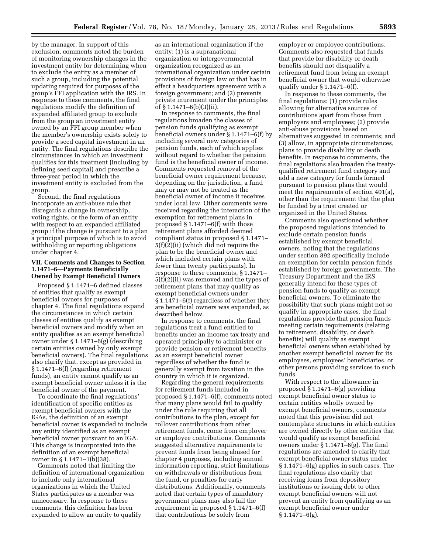by the manager. In support of this exclusion, comments noted the burden of monitoring ownership changes in the investment entity for determining when to exclude the entity as a member of such a group, including the potential updating required for purposes of the group's FFI application with the IRS. In response to these comments, the final regulations modify the definition of expanded affiliated group to exclude from the group an investment entity owned by an FFI group member when the member's ownership exists solely to provide a seed capital investment in an entity. The final regulations describe the circumstances in which an investment qualifies for this treatment (including by defining seed capital) and prescribe a three-year period in which the investment entity is excluded from the group.

Second, the final regulations incorporate an anti-abuse rule that disregards a change in ownership, voting rights, or the form of an entity with respect to an expanded affiliated group if the change is pursuant to a plan a principal purpose of which is to avoid withholding or reporting obligations under chapter 4.

## **VII. Comments and Changes to Section 1.1471–6—Payments Beneficially Owned by Exempt Beneficial Owners**

Proposed § 1.1471–6 defined classes of entities that qualify as exempt beneficial owners for purposes of chapter 4. The final regulations expand the circumstances in which certain classes of entities qualify as exempt beneficial owners and modify when an entity qualifies as an exempt beneficial owner under § 1.1471–6(g) (describing certain entities owned by only exempt beneficial owners). The final regulations also clarify that, except as provided in § 1.1471–6(f) (regarding retirement funds), an entity cannot qualify as an exempt beneficial owner unless it is the beneficial owner of the payment.

To coordinate the final regulations' identification of specific entities as exempt beneficial owners with the IGAs, the definition of an exempt beneficial owner is expanded to include any entity identified as an exempt beneficial owner pursuant to an IGA. This change is incorporated into the definition of an exempt beneficial owner in § 1.1471–1(b)(38).

Comments noted that limiting the definition of international organization to include only international organizations in which the United States participates as a member was unnecessary. In response to these comments, this definition has been expanded to allow an entity to qualify

as an international organization if the entity: (1) is a supranational organization or intergovernmental organization recognized as an international organization under certain provisions of foreign law or that has in effect a headquarters agreement with a foreign government; and (2) prevents private inurement under the principles of § 1.1471–6(b)(3)(ii).

In response to comments, the final regulations broaden the classes of pension funds qualifying as exempt beneficial owners under § 1.1471–6(f) by including several new categories of pension funds, each of which applies without regard to whether the pension fund is the beneficial owner of income. Comments requested removal of the beneficial owner requirement because, depending on the jurisdiction, a fund may or may not be treated as the beneficial owner of income it receives under local law. Other comments were received regarding the interaction of the exemption for retirement plans in proposed § 1.1471–6(f) with those retirement plans afforded deemed compliant status in proposed § 1.1471– 5(f)(2)(ii) (which did not require the plan to be the beneficial owner and which included certain plans with fewer than twenty participants). In response to these comments, § 1.1471– 5(f)(2)(ii) was removed and the types of retirement plans that may qualify as exempt beneficial owners under § 1.1471–6(f) regardless of whether they are beneficial owners was expanded, as described below.

In response to comments, the final regulations treat a fund entitled to benefits under an income tax treaty and operated principally to administer or provide pension or retirement benefits as an exempt beneficial owner regardless of whether the fund is generally exempt from taxation in the country in which it is organized.

Regarding the general requirements for retirement funds included in proposed § 1.1471–6(f), comments noted that many plans would fail to qualify under the rule requiring that all contributions to the plan, except for rollover contributions from other retirement funds, come from employer or employee contributions. Comments suggested alternative requirements to prevent funds from being abused for chapter 4 purposes, including annual information reporting, strict limitations on withdrawals or distributions from the fund, or penalties for early distributions. Additionally, comments noted that certain types of mandatory government plans may also fail the requirement in proposed § 1.1471–6(f) that contributions be solely from

employer or employee contributions. Comments also requested that funds that provide for disability or death benefits should not disqualify a retirement fund from being an exempt beneficial owner that would otherwise qualify under § 1.1471–6(f).

In response to these comments, the final regulations: (1) provide rules allowing for alternative sources of contributions apart from those from employers and employees; (2) provide anti-abuse provisions based on alternatives suggested in comments; and (3) allow, in appropriate circumstances, plans to provide disability or death benefits. In response to comments, the final regulations also broaden the treatyqualified retirement fund category and add a new category for funds formed pursuant to pension plans that would meet the requirements of section 401(a), other than the requirement that the plan be funded by a trust created or organized in the United States.

Comments also questioned whether the proposed regulations intended to exclude certain pension funds established by exempt beneficial owners, noting that the regulations under section 892 specifically include an exemption for certain pension funds established by foreign governments. The Treasury Department and the IRS generally intend for these types of pension funds to qualify as exempt beneficial owners. To eliminate the possibility that such plans might not so qualify in appropriate cases, the final regulations provide that pension funds meeting certain requirements (relating to retirement, disability, or death benefits) will qualify as exempt beneficial owners when established by another exempt beneficial owner for its employees, employees' beneficiaries, or other persons providing services to such funds.

With respect to the allowance in proposed § 1.1471–6(g) providing exempt beneficial owner status to certain entities wholly owned by exempt beneficial owners, comments noted that this provision did not contemplate structures in which entities are owned directly by other entities that would qualify as exempt beneficial owners under § 1.1471–6(g). The final regulations are amended to clarify that exempt beneficial owner status under § 1.1471–6(g) applies in such cases. The final regulations also clarify that receiving loans from depository institutions or issuing debt to other exempt beneficial owners will not prevent an entity from qualifying as an exempt beneficial owner under § 1.1471–6(g).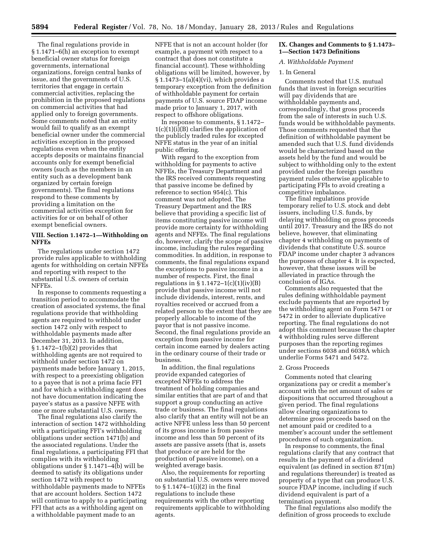The final regulations provide in § 1.1471–6(h) an exception to exempt beneficial owner status for foreign governments, international organizations, foreign central banks of issue, and the governments of U.S. territories that engage in certain commercial activities, replacing the prohibition in the proposed regulations on commercial activities that had applied only to foreign governments. Some comments noted that an entity would fail to qualify as an exempt beneficial owner under the commercial activities exception in the proposed regulations even when the entity accepts deposits or maintains financial accounts only for exempt beneficial owners (such as the members in an entity such as a development bank organized by certain foreign governments). The final regulations respond to these comments by providing a limitation on the commercial activities exception for activities for or on behalf of other exempt beneficial owners.

## **VIII. Section 1.1472–1—Withholding on NFFEs**

The regulations under section 1472 provide rules applicable to withholding agents for withholding on certain NFFEs and reporting with respect to the substantial U.S. owners of certain NFFEs.

In response to comments requesting a transition period to accommodate the creation of associated systems, the final regulations provide that withholding agents are required to withhold under section 1472 only with respect to withholdable payments made after December 31, 2013. In addition, § 1.1472–1(b)(2) provides that withholding agents are not required to withhold under section 1472 on payments made before January 1, 2015, with respect to a preexisting obligation to a payee that is not a prima facie FFI and for which a withholding agent does not have documentation indicating the payee's status as a passive NFFE with one or more substantial U.S. owners.

The final regulations also clarify the interaction of section 1472 withholding with a participating FFI's withholding obligations under section 1471(b) and the associated regulations. Under the final regulations, a participating FFI that complies with its withholding obligations under § 1.1471–4(b) will be deemed to satisfy its obligations under section 1472 with respect to withholdable payments made to NFFEs that are account holders. Section 1472 will continue to apply to a participating FFI that acts as a withholding agent on a withholdable payment made to an

NFFE that is not an account holder (for example, a payment with respect to a contract that does not constitute a financial account). These withholding obligations will be limited, however, by  $§ 1.1473-1(a)(4)(vi)$ , which provides a temporary exception from the definition of withholdable payment for certain payments of U.S. source FDAP income made prior to January 1, 2017, with respect to offshore obligations.

In response to comments, § 1.1472– 1(c)(1)(i)(B) clarifies the application of the publicly traded rules for excepted NFFE status in the year of an initial public offering.

With regard to the exception from withholding for payments to active NFFEs, the Treasury Department and the IRS received comments requesting that passive income be defined by reference to section 954(c). This comment was not adopted. The Treasury Department and the IRS believe that providing a specific list of items constituting passive income will provide more certainty for withholding agents and NFFEs. The final regulations do, however, clarify the scope of passive income, including the rules regarding commodities. In addition, in response to comments, the final regulations expand the exceptions to passive income in a number of respects. First, the final regulations in  $\S 1.1472-1(c)(1)(iv)(B)$ provide that passive income will not include dividends, interest, rents, and royalties received or accrued from a related person to the extent that they are properly allocable to income of the payor that is not passive income. Second, the final regulations provide an exception from passive income for certain income earned by dealers acting in the ordinary course of their trade or business.

In addition, the final regulations provide expanded categories of excepted NFFEs to address the treatment of holding companies and similar entities that are part of and that support a group conducting an active trade or business. The final regulations also clarify that an entity will not be an active NFFE unless less than 50 percent of its gross income is from passive income and less than 50 percent of its assets are passive assets (that is, assets that produce or are held for the production of passive income), on a weighted average basis.

Also, the requirements for reporting on substantial U.S. owners were moved to § 1.1474–1(i)(2) in the final regulations to include these requirements with the other reporting requirements applicable to withholding agents.

#### **IX. Changes and Comments to § 1.1473– 1—Section 1473 Definitions**

#### *A. Withholdable Payment*

## 1. In General

Comments noted that U.S. mutual funds that invest in foreign securities will pay dividends that are withholdable payments and, correspondingly, that gross proceeds from the sale of interests in such U.S. funds would be withholdable payments. Those comments requested that the definition of withholdable payment be amended such that U.S. fund dividends would be characterized based on the assets held by the fund and would be subject to withholding only to the extent provided under the foreign passthru payment rules otherwise applicable to participating FFIs to avoid creating a competitive imbalance.

The final regulations provide temporary relief to U.S. stock and debt issuers, including U.S. funds, by delaying withholding on gross proceeds until 2017. Treasury and the IRS do not believe, however, that eliminating chapter 4 withholding on payments of dividends that constitute U.S. source FDAP income under chapter 3 advances the purposes of chapter 4. It is expected, however, that these issues will be alleviated in practice through the conclusion of IGAs.

Comments also requested that the rules defining withholdable payment exclude payments that are reported by the withholding agent on Form 5471 or 5472 in order to alleviate duplicative reporting. The final regulations do not adopt this comment because the chapter 4 withholding rules serve different purposes than the reporting regimes under sections 6038 and 6038A which underlie Forms 5471 and 5472.

#### 2. Gross Proceeds

Comments noted that clearing organizations pay or credit a member's account with the net amount of sales or dispositions that occurred throughout a given period. The final regulations allow clearing organizations to determine gross proceeds based on the net amount paid or credited to a member's account under the settlement procedures of such organization.

In response to comments, the final regulations clarify that any contract that results in the payment of a dividend equivalent (as defined in section 871(m) and regulations thereunder) is treated as property of a type that can produce U.S. source FDAP income, including if such dividend equivalent is part of a termination payment.

The final regulations also modify the definition of gross proceeds to exclude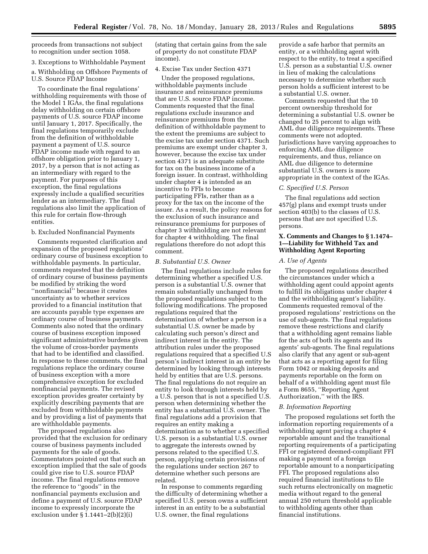proceeds from transactions not subject to recognition under section 1058.

3. Exceptions to Withholdable Payment

a. Withholding on Offshore Payments of U.S. Source FDAP Income

To coordinate the final regulations' withholding requirements with those of the Model 1 IGAs, the final regulations delay withholding on certain offshore payments of U.S. source FDAP income until January 1, 2017. Specifically, the final regulations temporarily exclude from the definition of withholdable payment a payment of U.S. source FDAP income made with regard to an offshore obligation prior to January 1, 2017, by a person that is not acting as an intermediary with regard to the payment. For purposes of this exception, the final regulations expressly include a qualified securities lender as an intermediary. The final regulations also limit the application of this rule for certain flow-through entities.

#### b. Excluded Nonfinancial Payments

Comments requested clarification and expansion of the proposed regulations' ordinary course of business exception to withholdable payments. In particular, comments requested that the definition of ordinary course of business payments be modified by striking the word ''nonfinancial'' because it creates uncertainty as to whether services provided to a financial institution that are accounts payable type expenses are ordinary course of business payments. Comments also noted that the ordinary course of business exception imposed significant administrative burdens given the volume of cross-border payments that had to be identified and classified. In response to these comments, the final regulations replace the ordinary course of business exception with a more comprehensive exception for excluded nonfinancial payments. The revised exception provides greater certainty by explicitly describing payments that are excluded from withholdable payments and by providing a list of payments that are withholdable payments.

The proposed regulations also provided that the exclusion for ordinary course of business payments included payments for the sale of goods. Commentators pointed out that such an exception implied that the sale of goods could give rise to U.S. source FDAP income. The final regulations remove the reference to ''goods'' in the nonfinancial payments exclusion and define a payment of U.S. source FDAP income to expressly incorporate the exclusion under § 1.1441–2(b)(2)(i)

(stating that certain gains from the sale of property do not constitute FDAP income).

#### 4. Excise Tax under Section 4371

Under the proposed regulations, withholdable payments include insurance and reinsurance premiums that are U.S. source FDAP income. Comments requested that the final regulations exclude insurance and reinsurance premiums from the definition of withholdable payment to the extent the premiums are subject to the excise tax under section 4371. Such premiums are exempt under chapter 3, however, because the excise tax under section 4371 is an adequate substitute for tax on the business income of a foreign issuer. In contrast, withholding under chapter 4 is intended as an incentive to FFIs to become participating FFIs, rather than as a proxy for the tax on the income of the issuer. As a result, the policy reasons for the exclusion of such insurance and reinsurance premiums for purposes of chapter 3 withholding are not relevant for chapter 4 withholding. The final regulations therefore do not adopt this comment.

#### *B. Substantial U.S. Owner*

The final regulations include rules for determining whether a specified U.S. person is a substantial U.S. owner that remain substantially unchanged from the proposed regulations subject to the following modifications. The proposed regulations required that the determination of whether a person is a substantial U.S. owner be made by calculating such person's direct and indirect interest in the entity. The attribution rules under the proposed regulations required that a specified U.S person's indirect interest in an entity be determined by looking through interests held by entities that are U.S. persons. The final regulations do not require an entity to look through interests held by a U.S. person that is not a specified U.S. person when determining whether the entity has a substantial U.S. owner. The final regulations add a provision that requires an entity making a determination as to whether a specified U.S. person is a substantial U.S. owner to aggregate the interests owned by persons related to the specified U.S. person, applying certain provisions of the regulations under section 267 to determine whether such persons are related.

In response to comments regarding the difficulty of determining whether a specified U.S. person owns a sufficient interest in an entity to be a substantial U.S. owner, the final regulations

provide a safe harbor that permits an entity, or a withholding agent with respect to the entity, to treat a specified U.S. person as a substantial U.S. owner in lieu of making the calculations necessary to determine whether such person holds a sufficient interest to be a substantial U.S. owner.

Comments requested that the 10 percent ownership threshold for determining a substantial U.S. owner be changed to 25 percent to align with AML due diligence requirements. These comments were not adopted. Jurisdictions have varying approaches to enforcing AML due diligence requirements, and thus, reliance on AML due diligence to determine substantial U.S. owners is more appropriate in the context of the IGAs.

#### *C. Specified U.S. Person*

The final regulations add section 457(g) plans and exempt trusts under section 403(b) to the classes of U.S. persons that are not specified U.S. persons.

## **X. Comments and Changes to § 1.1474– 1—Liability for Withheld Tax and Withholding Agent Reporting**

#### *A. Use of Agents*

The proposed regulations described the circumstances under which a withholding agent could appoint agents to fulfill its obligations under chapter 4 and the withholding agent's liability. Comments requested removal of the proposed regulations' restrictions on the use of sub-agents. The final regulations remove these restrictions and clarify that a withholding agent remains liable for the acts of both its agents and its agents' sub-agents. The final regulations also clarify that any agent or sub-agent that acts as a reporting agent for filing Form 1042 or making deposits and payments reportable on the form on behalf of a withholding agent must file a Form 8655, ''Reporting Agent Authorization,'' with the IRS.

## *B. Information Reporting*

The proposed regulations set forth the information reporting requirements of a withholding agent paying a chapter 4 reportable amount and the transitional reporting requirements of a participating FFI or registered deemed-compliant FFI making a payment of a foreign reportable amount to a nonparticipating FFI. The proposed regulations also required financial institutions to file such returns electronically on magnetic media without regard to the general annual 250 return threshold applicable to withholding agents other than financial institutions.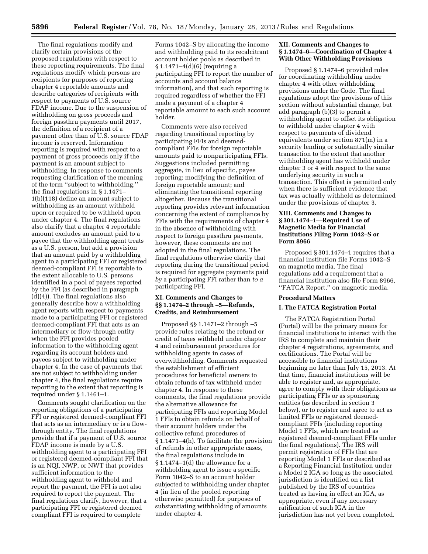The final regulations modify and clarify certain provisions of the proposed regulations with respect to these reporting requirements. The final regulations modify which persons are recipients for purposes of reporting chapter 4 reportable amounts and describe categories of recipients with respect to payments of U.S. source FDAP income. Due to the suspension of withholding on gross proceeds and foreign passthru payments until 2017, the definition of a recipient of a payment other than of U.S. source FDAP income is reserved. Information reporting is required with respect to a payment of gross proceeds only if the payment is an amount subject to withholding. In response to comments requesting clarification of the meaning of the term ''subject to withholding,'' the final regulations in § 1.1471– 1(b)(118) define an amount subject to withholding as an amount withheld upon or required to be withheld upon under chapter 4. The final regulations also clarify that a chapter 4 reportable amount excludes an amount paid to a payee that the withholding agent treats as a U.S. person, but add a provision that an amount paid by a withholding agent to a participating FFI or registered deemed-compliant FFI is reportable to the extent allocable to U.S. persons identified in a pool of payees reported by the FFI (as described in paragraph (d)(4)). The final regulations also generally describe how a withholding agent reports with respect to payments made to a participating FFI or registered deemed-compliant FFI that acts as an intermediary or flow-through entity when the FFI provides pooled information to the withholding agent regarding its account holders and payees subject to withholding under chapter 4. In the case of payments that are not subject to withholding under chapter 4, the final regulations require reporting to the extent that reporting is required under § 1.1461–1.

Comments sought clarification on the reporting obligations of a participating FFI or registered deemed-compliant FFI that acts as an intermediary or is a flowthrough entity. The final regulations provide that if a payment of U.S. source FDAP income is made by a U.S. withholding agent to a participating FFI or registered deemed-compliant FFI that is an NQI, NWP, or NWT that provides sufficient information to the withholding agent to withhold and report the payment, the FFI is not also required to report the payment. The final regulations clarify, however, that a participating FFI or registered deemed compliant FFI is required to complete

Forms 1042–S by allocating the income and withholding paid to its recalcitrant account holder pools as described in § 1.1471–4(d)(6) (requiring a participating FFI to report the number of accounts and account balance information), and that such reporting is required regardless of whether the FFI made a payment of a chapter 4 reportable amount to each such account holder.

Comments were also received regarding transitional reporting by participating FFIs and deemedcompliant FFIs for foreign reportable amounts paid to nonparticipating FFIs. Suggestions included permitting aggregate, in lieu of specific, payee reporting; modifying the definition of foreign reportable amount; and eliminating the transitional reporting altogether. Because the transitional reporting provides relevant information concerning the extent of compliance by FFIs with the requirements of chapter 4 in the absence of withholding with respect to foreign passthru payments, however, these comments are not adopted in the final regulations. The final regulations otherwise clarify that reporting during the transitional period is required for aggregate payments paid *by* a participating FFI rather than *to a*  participating FFI.

## **XI. Comments and Changes to §§ 1.1474–2 through –5—Refunds, Credits, and Reimbursement**

Proposed §§ 1.1471–2 through –5 provide rules relating to the refund or credit of taxes withheld under chapter 4 and reimbursement procedures for withholding agents in cases of overwithholding. Comments requested the establishment of efficient procedures for beneficial owners to obtain refunds of tax withheld under chapter 4. In response to these comments, the final regulations provide the alternative allowance for participating FFIs and reporting Model 1 FFIs to obtain refunds on behalf of their account holders under the collective refund procedures of § 1.1471–4(h). To facilitate the provision of refunds in other appropriate cases, the final regulations include in § 1.1474–1(d) the allowance for a withholding agent to issue a specific Form 1042–S to an account holder subjected to withholding under chapter 4 (in lieu of the pooled reporting otherwise permitted) for purposes of substantiating withholding of amounts under chapter 4.

## **XII. Comments and Changes to § 1.1474–6—Coordination of Chapter 4 With Other Withholding Provisions**

Proposed § 1.1474–6 provided rules for coordinating withholding under chapter 4 with other withholding provisions under the Code. The final regulations adopt the provisions of this section without substantial change, but add paragraph (b)(3) to permit a withholding agent to offset its obligation to withhold under chapter 4 with respect to payments of dividend equivalents under section 871(m) in a security lending or substantially similar transaction to the extent that another withholding agent has withheld under chapter 3 or 4 with respect to the same underlying security in such a transaction. This offset is permitted only when there is sufficient evidence that tax was actually withheld as determined under the provisions of chapter 3.

## **XIII. Comments and Changes to § 301.1474–1—Required Use of Magnetic Media for Financial Institutions Filing Form 1042–S or Form 8966**

Proposed § 301.1474–1 requires that a financial institution file Forms 1042–S on magnetic media. The final regulations add a requirement that a financial institution also file Form 8966, ''FATCA Report,'' on magnetic media.

#### **Procedural Matters**

## **I. The FATCA Registration Portal**

The FATCA Registration Portal (Portal) will be the primary means for financial institutions to interact with the IRS to complete and maintain their chapter 4 registrations, agreements, and certifications. The Portal will be accessible to financial institutions beginning no later than July 15, 2013. At that time, financial institutions will be able to register and, as appropriate, agree to comply with their obligations as participating FFIs or as sponsoring entities (as described in section 3 below), or to register and agree to act as limited FFIs or registered deemedcompliant FFIs (including reporting Model 1 FFIs, which are treated as registered deemed-compliant FFIs under the final regulations). The IRS will permit registration of FFIs that are reporting Model 1 FFIs or described as a Reporting Financial Institution under a Model 2 IGA so long as the associated jurisdiction is identified on a list published by the IRS of countries treated as having in effect an IGA, as appropriate, even if any necessary ratification of such IGA in the jurisdiction has not yet been completed.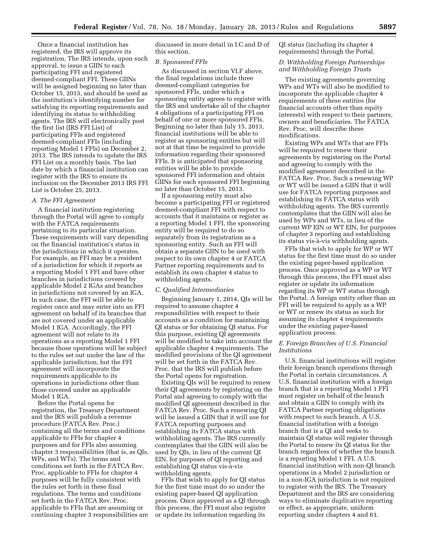Once a financial institution has registered, the IRS will approve its registration. The IRS intends, upon such approval, to issue a GIIN to each participating FFI and registered deemed-compliant FFI. These GIINs will be assigned beginning no later than October 15, 2013, and should be used as the institution's identifying number for satisfying its reporting requirements and identifying its status to withholding agents. The IRS will electronically post the first list (IRS FFI List) of participating FFIs and registered deemed-compliant FFIs (including reporting Model 1 FFIs) on December 2, 2013. The IRS intends to update the IRS FFI List on a monthly basis. The last date by which a financial institution can register with the IRS to ensure its inclusion on the December 2013 IRS FFI List is October 25, 2013.

#### *A. The FFI Agreement*

A financial institution registering through the Portal will agree to comply with the FATCA requirements pertaining to its particular situation. These requirements will vary depending on the financial institution's status in the jurisdictions in which it operates. For example, an FFI may be a resident of a jurisdiction for which it reports as a reporting Model 1 FFI and have other branches in jurisdictions covered by applicable Model 2 IGAs and branches in jurisdictions not covered by an IGA. In such case, the FFI will be able to register once and may enter into an FFI agreement on behalf of its branches that are not covered under an applicable Model 1 IGA. Accordingly, the FFI agreement will not relate to its operations as a reporting Model 1 FFI because those operations will be subject to the rules set out under the law of the applicable jurisdiction, but the FFI agreement will incorporate the requirements applicable to its operations in jurisdictions other than those covered under an applicable Model 1 IGA.

Before the Portal opens for registration, the Treasury Department and the IRS will publish a revenue procedure (FATCA Rev. Proc.) containing all the terms and conditions applicable to FFIs for chapter 4 purposes and for FFIs also assuming chapter 3 responsibilities (that is, as QIs, WPs, and WTs). The terms and conditions set forth in the FATCA Rev. Proc. applicable to FFIs for chapter 4 purposes will be fully consistent with the rules set forth in these final regulations. The terms and conditions set forth in the FATCA Rev. Proc. applicable to FFIs that are assuming or continuing chapter 3 responsibilities are

discussed in more detail in I.C and D of this section.

#### *B. Sponsored FFIs*

As discussed in section VI.F above, the final regulations include three deemed-compliant categories for sponsored FFIs, under which a sponsoring entity agrees to register with the IRS and undertake all of the chapter 4 obligations of a participating FFI on behalf of one or more sponsored FFIs. Beginning no later than July 15, 2013, financial institutions will be able to register as sponsoring entities but will not at that time be required to provide information regarding their sponsored FFIs. It is anticipated that sponsoring entities will be able to provide sponsored FFI information and obtain GIINs for each sponsored FFI beginning no later than October 15, 2013.

If a sponsoring entity must also become a participating FFI or registered deemed-compliant FFI with respect to accounts that it maintains or register as a reporting Model 1 FFI, the sponsoring entity will be required to do so separately from its registration as a sponsoring entity. Such an FFI will obtain a separate GIIN to be used with respect to its own chapter 4 or FATCA Partner reporting requirements and to establish its own chapter 4 status to withholding agents.

#### *C. Qualified Intermediaries*

Beginning January 1, 2014, QIs will be required to assume chapter 4 responsibilities with respect to their accounts as a condition for maintaining QI status or for obtaining QI status. For this purpose, existing QI agreements will be modified to take into account the applicable chapter 4 requirements. The modified provisions of the QI agreement will be set forth in the FATCA Rev. Proc. that the IRS will publish before the Portal opens for registration.

Existing QIs will be required to renew their QI agreements by registering on the Portal and agreeing to comply with the modified QI agreement described in the FATCA Rev. Proc. Such a renewing QI will be issued a GIIN that it will use for FATCA reporting purposes and establishing its FATCA status with withholding agents. The IRS currently contemplates that the GIIN will also be used by QIs, in lieu of the current QI EIN, for purposes of QI reporting and establishing QI status vis-a`-vis withholding agents.

FFIs that wish to apply for QI status for the first time must do so under the existing paper-based QI application process. Once approved as a QI through this process, the FFI must also register or update its information regarding its

QI status (including its chapter 4 requirements) through the Portal.

## *D. Withholding Foreign Partnerships and Withholding Foreign Trusts*

The existing agreements governing WPs and WTs will also be modified to incorporate the applicable chapter 4 requirements of these entities (for financial accounts other than equity interests) with respect to their partners, owners and beneficiaries. The FATCA Rev. Proc. will describe these modifications.

Existing WPs and WTs that are FFIs will be required to renew their agreements by registering on the Portal and agreeing to comply with the modified agreement described in the FATCA Rev. Proc. Such a renewing WP or WT will be issued a GIIN that it will use for FATCA reporting purposes and establishing its FATCA status with withholding agents. The IRS currently contemplates that the GIIN will also be used by WPs and WTs, in lieu of the current WP EIN or WT EIN, for purposes of chapter 3 reporting and establishing its status vis-à-vis withholding agents.

FFIs that wish to apply for WP or WT status for the first time must do so under the existing paper-based application process. Once approved as a WP or WT through this process, the FFI must also register or update its information regarding its WP or WT status through the Portal. A foreign entity other than an FFI will be required to apply as a WP or WT or renew its status as such for assuming its chapter 4 requirements under the existing paper-based application process.

#### *E. Foreign Branches of U.S. Financial Institutions*

U.S. financial institutions will register their foreign branch operations through the Portal in certain circumstances. A U.S. financial institution with a foreign branch that is a reporting Model 1 FFI must register on behalf of the branch and obtain a GIIN to comply with its FATCA Partner reporting obligations with respect to such branch. A U.S. financial institution with a foreign branch that is a QI and seeks to maintain QI status will register through the Portal to renew its QI status for the branch regardless of whether the branch is a reporting Model 1 FFI. A U.S. financial institution with non-QI branch operations in a Model 2 jurisdiction or in a non-IGA jurisdiction is not required to register with the IRS. The Treasury Department and the IRS are considering ways to eliminate duplicative reporting or effect, as appropriate, uniform reporting under chapters 4 and 61.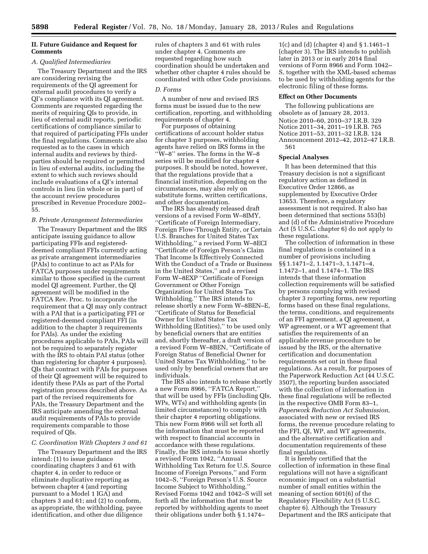## **II. Future Guidance and Request for Comments**

#### *A. Qualified Intermediaries*

The Treasury Department and the IRS are considering revising the requirements of the QI agreement for external audit procedures to verify a QI's compliance with its QI agreement. Comments are requested regarding the merits of requiring QIs to provide, in lieu of external audit reports, periodic certifications of compliance similar to that required of participating FFIs under the final regulations. Comments are also requested as to the cases in which internal audits and reviews by thirdparties should be required or permitted in lieu of external audits, including the extent to which such reviews should include evaluations of a QI's internal controls in lieu (in whole or in part) of the account review procedures prescribed in Revenue Procedure 2002– 55.

## *B. Private Arrangement Intermediaries*

The Treasury Department and the IRS anticipate issuing guidance to allow participating FFIs and registereddeemed compliant FFIs currently acting as private arrangement intermediaries (PAIs) to continue to act as PAIs for FATCA purposes under requirements similar to those specified in the current model QI agreement. Further, the QI agreement will be modified in the FATCA Rev. Proc. to incorporate the requirement that a QI may only contract with a PAI that is a participating FFI or registered-deemed compliant FFI (in addition to the chapter 3 requirements for PAIs). As under the existing procedures applicable to PAIs, PAIs will not be required to separately register with the IRS to obtain PAI status (other than registering for chapter 4 purposes). QIs that contract with PAIs for purposes of their QI agreement will be required to identify these PAIs as part of the Portal registration process described above. As part of the revised requirements for PAIs, the Treasury Department and the IRS anticipate amending the external audit requirements of PAIs to provide requirements comparable to those required of QIs.

## *C. Coordination With Chapters 3 and 61*

The Treasury Department and the IRS intend: (1) to issue guidance coordinating chapters 3 and 61 with chapter 4, in order to reduce or eliminate duplicative reporting as between chapter 4 (and reporting pursuant to a Model 1 IGA) and chapters 3 and 61; and (2) to conform, as appropriate, the withholding, payee identification, and other due diligence

rules of chapters 3 and 61 with rules under chapter 4. Comments are requested regarding how such coordination should be undertaken and whether other chapter 4 rules should be coordinated with other Code provisions.

#### *D. Forms*

A number of new and revised IRS forms must be issued due to the new certification, reporting, and withholding requirements of chapter 4.

For purposes of obtaining certifications of account holder status for chapter 3 purposes, withholding agents have relied on IRS forms in the ''W–8'' series. The forms in the W–8 series will be modified for chapter 4 purposes. It should be noted, however, that the regulations provide that a financial institution, depending on the circumstances, may also rely on substitute forms, written certifications, and other documentation.

The IRS has already released draft versions of a revised Form W–8IMY, ''Certificate of Foreign Intermediary, Foreign Flow-Through Entity, or Certain U.S. Branches for United States Tax Withholding,'' a revised Form W–8ECI ''Certificate of Foreign Person's Claim That Income Is Effectively Connected With the Conduct of a Trade or Business in the United States,'' and a revised Form W–8EXP ''Certificate of Foreign Government or Other Foreign Organization for United States Tax Withholding.'' The IRS intends to release shortly a new Form W–8BEN–E, ''Certificate of Status for Beneficial Owner for United States Tax Withholding (Entities)," to be used only by beneficial owners that are entities and, shortly thereafter, a draft version of a revised Form W–8BEN, ''Certificate of Foreign Status of Beneficial Owner for United States Tax Withholding,'' to be used only by beneficial owners that are individuals.

The IRS also intends to release shortly a new Form 8966, ''FATCA Report,'' that will be used by FFIs (including QIs, WPs, WTs) and withholding agents (in limited circumstances) to comply with their chapter 4 reporting obligations. This new Form 8966 will set forth all the information that must be reported with respect to financial accounts in accordance with these regulations. Finally, the IRS intends to issue shortly a revised Form 1042, ''Annual Withholding Tax Return for U.S. Source Income of Foreign Persons,'' and Form 1042–S, ''Foreign Person's U.S. Source Income Subject to Withholding. Revised Forms 1042 and 1042–S will set forth all the information that must be reported by withholding agents to meet their obligations under both § 1.1474–

1(c) and (d) (chapter 4) and § 1.1461–1 (chapter 3). The IRS intends to publish later in 2013 or in early 2014 final versions of Form 8966 and Form 1042– S, together with the XML-based schemas to be used by withholding agents for the electronic filing of these forms.

#### **Effect on Other Documents**

The following publications are obsolete as of January 28, 2013. Notice 2010–60, 2010–37 I.R.B. 329 Notice 2011–34, 2011–19 I.R.B. 765 Notice 2011–53, 2011–32 I.R.B. 124 Announcement 2012–42, 2012–47 I.R.B. 561

#### **Special Analyses**

It has been determined that this Treasury decision is not a significant regulatory action as defined in Executive Order 12866, as supplemented by Executive Order 13653. Therefore, a regulatory assessment is not required. It also has been determined that sections 553(b) and (d) of the Administrative Procedure Act (5 U.S.C. chapter 6) do not apply to these regulations.

The collection of information in these final regulations is contained in a number of provisions including §§ 1.1471–2, 1.1471–3, 1.1471–4, 1.1472–1, and 1.1474–1. The IRS intends that these information collection requirements will be satisfied by persons complying with revised chapter 3 reporting forms, new reporting forms based on these final regulations, the terms, conditions, and requirements of an FFI agreement, a QI agreement, a WP agreement, or a WT agreement that satisfies the requirements of an applicable revenue procedure to be issued by the IRS, or the alternative certification and documentation requirements set out in these final regulations. As a result, for purposes of the Paperwork Reduction Act (44 U.S.C. 3507), the reporting burden associated with the collection of information in these final regulations will be reflected in the respective OMB Form 83–1, *Paperwork Reduction Act Submission,*  associated with new or revised IRS forms, the revenue procedure relating to the FFI, QI, WP, and WT agreements, and the alternative certification and documentation requirements of these final regulations.

It is hereby certified that the collection of information in these final regulations will not have a significant economic impact on a substantial number of small entities within the meaning of section 601(6) of the Regulatory Flexibility Act (5 U.S.C. chapter 6). Although the Treasury Department and the IRS anticipate that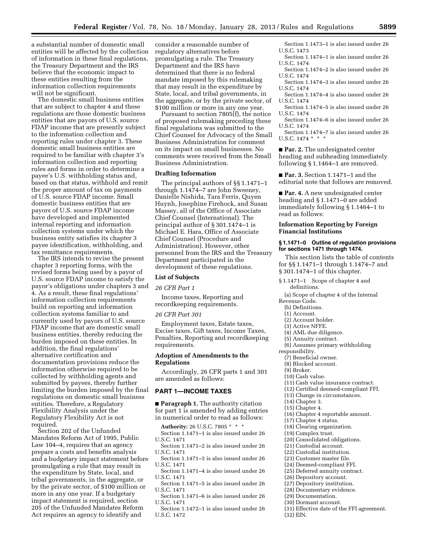a substantial number of domestic small entities will be affected by the collection of information in these final regulations, the Treasury Department and the IRS believe that the economic impact to these entities resulting from the information collection requirements will not be significant.

The domestic small business entities that are subject to chapter 4 and these regulations are those domestic business entities that are payors of U.S. source FDAP income that are presently subject to the information collection and reporting rules under chapter 3. These domestic small business entities are required to be familiar with chapter 3's information collection and reporting rules and forms in order to determine a payee's U.S. withholding status and, based on that status, withhold and remit the proper amount of tax on payments of U.S. source FDAP income. Small domestic business entities that are payors of U.S. source FDAP income have developed and implemented internal reporting and information collection systems under which the business entity satisfies its chapter 3 payee identification, withholding, and tax remittance requirements.

The IRS intends to revise the present chapter 3 reporting forms, with the revised forms being used by a payor of U.S. source FDAP income to satisfy the payor's obligations under chapters 3 and 4. As a result, these final regulations' information collection requirements build on reporting and information collection systems familiar to and currently used by payors of U.S. source FDAP income that are domestic small business entities, thereby reducing the burden imposed on these entities. In addition, the final regulations' alternative certification and documentation provisions reduce the information otherwise required to be collected by withholding agents and submitted by payees, thereby further limiting the burden imposed by the final regulations on domestic small business entities. Therefore, a Regulatory Flexibility Analysis under the Regulatory Flexibility Act is not required.

Section 202 of the Unfunded Mandates Reform Act of 1995, Public Law 104–4, requires that an agency prepare a costs and benefits analysis and a budgetary impact statement before promulgating a rule that may result in the expenditure by State, local, and tribal governments, in the aggregate, or by the private sector, of \$100 million or more in any one year. If a budgetary impact statement is required, section 205 of the Unfunded Mandates Reform Act requires an agency to identify and

consider a reasonable number of regulatory alternatives before promulgating a rule. The Treasury Department and the IRS have determined that there is no federal mandate imposed by this rulemaking that may result in the expenditure by State, local, and tribal governments, in the aggregate, or by the private sector, of \$100 million or more in any one year.

Pursuant to section 7805(f), the notice of proposed rulemaking preceding these final regulations was submitted to the Chief Counsel for Advocacy of the Small Business Administration for comment on its impact on small businesses. No comments were received from the Small Business Administration.

#### **Drafting Information**

The principal authors of §§ 1.1471–1 through 1.1474–7 are John Sweeney, Danielle Nishida, Tara Ferris, Quyen Huynh, Josephine Firehock, and Susan Massey, all of the Office of Associate Chief Counsel (International). The principal author of § 301.1474–1 is Michael E. Hara, Office of Associate Chief Counsel (Procedure and Administration). However, other personnel from the IRS and the Treasury Department participated in the development of these regulations.

#### **List of Subjects**

#### *26 CFR Part 1*

Income taxes, Reporting and recordkeeping requirements.

#### *26 CFR Part 301*

Employment taxes, Estate taxes, Excise taxes, Gift taxes, Income Taxes, Penalties, Reporting and recordkeeping requirements.

#### **Adoption of Amendments to the Regulations**

Accordingly, 26 CFR parts 1 and 301 are amended as follows:

## **PART 1—INCOME TAXES**

■ **Paragraph 1.** The authority citation for part 1 is amended by adding entries in numerical order to read as follows:

**Authority:** 26 U.S.C. 7805 \* \* \* Section 1.1471–1 is also issued under 26 U.S.C. 1471

- Section 1.1471–2 is also issued under 26 U.S.C. 1471
- Section 1.1471–3 is also issued under 26 U.S.C. 1471
- Section 1.1471–4 is also issued under 26 U.S.C. 1471
- Section 1.1471–5 is also issued under 26 U.S.C. 1471
- Section 1.1471–6 is also issued under 26 U.S.C. 1471
- Section 1.1472–1 is also issued under 26 U.S.C. 1472
- Section 1.1473–1 is also issued under 26 U.S.C. 1473
- Section 1.1474–1 is also issued under 26 U.S.C. 1474
- Section 1.1474–2 is also issued under 26 U.S.C. 1474
- Section 1.1474–3 is also issued under 26 U.S.C. 1474
- Section 1.1474–4 is also issued under 26 U.S.C. 1474
- Section 1.1474–5 is also issued under 26 U.S.C. 1474
- Section 1.1474–6 is also issued under 26 U.S.C. 1474
- Section 1.1474–7 is also issued under 26 U.S.C. 1474 \* \* \*

■ **Par. 2.** The undesignated center heading and subheading immediately following § 1.1464–1 are removed.

■ **Par. 3.** Section 1.1471–1 and the editorial note that follows are removed.

■ **Par. 4.** A new undesignated center heading and § 1.1471–0 are added immediately following § 1.1464–1 to read as follows:

#### **Information Reporting by Foreign Financial Institutions**

#### **§ 1.1471–0 Outline of regulation provisions for sections 1471 through 1474.**

This section lists the table of contents for §§ 1.1471–1 through 1.1474–7 and § 301.1474–1 of this chapter.

- § 1.1471–1 Scope of chapter 4 and definitions.
- (a) Scope of chapter 4 of the Internal Revenue Code.
	- (b) Definitions.
	- (1) Account.
	- (2) Account holder.
- (3) Active NFFE.
- (4) AML due diligence.
- (5) Annuity contract.
- (6) Assumes primary withholding
- responsibility.
	- (7) Beneficial owner.
	- (8) Blocked account.
- (9) Broker.
- (10) Cash value.
- (11) Cash value insurance contract.
- (12) Certified deemed-compliant FFI.
- (13) Change in circumstances.
- (14) Chapter 3.
- (15) Chapter 4.
- (16) Chapter 4 reportable amount.
- (17) Chapter 4 status.
- (18) Clearing organization.
- (19) Complex trust.
- (20) Consolidated obligations.
- (21) Custodial account.
- (22) Custodial institution.
- (23) Customer master file.
- (24) Deemed-compliant FFI.
- (25) Deferred annuity contract.
- (26) Depository account.
- (27) Depository institution.
- (28) Documentary evidence.
- (29) Documentation.
- (30) Dormant account.
- (31) Effective date of the FFI agreement.
- (32) EIN.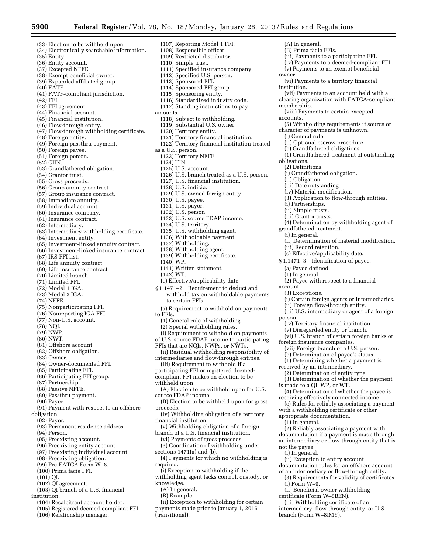- (33) Election to be withheld upon. (34) Electronically searchable information. (35) Entity. (36) Entity account. (37) Excepted NFFE. (38) Exempt beneficial owner. (39) Expanded affiliated group. (40) FATF. (41) FATF-compliant jurisdiction. (42) FFI. (43) FFI agreement. (44) Financial account. (45) Financial institution. (46) Flow-through entity. (47) Flow-through withholding certificate. (48) Foreign entity. (49) Foreign passthru payment. (50) Foreign payee. (51) Foreign person. (52) GIIN. (53) Grandfathered obligation. (54) Grantor trust. (55) Gross proceeds. (56) Group annuity contract. (57) Group insurance contract. (58) Immediate annuity. (59) Individual account. (60) Insurance company. (61) Insurance contract. (62) Intermediary. (63) Intermediary withholding certificate. (64) Investment entity. (65) Investment-linked annuity contract. (66) Investment-linked insurance contract. (67) IRS FFI list. (68) Life annuity contract. (69) Life insurance contract. (70) Limited branch. (71) Limited FFI. (72) Model 1 IGA. (73) Model 2 IGA. (74) NFFE. (75) Nonparticipating FFI. (76) Nonreporting IGA FFI. (77) Non-U.S. account. (78) NQI. (79) NWP. (80) NWT. (81) Offshore account. (82) Offshore obligation. (83) Owner. (84) Owner-documented FFI. (85) Participating FFI. (86) Participating FFI group. (87) Partnership. (88) Passive NFFE. (89) Passthru payment.
- (90) Payee.
- (91) Payment with respect to an offshore obligation.
	- (92) Payor.
	- (93) Permanent residence address.
- (94) Person.
- (95) Preexisting account.
- (96) Preexisting entity account.
- (97) Preexisting individual account.
- (98) Preexisting obligation.
- (99) Pre-FATCA Form W–8.
- (100) Prima facie FFI.
- (101) QI.
- (102) QI agreement.
- (103) QI branch of a U.S. financial
- institution.
	- (104) Recalcitrant account holder.
	- (105) Registered deemed-compliant FFI.
	- (106) Relationship manager.

(107) Reporting Model 1 FFI. (108) Responsible officer. (109) Restricted distributor. (110) Simple trust. (111) Specified insurance company. (112) Specified U.S. person. (113) Sponsored FFI. (114) Sponsored FFI group. (115) Sponsoring entity. (116) Standardized industry code. (117) Standing instructions to pay amounts. (118) Subject to withholding. (119) Substantial U.S. owner. (120) Territory entity. (121) Territory financial institution. (122) Territory financial institution treated as a U.S. person. (123) Territory NFFE. (124) TIN. (125) U.S. account. (126) U.S. branch treated as a U.S. person. (127) U.S. financial institution. (128) U.S. indicia. (129) U.S. owned foreign entity. (130) U.S. payee. (131) U.S. payor. (132) U.S. person. (133) U.S. source FDAP income. (134) U.S. territory. (135) U.S. withholding agent. (136) Withholdable payment. (137) Withholding. (138) Withholding agent. (139) Withholding certificate. (140) WP. (141) Written statement. (142) WT. (c) Effective/applicability date. § 1.1471–2 Requirement to deduct and withhold tax on withholdable payments to certain FFIs. (a) Requirement to withhold on payments to FFIs. (1) General rule of withholding. (2) Special withholding rules. (i) Requirement to withhold on payments of U.S. source FDAP income to participating FFIs that are NQIs, NWPs, or NWTs. (ii) Residual withholding responsibility of intermediaries and flow-through entities. (iii) Requirement to withhold if a participating FFI or registered deemedcompliant FFI makes an election to be withheld upon. (A) Election to be withheld upon for U.S. source FDAP income. (B) Election to be withheld upon for gross proceeds. (iv) Withholding obligation of a territory financial institution. (v) Withholding obligation of a foreign branch of a U.S. financial institution. (vi) Payments of gross proceeds. (3) Coordination of withholding under sections 1471(a) and (b). (4) Payments for which no withholding is required. (i) Exception to withholding if the withholding agent lacks control, custody, or

- knowledge.
- (A) In general.
- (B) Example.
- (ii) Exception to withholding for certain payments made prior to January 1, 2016 (transitional).

(A) In general. (B) Prima facie FFIs. (iii) Payments to a participating FFI. (iv) Payments to a deemed-compliant FFI. (v) Payments to an exempt beneficial owner. (vi) Payments to a territory financial institution. (vii) Payments to an account held with a clearing organization with FATCA-compliant membership. (viii) Payments to certain excepted accounts. (5) Withholding requirements if source or character of payments is unknown. (i) General rule. (ii) Optional escrow procedure. (b) Grandfathered obligations. (1) Grandfathered treatment of outstanding obligations. (2) Definitions. (i) Grandfathered obligation. (ii) Obligation. (iii) Date outstanding. (iv) Material modification. (3) Application to flow-through entities. (i) Partnerships. (ii) Simple trusts. (iii) Grantor trusts. (4) Determination by withholding agent of grandfathered treatment. (i) In general. (ii) Determination of material modification. (iii) Record retention. (c) Effective/applicability date. § 1.1471–3 Identification of payee. (a) Payee defined. (1) In general. (2) Payee with respect to a financial account. (3) Exceptions. (i) Certain foreign agents or intermediaries. (ii) Foreign flow-through entity. (iii) U.S. intermediary or agent of a foreign person. (iv) Territory financial institution. (v) Disregarded entity or branch. (vi) U.S. branch of certain foreign banks or foreign insurance companies. (vii) Foreign branch of a U.S. person. (b) Determination of payee's status. (1) Determining whether a payment is received by an intermediary. (2) Determination of entity type. (3) Determination of whether the payment is made to a QI, WP, or WT. (4) Determination of whether the payee is receiving effectively connected income. (c) Rules for reliably associating a payment with a withholding certificate or other appropriate documentation. (1) In general. (2) Reliably associating a payment with documentation if a payment is made through an intermediary or flow-through entity that is not the payee. (i) In general. (ii) Exception to entity account documentation rules for an offshore account of an intermediary or flow-through entity. (3) Requirements for validity of certificates. (i) Form W–9. (ii) Beneficial owner withholding certificate (Form W–8BEN). (iii) Withholding certificate of an

intermediary, flow-through entity, or U.S. branch (Form W–8IMY).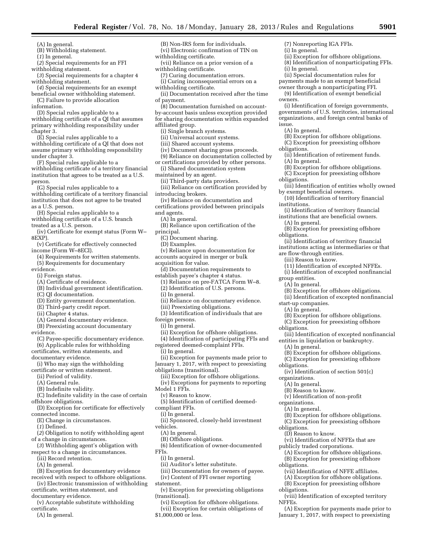(7) Nonreporting IGA FFIs.

(ii) Exception for offshore obligations. (8) Identification of nonparticipating FFIs.

(ii) Special documentation rules for payments made to an exempt beneficial owner through a nonparticipating FFI. (9) Identification of exempt beneficial

(i) Identification of foreign governments, governments of U.S. territories, international organizations, and foreign central banks of

(B) Exception for offshore obligations. (C) Exception for preexisting offshore

(ii) Identification of retirement funds.

(B) Exception for offshore obligations. (C) Exception for preexisting offshore

(10) Identification of territory financial

(i) Identification of territory financial institutions that are beneficial owners.

(B) Exception for preexisting offshore

(ii) Identification of territory financial institutions acting as intermediaries or that

(11) Identification of excepted NFFEs. (i) Identification of excepted nonfinancial

(B) Exception for offshore obligations. (ii) Identification of excepted nonfinancial

(B) Exception for offshore obligations. (C) Exception for preexisting offshore

(B) Exception for offshore obligations. (C) Exception for preexisting offshore

(B) Exception for offshore obligations. (C) Exception for preexisting offshore

(vi) Identification of NFFEs that are

(A) Exception for offshore obligations. (B) Exception for preexisting offshore

(vii) Identification of NFFE affiliates. (A) Exception for offshore obligations. (B) Exception for preexisting offshore

(viii) Identification of excepted territory

(A) Exception for payments made prior to January 1, 2017, with respect to preexisting

(iv) Identification of section 501(c)

(v) Identification of non-profit

entities in liquidation or bankruptcy.

(iii) Identification of excepted nonfinancial

(iii) Identification of entities wholly owned

(i) In general.

(i) In general.

(A) In general.

(A) In general.

(A) In general.

are flow-through entities. (iii) Reason to know.

by exempt beneficial owners.

owners.

issue.

obligations.

obligations.

institutions.

obligations.

group entities. (A) In general.

obligations.

obligations.

organizations. (A) In general. (B) Reason to know.

organizations. (A) In general.

obligations.

obligations.

obligations.

NFFEs.

(D) Reason to know.

publicly traded corporations.

start-up companies. (A) In general.

(A) In general.

(A) In general.

(B) Withholding statement.

(*1*) In general.

(*2*) Special requirements for an FFI withholding statement.

(*3*) Special requirements for a chapter 4 withholding statement.

(*4*) Special requirements for an exempt beneficial owner withholding statement. (C) Failure to provide allocation

information.

(D) Special rules applicable to a withholding certificate of a QI that assumes primary withholding responsibility under chapter 3.

(E) Special rules applicable to a withholding certificate of a QI that does not assume primary withholding responsibility under chapter 3.

(F) Special rules applicable to a withholding certificate of a territory financial institution that agrees to be treated as a U.S. person.

(G) Special rules applicable to a withholding certificate of a territory financial institution that does not agree to be treated as a U.S. person.

(H) Special rules applicable to a withholding certificate of a U.S. branch treated as a U.S. person.

(iv) Certificate for exempt status (Form W– 8EXP).

- (v) Certificate for effectively connected income (Form W–8ECI).
	- (4) Requirements for written statements.
- (5) Requirements for documentary evidence.

(i) Foreign status.

- (A) Certificate of residence.
- (B) Individual government identification.
- (C) QI documentation.
- (D) Entity government documentation.
- (E) Third-party credit report.
- (ii) Chapter 4 status.

(A) General documentary evidence.

- (B) Preexisting account documentary evidence.
- (C) Payee-specific documentary evidence.
- (6) Applicable rules for withholding certificates, written statements, and

documentary evidence.

- (i) Who may sign the withholding
- certificate or written statement.
- (ii) Period of validity.
- (A) General rule.
- (B) Indefinite validity.

(C) Indefinite validity in the case of certain offshore obligations.

- (D) Exception for certificate for effectively connected income.
- (E) Change in circumstances.
- (*1*) Defined.
- (*2*) Obligation to notify withholding agent of a change in circumstances.
- (*3*) Withholding agent's obligation with respect to a change in circumstances.
- (iii) Record retention.
- (A) In general.
- (B) Exception for documentary evidence
- received with respect to offshore obligations. (iv) Electronic transmission of withholding

certificate, written statement, and

documentary evidence.

- (v) Acceptable substitute withholding certificate.
- (A) In general.

(B) Non-IRS form for individuals. (vi) Electronic confirmation of TIN on withholding certificate.

(vii) Reliance on a prior version of a withholding certificate.

- (7) Curing documentation errors.
- (i) Curing inconsequential errors on a withholding certificate.
- (ii) Documentation received after the time of payment.
- (8) Documentation furnished on accountby-account basis unless exception provided for sharing documentation within expanded
- affiliated group.
- (i) Single branch systems.
- (ii) Universal account systems.
- (iii) Shared account systems.
- (iv) Document sharing gross proceeds.
- (9) Reliance on documentation collected by

or certifications provided by other persons. (i) Shared documentation system

- maintained by an agent.
- (ii) Third-party data providers.
- (iii) Reliance on certification provided by introducing brokers.
- (iv) Reliance on documentation and certifications provided between principals and agents.
	- (A) In general.
	- (B) Reliance upon certification of the

principal.

- (C) Document sharing.
- (D) Examples.
- (v) Reliance upon documentation for
- accounts acquired in merger or bulk
- acquisition for value.
- (d) Documentation requirements to
- establish payee's chapter 4 status. (1) Reliance on pre-FATCA Form W–8. (2) Identification of U.S. persons.
- 
- (i) In general.
- (ii) Reliance on documentary evidence.
- (iii) Preexisting obligations.
- (3) Identification of individuals that are
- foreign persons.
	- (i) In general.
	- (ii) Exception for offshore obligations.
- (4) Identification of participating FFIs and

registered deemed-complaint FFIs.

- (i) In general.
- (ii) Exception for payments made prior to January 1, 2017, with respect to preexisting obligations (transitional).
- (iii) Exception for offshore obligations.
- (iv) Exceptions for payments to reporting Model 1 FFIs.
- (v) Reason to know.
- (5) Identification of certified deemed-
- compliant FFIs.
- (i) In general.
- (ii) Sponsored, closely-held investment vehicles.
- (A) In general.
- (B) Offshore obligations.
- (6) Identification of owner-documented FFIs.

(iii) Documentation for owners of payee. (iv) Content of FFI owner reporting

(v) Exception for preexisting obligations

(vi) Exception for offshore obligations. (vii) Exception for certain obligations of

(i) In general.

statement.

(transitional).

\$1,000,000 or less.

(ii) Auditor's letter substitute.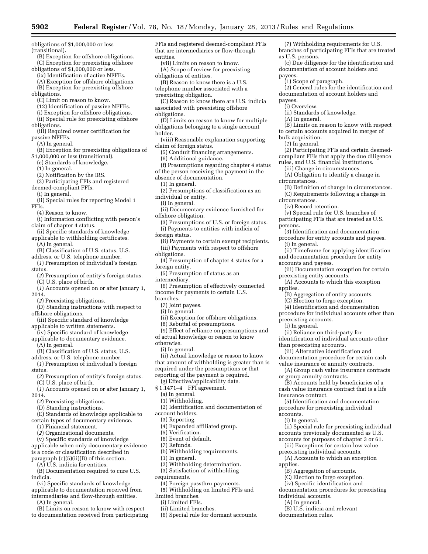obligations of \$1,000,000 or less (transitional).

(B) Exception for offshore obligations. (C) Exception for preexisting offshore obligations of \$1,000,000 or less.

- (ix) Identification of active NFFEs.
- (A) Exception for offshore obligations.
- (B) Exception for preexisting offshore

obligations.

- (C) Limit on reason to know.
- (12) Identification of passive NFFEs.
- (i) Exception for offshore obligations.
- (ii) Special rule for preexisting offshore obligations.
- (iii) Required owner certification for passive NFFEs.

(A) In general.

- (B) Exception for preexisting obligations of \$1,000,000 or less (transitional).
	- (e) Standards of knowledge.

(1) In general.

- (2) Notification by the IRS.
- (3) Participating FFIs and registered

deemed-compliant FFIs.

(i) In general.

(ii) Special rules for reporting Model 1 FFIs.

(4) Reason to know.

- (i) Information conflicting with person's claim of chapter 4 status.
- (ii) Specific standards of knowledge
- applicable to withholding certificates. (A) In general.
- (B) Classification of U.S. status, U.S. address, or U.S. telephone number.
- (*1*) Presumption of individual's foreign
- status.

(*2*) Presumption of entity's foreign status.

- (C) U.S. place of birth. (*1*) Accounts opened on or after January 1,
- 2014.

(*2*) Preexisting obligations.

- (D) Standing instructions with respect to offshore obligations.
- (iii) Specific standard of knowledge
- applicable to written statements. (iv) Specific standard of knowledge
- applicable to documentary evidence. (A) In general.

(B) Classification of U.S. status, U.S.

address, or U.S. telephone number.

(*1*) Presumption of individual's foreign status.

(*2*) Presumption of entity's foreign status. (C) U.S. place of birth.

(*1*) Accounts opened on or after January 1,

2014.

- (*2*) Preexisting obligations.
- (D) Standing instructions.

(E) Standards of knowledge applicable to certain types of documentary evidence.

- (*1*) Financial statement.
- (*2*) Organizational documents.

(v) Specific standards of knowledge applicable when only documentary evidence is a code or classification described in

- paragraph (c)(5)(ii)(B) of this section.
	- (A) U.S. indicia for entities.
- (B) Documentation required to cure U.S. indicia.
- (vi) Specific standards of knowledge
- applicable to documentation received from intermediaries and flow-through entities.

(A) In general.

(B) Limits on reason to know with respect to documentation received from participating FFIs and registered deemed-compliant FFIs that are intermediaries or flow-through entities. (vii) Limits on reason to know.

(7) Withholding requirements for U.S. branches of participating FFIs that are treated

(c) Due diligence for the identification and documentation of account holders and

(2) General rules for the identification and documentation of account holders and

(B) Limits on reason to know with respect to certain accounts acquired in merger of

(*2*) Participating FFIs and certain deemedcompliant FFIs that apply the due diligence rules, and U.S. financial institutions. (iii) Change in circumstances. (A) Obligation to identify a change in

(B) Definition of change in circumstances. (C) Requirements following a change in

(v) Special rule for U.S. branches of participating FFIs that are treated as U.S.

(3) Identification and documentation procedure for entity accounts and payees.

(ii) Timeframe for applying identification and documentation procedure for entity

(iii) Documentation exception for certain

(A) Accounts to which this exception

(B) Aggregation of entity accounts. (C) Election to forgo exception. (4) Identification and documentation procedure for individual accounts other than

(ii) Reliance on third-party for identification of individual accounts other

(iii) Alternative identification and documentation procedure for certain cash value insurance or annuity contracts. (A) Group cash value insurance contracts

(B) Accounts held by beneficiaries of a cash value insurance contract that is a life

(5) Identification and documentation procedure for preexisting individual

(B) Aggregation of accounts. (C) Election to forgo exception. (iv) Specific identification and documentation procedures for preexisting

(B) U.S. indicia and relevant

individual accounts. (A) In general.

documentation rules.

(ii) Special rule for preexisting individual accounts previously documented as U.S. accounts for purposes of chapter 3 or 61. (iii) Exceptions for certain low value preexisting individual accounts. (A) Accounts to which an exception

as U.S. persons.

(i) Overview.

(A) In general.

bulk acquisition. (*1*) In general.

circumstances.

circumstances.

(i) In general.

accounts and payees.

preexisting accounts. (i) In general.

than preexisting accounts.

or group annuity contracts.

insurance contract.

accounts. (i) In general.

applies.

preexisting entity accounts.

persons.

applies.

(iv) Record retention.

(1) Scope of paragraph.

(ii) Standards of knowledge.

payees.

payees.

(A) Scope of review for preexisting

- obligations of entities.
- (B) Reason to know there is a U.S. telephone number associated with a
- preexisting obligation.
- (C) Reason to know there are U.S. indicia associated with preexisting offshore obligations.
- (D) Limits on reason to know for multiple obligations belonging to a single account holder.
- (viii) Reasonable explanation supporting claim of foreign status.
- (5) Conduit financing arrangements.
- (6) Additional guidance.
- (f) Presumptions regarding chapter 4 status of the person receiving the payment in the absence of documentation.

(1) In general.

- (2) Presumptions of classification as an individual or entity.
- (i) In general.
- (ii) Documentary evidence furnished for offshore obligation.
	- (3) Presumptions of U.S. or foreign status. (i) Payments to entities with indicia of
- foreign status.
- (ii) Payments to certain exempt recipients. (iii) Payments with respect to offshore obligations.
- 
- (4) Presumption of chapter 4 status for a foreign entity.
- (5) Presumption of status as an
- intermediary.
- (6) Presumption of effectively connected income for payments to certain U.S. branches.
	- (7) Joint payees.
	- (i) In general.
	-
	- (ii) Exception for offshore obligations.
	- (8) Rebuttal of presumptions.

(9) Effect of reliance on presumptions and of actual knowledge or reason to know otherwise.

(i) In general.

(ii) Actual knowledge or reason to know that amount of withholding is greater than is required under the presumptions or that reporting of the payment is required.

(g) Effective/applicability date.

- § 1.1471–4 FFI agreement.
	- (a) In general.
	- (1) Withholding.
- (2) Identification and documentation of account holders.
- (3) Reporting.
- (4) Expanded affiliated group.
- (5) Verification.
- (6) Event of default.
- (7) Refunds.
- (b) Withholding requirements.
- (1) In general.

limited branches. (i) Limited FFIs. (ii) Limited branches.

- (2) Withholding determination.
- (3) Satisfaction of withholding requirements. (4) Foreign passthru payments.

(5) Withholding on limited FFIs and

(6) Special rule for dormant accounts.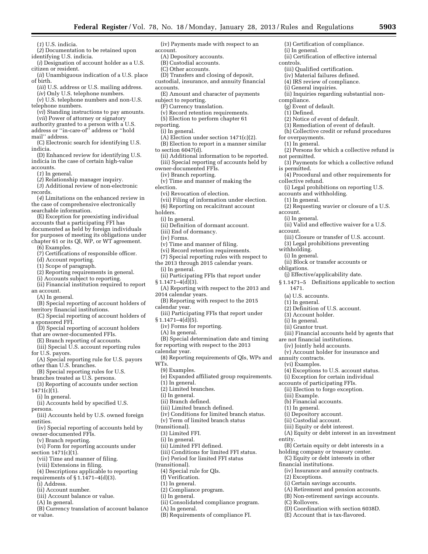(*1*) U.S. indicia.

- (*2*) Documentation to be retained upon identifying U.S. indicia.
- (*i*) Designation of account holder as a U.S. citizen or resident.
- (*ii*) Unambiguous indication of a U.S. place of birth.
- (*iii*) U.S. address or U.S. mailing address.

(*iv*) Only U.S. telephone numbers.

(*v*) U.S. telephone numbers and non-U.S.

- telephone numbers. (*vi*) Standing instructions to pay amounts.
- (*vii*) Power of attorney or signatory authority granted to a person with a U.S.
- address or ''in-care-of'' address or ''hold mail'' address.
- (C) Electronic search for identifying U.S. indicia.
- (D) Enhanced review for identifying U.S. indicia in the case of certain high-value accounts.
	- (*1*) In general.
- (*2*) Relationship manager inquiry.

(*3*) Additional review of non-electronic records.

(*4*) Limitations on the enhanced review in the case of comprehensive electronically searchable information.

- (E) Exception for preexisting individual accounts that a participating FFI has documented as held by foreign individuals for purposes of meeting its obligations under chapter 61 or its QI, WP, or WT agreement.
	- (6) Examples.
	- (7) Certifications of responsible officer.
	- (d) Account reporting.
	- (1) Scope of paragraph.
- (2) Reporting requirements in general.
- (i) Accounts subject to reporting.
- (ii) Financial institution required to report
- an account.
- (A) In general.
- (B) Special reporting of account holders of territory financial institutions.
- (C) Special reporting of account holders of a sponsored FFI.
- (D) Special reporting of account holders that are owner-documented FFIs.
- (E) Branch reporting of accounts.
- (iii) Special U.S. account reporting rules for U.S. payors.
- (A) Special reporting rule for U.S. payors other than U.S. branches.
- (B) Special reporting rules for U.S.
- branches treated as U.S. persons. (3) Reporting of accounts under section
- 1471(c)(1).
- (i) In general.
- (ii) Accounts held by specified U.S. persons.
- (iii) Accounts held by U.S. owned foreign entities.
- (iv) Special reporting of accounts held by owner-documented FFIs.
- (v) Branch reporting.
- (vi) Form for reporting accounts under section  $1471(c)(1)$ .
- (vii) Time and manner of filing.
- (viii) Extensions in filing.
- (4) Descriptions applicable to reporting
- requirements of  $\S 1.1471-4(d)(3)$ .
- (i) Address.
- (ii) Account number.
- (iii) Account balance or value.
- (A) In general.
- (B) Currency translation of account balance or value.
- (iv) Payments made with respect to an account. (A) Depository accounts. (B) Custodial accounts. (C) Other accounts. (D) Transfers and closing of deposit, custodial, insurance, and annuity financial accounts. (E) Amount and character of payments subject to reporting. (F) Currency translation. (v) Record retention requirements. (5) Election to perform chapter 61 reporting. (i) In general. (A) Election under section 1471(c)(2). (B) Election to report in a manner similar to section 6047(d). (ii) Additional information to be reported. (iii) Special reporting of accounts held by owner-documented FFIs. (iv) Branch reporting. (v) Time and manner of making the election. (vi) Revocation of election. (vii) Filing of information under election. (6) Reporting on recalcitrant account holders. (i) In general. (ii) Definition of dormant account. (iii) End of dormancy. (iv) Forms. (v) Time and manner of filing. (vi) Record retention requirements. (7) Special reporting rules with respect to the 2013 through 2015 calendar years. (i) In general. (ii) Participating FFIs that report under  $§ 1.1471 - 4(d)(3).$ (A) Reporting with respect to the 2013 and 2014 calendar years. (B) Reporting with respect to the 2015 calendar year. (iii) Participating FFIs that report under  $§ 1.1471 - 4(d)[5].$ (iv) Forms for reporting. (A) In general. (B) Special determination date and timing for reporting with respect to the 2013 calendar year. (8) Reporting requirements of QIs, WPs and WTs. (3) Certification of compliance. (i) In general. (ii) Certification of effective internal controls. (iii) Qualified certification. (iv) Material failures defined. (4) IRS review of compliance. (i) General inquiries. (ii) Inquiries regarding substantial noncompliance. (g) Event of default. (1) Defined. (2) Notice of event of default. (3) Remediation of event of default. (h) Collective credit or refund procedures for overpayments. (1) In general. account. account. withholding. (i) In general. obligations. 1471. annuity contracts. (vi) Examples. (4) Exceptions to U.S. account status.
	- (9) Examples.
- (e) Expanded affiliated group requirements.
- (1) In general.
- (2) Limited branches.
- (i) In general.
- (ii) Branch defined.
- (iii) Limited branch defined.
- (iv) Conditions for limited branch status. (v) Term of limited branch status
- (transitional).
	- (3) Limited FFI.
	- (i) In general.
	- (ii) Limited FFI defined.
	- (iii) Conditions for limited FFI status.
	- (iv) Period for limited FFI status
- (transitional).
- (4) Special rule for QIs.
- (f) Verification.
- (1) In general.
- (2) Compliance program.
- (i) In general.
- (ii) Consolidated compliance program.
- (A) In general.
- (B) Requirements of compliance FI.
- (1) In general. (2) Persons for which a collective refund is not permitted. (3) Payments for which a collective refund is permitted. (4) Procedural and other requirements for collective refund.
- (i) Legal prohibitions on reporting U.S. accounts and withholding.
- 
- (2) Requesting wavier or closure of a U.S.
- (i) In general.
- (ii) Valid and effective waiver for a U.S.
- (iii) Closure or transfer of U.S. account.
- (3) Legal prohibitions preventing
- 
- 
- (ii) Block or transfer accounts or
- 
- (j) Effective/applicability date.
- § 1.1471–5 Definitions applicable to section
	- (a) U.S. accounts.
	- (1) In general.
	- (2) Definition of U.S. account.
- (3) Account holder.
- (i) In general.
- (ii) Grantor trust.

(iii) Example. (b) Financial accounts. (1) In general. (i) Depository account. (ii) Custodial account. (iii) Equity or debt interest.

financial institutions.

(2) Exceptions.

(C) Rollovers.

entity.

- (iii) Financial accounts held by agents that
- are not financial institutions.
	- (iv) Jointly held accounts.
- (v) Account holder for insurance and

(i) Exception for certain individual accounts of participating FFIs. (ii) Election to forgo exception.

(A) Equity or debt interest in an investment

(B) Certain equity or debt interests in a holding company or treasury center. (C) Equity or debt interests in other

(iv) Insurance and annuity contracts.

(A) Retirement and pension accounts. (B) Non-retirement savings accounts.

(D) Coordination with section 6038D. (E) Account that is tax-flavored.

(i) Certain savings accounts.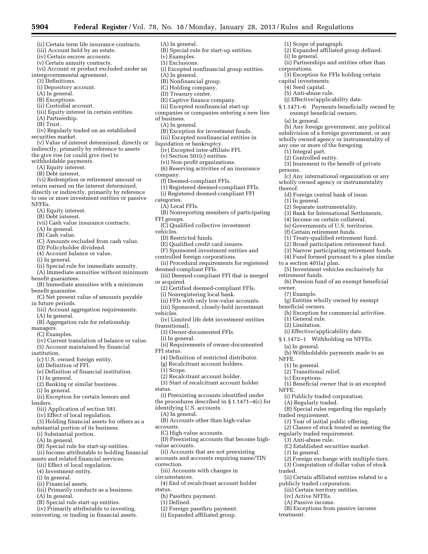(1) Scope of paragraph.

(i) In general.

capital investments. (4) Seed capital. (5) Anti-abuse rule.

(a) In general.

(1) Integral part. (2) Controlled entity.

(1) In general.

to a section 401(a) plan.

retirement funds.

(7) Example.

beneficial owners.

(a) In general.

(1) In general. (2) Transitional relief. (c) Exceptions.

(1) General rule. (2) Limitation.

owner.

NFFE.

NFFE.

persons.

thereof.

corporations.

(2) Expanded affiliated group defined.

(ii) Partnerships and entities other than

(3) Exception for FFIs holding certain

§ 1.1471–6 Payments beneficially owned by

(b) Any foreign government, any political subdivision of a foreign government, or any wholly owned agency or instrumentality of

(3) Inurement to the benefit of private

(d) Foreign central bank of issue.

(3) Bank for International Settlements. (4) Income on certain collateral. (e) Governments of U.S. territories. (f) Certain retirement funds. (1) Treaty-qualified retirement fund. (2) Broad participation retirement fund. (3) Narrow participating retirement funds. (4) Fund formed pursuant to a plan similar

(5) Investment vehicles exclusively for

(6) Pension fund of an exempt beneficial

(g) Entities wholly owned by exempt

(i) Effective/applicability date. § 1.1472-1 Withholding on NFFEs.

(i) Publicly traded corporation.

(*1*) Year of initial public offering. (*2*) Classes of stock treated as meeting the

(C) Established securities market.

(A) Regularly traded.

regularly traded requirement. (*3*) Anti-abuse rule.

publicly traded corporation. (iii) Certain territory entities.

(iv) Active NFFEs. (A) Passive income.

traded requirement.

(*1*) In general.

traded.

treatment.

(h) Exception for commercial activities.

(b) Withholdable payments made to an

(1) Beneficial owner that is an excepted

(B) Special rules regarding the regularly

(*2*) Foreign exchange with multiple tiers. (*3*) Computation of dollar value of stock

(ii) Certain affiliated entities related to a

(B) Exceptions from passive income

(2) Separate instrumentality.

(c) Any international organization or any wholly owned agency or instrumentality

(j) Effective/applicability date.

exempt beneficial owners.

any one or more of the foregoing.

- (ii) Certain term life insurance contracts.
- (iii) Account held by an estate.
- (iv) Certain escrow accounts.
- (v) Certain annuity contracts.
- (vi) Account or product excluded under an intergovernmental agreement.
	- (3) Definitions.
	- (i) Depository account.
	- (A) In general.
	- (B) Exceptions.
	- (ii) Custodial account.
	- (iii) Equity interest in certain entities.
	- (A) Partnership.
	- (B) Trust.
- (iv) Regularly traded on an established securities market.
- (v) Value of interest determined, directly or indirectly, primarily by reference to assets the give rise (or could give rise) to
- withholdable payments.
	- (A) Equity interest.
	- (B) Debt interest.
- (vi) Redemption or retirement amount or return earned on the interest determined, directly or indirectly, primarily by reference to one or more investment entities or passive NFFEs.
	- (A) Equity interest.
	- (B) Debt interest.
	- (vii) Cash value insurance contracts.
	- (A) In general.
	- (B) Cash value.
	- (C) Amounts excluded from cash value.
	- (D) Policyholder dividend.
	- (4) Account balance or value.
	- (i) In general.
	- (ii) Special rule for immediate annuity.
	- (A) Immediate annuities without minimum
- benefit guarantees.
- (B) Immediate annuities with a minimum benefit guarantee.
- (C) Net present value of amounts payable in future periods.
- (iii) Account aggregation requirements.
- (A) In general.
- (B) Aggregation rule for relationship
- managers.
	- (C) Examples.
- (iv) Current translation of balance or value. (5) Account maintained by financial
- institution.
	- (c) U.S. owned foreign entity.
	- (d) Definition of FFI.
- (e) Definition of financial institution.
- (1) In general.
- (2) Banking or similar business.
- (i) In general.
- (ii) Exception for certain lessors and lenders.
- (iii) Application of section 581.
- (iv) Effect of local regulation.
- (3) Holding financial assets for others as a
- substantial portion of its business.
	- (i) Substantial portion.
	- (A) In general.
- (B) Special rule for start-up entities. (ii) Income attributable to holding financial
- assets and related financial services.
	- (iii) Effect of local regulation.
	- (4) Investment entity.
	- (i) In general.
	- (ii) Financial assets.
	- (iii) Primarily conducts as a business.
	- (A) In general.
	- (B) Special rule start-up entities.
- (iv) Primarily attributable to investing, reinvesting, or trading in financial assets.
- (A) In general. (B) Special rule for start-up entities.
	- (v) Examples.
	- (5) Exclusions.
	- (i) Excepted nonfinancial group entities.
	- (A) In general.
	- (B) Nonfinancial group.
	- (C) Holding company.
	- (D) Treasury center.
	- (E) Captive finance company.
	- (ii) Excepted nonfinancial start-up
- companies or companies entering a new line
- of business.
	- (A) In general.
	- (B) Exception for investment funds.
	- (iii) Excepted nonfinancial entities in
- liquidation or bankruptcy.
	- (iv) Excepted inter-affiliate FFI.
	- (v) Section 501(c) entities.
	- (vi) Non-profit organizations.
- (6) Reserving activities of an insurance company.
	- (f) Deemed-compliant FFIs.
- 
- (1) Registered deemed-compliant FFIs. (i) Registered deemed-compliant FFI
- 
- categories.
- (A) Local FFIs. (B) Nonreporting members of participating
- FFI groups.
- (C) Qualified collective investment
- vehicles.

or acquired.

vehicles.

(transitional).

FFI status.

status.

accounts.

correction.

status.

value accounts.

circumstances.

(1) Defined.

(1) Scope.

(i) In general.

- (D) Restricted funds.
- (E) Qualified credit card issuers.
- (F) Sponsored investment entities and
- controlled foreign corporations.
- (ii) Procedural requirements for registered deemed-compliant FFIs.

(2) Certified deemed-compliant FFIs. (i) Nonregistering local bank. (ii) FFIs with only low-value accounts. (iii) Sponsored, closely-held investment

(iv) Limited life debt investment entities

(ii) Requirements of owner-documented

(i) Preexisting accounts identified under the procedures described in § 1.1471–4(c) for

(D) Preexisting accounts that become high-

(B) Accounts other than high-value

(ii) Accounts that are not preexisting accounts and accounts requiring name/TIN

(4) End of recalcitrant account holder

(iii) Accounts with changes in

(2) Foreign passthru payment. (i) Expanded affiliated group.

(h) Passthru payment.

(4) Definition of restricted distributor. (g) Recalcitrant account holders.

(2) Recalcitrant account holder. (3) Start of recalcitrant account holder

identifying U.S. accounts. (A) In general.

(C) High-value accounts.

(iii) Deemed-compliant FFI that is merged

(3) Owner-documented FFIs.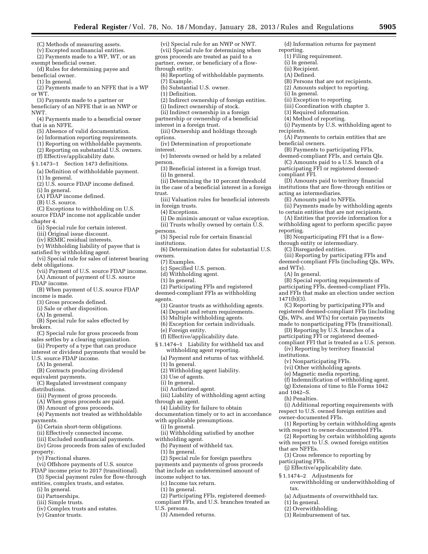(d) Information returns for payment

(B) Persons that are not recipients. (2) Amounts subject to reporting.

(i) Payments by U.S. withholding agent to

(A) Payments to certain entities that are

(D) Amounts paid to territory financial institutions that are flow-through entities or

(ii) Payments made by withholding agents to certain entities that are not recipients. (A) Entities that provide information for a withholding agent to perform specific payee

(B) Nonparticipating FFI that is a flow-

(iii) Reporting by participating FFIs and deemed-compliant FFIs (including QIs, WPs,

(B) Special reporting requirements of participating FFIs, deemed-compliant FFIs, and FFIs that make an election under section

(C) Reporting by participating FFIs and registered deemed-compliant FFIs (including QIs, WPs, and WTs) for certain payments made to nonparticipating FFIs (transitional). (D) Reporting by U.S. branches of a participating FFI or registered deemedcompliant FFI that is treated as a U.S. person. (iv) Reporting by territory financial

(f) Indemnification of withholding agent. (g) Extensions of time to file Forms 1042

(i) Additional reporting requirements with respect to U.S. owned foreign entities and

(1) Reporting by certain withholding agents with respect to owner-documented FFIs. (2) Reporting by certain withholding agents with respect to U.S. owned foreign entities

overwithholding or underwithholding of

(3) Cross reference to reporting by

(a) Adjustments of overwithheld tax.

(j) Effective/applicability date. § 1.1474–2 Adjustments for

through entity or intermediary. (C) Disregarded entities.

(B) Payments to participating FFIs, deemed-compliant FFIs, and certain QIs. (C) Amounts paid to a U.S. branch of a participating FFI or registered deemed-

(1) Filing requirement. (i) In general. (ii) Recipient. (A) Defined.

(ii) Exception to reporting. (iii) Coordination with chapter 3. (3) Required information. (4) Method of reporting.

reporting.

(i) In general.

beneficial owners.

compliant FFI.

reporting.

and WTs). (A) In general.

1471(b)(3).

institutions.

and 1042–S. (h) Penalties.

that are NFFEs.

tax.

participating FFIs.

(1) In general. (2) Overwithholding. (3) Reimbursement of tax.

(v) Nonparticipating FFIs. (vi) Other withholding agents. (e) Magnetic media reporting.

owner-documented FFIs.

acting as intermediaries. (E) Amounts paid to NFFEs.

recipients.

- (C) Methods of measuring assets.
- (v) Excepted nonfinancial entities. (2) Payments made to a WP, WT, or an exempt beneficial owner.
- (d) Rules for determining payee and beneficial owner.
- (1) In general.
- (2) Payments made to an NFFE that is a WP or WT.
- (3) Payments made to a partner or
- beneficiary of an NFFE that is an NWP or NWT.

(4) Payments made to a beneficial owner that is an NFFE.

- (5) Absence of valid documentation.
- (e) Information reporting requirements.
- (1) Reporting on withholdable payments.
- (2) Reporting on substantial U.S. owners.
- (f) Effective/applicability date.

§ 1.1473–1 Section 1473 definitions.

- (a) Definition of withholdable payment. (1) In general.
- (2) U.S. source FDAP income defined.
- (i) In general.

(A) FDAP income defined.

(B) U.S. source.

- (C) Exceptions to withholding on U.S. source FDAP income not applicable under chapter 4.
	- (ii) Special rule for certain interest.
	- (iii) Original issue discount.
	- (iv) REMIC residual interests.
- (v) Withholding liability of payee that is satisfied by withholding agent.
- (vi) Special rule for sales of interest bearing debt obligations.
- (vii) Payment of U.S. source FDAP income. (A) Amount of payment of U.S. source
- FDAP income.
- (B) When payment of U.S. source FDAP income is made.
	- (3) Gross proceeds defined.

(i) Sale or other disposition.

- (A) In general.
- (B) Special rule for sales effected by brokers.
- (C) Special rule for gross proceeds from sales settles by a clearing organization.
- (ii) Property of a type that can produce
- interest or dividend payments that would be U.S. source FDAP income.

(A) In general.

- (B) Contracts producing dividend
- equivalent payments.
- (C) Regulated investment company distributions.
	- (iii) Payment of gross proceeds.
	- (A) When gross proceeds are paid.
	- (B) Amount of gross proceeds.
- (4) Payments not treated as withholdable payments.
- (i) Certain short-term obligations.
- (ii) Effectively connected income.
- (iii) Excluded nonfinancial payments.
- (iv) Gross proceeds from sales of excluded
- property.
- (v) Fractional shares.
- (vi) Offshore payments of U.S. source
- FDAP income prior to 2017 (transitional).
- (5) Special payment rules for flow-through entities, complex trusts, and estates.
	- (i) In general.
	- (ii) Partnerships.
	- (iii) Simple trusts.
	- (iv) Complex trusts and estates.
	- (v) Grantor trusts.
- (vi) Special rule for an NWP or NWT. (vii) Special rule for determining when gross proceeds are treated as paid to a partner, owner, or beneficiary of a flowthrough entity.
- (6) Reporting of withholdable payments.
- (7) Example.
- (b) Substantial U.S. owner.
- (1) Definition.
- (2) Indirect ownership of foreign entities.
- (i) Indirect ownership of stock.
- (ii) Indirect ownership in a foreign
- partnership or ownership of a beneficial
- interest in a foreign trust.
- (iii) Ownership and holdings through options.
- (iv) Determination of proportionate interest.
- (v) Interests owned or held by a related person.
- (3) Beneficial interest in a foreign trust. (i) In general.
- 
- (ii) Determining the 10 percent threshold in the case of a beneficial interest in a foreign trust.
- (iii) Valuation rules for beneficial interests in foreign trusts.
- (4) Exceptions.
- (i) De minimis amount or value exception. (ii) Trusts wholly owned by certain U.S.
- persons.
- (5) Special rule for certain financial
- institutions.
- (6) Determination dates for substantial U.S. owners.
- (7) Examples.
- (c) Specified U.S. person.
- (d) Withholding agent.
- (1) In general.
- (2) Participating FFIs and registered deemed-compliant FFIs as withholding agents.
	- (3) Grantor trusts as withholding agents.
- (4) Deposit and return requirements.
- (5) Multiple withholding agents.
- (6) Exception for certain individuals.
- (e) Foreign entity.
- (f) Effective/applicability date.
- § 1.1474–1 Liability for withheld tax and withholding agent reporting.
- (a) Payment and returns of tax withheld.
- (1) In general.
- (2) Withholding agent liability.

(4) Liability for failure to obtain documentation timely or to act in accordance

(ii) Withholding satisfied by another

(2) Special rule for foreign passthru payments and payments of gross proceeds that include an undetermined amount of

(2) Participating FFIs, registered deemedcompliant FFIs, and U.S. branches treated as

with applicable presumptions.

(b) Payment of withheld tax.

- (3) Use of agents.
- (i) In general.

through an agent.

(i) In general.

withholding agent.

(1) In general.

income subject to tax. (c) Income tax return. (1) In general.

(3) Amended returns.

U.S. persons.

(ii) Authorized agent. (iii) Liability of withholding agent acting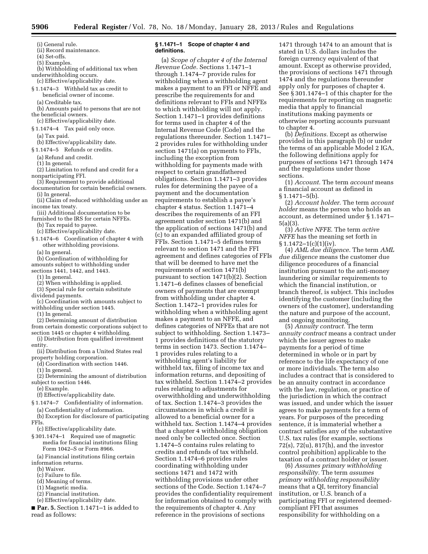- (i) General rule.
- (ii) Record maintenance.
- (4) Set-offs.
- (5) Examples.
- (b) Withholding of additional tax when underwithholding occurs.
- (c) Effective/applicability date.
- § 1.1474–3 Withheld tax as credit to beneficial owner of income.
	- (a) Creditable tax.
- (b) Amounts paid to persons that are not the beneficial owners.
- (c) Effective/applicability date.
- § 1.1474–4 Tax paid only once. (a) Tax paid.
- (b) Effective/applicability date.
- § 1.1474–5 Refunds or credits.
- (a) Refund and credit.
	- (1) In general.
- (2) Limitation to refund and credit for a nonparticipating FFI.
	- (3) Requirement to provide additional
- documentation for certain beneficial owners. (i) In general.
- (ii) Claim of reduced withholding under an income tax treaty.
- (iii) Additional documentation to be furnished to the IRS for certain NFFEs.
- (b) Tax repaid to payee.
	- (c) Effective/applicability date.
- § 1.1474–6 Coordination of chapter 4 with other withholding provisions.
	- (a) In general.
- (b) Coordination of withholding for amounts subject to withholding under
- sections 1441, 1442, and 1443.
- (1) In general.
- (2) When withholding is applied.
- (3) Special rule for certain substitute dividend payments.
- (c) Coordination with amounts subject to withholding under section 1445.
	- (1) In general.

(2) Determining amount of distribution from certain domestic corporations subject to

section 1445 or chapter 4 withholding. (i) Distribution from qualified investment

entity.

(ii) Distribution from a United States real property holding corporation.

- (d) Coordination with section 1446.
- (1) In general.
- (2) Determining the amount of distribution subject to section 1446.
- (e) Example. (f) Effective/applicability date.
- § 1.1474–7 Confidentiality of information.
- (a) Confidentiality of information. (b) Exception for disclosure of participating
- FFIs.
- (c) Effective/applicability date.
- § 301.1474–1 Required use of magnetic media for financial institutions filing Form 1042–S or Form 8966.
- (a) Financial institutions filing certain information returns.
	- (b) Waiver.
	- (c) Failure to file.
	- (d) Meaning of terms.
	- (1) Magnetic media.
	- (2) Financial institution.
	- (e) Effective/applicability date.

■ **Par. 5.** Section 1.1471–1 is added to read as follows:

## **§ 1.1471–1 Scope of chapter 4 and definitions.**

(a) *Scope of chapter 4 of the Internal Revenue Code.* Sections 1.1471–1 through 1.1474–7 provide rules for withholding when a withholding agent makes a payment to an FFI or NFFE and prescribe the requirements for and definitions relevant to FFIs and NFFEs to which withholding will not apply. Section 1.1471–1 provides definitions for terms used in chapter 4 of the Internal Revenue Code (Code) and the regulations thereunder. Section 1.1471– 2 provides rules for withholding under section 1471(a) on payments to FFIs, including the exception from withholding for payments made with respect to certain grandfathered obligations. Section 1.1471–3 provides rules for determining the payee of a payment and the documentation requirements to establish a payee's chapter 4 status. Section 1.1471–4 describes the requirements of an FFI agreement under section 1471(b) and the application of sections 1471(b) and (c) to an expanded affiliated group of FFIs. Section 1.1471–5 defines terms relevant to section 1471 and the FFI agreement and defines categories of FFIs that will be deemed to have met the requirements of section 1471(b) pursuant to section 1471(b)(2). Section 1.1471–6 defines classes of beneficial owners of payments that are exempt from withholding under chapter 4. Section 1.1472–1 provides rules for withholding when a withholding agent makes a payment to an NFFE, and defines categories of NFFEs that are not subject to withholding. Section 1.1473– 1 provides definitions of the statutory terms in section 1473. Section 1.1474– 1 provides rules relating to a withholding agent's liability for withheld tax, filing of income tax and information returns, and depositing of tax withheld. Section 1.1474–2 provides rules relating to adjustments for overwithholding and underwithholding of tax. Section 1.1474–3 provides the circumstances in which a credit is allowed to a beneficial owner for a withheld tax. Section 1.1474–4 provides that a chapter 4 withholding obligation need only be collected once. Section 1.1474–5 contains rules relating to credits and refunds of tax withheld. Section 1.1474–6 provides rules coordinating withholding under sections 1471 and 1472 with withholding provisions under other sections of the Code. Section 1.1474–7 provides the confidentiality requirement for information obtained to comply with the requirements of chapter 4. Any reference in the provisions of sections

1471 through 1474 to an amount that is stated in U.S. dollars includes the foreign currency equivalent of that amount. Except as otherwise provided, the provisions of sections 1471 through 1474 and the regulations thereunder apply only for purposes of chapter 4. See § 301.1474–1 of this chapter for the requirements for reporting on magnetic media that apply to financial institutions making payments or otherwise reporting accounts pursuant to chapter 4.

(b) *Definitions.* Except as otherwise provided in this paragraph (b) or under the terms of an applicable Model 2 IGA, the following definitions apply for purposes of sections 1471 through 1474 and the regulations under those sections.

(1) *Account.* The term *account* means a financial account as defined in § 1.1471–5(b).

(2) *Account holder.* The term *account holder* means the person who holds an account, as determined under § 1.1471– 5(a)(3).

(3) *Active NFFE.* The term *active NFFE* has the meaning set forth in  $§ 1.1472-1(c)(1)(iv).$ 

(4) *AML due diligence.* The term *AML due diligence* means the customer due diligence procedures of a financial institution pursuant to the anti-money laundering or similar requirements to which the financial institution, or branch thereof, is subject. This includes identifying the customer (including the owners of the customer), understanding the nature and purpose of the account, and ongoing monitoring.

(5) *Annuity contract.* The term *annuity contract* means a contract under which the issuer agrees to make payments for a period of time determined in whole or in part by reference to the life expectancy of one or more individuals. The term also includes a contract that is considered to be an annuity contract in accordance with the law, regulation, or practice of the jurisdiction in which the contract was issued, and under which the issuer agrees to make payments for a term of years. For purposes of the preceding sentence, it is immaterial whether a contract satisfies any of the substantive U.S. tax rules (for example, sections 72(s), 72(u), 817(h), and the investor control prohibition) applicable to the taxation of a contract holder or issuer.

(6) *Assumes primary withholding responsibility.* The term *assumes primary withholding responsibility*  means that a QI, territory financial institution, or U.S. branch of a participating FFI or registered deemedcompliant FFI that assumes responsibility for withholding on a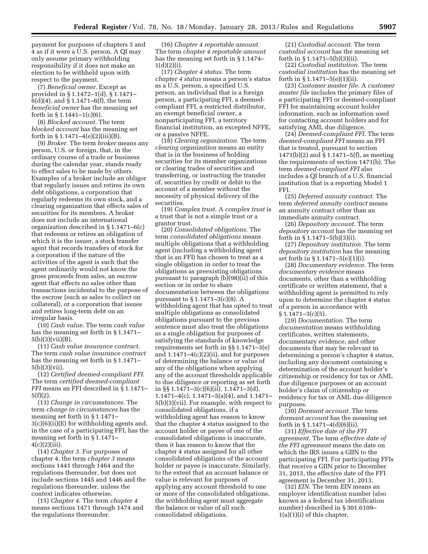payment for purposes of chapters 3 and 4 as if it were a U.S. person. A QI may only assume primary withholding responsibility if it does not make an election to be withheld upon with respect to the payment.

(7) *Beneficial owner.* Except as provided in § 1.1472–1(d), § 1.1471– 6(d)(4), and § 1.1471–6(f), the term *beneficial owner* has the meaning set forth in  $\S 1.1441 - 1(c)(6)$ .

(8) *Blocked account.* The term *blocked account* has the meaning set forth in  $\S 1.1471 - 4(e)(2)(iii)(B)$ .

(9) *Broker.* The term *broker* means any person, U.S. or foreign, that, in the ordinary course of a trade or business during the calendar year, stands ready to effect sales to be made by others. Examples of a broker include an obligor that regularly issues and retires its own debt obligations, a corporation that regularly redeems its own stock, and a clearing organization that effects sales of securities for its members. A broker does not include an international organization described in § 1.1471–6(c) that redeems or retires an obligation of which it is the issuer, a stock transfer agent that records transfers of stock for a corporation if the nature of the activities of the agent is such that the agent ordinarily would not know the gross proceeds from sales, an escrow agent that effects no sales other than transactions incidental to the purpose of the escrow (such as sales to collect on collateral), or a corporation that issues and retires long-term debt on an irregular basis.

(10) *Cash value.* The term *cash value*  has the meaning set forth in § 1.1471– 5(b)(3)(vii)(B).

(11) *Cash value insurance contract.*  The term *cash value insurance contract*  has the meaning set forth in § 1.1471– 5(b)(3)(vii).

(12) *Certified deemed-compliant FFI.*  The term *certified deemed-compliant FFI* means an FFI described in § 1.1471– 5(f)(2).

(13) *Change in circumstances.* The term *change in circumstances* has the meaning set forth in § 1.1471– 3(c)(6)(ii)(E) for withholding agents and, in the case of a participating FFI, has the meaning set forth in § 1.1471–  $4(c)(2)(iii)$ .

(14) *Chapter 3.* For purposes of chapter 4, the term *chapter 3* means sections 1441 through 1464 and the regulations thereunder, but does not include sections 1445 and 1446 and the regulations thereunder, unless the context indicates otherwise.

(15) *Chapter 4.* The term *chapter 4*  means sections 1471 through 1474 and the regulations thereunder.

(16) *Chapter 4 reportable amount.*  The term *chapter 4 reportable amount*  has the meaning set forth in § 1.1474–  $1(d)(2)(i)$ .

(17) *Chapter 4 status.* The term *chapter 4 status* means a person's status as a U.S. person, a specified U.S. person, an individual that is a foreign person, a participating FFI, a deemedcompliant FFI, a restricted distributor, an exempt beneficial owner, a nonparticipating FFI, a territory financial institution, an excepted NFFE, or a passive NFFE.

(18) *Clearing organization.* The term *clearing organization* means an entity that is in the business of holding securities for its member organizations or clearing trades of securities and transferring, or instructing the transfer of, securities by credit or debit to the account of a member without the necessity of physical delivery of the securities.

(19) *Complex trust.* A *complex trust* is a trust that is not a simple trust or a grantor trust.

(20) *Consolidated obligations.* The term *consolidated obligations* means multiple obligations that a withholding agent (including a withholding agent that is an FFI) has chosen to treat as a single obligation in order to treat the obligations as preexisting obligations pursuant to paragraph (b)(98)(ii) of this section or in order to share documentation between the obligations pursuant to § 1.1471–3(c)(8). A withholding agent that has opted to treat multiple obligations as consolidated obligations pursuant to the previous sentence must also treat the obligations as a single obligation for purposes of satisfying the standards of knowledge requirements set forth in §§ 1.1471–3(e) and  $1.1471-4(c)(2)(ii)$ , and for purposes of determining the balance or value of any of the obligations when applying any of the account thresholds applicable to due diligence or reporting as set forth in §§ 1.1471–3(c)(6)(ii), 1.1471–3(d), 1.1471–4(c), 1.1471–5(a)(4), and 1.1471– 5(b)(3)(vii). For example, with respect to consolidated obligations, if a withholding agent has reason to know that the chapter 4 status assigned to the account holder or payee of one of the consolidated obligations is inaccurate, then it has reason to know that the chapter 4 status assigned for all other consolidated obligations of the account holder or payee is inaccurate. Similarly, to the extent that an account balance or value is relevant for purposes of applying any account threshold to one or more of the consolidated obligations, the withholding agent must aggregate the balance or value of all such consolidated obligations.

(21) *Custodial account.* The term *custodial account* has the meaning set forth in § 1.1471–5(b)(3)(ii).

(22) *Custodial institution.* The term *custodial institution* has the meaning set forth in  $\S 1.1471 - 5(e)(1)(ii)$ .

(23) *Customer master file.* A *customer master file* includes the primary files of a participating FFI or deemed-compliant FFI for maintaining account holder information, such as information used for contacting account holders and for satisfying AML due diligence.

(24) *Deemed-compliant FFI.* The term *deemed-compliant FFI* means an FFI that is treated, pursuant to section 1471(b)(2) and § 1.1471–5(f), as meeting the requirements of section 1471(b). The term *deemed-compliant FFI* also includes a QI branch of a U.S. financial institution that is a reporting Model 1 FFI.

(25) *Deferred annuity contract.* The term *deferred annuity contract* means an annuity contract other than an immediate annuity contract.

(26) *Depository account.* The term *depository account* has the meaning set forth in § 1.1471–5(b)(3)(i).

(27) *Depository institution.* The term *depository institution* has the meaning set forth in § 1.1471–5(e)(1)(i).

(28) *Documentary evidence.* The term *documentary evidence* means documents, other than a withholding certificate or written statement, that a withholding agent is permitted to rely upon to determine the chapter 4 status of a person in accordance with  $§ 1.1471 - 3(c)(5)$ .

(29) *Documentation.* The term *documentation* means withholding certificates, written statements, documentary evidence, and other documents that may be relevant in determining a person's chapter 4 status, including any document containing a determination of the account holder's citizenship or residency for tax or AML due diligence purposes or an account holder's claim of citizenship or residency for tax or AML due diligence purposes.

(30) *Dormant account.* The term *dormant account* has the meaning set forth in § 1.1471–4(d)(6)(ii).

(31) *Effective date of the FFI agreement.* The term *effective date of the FFI agreement* means the date on which the IRS issues a GIIN to the participating FFI. For participating FFIs that receive a GIIN prior to December 31, 2013, the effective date of the FFI agreement is December 31, 2013.

(32) *EIN.* The term *EIN* means an employer identification number (also known as a federal tax identification number) described in § 301.6109– 1(a)(1)(i) of this chapter.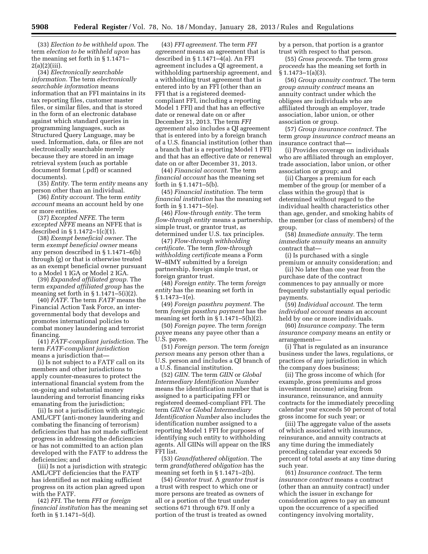(33) *Election to be withheld upon.* The term *election to be withheld upon* has the meaning set forth in § 1.1471–  $2(a)(2)(iii)$ .

(34) *Electronically searchable information.* The term *electronically searchable information* means information that an FFI maintains in its tax reporting files, customer master files, or similar files, and that is stored in the form of an electronic database against which standard queries in programming languages, such as Structured Query Language, may be used. Information, data, or files are not electronically searchable merely because they are stored in an image retrieval system (such as portable document format (.pdf) or scanned documents).

(35) *Entity.* The term *entity* means any person other than an individual.

(36) *Entity account.* The term *entity account* means an account held by one or more entities.

(37) *Excepted NFFE.* The term *excepted NFFE* means an NFFE that is described in § 1.1472–1(c)(1).

(38) *Exempt beneficial owner.* The term *exempt beneficial owner* means any person described in § 1.1471–6(b) through (g) or that is otherwise treated as an exempt beneficial owner pursuant to a Model 1 IGA or Model 2 IGA.

(39) *Expanded affiliated group.* The term *expanded affiliated group* has the meaning set forth in  $\S 1.1471 - 5(i)(2)$ .

(40) *FATF.* The term *FATF* means the Financial Action Task Force, an intergovernmental body that develops and promotes international policies to combat money laundering and terrorist financing.

(41) *FATF-compliant jurisdiction.* The term *FATF-compliant jurisdiction*  means a jurisdiction that—

(i) Is not subject to a FATF call on its members and other jurisdictions to apply counter-measures to protect the international financial system from the on-going and substantial money laundering and terrorist financing risks emanating from the jurisdiction;

(ii) Is not a jurisdiction with strategic AML/CFT (anti-money laundering and combating the financing of terrorism) deficiencies that has not made sufficient progress in addressing the deficiencies or has not committed to an action plan developed with the FATF to address the deficiencies; and

(iii) Is not a jurisdiction with strategic AML/CFT deficiencies that the FATF has identified as not making sufficient progress on its action plan agreed upon with the FATF.

(42) *FFI.* The term *FFI* or *foreign financial institution* has the meaning set forth in § 1.1471–5(d).

(43) *FFI agreement.* The term *FFI agreement* means an agreement that is described in § 1.1471–4(a). An FFI agreement includes a QI agreement, a withholding partnership agreement, and a withholding trust agreement that is entered into by an FFI (other than an FFI that is a registered deemedcompliant FFI, including a reporting Model 1 FFI) and that has an effective date or renewal date on or after December 31, 2013. The term *FFI agreement* also includes a QI agreement that is entered into by a foreign branch of a U.S. financial institution (other than a branch that is a reporting Model 1 FFI) and that has an effective date or renewal date on or after December 31, 2013.

(44) *Financial account.* The term *financial account* has the meaning set forth in § 1.1471–5(b).

(45) *Financial institution.* The term *financial institution* has the meaning set forth in § 1.1471–5(e).

(46) *Flow-through entity.* The term *flow-through entity* means a partnership, simple trust, or grantor trust, as determined under U.S. tax principles.

(47) *Flow-through withholding certificate.* The term *flow-through withholding certificate* means a Form W–8IMY submitted by a foreign partnership, foreign simple trust, or foreign grantor trust.

(48) *Foreign entity.* The term *foreign entity* has the meaning set forth in § 1.1473–1(e).

(49) *Foreign passthru payment.* The term *foreign passthru payment* has the meaning set forth in  $\S 1.1471 - 5(h)(2)$ .

(50) *Foreign payee.* The term *foreign payee* means any payee other than a U.S. payee.

(51) *Foreign person.* The term *foreign person* means any person other than a U.S. person and includes a QI branch of a U.S. financial institution.

(52) *GIIN.* The term *GIIN* or *Global Intermediary Identification Number*  means the identification number that is assigned to a participating FFI or registered deemed-compliant FFI. The term *GIIN* or *Global Intermediary Identification Number* also includes the identification number assigned to a reporting Model 1 FFI for purposes of identifying such entity to withholding agents. All GIINs will appear on the IRS FFI list.

(53) *Grandfathered obligation.* The term *grandfathered obligation* has the meaning set forth in § 1.1471–2(b).

(54) *Grantor trust.* A *grantor trust* is a trust with respect to which one or more persons are treated as owners of all or a portion of the trust under sections 671 through 679. If only a portion of the trust is treated as owned by a person, that portion is a grantor trust with respect to that person.

(55) *Gross proceeds.* The term *gross proceeds* has the meaning set forth in  $§ 1.1473-1(a)(3).$ 

(56) *Group annuity contract.* The term *group annuity contract* means an annuity contract under which the obligees are individuals who are affiliated through an employer, trade association, labor union, or other association or group.

(57) *Group insurance contract.* The term *group insurance contract* means an insurance contract that—

(i) Provides coverage on individuals who are affiliated through an employer, trade association, labor union, or other association or group; and

(ii) Charges a premium for each member of the group (or member of a class within the group) that is determined without regard to the individual health characteristics other than age, gender, and smoking habits of the member (or class of members) of the group.

(58) *Immediate annuity.* The term *immediate annuity* means an annuity contract that—

(i) Is purchased with a single premium or annuity consideration; and

(ii) No later than one year from the purchase date of the contract commences to pay annually or more frequently substantially equal periodic payments.

(59) *Individual account.* The term *individual account* means an account held by one or more individuals.

(60) *Insurance company.* The term *insurance company* means an entity or arrangement—

(i) That is regulated as an insurance business under the laws, regulations, or practices of any jurisdiction in which the company does business;

(ii) The gross income of which (for example, gross premiums and gross investment income) arising from insurance, reinsurance, and annuity contracts for the immediately preceding calendar year exceeds 50 percent of total gross income for such year; or

(iii) The aggregate value of the assets of which associated with insurance, reinsurance, and annuity contracts at any time during the immediately preceding calendar year exceeds 50 percent of total assets at any time during such year.

(61) *Insurance contract.* The term *insurance contract* means a contract (other than an annuity contract) under which the issuer in exchange for consideration agrees to pay an amount upon the occurrence of a specified contingency involving mortality,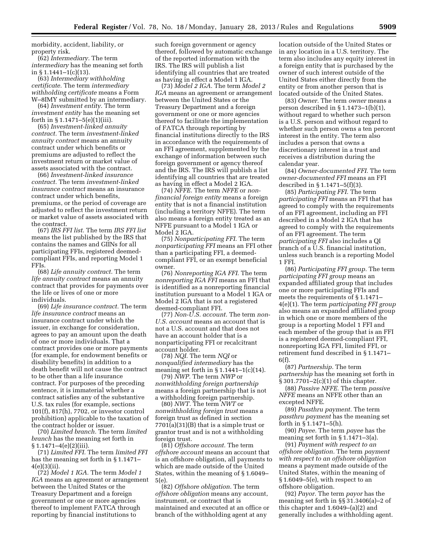morbidity, accident, liability, or property risk.

(62) *Intermediary.* The term *intermediary* has the meaning set forth in  $§ 1.1441-1(c)(13)$ .

(63) *Intermediary withholding certificate.* The term *intermediary withholding certificate* means a Form W–8IMY submitted by an intermediary.

(64) *Investment entity.* The term *investment entity* has the meaning set forth in  $\S 1.1471 - 5(e)(1)(iii)$ .

(65) *Investment-linked annuity contract.* The term *investment-linked annuity contract* means an annuity contract under which benefits or premiums are adjusted to reflect the investment return or market value of assets associated with the contract.

(66) *Investment-linked insurance contract.* The term *investment-linked insurance contract* means an insurance contract under which benefits, premiums, or the period of coverage are adjusted to reflect the investment return or market value of assets associated with the contract.

(67) *IRS FFI list.* The term *IRS FFI list*  means the list published by the IRS that contains the names and GIINs for all participating FFIs, registered deemedcompliant FFIs, and reporting Model 1 FFIs.

(68) *Life annuity contract.* The term *life annuity contract* means an annuity contract that provides for payments over the life or lives of one or more individuals.

(69) *Life insurance contract.* The term *life insurance contract* means an insurance contract under which the issuer, in exchange for consideration, agrees to pay an amount upon the death of one or more individuals. That a contract provides one or more payments (for example, for endowment benefits or disability benefits) in addition to a death benefit will not cause the contract to be other than a life insurance contract. For purposes of the preceding sentence, it is immaterial whether a contract satisfies any of the substantive U.S. tax rules (for example, sections 101(f), 817(h), 7702, or investor control prohibition) applicable to the taxation of the contract holder or issuer.

(70) *Limited branch.* The term *limited branch* has the meaning set forth in  $§ 1.1471 - 4(e)(2)(iii)$ 

(71) *Limited FFI.* The term *limited FFI*  has the meaning set forth in § 1.1471– 4(e)(3)(ii).

(72) *Model 1 IGA.* The term *Model 1 IGA* means an agreement or arrangement between the United States or the Treasury Department and a foreign government or one or more agencies thereof to implement FATCA through reporting by financial institutions to

such foreign government or agency thereof, followed by automatic exchange of the reported information with the IRS. The IRS will publish a list identifying all countries that are treated as having in effect a Model 1 IGA.

(73) *Model 2 IGA.* The term *Model 2 IGA* means an agreement or arrangement between the United States or the Treasury Department and a foreign government or one or more agencies thereof to facilitate the implementation of FATCA through reporting by financial institutions directly to the IRS in accordance with the requirements of an FFI agreement, supplemented by the exchange of information between such foreign government or agency thereof and the IRS. The IRS will publish a list identifying all countries that are treated as having in effect a Model 2 IGA.

(74) *NFFE.* The term *NFFE* or *nonfinancial foreign entity* means a foreign entity that is not a financial institution (including a territory NFFE). The term also means a foreign entity treated as an NFFE pursuant to a Model 1 IGA or Model 2 IGA.

(75) *Nonparticipating FFI.* The term *nonparticipating FFI* means an FFI other than a participating FFI, a deemedcompliant FFI, or an exempt beneficial owner.

(76) *Nonreporting IGA FFI.* The term *nonreporting IGA FFI* means an FFI that is identified as a nonreporting financial institution pursuant to a Model 1 IGA or Model 2 IGA that is not a registered deemed-compliant FFI.

(77) *Non-U.S. account.* The term *non-U.S. account* means an account that is not a U.S. account and that does not have an account holder that is a nonparticipating FFI or recalcitrant account holder.

(78) *NQI.* The term *NQI* or *nonqualified intermediary* has the meaning set forth in  $\S 1.1441-1(c)(14)$ .

(79) *NWP.* The term *NWP* or *nonwithholding foreign partnership*  means a foreign partnership that is not a withholding foreign partnership.

(80) *NWT.* The term *NWT* or *nonwithholding foreign trust* means a foreign trust as defined in section 7701(a)(31)(B) that is a simple trust or grantor trust and is not a withholding foreign trust.

(81) *Offshore account.* The term *offshore account* means an account that is an offshore obligation, all payments to which are made outside of the United States, within the meaning of § 1.6049–  $5(e)$ 

(82) *Offshore obligation.* The term *offshore obligation* means any account, instrument, or contract that is maintained and executed at an office or branch of the withholding agent at any

location outside of the United States or in any location in a U.S. territory. The term also includes any equity interest in a foreign entity that is purchased by the owner of such interest outside of the United States either directly from the entity or from another person that is located outside of the United States.

(83) *Owner.* The term *owner* means a person described in § 1.1473–1(b)(1), without regard to whether such person is a U.S. person and without regard to whether such person owns a ten percent interest in the entity. The term also includes a person that owns a discretionary interest in a trust and receives a distribution during the calendar year.

(84) *Owner-documented FFI.* The term *owner-documented FFI* means an FFI described in § 1.1471–5(f)(3).

(85) *Participating FFI.* The term *participating FFI* means an FFI that has agreed to comply with the requirements of an FFI agreement, including an FFI described in a Model 2 IGA that has agreed to comply with the requirements of an FFI agreement. The term *participating FFI* also includes a QI branch of a U.S. financial institution, unless such branch is a reporting Model 1 FFI.

(86) *Participating FFI group.* The term *participating FFI group* means an expanded affiliated group that includes one or more participating FFIs and meets the requirements of § 1.1471– 4(e)(1). The term *participating FFI group*  also means an expanded affiliated group in which one or more members of the group is a reporting Model 1 FFI and each member of the group that is an FFI is a registered deemed-compliant FFI, nonreporting IGA FFI, limited FFI, or retirement fund described in § 1.1471– 6(f).

(87) *Partnership.* The term *partnership* has the meaning set forth in § 301.7701–2(c)(1) of this chapter.

(88) *Passive NFFE.* The term *passive NFFE* means an NFFE other than an excepted NFFE.

(89) *Passthru payment.* The term *passthru payment* has the meaning set forth in § 1.1471–5(h).

(90) *Payee.* The term *payee* has the meaning set forth in § 1.1471–3(a).

(91) *Payment with respect to an offshore obligation.* The term *payment with respect to an offshore obligation*  means a payment made outside of the United States, within the meaning of § 1.6049–5(e), with respect to an offshore obligation.

(92) *Payor.* The term *payor* has the meaning set forth in §§ 31.3406(a)–2 of this chapter and 1.6049–(a)(2) and generally includes a withholding agent.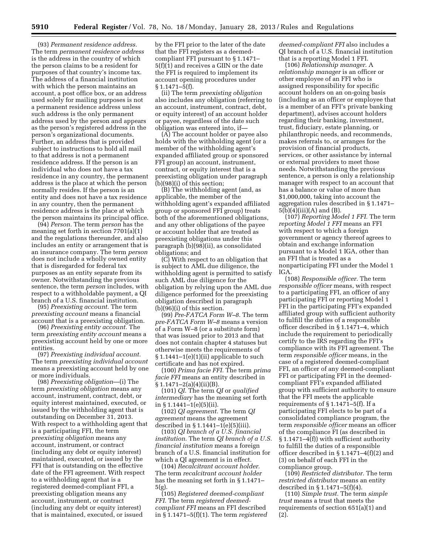(93) *Permanent residence address.*  The term *permanent residence address*  is the address in the country of which the person claims to be a resident for purposes of that country's income tax. The address of a financial institution with which the person maintains an account, a post office box, or an address used solely for mailing purposes is not a permanent residence address unless such address is the only permanent address used by the person and appears as the person's registered address in the person's organizational documents. Further, an address that is provided subject to instructions to hold all mail to that address is not a permanent residence address. If the person is an individual who does not have a tax residence in any country, the permanent address is the place at which the person normally resides. If the person is an entity and does not have a tax residence in any country, then the permanent residence address is the place at which the person maintains its principal office.

(94) *Person.* The term *person* has the meaning set forth in section 7701(a)(1) and the regulations thereunder, and also includes an entity or arrangement that is an insurance company. The term *person*  does not include a wholly owned entity that is disregarded for federal tax purposes as an entity separate from its owner. Notwithstanding the previous sentence, the term *person* includes, with respect to a withholdable payment, a QI branch of a U.S. financial institution.

(95) *Preexisting account.* The term *preexisting account* means a financial account that is a preexisting obligation.

(96) *Preexisting entity account.* The term *preexisting entity account* means a preexisting account held by one or more entities.

(97) *Preexisting individual account.*  The term *preexisting individual account*  means a preexisting account held by one or more individuals.

(98) *Preexisting obligation*—(i) The term *preexisting obligation* means any account, instrument, contract, debt, or equity interest maintained, executed, or issued by the withholding agent that is outstanding on December 31, 2013. With respect to a withholding agent that is a participating FFI, the term *preexisting obligation* means any account, instrument, or contract (including any debt or equity interest) maintained, executed, or issued by the FFI that is outstanding on the effective date of the FFI agreement. With respect to a withholding agent that is a registered deemed-compliant FFI, a preexisting obligation means any account, instrument, or contract (including any debt or equity interest) that is maintained, executed, or issued

by the FFI prior to the later of the date that the FFI registers as a deemedcompliant FFI pursuant to § 1.1471– 5(f)(1) and receives a GIIN or the date the FFI is required to implement its account opening procedures under  $§ 1.1471 - 5(f).$ 

(ii) The term *preexisting obligation*  also includes any obligation (referring to an account, instrument, contract, debt, or equity interest) of an account holder or payee, regardless of the date such obligation was entered into, if—

(A) The account holder or payee also holds with the withholding agent (or a member of the withholding agent's expanded affiliated group or sponsored FFI group) an account, instrument, contract, or equity interest that is a preexisting obligation under paragraph  $(b)(98)(i)$  of this section;

(B) The withholding agent (and, as applicable, the member of the withholding agent's expanded affiliated group or sponsored FFI group) treats both of the aforementioned obligations, and any other obligations of the payee or account holder that are treated as preexisting obligations under this paragraph (b)(98)(ii), as consolidated obligations; and

(C) With respect to an obligation that is subject to AML due diligence, the withholding agent is permitted to satisfy such AML due diligence for the obligation by relying upon the AML due diligence performed for the preexisting obligation described in paragraph (b)(96)(i) of this section.

(99) *Pre-FATCA Form W–8.* The term *pre-FATCA Form W–8* means a version of a Form W–8 (or a substitute form) that was issued prior to 2013 and that does not contain chapter 4 statuses but otherwise meets the requirements of § 1.1441–1(e)(1)(ii) applicable to such certificate and has not expired.

(100) *Prima facie FFI.* The term *prima facie FFI* means an entity described in  $§ 1.1471 - 2(a)(4)(ii)(B).$ 

(101) *QI.* The term *QI* or *qualified intermediary* has the meaning set forth in § 1.1441–1 $(e)(5)(ii)$ .

(102) *QI agreement.* The term *QI agreement* means the agreement described in § 1.1441–1(e)(5)(iii).

(103) *QI branch of a U.S. financial institution.* The term *QI branch of a U.S. financial institution* means a foreign branch of a U.S. financial institution for which a QI agreement is in effect.

(104) *Recalcitrant account holder.*  The term *recalcitrant account holder*  has the meaning set forth in § 1.1471– 5(g).

(105) *Registered deemed-compliant FFI.* The term *registered deemedcompliant FFI* means an FFI described in § 1.1471–5(f)(1). The term *registered*  *deemed-compliant FFI* also includes a QI branch of a U.S. financial institution that is a reporting Model 1 FFI.

(106) *Relationship manager.* A *relationship manager* is an officer or other employee of an FFI who is assigned responsibility for specific account holders on an on-going basis (including as an officer or employee that is a member of an FFI's private banking department), advises account holders regarding their banking, investment, trust, fiduciary, estate planning, or philanthropic needs, and recommends, makes referrals to, or arranges for the provision of financial products, services, or other assistance by internal or external providers to meet those needs. Notwithstanding the previous sentence, a person is only a relationship manager with respect to an account that has a balance or value of more than \$1,000,000, taking into account the aggregation rules described in § 1.1471–  $5(b)(4)(iii)(A)$  and  $(B)$ .

(107) *Reporting Model 1 FFI.* The term *reporting Model 1 FFI* means an FFI with respect to which a foreign government or agency thereof agrees to obtain and exchange information pursuant to a Model 1 IGA, other than an FFI that is treated as a nonparticipating FFI under the Model 1 IGA.

(108) *Responsible officer.* The term *responsible officer* means, with respect to a participating FFI, an officer of any participating FFI or reporting Model 1 FFI in the participating FFI's expanded affiliated group with sufficient authority to fulfill the duties of a responsible officer described in § 1.1471–4, which include the requirement to periodically certify to the IRS regarding the FFI's compliance with its FFI agreement. The term *responsible officer* means, in the case of a registered deemed-compliant FFI, an officer of any deemed-compliant FFI or participating FFI in the deemedcompliant FFI's expanded affiliated group with sufficient authority to ensure that the FFI meets the applicable requirements of  $\S 1.1471 - 5(f)$ . If a participating FFI elects to be part of a consolidated compliance program, the term *responsible officer* means an officer of the compliance FI (as described in § 1.1471–4(f)) with sufficient authority to fulfill the duties of a responsible officer described in § 1.1471–4(f)(2) and (3) on behalf of each FFI in the compliance group.

(109) *Restricted distributor.* The term *restricted distributor* means an entity described in § 1.1471–5(f)(4).

(110) *Simple trust.* The term *simple trust* means a trust that meets the requirements of section 651(a)(1) and (2).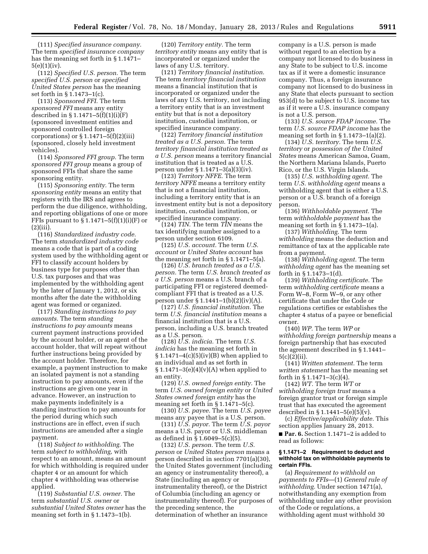(111) *Specified insurance company.*  The term *specified insurance company*  has the meaning set forth in § 1.1471–  $5(e)(1)(iv).$ 

(112) *Specified U.S. person.* The term *specified U.S. person* or *specified United States person* has the meaning set forth in § 1.1473–1(c).

(113) *Sponsored FFI.* The term *sponsored FFI* means any entity described in § 1.1471–5(f)(1)(i)(F) (sponsored investment entities and sponsored controlled foreign corporations) or  $\S 1.1471 - 5(f)(2)(iii)$ (sponsored, closely held investment vehicles).

(114) *Sponsored FFI group.* The term *sponsored FFI group* means a group of sponsored FFIs that share the same sponsoring entity.

(115) *Sponsoring entity.* The term *sponsoring entity* means an entity that registers with the IRS and agrees to perform the due diligence, withholding, and reporting obligations of one or more FFIs pursuant to  $\S 1.1471 - 5(f)(1)(i)(F)$  or (2)(iii).

(116) *Standardized industry code.*  The term *standardized industry code*  means a code that is part of a coding system used by the withholding agent or FFI to classify account holders by business type for purposes other than U.S. tax purposes and that was implemented by the withholding agent by the later of January 1, 2012, or six months after the date the withholding agent was formed or organized.

(117) *Standing instructions to pay amounts.* The term *standing instructions to pay amounts* means current payment instructions provided by the account holder, or an agent of the account holder, that will repeat without further instructions being provided by the account holder. Therefore, for example, a payment instruction to make an isolated payment is not a standing instruction to pay amounts, even if the instructions are given one year in advance. However, an instruction to make payments indefinitely is a standing instruction to pay amounts for the period during which such instructions are in effect, even if such instructions are amended after a single payment.

(118) *Subject to withholding.* The term *subject to withholding,* with respect to an amount, means an amount for which withholding is required under chapter 4 or an amount for which chapter 4 withholding was otherwise applied.

(119) *Substantial U.S. owner.* The term *substantial U.S. owner* or *substantial United States owner* has the meaning set forth in § 1.1473–1(b).

(120) *Territory entity.* The term *territory entity* means any entity that is incorporated or organized under the laws of any U.S. territory.

(121) *Territory financial institution.*  The term *territory financial institution*  means a financial institution that is incorporated or organized under the laws of any U.S. territory, not including a territory entity that is an investment entity but that is not a depository institution, custodial institution, or specified insurance company.

(122) *Territory financial institution treated as a U.S. person.* The term *territory financial institution treated as a U.S. person* means a territory financial institution that is treated as a U.S. person under § 1.1471–3(a)(3)(iv).

(123) *Territory NFFE.* The term *territory NFFE* means a territory entity that is not a financial institution, including a territory entity that is an investment entity but is not a depository institution, custodial institution, or specified insurance company.

(124) *TIN.* The term *TIN* means the tax identifying number assigned to a person under section 6109.

(125) *U.S. account.* The term *U.S. account* or *United States account* has the meaning set forth in § 1.1471–5(a).

(126) *U.S. branch treated as a U.S. person.* The term *U.S. branch treated as a U.S. person* means a U.S. branch of a participating FFI or registered deemedcompliant FFI that is treated as a U.S. person under § 1.1441–1(b)(2)(iv)(A).

(127) *U.S. financial institution.* The term *U.S. financial institution* means a financial institution that is a U.S. person, including a U.S. branch treated as a U.S. person.

(128) *U.S. indicia.* The term *U.S. indicia* has the meaning set forth in  $\S 1.1471-4(c)(5)(iv)(B)$  when applied to an individual and as set forth in  $§ 1.1471-3(e)(4)(v)(A)$  when applied to an entity.

(129) *U.S. owned foreign entity.* The term *U.S. owned foreign entity* or *United States owned foreign entity* has the meaning set forth in  $\S 1.1471-5(c)$ .

(130) *U.S. payee.* The term *U.S. payee*  means any payee that is a U.S. person.

(131) *U.S. payor.* The term *U.S. payor*  means a U.S. payor or U.S. middleman as defined in § 1.6049–5(c)(5).

(132) *U.S. person.* The term *U.S. person* or *United States person* means a person described in section 7701(a)(30), the United States government (including an agency or instrumentality thereof), a State (including an agency or instrumentality thereof), or the District of Columbia (including an agency or instrumentality thereof). For purposes of the preceding sentence, the determination of whether an insurance

company is a U.S. person is made without regard to an election by a company not licensed to do business in any State to be subject to U.S. income tax as if it were a domestic insurance company. Thus, a foreign insurance company not licensed to do business in any State that elects pursuant to section 953(d) to be subject to U.S. income tax as if it were a U.S. insurance company is not a U.S. person.

(133) *U.S. source FDAP income.* The term *U.S. source FDAP income* has the meaning set forth in  $\S 1.1473-1(a)(2)$ .

(134) *U.S. territory.* The term *U.S. territory* or *possession of the United States* means American Samoa, Guam, the Northern Mariana Islands, Puerto Rico, or the U.S. Virgin Islands.

(135) *U.S. withholding agent.* The term *U.S. withholding agent* means a withholding agent that is either a U.S. person or a U.S. branch of a foreign person.

(136) *Withholdable payment.* The term *withholdable payment* has the meaning set forth in § 1.1473–1(a).

(137) *Withholding.* The term *withholding* means the deduction and remittance of tax at the applicable rate from a payment.

(138) *Withholding agent.* The term *withholding agent* has the meaning set forth in § 1.1473–1(d).

(139) *Withholding certificate.* The term *withholding certificate* means a Form W–8, Form W–9, or any other certificate that under the Code or regulations certifies or establishes the chapter 4 status of a payee or beneficial owner.

(140) *WP.* The term *WP* or *withholding foreign partnership* means a foreign partnership that has executed the agreement described in § 1.1441– 5(c)(2)(ii).

(141) *Written statement.* The term *written statement* has the meaning set forth in § 1.1471–3(c)(4).

(142) *WT.* The term *WT* or *withholding foreign trust* means a foreign grantor trust or foreign simple trust that has executed the agreement described in § 1.1441–5 $(e)(5)(v)$ .

(c) *Effective/applicability date.* This section applies January 28, 2013.

■ **Par. 6.** Section 1.1471–2 is added to read as follows:

## **§ 1.1471–2 Requirement to deduct and withhold tax on withholdable payments to certain FFIs.**

(a) *Requirement to withhold on payments to FFIs*—(1) *General rule of withholding.* Under section 1471(a), notwithstanding any exemption from withholding under any other provision of the Code or regulations, a withholding agent must withhold 30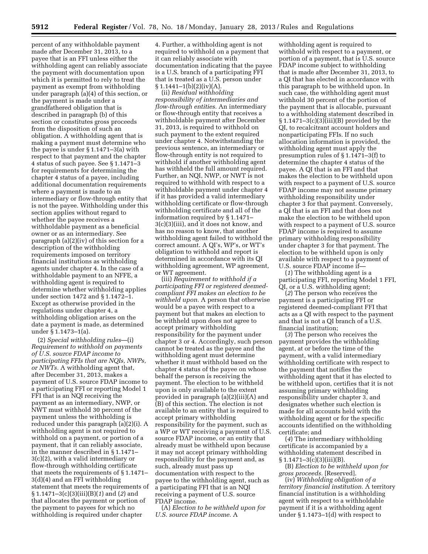percent of any withholdable payment made after December 31, 2013, to a payee that is an FFI unless either the withholding agent can reliably associate the payment with documentation upon which it is permitted to rely to treat the payment as exempt from withholding under paragraph (a)(4) of this section, or the payment is made under a grandfathered obligation that is described in paragraph (b) of this section or constitutes gross proceeds from the disposition of such an obligation. A withholding agent that is making a payment must determine who the payee is under § 1.1471–3(a) with respect to that payment and the chapter 4 status of such payee. See § 1.1471–3 for requirements for determining the chapter 4 status of a payee, including additional documentation requirements where a payment is made to an intermediary or flow-through entity that is not the payee. Withholding under this section applies without regard to whether the payee receives a withholdable payment as a beneficial owner or as an intermediary. See paragraph (a)(2)(iv) of this section for a description of the withholding requirements imposed on territory financial institutions as withholding agents under chapter 4. In the case of a withholdable payment to an NFFE, a withholding agent is required to determine whether withholding applies under section 1472 and § 1.1472–1. Except as otherwise provided in the regulations under chapter 4, a withholding obligation arises on the date a payment is made, as determined under § 1.1473–1(a).

(2) *Special withholding rules*—(i) *Requirement to withhold on payments of U.S. source FDAP income to participating FFIs that are NQIs, NWPs, or NWTs.* A withholding agent that, after December 31, 2013, makes a payment of U.S. source FDAP income to a participating FFI or reporting Model 1 FFI that is an NQI receiving the payment as an intermediary, NWP, or NWT must withhold 30 percent of the payment unless the withholding is reduced under this paragraph (a)(2)(i). A withholding agent is not required to withhold on a payment, or portion of a payment, that it can reliably associate, in the manner described in § 1.1471– 3(c)(2), with a valid intermediary or flow-through withholding certificate that meets the requirements of § 1.1471– 3(d)(4) and an FFI withholding statement that meets the requirements of § 1.1471–3(c)(3)(iii)(B)(*1*) and (*2*) and that allocates the payment or portion of the payment to payees for which no withholding is required under chapter

4. Further, a withholding agent is not required to withhold on a payment that it can reliably associate with documentation indicating that the payee is a U.S. branch of a participating FFI that is treated as a U.S. person under  $§ 1.1441-1(b)(2)(iv)(A).$ 

(ii) *Residual withholding responsibility of intermediaries and flow-through entities.* An intermediary or flow-through entity that receives a withholdable payment after December 31, 2013, is required to withhold on such payment to the extent required under chapter 4. Notwithstanding the previous sentence, an intermediary or flow-through entity is not required to withhold if another withholding agent has withheld the full amount required. Further, an NQI, NWP, or NWT is not required to withhold with respect to a withholdable payment under chapter 4 if it has provided a valid intermediary withholding certificate or flow-through withholding certificate and all of the information required by § 1.1471– 3(c)(3)(iii), and it does not know, and has no reason to know, that another withholding agent failed to withhold the correct amount. A QI's, WP's, or WT's obligation to withhold and report is determined in accordance with its QI withholding agreement, WP agreement, or WT agreement.

(iii) *Requirement to withhold if a participating FFI or registered deemedcompliant FFI makes an election to be withheld upon.* A person that otherwise would be a payee with respect to a payment but that makes an election to be withheld upon does not agree to accept primary withholding responsibility for the payment under chapter 3 or 4. Accordingly, such person cannot be treated as the payee and the withholding agent must determine whether it must withhold based on the chapter 4 status of the payee on whose behalf the person is receiving the payment. The election to be withheld upon is only available to the extent provided in paragraph (a)(2)(iii)(A) and (B) of this section. The election is not available to an entity that is required to accept primary withholding responsibility for the payment, such as a WP or WT receiving a payment of U.S. source FDAP income, or an entity that already must be withheld upon because it may not accept primary withholding responsibility for the payment and, as such, already must pass up documentation with respect to the payee to the withholding agent, such as a participating FFI that is an NQI receiving a payment of U.S. source FDAP income.

(A) *Election to be withheld upon for U.S. source FDAP income.* A

withholding agent is required to withhold with respect to a payment, or portion of a payment, that is U.S. source FDAP income subject to withholding that is made after December 31, 2013, to a QI that has elected in accordance with this paragraph to be withheld upon. In such case, the withholding agent must withhold 30 percent of the portion of the payment that is allocable, pursuant to a withholding statement described in  $§ 1.1471-3(c)(3)(iii)(B)$  provided by the QI, to recalcitrant account holders and nonparticipating FFIs. If no such allocation information is provided, the withholding agent must apply the presumption rules of § 1.1471–3(f) to determine the chapter 4 status of the payee. A QI that is an FFI and that makes the election to be withheld upon with respect to a payment of U.S. source FDAP income may not assume primary withholding responsibility under chapter 3 for that payment. Conversely, a QI that is an FFI and that does not make the election to be withheld upon with respect to a payment of U.S. source FDAP income is required to assume primary withholding responsibility under chapter 3 for that payment. The election to be withheld upon is only available with respect to a payment of U.S. source FDAP income if—

(*1*) The withholding agent is a participating FFI, reporting Model 1 FFI, QI, or a U.S. withholding agent;

(*2*) The person who receives the payment is a participating FFI or registered deemed-compliant FFI that acts as a QI with respect to the payment and that is not a QI branch of a U.S. financial institution;

(*3*) The person who receives the payment provides the withholding agent, at or before the time of the payment, with a valid intermediary withholding certificate with respect to the payment that notifies the withholding agent that it has elected to be withheld upon, certifies that it is not assuming primary withholding responsibility under chapter 3, and designates whether such election is made for all accounts held with the withholding agent or for the specific accounts identified on the withholding certificate; and

(*4*) The intermediary withholding certificate is accompanied by a withholding statement described in  $\S 1.1471 - 3(c)(3)(iii)(B)$ .

(B) *Election to be withheld upon for gross proceeds.* [Reserved].

(iv) *Withholding obligation of a territory financial institution.* A territory financial institution is a withholding agent with respect to a withholdable payment if it is a withholding agent under § 1.1473–1(d) with respect to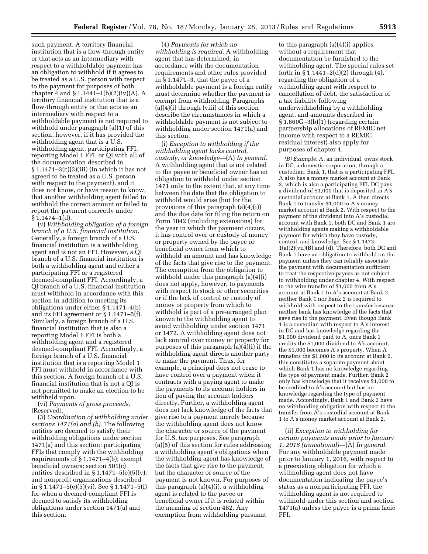such payment. A territory financial institution that is a flow-through entity or that acts as an intermediary with respect to a withholdable payment has an obligation to withhold if it agrees to be treated as a U.S. person with respect to the payment for purposes of both chapter 4 and § 1.1441–1(b)(2)(iv)(A). A territory financial institution that is a flow-through entity or that acts as an intermediary with respect to a withholdable payment is not required to withhold under paragraph (a)(1) of this section, however, if it has provided the withholding agent that is a U.S. withholding agent, participating FFI, reporting Model 1 FFI, or QI with all of the documentation described in § 1.1471–3(c)(3)(iii) (in which it has not agreed to be treated as a U.S. person with respect to the payment), and it does not know, or have reason to know, that another withholding agent failed to withhold the correct amount or failed to report the payment correctly under  $§ 1.1474 - 1(d).$ 

(v) *Withholding obligation of a foreign branch of a U.S. financial institution.*  Generally, a foreign branch of a U.S. financial institution is a withholding agent and is not an FFI. However, a QI branch of a U.S. financial institution is both a withholding agent and either a participating FFI or a registered deemed-compliant FFI. Accordingly, a QI branch of a U.S. financial institution must withhold in accordance with this section in addition to meeting its obligations under either § 1.1471–4(b) and its FFI agreement or § 1.1471–5(f). Similarly, a foreign branch of a U.S. financial institution that is also a reporting Model 1 FFI is both a withholding agent and a registered deemed-compliant FFI. Accordingly, a foreign branch of a U.S. financial institution that is a reporting Model 1 FFI must withhold in accordance with this section. A foreign branch of a U.S. financial institution that is not a QI is not permitted to make an election to be withheld upon.

(vi) *Payments of gross proceeds.*  [Reserved].

(3) *Coordination of withholding under sections 1471(a) and (b).* The following entities are deemed to satisfy their withholding obligations under section 1471(a) and this section: participating FFIs that comply with the withholding requirements of § 1.1471–4(b); exempt beneficial owners; section 501(c) entities described in  $\S 1.1471 - 5(e)(5)(v)$ ; and nonprofit organizations described in § 1.1471–5(e)(5)(vi). See § 1.1471–5(f) for when a deemed-compliant FFI is deemed to satisfy its withholding obligations under section 1471(a) and this section.

(4) *Payments for which no withholding is required.* A withholding agent that has determined, in accordance with the documentation requirements and other rules provided in § 1.1471–3, that the payee of a withholdable payment is a foreign entity must determine whether the payment is exempt from withholding. Paragraphs (a)(4)(i) through (viii) of this section describe the circumstances in which a withholdable payment is not subject to withholding under section 1471(a) and this section.

(i) *Exception to withholding if the withholding agent lacks control, custody, or knowledge*—(A) *In general.*  A withholding agent that is not related to the payee or beneficial owner has an obligation to withhold under section 1471 only to the extent that, at any time between the date that the obligation to withhold would arise (but for the provisions of this paragraph (a)(4)(i)) and the due date for filing the return on Form 1042 (including extensions) for the year in which the payment occurs, it has control over or custody of money or property owned by the payee or beneficial owner from which to withhold an amount and has knowledge of the facts that give rise to the payment. The exemption from the obligation to withhold under this paragraph (a)(4)(i) does not apply, however, to payments with respect to stock or other securities or if the lack of control or custody of money or property from which to withhold is part of a pre-arranged plan known to the withholding agent to avoid withholding under section 1471 or 1472. A withholding agent does not lack control over money or property for purposes of this paragraph (a)(4)(i) if the withholding agent directs another party to make the payment. Thus, for example, a principal does not cease to have control over a payment when it contracts with a paying agent to make the payments to its account holders in lieu of paying the account holders directly. Further, a withholding agent does not lack knowledge of the facts that give rise to a payment merely because the withholding agent does not know the character or source of the payment for U.S. tax purposes. See paragraph (a)(5) of this section for rules addressing a withholding agent's obligations when the withholding agent has knowledge of the facts that give rise to the payment, but the character or source of the payment is not known. For purposes of this paragraph (a)(4)(i), a withholding agent is related to the payee or beneficial owner if it is related within the meaning of section 482. Any exemption from withholding pursuant

to this paragraph (a)(4)(i) applies without a requirement that documentation be furnished to the withholding agent. The special rules set forth in  $\S 1.1441 - 2(d)(2)$  through  $(4)$ , regarding the obligation of a withholding agent with respect to cancellation of debt, the satisfaction of a tax liability following underwithholding by a withholding agent, and amounts described in § 1.860G–3(b)(1) (regarding certain partnership allocations of REMIC net income with respect to a REMIC residual interest) also apply for purposes of chapter 4.

*(B) Example.* A, an individual, owns stock in DC, a domestic corporation, through a custodian, Bank 1, that is a participating FFI. A also has a money market account at Bank 2, which is also a participating FFI. DC pays a dividend of \$1,000 that is deposited in A's custodial account at Bank 1. A then directs Bank 1 to transfer \$1,000 to A's money market account at Bank 2. With respect to the payment of the dividend into A's custodial account with Bank 1, both DC and Bank 1 are withholding agents making a withholdable payment for which they have custody, control, and knowledge. See § 1.1473– 1(a)(2)(vii)(B) and (d). Therefore, both DC and Bank 1 have an obligation to withhold on the payment unless they can reliably associate the payment with documentation sufficient to treat the respective payees as not subject to withholding under chapter 4. With respect to the wire transfer of \$1,000 from A's account at Bank 1 to A's account at Bank 2, neither Bank 1 nor Bank 2 is required to withhold with respect to the transfer because neither bank has knowledge of the facts that gave rise to the payment. Even though Bank 1 is a custodian with respect to A's interest in DC and has knowledge regarding the \$1,000 dividend paid to A, once Bank 1 credits the \$1,000 dividend to A's account, the \$1,000 becomes A's property. When A transfers the \$1,000 to its account at Bank 2, this constitutes a separate payment about which Bank 1 has no knowledge regarding the type of payment made. Further, Bank 2 only has knowledge that it receives \$1,000 to be credited to A's account but has no knowledge regarding the type of payment made. Accordingly, Bank 1 and Bank 2 have no withholding obligation with respect to the transfer from A's custodial account at Bank 1 to A's money market account at Bank 2.

(ii) *Exception to withholding for certain payments made prior to January 1, 2016 (transitional)*—(A) *In general.*  For any withholdable payment made prior to January 1, 2016, with respect to a preexisting obligation for which a withholding agent does not have documentation indicating the payee's status as a nonparticipating FFI, the withholding agent is not required to withhold under this section and section 1471(a) unless the payee is a prima facie FFI.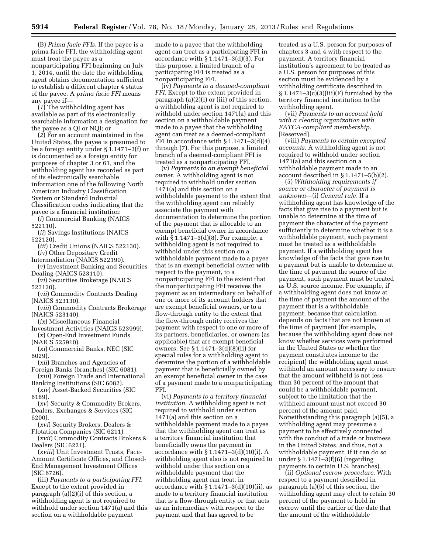(B) *Prima facie FFIs.* If the payee is a prima facie FFI, the withholding agent must treat the payee as a nonparticipating FFI beginning on July 1, 2014, until the date the withholding agent obtains documentation sufficient to establish a different chapter 4 status of the payee. A *prima facie FFI* means any payee if—

(*1*) The withholding agent has available as part of its electronically searchable information a designation for the payee as a QI or NQI; or

(*2*) For an account maintained in the United States, the payee is presumed to be a foreign entity under § 1.1471–3(f) or is documented as a foreign entity for purposes of chapter 3 or 61, and the withholding agent has recorded as part of its electronically searchable information one of the following North American Industry Classification System or Standard Industrial Classification codes indicating that the payee is a financial institution:

(*i*) Commercial Banking (NAICS 522110).

(*ii*) Savings Institutions (NAICS 522120).

- (*iii*) Credit Unions (NAICS 522130). (*iv*) Other Depositary Credit
- Intermediation (NAICS 522190).
- (*v*) Investment Banking and Securities Dealing (NAICS 523110).
- (*vi*) Securities Brokerage (NAICS 523120).
- (*vii*) Commodity Contracts Dealing (NAICS 523130).
- (*viii*) Commodity Contracts Brokerage (NAICS 523140).
- (*ix*) Miscellaneous Financial

Investment Activities (NAICS 523999). (*x*) Open-End Investment Funds (NAICS 525910).

(*xi*) Commercial Banks, NEC (SIC 6029).

(*xii*) Branches and Agencies of

Foreign Banks (branches) (SIC 6081). (*xiii*) Foreign Trade and International

Banking Institutions (SIC 6082). (*xiv*) Asset-Backed Securities (SIC

6189). (*xv*) Security & Commodity Brokers, Dealers, Exchanges & Services (SIC 6200).

(*xvi*) Security Brokers, Dealers & Flotation Companies (SIC 6211).

(*xvii*) Commodity Contracts Brokers & Dealers (SIC 6221).

(*xviii*) Unit Investment Trusts, Face-Amount Certificate Offices, and Closed-End Management Investment Offices (SIC 6726).

(iii) *Payments to a participating FFI.*  Except to the extent provided in paragraph (a)(2)(i) of this section, a withholding agent is not required to withhold under section 1471(a) and this section on a withholdable payment

made to a payee that the withholding agent can treat as a participating FFI in accordance with § 1.1471–3(d)(3). For this purpose, a limited branch of a participating FFI is treated as a nonparticipating FFI.

(iv) *Payments to a deemed-compliant FFI.* Except to the extent provided in paragraph (a)(2)(i) or (iii) of this section, a withholding agent is not required to withhold under section 1471(a) and this section on a withholdable payment made to a payee that the withholding agent can treat as a deemed-compliant FFI in accordance with § 1.1471–3(d)(4) through (7). For this purpose, a limited branch of a deemed-compliant FFI is treated as a nonparticipating FFI.

(v) *Payments to an exempt beneficial owner.* A withholding agent is not required to withhold under section 1471(a) and this section on a withholdable payment to the extent that the withholding agent can reliably associate the payment with documentation to determine the portion of the payment that is allocable to an exempt beneficial owner in accordance with § 1.1471–3(d)(8). For example, a withholding agent is not required to withhold under this section on a withholdable payment made to a payee that is an exempt beneficial owner with respect to the payment, to a nonparticipating FFI to the extent that the nonparticipating FFI receives the payment as an intermediary on behalf of one or more of its account holders that are exempt beneficial owners, or to a flow-through entity to the extent that the flow-through entity receives the payment with respect to one or more of its partners, beneficiaries, or owners (as applicable) that are exempt beneficial owners. See § 1.1471–3(d)(8)(ii) for special rules for a withholding agent to determine the portion of a withholdable payment that is beneficially owned by an exempt beneficial owner in the case of a payment made to a nonparticipating FFI.

(vi) *Payments to a territory financial institution.* A withholding agent is not required to withhold under section 1471(a) and this section on a withholdable payment made to a payee that the withholding agent can treat as a territory financial institution that beneficially owns the payment in accordance with  $\S 1.1471 - 3(d)(10)(i)$ . A withholding agent also is not required to withhold under this section on a withholdable payment that the withholding agent can treat, in accordance with  $\S 1.1471-3(d)(10)(ii)$ , as made to a territory financial institution that is a flow-through entity or that acts as an intermediary with respect to the payment and that has agreed to be

treated as a U.S. person for purposes of chapters 3 and 4 with respect to the payment. A territory financial institution's agreement to be treated as a U.S. person for purposes of this section must be evidenced by a withholding certificate described in § 1.1471–3(c)(3)(iii)(F) furnished by the territory financial institution to the withholding agent.

(vii) *Payments to an account held with a clearing organization with FATCA-compliant membership.*  [Reserved].

(viii) *Payments to certain excepted accounts.* A withholding agent is not required to withhold under section 1471(a) and this section on a withholdable payment made to an account described in § 1.1471–5(b)(2).

(5) *Withholding requirements if source or character of payment is unknown*—(i) *General rule.* If a withholding agent has knowledge of the facts that give rise to a payment but is unable to determine at the time of payment the character of the payment sufficiently to determine whether it is a withholdable payment, such payment must be treated as a withholdable payment. If a withholding agent has knowledge of the facts that give rise to a payment but is unable to determine at the time of payment the source of the payment, such payment must be treated as U.S. source income. For example, if a withholding agent does not know at the time of payment the amount of the payment that is a withholdable payment, because that calculation depends on facts that are not known at the time of payment (for example, because the withholding agent does not know whether services were performed in the United States or whether the payment constitutes income to the recipient) the withholding agent must withhold an amount necessary to ensure that the amount withheld is not less than 30 percent of the amount that could be a withholdable payment, subject to the limitation that the withheld amount must not exceed 30 percent of the amount paid. Notwithstanding this paragraph (a)(5), a withholding agent may presume a payment to be effectively connected with the conduct of a trade or business in the United States, and thus, not a withholdable payment, if it can do so under § 1.1471–3(f)(6) (regarding payments to certain U.S. branches).

(ii) *Optional escrow procedure.* With respect to a payment described in paragraph (a)(5) of this section, the withholding agent may elect to retain 30 percent of the payment to hold in escrow until the earlier of the date that the amount of the withholdable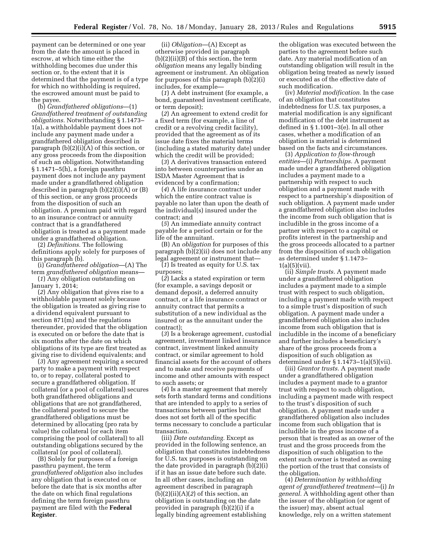payment can be determined or one year from the date the amount is placed in escrow, at which time either the withholding becomes due under this section or, to the extent that it is determined that the payment is of a type for which no withholding is required, the escrowed amount must be paid to the payee.

(b) *Grandfathered obligations*—(1) *Grandfathered treatment of outstanding obligations.* Notwithstanding § 1.1473– 1(a), a withholdable payment does not include any payment made under a grandfathered obligation described in paragraph (b)(2)(i)(A) of this section, or any gross proceeds from the disposition of such an obligation. Notwithstanding § 1.1471–5(h), a foreign passthru payment does not include any payment made under a grandfathered obligation described in paragraph (b)(2)(i)(A) or (B) of this section, or any gross proceeds from the disposition of such an obligation. A premium paid with regard to an insurance contract or annuity contract that is a grandfathered obligation is treated as a payment made under a grandfathered obligation.

(2) *Definitions.* The following definitions apply solely for purposes of this paragraph (b).

(i) *Grandfathered obligation*—(A) The term *grandfathered obligation* means— (*1*) Any obligation outstanding on

January 1, 2014;

(*2*) Any obligation that gives rise to a withholdable payment solely because the obligation is treated as giving rise to a dividend equivalent pursuant to section 871(m) and the regulations thereunder, provided that the obligation is executed on or before the date that is six months after the date on which obligations of its type are first treated as giving rise to dividend equivalents; and

(*3*) Any agreement requiring a secured party to make a payment with respect to, or to repay, collateral posted to secure a grandfathered obligation. If collateral (or a pool of collateral) secures both grandfathered obligations and obligations that are not grandfathered, the collateral posted to secure the grandfathered obligations must be determined by allocating (pro rata by value) the collateral (or each item comprising the pool of collateral) to all outstanding obligations secured by the collateral (or pool of collateral).

(B) Solely for purposes of a foreign passthru payment, the term *grandfathered obligation* also includes any obligation that is executed on or before the date that is six months after the date on which final regulations defining the term foreign passthru payment are filed with the **Federal Register**.

(ii) *Obligation*—(A) Except as otherwise provided in paragraph (b)(2)(ii)(B) of this section, the term *obligation* means any legally binding agreement or instrument. An obligation for purposes of this paragraph (b)(2)(i) includes, for example—

(*1*) A debt instrument (for example, a bond, guaranteed investment certificate, or term deposit);

(*2*) An agreement to extend credit for a fixed term (for example, a line of credit or a revolving credit facility), provided that the agreement as of its issue date fixes the material terms (including a stated maturity date) under which the credit will be provided;

(*3*) A derivatives transaction entered into between counterparties under an ISDA Master Agreement that is evidenced by a confirmation;

(*4*) A life insurance contract under which the entire contract value is payable no later than upon the death of the individual(s) insured under the contract; and

(*5*) An immediate annuity contract payable for a period certain or for the life of the annuitant.

(B) An *obligation* for purposes of this paragraph (b)(2)(ii) does not include any legal agreement or instrument that—

(*1*) Is treated as equity for U.S. tax purposes;

(*2*) Lacks a stated expiration or term (for example, a savings deposit or demand deposit, a deferred annuity contract, or a life insurance contract or annuity contract that permits a substitution of a new individual as the insured or as the annuitant under the contract);

(*3*) Is a brokerage agreement, custodial agreement, investment linked insurance contract, investment linked annuity contract, or similar agreement to hold financial assets for the account of others and to make and receive payments of income and other amounts with respect to such assets; or

(*4*) Is a master agreement that merely sets forth standard terms and conditions that are intended to apply to a series of transactions between parties but that does not set forth all of the specific terms necessary to conclude a particular transaction.

(iii) *Date outstanding.* Except as provided in the following sentence, an obligation that constitutes indebtedness for U.S. tax purposes is outstanding on the date provided in paragraph (b)(2)(i) if it has an issue date before such date. In all other cases, including an agreement described in paragraph (b)(2)(ii)(A)(*2*) of this section, an obligation is outstanding on the date provided in paragraph (b)(2)(i) if a legally binding agreement establishing

the obligation was executed between the parties to the agreement before such date. Any material modification of an outstanding obligation will result in the obligation being treated as newly issued or executed as of the effective date of such modification.

(iv) *Material modification.* In the case of an obligation that constitutes indebtedness for U.S. tax purposes, a material modification is any significant modification of the debt instrument as defined in § 1.1001–3(e). In all other cases, whether a modification of an obligation is material is determined based on the facts and circumstances.

(3) *Application to flow-through entities*—(i) *Partnerships.* A payment made under a grandfathered obligation includes a payment made to a partnership with respect to such obligation and a payment made with respect to a partnership's disposition of such obligation. A payment made under a grandfathered obligation also includes the income from such obligation that is includible in the gross income of a partner with respect to a capital or profits interest in the partnership and the gross proceeds allocated to a partner from the disposition of such obligation as determined under § 1.1473–  $1(a)(5)(vii)$ .

(ii) *Simple trusts.* A payment made under a grandfathered obligation includes a payment made to a simple trust with respect to such obligation, including a payment made with respect to a simple trust's disposition of such obligation. A payment made under a grandfathered obligation also includes income from such obligation that is includible in the income of a beneficiary and further includes a beneficiary's share of the gross proceeds from a disposition of such obligation as determined under § 1.1473–1(a)(5)(vii).

(iii) *Grantor trusts.* A payment made under a grandfathered obligation includes a payment made to a grantor trust with respect to such obligation, including a payment made with respect to the trust's disposition of such obligation. A payment made under a grandfathered obligation also includes income from such obligation that is includible in the gross income of a person that is treated as an owner of the trust and the gross proceeds from the disposition of such obligation to the extent such owner is treated as owning the portion of the trust that consists of the obligation.

(4) *Determination by withholding agent of grandfathered treatment*—(i) *In general.* A withholding agent other than the issuer of the obligation (or agent of the issuer) may, absent actual knowledge, rely on a written statement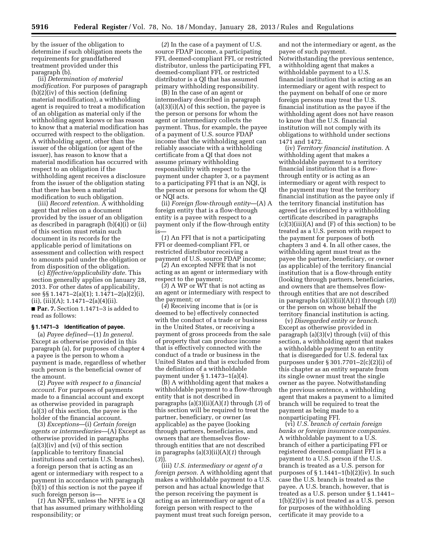by the issuer of the obligation to determine if such obligation meets the requirements for grandfathered treatment provided under this paragraph (b).

(ii) *Determination of material modification.* For purposes of paragraph (b)(2)(iv) of this section (defining material modification), a withholding agent is required to treat a modification of an obligation as material only if the withholding agent knows or has reason to know that a material modification has occurred with respect to the obligation. A withholding agent, other than the issuer of the obligation (or agent of the issuer), has reason to know that a material modification has occurred with respect to an obligation if the withholding agent receives a disclosure from the issuer of the obligation stating that there has been a material modification to such obligation.

(iii) *Record retention.* A withholding agent that relies on a document provided by the issuer of an obligation as described in paragraph (b)(4)(i) or (ii) of this section must retain such document in its records for the applicable period of limitations on assessment and collection with respect to amounts paid under the obligation or from disposition of the obligation.

(c) *Effective/applicability date.* This section generally applies on January 28, 2013. For other dates of applicability, see §§ 1.1471–2(a)(1); 1.1471–2(a)(2)(i),  $(ii), (iii)(A); 1.1471-2(a)(4)(ii).$ 

■ **Par. 7.** Section 1.1471–3 is added to read as follows:

## **§ 1.1471–3 Identification of payee.**

(a) *Payee defined*—(1) *In general.*  Except as otherwise provided in this paragraph (a), for purposes of chapter 4 a payee is the person to whom a payment is made, regardless of whether such person is the beneficial owner of the amount.

(2) *Payee with respect to a financial account.* For purposes of payments made to a financial account and except as otherwise provided in paragraph (a)(3) of this section, the payee is the holder of the financial account.

(3) *Exceptions*—(i) *Certain foreign agents or intermediaries*—(A) Except as otherwise provided in paragraphs  $(a)(3)(iv)$  and  $(vi)$  of this section (applicable to territory financial institutions and certain U.S. branches), a foreign person that is acting as an agent or intermediary with respect to a payment in accordance with paragraph (b)(1) of this section is not the payee if such foreign person is—

(*1*) An NFFE, unless the NFFE is a QI that has assumed primary withholding responsibility; or

(*2*) In the case of a payment of U.S. source FDAP income, a participating FFI, deemed-compliant FFI, or restricted distributor, unless the participating FFI, deemed-compliant FFI, or restricted distributor is a QI that has assumed primary withholding responsibility.

(B) In the case of an agent or intermediary described in paragraph  $(a)(3)(i)(A)$  of this section, the payee is the person or persons for whom the agent or intermediary collects the payment. Thus, for example, the payee of a payment of U.S. source FDAP income that the withholding agent can reliably associate with a withholding certificate from a QI that does not assume primary withholding responsibility with respect to the payment under chapter 3, or a payment to a participating FFI that is an NQI, is the person or persons for whom the QI or NQI acts.

(ii) *Foreign flow-through entity*—(A) A foreign entity that is a flow-through entity is a payee with respect to a payment only if the flow-through entity is—

(*1*) An FFI that is not a participating FFI or deemed-compliant FFI, or restricted distributor receiving a payment of U.S. source FDAP income;

(*2*) An excepted NFFE that is not acting as an agent or intermediary with respect to the payment;

(*3*) A WP or WT that is not acting as an agent or intermediary with respect to the payment; or

(*4*) Receiving income that is (or is deemed to be) effectively connected with the conduct of a trade or business in the United States, or receiving a payment of gross proceeds from the sale of property that can produce income that is effectively connected with the conduct of a trade or business in the United States and that is excluded from the definition of a withholdable payment under § 1.1473–1(a)(4).

(B) A withholding agent that makes a withholdable payment to a flow-through entity that is not described in paragraphs (a)(3)(ii)(A)(*1*) through (*3*) of this section will be required to treat the partner, beneficiary, or owner (as applicable) as the payee (looking through partners, beneficiaries, and owners that are themselves flowthrough entities that are not described in paragraphs (a)(3)(ii)(A)(*1*) through (*3*)).

(iii) *U.S. intermediary or agent of a foreign person.* A withholding agent that makes a withholdable payment to a U.S. person and has actual knowledge that the person receiving the payment is acting as an intermediary or agent of a foreign person with respect to the payment must treat such foreign person,

and not the intermediary or agent, as the payee of such payment. Notwithstanding the previous sentence,

a withholding agent that makes a withholdable payment to a U.S. financial institution that is acting as an intermediary or agent with respect to the payment on behalf of one or more foreign persons may treat the U.S. financial institution as the payee if the withholding agent does not have reason to know that the U.S. financial institution will not comply with its obligations to withhold under sections 1471 and 1472.

(iv) *Territory financial institution.* A withholding agent that makes a withholdable payment to a territory financial institution that is a flowthrough entity or is acting as an intermediary or agent with respect to the payment may treat the territory financial institution as the payee only if the territory financial institution has agreed (as evidenced by a withholding certificate described in paragraphs  $(c)(3)(iii)(A)$  and  $(F)$  of this section) to be treated as a U.S. person with respect to the payment for purposes of both chapters 3 and 4. In all other cases, the withholding agent must treat as the payee the partner, beneficiary, or owner (as applicable) of the territory financial institution that is a flow-through entity (looking through partners, beneficiaries, and owners that are themselves flowthrough entities that are not described in paragraphs (a)(3)(ii)(A)(*1*) through (*3*)) or the person on whose behalf the territory financial institution is acting.

(v) *Disregarded entity or branch.*  Except as otherwise provided in paragraph (a)(3)(v) through (vii) of this section, a withholding agent that makes a withholdable payment to an entity that is disregarded for U.S. federal tax purposes under § 301.7701–2(c)(2)(i) of this chapter as an entity separate from its single owner must treat the single owner as the payee. Notwithstanding the previous sentence, a withholding agent that makes a payment to a limited branch will be required to treat the payment as being made to a nonparticipating FFI.

(vi) *U.S. branch of certain foreign banks or foreign insurance companies.*  A withholdable payment to a U.S. branch of either a participating FFI or registered deemed-compliant FFI is a payment to a U.S. person if the U.S. branch is treated as a U.S. person for purposes of  $\S 1.1441-1(b)(2)(iv)$ . In such case the U.S. branch is treated as the payee. A U.S. branch, however, that is treated as a U.S. person under § 1.1441– 1(b)(2)(iv) is not treated as a U.S. person for purposes of the withholding certificate it may provide to a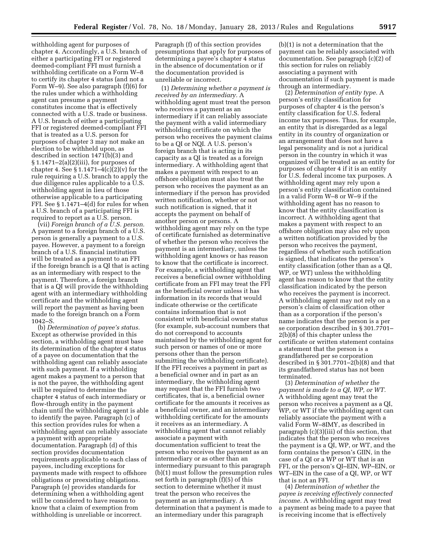withholding agent for purposes of chapter 4. Accordingly, a U.S. branch of either a participating FFI or registered deemed-compliant FFI must furnish a withholding certificate on a Form W–8 to certify its chapter 4 status (and not a Form W–9). See also paragraph (f)(6) for the rules under which a withholding agent can presume a payment constitutes income that is effectively connected with a U.S. trade or business. A U.S. branch of either a participating FFI or registered deemed-compliant FFI that is treated as a U.S. person for purposes of chapter 3 may not make an election to be withheld upon, as described in section 1471(b)(3) and § 1.1471–2(a)(2)(iii), for purposes of chapter 4. See  $\S 1.1471 - 4(c)(2)(v)$  for the rule requiring a U.S. branch to apply the due diligence rules applicable to a U.S. withholding agent in lieu of those otherwise applicable to a participating FFI. See § 1.1471–4(d) for rules for when a U.S. branch of a participating FFI is required to report as a U.S. person.

(vii) *Foreign branch of a U.S. person.*  A payment to a foreign branch of a U.S. person is generally a payment to a U.S. payee. However, a payment to a foreign branch of a U.S. financial institution will be treated as a payment to an FFI if the foreign branch is a QI that is acting as an intermediary with respect to the payment. Therefore, a foreign branch that is a QI will provide the withholding agent with an intermediary withholding certificate and the withholding agent will report the payment as having been made to the foreign branch on a Form 1042–S.

(b) *Determination of payee's status.*  Except as otherwise provided in this section, a withholding agent must base its determination of the chapter 4 status of a payee on documentation that the withholding agent can reliably associate with such payment. If a withholding agent makes a payment to a person that is not the payee, the withholding agent will be required to determine the chapter 4 status of each intermediary or flow-through entity in the payment chain until the withholding agent is able to identify the payee. Paragraph (c) of this section provides rules for when a withholding agent can reliably associate a payment with appropriate documentation. Paragraph (d) of this section provides documentation requirements applicable to each class of payees, including exceptions for payments made with respect to offshore obligations or preexisting obligations. Paragraph (e) provides standards for determining when a withholding agent will be considered to have reason to know that a claim of exemption from withholding is unreliable or incorrect.

Paragraph (f) of this section provides presumptions that apply for purposes of determining a payee's chapter 4 status in the absence of documentation or if the documentation provided is unreliable or incorrect.

(1) *Determining whether a payment is received by an intermediary.* A withholding agent must treat the person who receives a payment as an intermediary if it can reliably associate the payment with a valid intermediary withholding certificate on which the person who receives the payment claims to be a QI or NQI. A U.S. person's foreign branch that is acting in its capacity as a QI is treated as a foreign intermediary. A withholding agent that makes a payment with respect to an offshore obligation must also treat the person who receives the payment as an intermediary if the person has provided written notification, whether or not such notification is signed, that it accepts the payment on behalf of another person or persons. A withholding agent may rely on the type of certificate furnished as determinative of whether the person who receives the payment is an intermediary, unless the withholding agent knows or has reason to know that the certificate is incorrect. For example, a withholding agent that receives a beneficial owner withholding certificate from an FFI may treat the FFI as the beneficial owner unless it has information in its records that would indicate otherwise or the certificate contains information that is not consistent with beneficial owner status (for example, sub-account numbers that do not correspond to accounts maintained by the withholding agent for such person or names of one or more persons other than the person submitting the withholding certificate). If the FFI receives a payment in part as a beneficial owner and in part as an intermediary, the withholding agent may request that the FFI furnish two certificates, that is, a beneficial owner certificate for the amounts it receives as a beneficial owner, and an intermediary withholding certificate for the amounts it receives as an intermediary. A withholding agent that cannot reliably associate a payment with documentation sufficient to treat the person who receives the payment as an intermediary or as other than an intermediary pursuant to this paragraph (b)(1) must follow the presumption rules set forth in paragraph (f)(5) of this section to determine whether it must treat the person who receives the payment as an intermediary. A determination that a payment is made to an intermediary under this paragraph

(b)(1) is not a determination that the payment can be reliably associated with documentation. See paragraph (c)(2) of this section for rules on reliably associating a payment with documentation if such payment is made through an intermediary.

(2) *Determination of entity type.* A person's entity classification for purposes of chapter 4 is the person's entity classification for U.S. federal income tax purposes. Thus, for example, an entity that is disregarded as a legal entity in its country of organization or an arrangement that does not have a legal personality and is not a juridical person in the country in which it was organized will be treated as an entity for purposes of chapter 4 if it is an entity for U.S. federal income tax purposes. A withholding agent may rely upon a person's entity classification contained in a valid Form W–8 or W–9 if the withholding agent has no reason to know that the entity classification is incorrect. A withholding agent that makes a payment with respect to an offshore obligation may also rely upon a written notification provided by the person who receives the payment, regardless of whether such notification is signed, that indicates the person's entity classification (other than as a QI, WP, or WT) unless the withholding agent has reason to know that the entity classification indicated by the person who receives the payment is incorrect. A withholding agent may not rely on a person's claim of classification other than as a corporation if the person's name indicates that the person is a per se corporation described in § 301.7701– 2(b)(8) of this chapter unless the certificate or written statement contains a statement that the person is a grandfathered per se corporation described in § 301.7701–2(b)(8) and that its grandfathered status has not been terminated.

(3) *Determination of whether the payment is made to a QI, WP, or WT.*  A withholding agent may treat the person who receives a payment as a QI, WP, or WT if the withholding agent can reliably associate the payment with a valid Form W–8IMY, as described in paragraph (c)(3)(iii) of this section, that indicates that the person who receives the payment is a QI, WP, or WT, and the form contains the person's GIIN, in the case of a QI or a WP or WT that is an FFI, or the person's QI–EIN, WP–EIN, or WT–EIN in the case of a QI, WP, or WT that is not an FFI.

(4) *Determination of whether the payee is receiving effectively connected income.* A withholding agent may treat a payment as being made to a payee that is receiving income that is effectively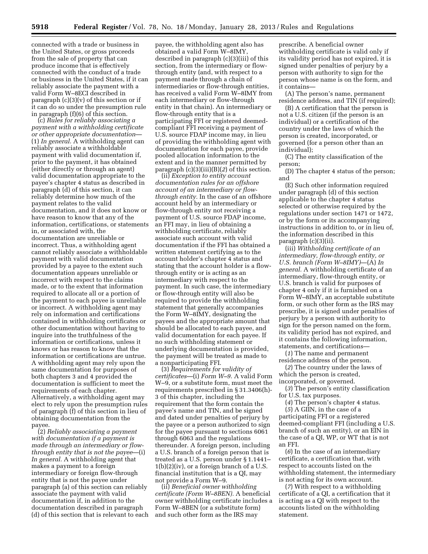connected with a trade or business in the United States, or gross proceeds from the sale of property that can produce income that is effectively connected with the conduct of a trade or business in the United States, if it can reliably associate the payment with a valid Form W–8ECI described in paragraph  $(c)(3)(v)$  of this section or if it can do so under the presumption rule in paragraph (f)(6) of this section.

(c) *Rules for reliably associating a payment with a withholding certificate or other appropriate documentation*— (1) *In general.* A withholding agent can reliably associate a withholdable payment with valid documentation if, prior to the payment, it has obtained (either directly or through an agent) valid documentation appropriate to the payee's chapter 4 status as described in paragraph (d) of this section, it can reliably determine how much of the payment relates to the valid documentation, and it does not know or have reason to know that any of the information, certifications, or statements in, or associated with, the documentation are unreliable or incorrect. Thus, a withholding agent cannot reliably associate a withholdable payment with valid documentation provided by a payee to the extent such documentation appears unreliable or incorrect with respect to the claims made, or to the extent that information required to allocate all or a portion of the payment to each payee is unreliable or incorrect. A withholding agent may rely on information and certifications contained in withholding certificates or other documentation without having to inquire into the truthfulness of the information or certifications, unless it knows or has reason to know that the information or certifications are untrue. A withholding agent may rely upon the same documentation for purposes of both chapters 3 and 4 provided the documentation is sufficient to meet the requirements of each chapter. Alternatively, a withholding agent may elect to rely upon the presumption rules of paragraph (f) of this section in lieu of obtaining documentation from the payee.

(2) *Reliably associating a payment with documentation if a payment is made through an intermediary or flowthrough entity that is not the payee*—(i) *In general.* A withholding agent that makes a payment to a foreign intermediary or foreign flow-through entity that is not the payee under paragraph (a) of this section can reliably associate the payment with valid documentation if, in addition to the documentation described in paragraph (d) of this section that is relevant to each

payee, the withholding agent also has obtained a valid Form W–8IMY, described in paragraph (c)(3)(iii) of this section, from the intermediary or flowthrough entity (and, with respect to a payment made through a chain of intermediaries or flow-through entities, has received a valid Form W–8IMY from each intermediary or flow-through entity in that chain). An intermediary or flow-through entity that is a participating FFI or registered deemedcompliant FFI receiving a payment of U.S. source FDAP income may, in lieu of providing the withholding agent with documentation for each payee, provide pooled allocation information to the extent and in the manner permitted by paragraph (c)(3)(iii)(B)(*2*) of this section.

(ii) *Exception to entity account documentation rules for an offshore account of an intermediary or flowthrough entity.* In the case of an offshore account held by an intermediary or flow-through entity not receiving a payment of U.S. source FDAP income, an FFI may, in lieu of obtaining a withholding certificate, reliably associate such account with valid documentation if the FFI has obtained a written statement certifying as to the account holder's chapter 4 status and stating that the account holder is a flowthrough entity or is acting as an intermediary with respect to the payment. In such case, the intermediary or flow-through entity will also be required to provide the withholding statement that generally accompanies the Form W–8IMY, designating the payees and the appropriate amount that should be allocated to each payee, and valid documentation for each payee. If no such withholding statement or underlying documentation is provided, the payment will be treated as made to a nonparticipating FFI.

(3) *Requirements for validity of certificates*—(i) *Form W–9.* A valid Form W–9, or a substitute form, must meet the requirements prescribed in § 31.3406(h)- 3 of this chapter, including the requirement that the form contain the payee's name and TIN, and be signed and dated under penalties of perjury by the payee or a person authorized to sign for the payee pursuant to sections 6061 through 6063 and the regulations thereunder. A foreign person, including a U.S. branch of a foreign person that is treated as a U.S. person under § 1.1441– 1(b)(2)(iv), or a foreign branch of a U.S. financial institution that is a QI, may not provide a Form W–9.

(ii) *Beneficial owner withholding certificate (Form W–8BEN).* A beneficial owner withholding certificate includes a Form W–8BEN (or a substitute form) and such other form as the IRS may

prescribe. A beneficial owner withholding certificate is valid only if its validity period has not expired, it is signed under penalties of perjury by a person with authority to sign for the person whose name is on the form, and it contains—

(A) The person's name, permanent residence address, and TIN (if required);

(B) A certification that the person is not a U.S. citizen (if the person is an individual) or a certification of the country under the laws of which the person is created, incorporated, or governed (for a person other than an individual);

(C) The entity classification of the person;

(D) The chapter 4 status of the person; and

(E) Such other information required under paragraph (d) of this section applicable to the chapter 4 status selected or otherwise required by the regulations under section 1471 or 1472, or by the form or its accompanying instructions in addition to, or in lieu of, the information described in this paragraph (c)(3)(ii).

(iii) *Withholding certificate of an intermediary, flow-through entity, or U.S. branch (Form W–8IMY)*—(A) *In general.* A withholding certificate of an intermediary, flow-through entity, or U.S. branch is valid for purposes of chapter 4 only if it is furnished on a Form W–8IMY, an acceptable substitute form, or such other form as the IRS may prescribe, it is signed under penalties of perjury by a person with authority to sign for the person named on the form, its validity period has not expired, and it contains the following information, statements, and certifications—

(*1*) The name and permanent residence address of the person.

(*2*) The country under the laws of which the person is created, incorporated, or governed.

(*3*) The person's entity classification for U.S. tax purposes.

(*4*) The person's chapter 4 status.

(*5*) A GIIN, in the case of a participating FFI or a registered deemed-compliant FFI (including a U.S. branch of such an entity), or an EIN in the case of a QI, WP, or WT that is not an FFI.

(*6*) In the case of an intermediary certificate, a certification that, with respect to accounts listed on the withholding statement, the intermediary is not acting for its own account.

(*7*) With respect to a withholding certificate of a QI, a certification that it is acting as a QI with respect to the accounts listed on the withholding statement.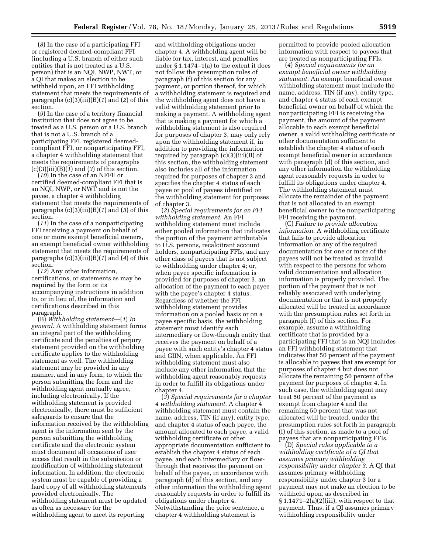(*8*) In the case of a participating FFI or registered deemed-compliant FFI (including a U.S. branch of either such entities that is not treated as a U.S. person) that is an NQI, NWP, NWT, or a QI that makes an election to be withheld upon, an FFI withholding statement that meets the requirements of paragraphs (c)(3)(iii)(B)(*1*) and (*2*) of this section.

(*9*) In the case of a territory financial institution that does not agree to be treated as a U.S. person or a U.S. branch that is not a U.S. branch of a participating FFI, registered deemedcompliant FFI, or nonparticipating FFI, a chapter 4 withholding statement that meets the requirements of paragraphs (c)(3)(iii)(B)(*1*) and (*3*) of this section.

(*10*) In the case of an NFFE or certified deemed-compliant FFI that is an NQI, NWP, or NWT and is not the payee, a chapter 4 withholding statement that meets the requirements of paragraphs (c)(3)(iii)(B)(*1*) and (*3*) of this section.

(*11*) In the case of a nonparticipating FFI receiving a payment on behalf of one or more exempt beneficial owners, an exempt beneficial owner withholding statement that meets the requirements of paragraphs (c)(3)(iii)(B)(*1*) and (*4*) of this section.

(*12*) Any other information, certifications, or statements as may be required by the form or its accompanying instructions in addition to, or in lieu of, the information and certifications described in this paragraph.

(B) *Withholding statement*—(*1*) *In general.* A withholding statement forms an integral part of the withholding certificate and the penalties of perjury statement provided on the withholding certificate applies to the withholding statement as well. The withholding statement may be provided in any manner, and in any form, to which the person submitting the form and the withholding agent mutually agree, including electronically. If the withholding statement is provided electronically, there must be sufficient safeguards to ensure that the information received by the withholding agent is the information sent by the person submitting the withholding certificate and the electronic system must document all occasions of user access that result in the submission or modification of withholding statement information. In addition, the electronic system must be capable of providing a hard copy of all withholding statements provided electronically. The withholding statement must be updated as often as necessary for the withholding agent to meet its reporting

and withholding obligations under chapter 4. A withholding agent will be liable for tax, interest, and penalties under § 1.1474–1(a) to the extent it does not follow the presumption rules of paragraph (f) of this section for any payment, or portion thereof, for which a withholding statement is required and the withholding agent does not have a valid withholding statement prior to making a payment. A withholding agent that is making a payment for which a withholding statement is also required for purposes of chapter 3, may only rely upon the withholding statement if, in addition to providing the information required by paragraph (c)(3)(iii)(B) of this section, the withholding statement also includes all of the information required for purposes of chapter 3 and specifies the chapter 4 status of each payee or pool of payees identified on the withholding statement for purposes of chapter 3.

(*2*) *Special requirements for an FFI withholding statement.* An FFI withholding statement must include either pooled information that indicates the portion of the payment attributable to U.S. persons, recalcitrant account holders, nonparticipating FFIs, and any other class of payees that is not subject to withholding under chapter 4; or, when payee specific information is provided for purposes of chapter 3, an allocation of the payment to each payee with the payee's chapter 4 status. Regardless of whether the FFI withholding statement provides information on a pooled basis or on a payee specific basis, the withholding statement must identify each intermediary or flow-through entity that receives the payment on behalf of a payee with such entity's chapter 4 status and GIIN, when applicable. An FFI withholding statement must also include any other information that the withholding agent reasonably requests in order to fulfill its obligations under chapter 4.

(*3*) *Special requirements for a chapter 4 withholding statement.* A chapter 4 withholding statement must contain the name, address, TIN (if any), entity type, and chapter 4 status of each payee, the amount allocated to each payee, a valid withholding certificate or other appropriate documentation sufficient to establish the chapter 4 status of each payee, and each intermediary or flowthrough that receives the payment on behalf of the payee, in accordance with paragraph (d) of this section, and any other information the withholding agent reasonably requests in order to fulfill its obligations under chapter 4. Notwithstanding the prior sentence, a chapter 4 withholding statement is

permitted to provide pooled allocation information with respect to payees that are treated as nonparticipating FFIs.

(*4*) *Special requirements for an exempt beneficial owner withholding statement.* An exempt beneficial owner withholding statement must include the name, address, TIN (if any), entity type, and chapter 4 status of each exempt beneficial owner on behalf of which the nonparticipating FFI is receiving the payment, the amount of the payment allocable to each exempt beneficial owner, a valid withholding certificate or other documentation sufficient to establish the chapter 4 status of each exempt beneficial owner in accordance with paragraph (d) of this section, and any other information the withholding agent reasonably requests in order to fulfill its obligations under chapter 4. The withholding statement must allocate the remainder of the payment that is not allocated to an exempt beneficial owner to the nonparticipating FFI receiving the payment.

(C) *Failure to provide allocation information.* A withholding certificate that fails to provide allocation information or any of the required documentation for one or more of the payees will not be treated as invalid with respect to the persons for whom valid documentation and allocation information is properly provided. The portion of the payment that is not reliably associated with underlying documentation or that is not properly allocated will be treated in accordance with the presumption rules set forth in paragraph (f) of this section. For example, assume a withholding certificate that is provided by a participating FFI that is an NQI includes an FFI withholding statement that indicates that 50 percent of the payment is allocable to payees that are exempt for purposes of chapter 4 but does not allocate the remaining 50 percent of the payment for purposes of chapter 4. In such case, the withholding agent may treat 50 percent of the payment as exempt from chapter 4 and the remaining 50 percent that was not allocated will be treated, under the presumption rules set forth in paragraph (f) of this section, as made to a pool of payees that are nonparticipating FFIs.

(D) *Special rules applicable to a withholding certificate of a QI that assumes primary withholding responsibility under chapter 3.* A QI that assumes primary withholding responsibility under chapter 3 for a payment may not make an election to be withheld upon, as described in § 1.1471–2 $\bar{a}$ (2)(iii), with respect to that payment. Thus, if a QI assumes primary withholding responsibility under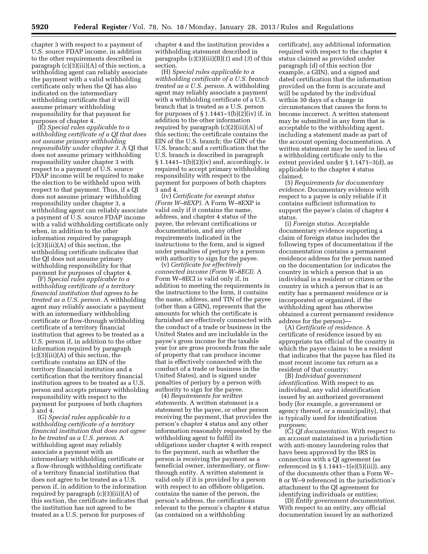chapter 3 with respect to a payment of U.S. source FDAP income, in addition to the other requirements described in paragraph (c)(3)(iii)(A) of this section, a withholding agent can reliably associate the payment with a valid withholding certificate only when the QI has also indicated on the intermediary withholding certificate that it will assume primary withholding responsibility for that payment for purposes of chapter 4.

(E) *Special rules applicable to a withholding certificate of a QI that does not assume primary withholding responsibility under chapter 3.* A QI that does not assume primary withholding responsibility under chapter 3 with respect to a payment of U.S. source FDAP income will be required to make the election to be withheld upon with respect to that payment. Thus, if a QI does not assume primary withholding responsibility under chapter 3, a withholding agent can reliably associate a payment of U.S. source FDAP income with a valid withholding certificate only when, in addition to the other information required by paragraph  $(c)(3)(iii)(A)$  of this section, the withholding certificate indicates that the QI does not assume primary withholding responsibility for that payment for purposes of chapter 4.

(F) *Special rules applicable to a withholding certificate of a territory financial institution that agrees to be treated as a U.S. person.* A withholding agent may reliably associate a payment with an intermediary withholding certificate or flow-through withholding certificate of a territory financial institution that agrees to be treated as a U.S. person if, in addition to the other information required by paragraph  $(c)(3)(iii)(A)$  of this section, the certificate contains an EIN of the territory financial institution and a certification that the territory financial institution agrees to be treated as a U.S. person and accepts primary withholding responsibility with respect to the payment for purposes of both chapters 3 and 4.

(G) *Special rules applicable to a withholding certificate of a territory financial institution that does not agree to be treated as a U.S. person.* A withholding agent may reliably associate a payment with an intermediary withholding certificate or a flow-through withholding certificate of a territory financial institution that does not agree to be treated as a U.S. person if, in addition to the information required by paragraph (c)(3)(iii)(A) of this section, the certificate indicates that the institution has not agreed to be treated as a U.S. person for purposes of

chapter 4 and the institution provides a withholding statement described in paragraphs (c)(3)(iii)(B)(*1*) and (*3*) of this section.

(H) *Special rules applicable to a withholding certificate of a U.S. branch treated as a U.S. person.* A withholding agent may reliably associate a payment with a withholding certificate of a U.S. branch that is treated as a U.S. person for purposes of  $\S 1.1441-1(b)(2)(iv)$  if, in addition to the other information required by paragraph  $(c)(2)(iii)(A)$  of this section; the certificate contains the EIN of the U.S. branch; the GIIN of the U.S. branch; and a certification that the U.S. branch is described in paragraph  $§ 1.1441-1(b)(2)(iv)$  and, accordingly, is required to accept primary withholding responsibility with respect to the payment for purposes of both chapters 3 and 4.

(iv) *Certificate for exempt status (Form W–8EXP).* A Form W–8EXP is valid only if it contains the name, address, and chapter 4 status of the payee, the relevant certifications or documentation, and any other requirements indicated in the instructions to the form, and is signed under penalties of perjury by a person with authority to sign for the payee.

(v) *Certificate for effectively connected income (Form W–8ECI).* A Form W–8ECI is valid only if, in addition to meeting the requirements in the instructions to the form, it contains the name, address, and TIN of the payee (other than a GIIN), represents that the amounts for which the certificate is furnished are effectively connected with the conduct of a trade or business in the United States and are includable in the payee's gross income for the taxable year (or are gross proceeds from the sale of property that can produce income that is effectively connected with the conduct of a trade or business in the United States), and is signed under penalties of perjury by a person with authority to sign for the payee.

(4) *Requirements for written statements.* A written statement is a statement by the payee, or other person receiving the payment, that provides the person's chapter 4 status and any other information reasonably requested by the withholding agent to fulfill its obligations under chapter 4 with respect to the payment, such as whether the person is receiving the payment as a beneficial owner, intermediary, or flowthrough entity. A written statement is valid only if it is provided by a person with respect to an offshore obligation, contains the name of the person, the person's address, the certifications relevant to the person's chapter 4 status (as contained on a withholding

certificate), any additional information required with respect to the chapter 4 status claimed as provided under paragraph (d) of this section (for example, a GIIN), and a signed and dated certification that the information provided on the form is accurate and will be updated by the individual within 30 days of a change in circumstances that causes the form to become incorrect. A written statement may be submitted in any form that is acceptable to the withholding agent, including a statement made as part of the account opening documentation. A written statement may be used in lieu of a withholding certificate only to the extent provided under § 1.1471–3(d), as applicable to the chapter 4 status claimed.

(5) *Requirements for documentary evidence.* Documentary evidence with respect to a payee is only reliable if it contains sufficient information to support the payee's claim of chapter 4 status.

(i) *Foreign status.* Acceptable documentary evidence supporting a claim of foreign status includes the following types of documentation if the documentation contains a permanent residence address for the person named on the documentation (or indicates the country in which a person that is an individual is a resident or citizen or the country in which a person that is an entity has a permanent residence or is incorporated or organized, if the withholding agent has otherwise obtained a current permanent residence address for the person)—

(A) *Certificate of residence.* A certificate of residence issued by an appropriate tax official of the country in which the payee claims to be a resident that indicates that the payee has filed its most recent income tax return as a resident of that country;

(B) *Individual government identification.* With respect to an individual, any valid identification issued by an authorized government body (for example, a government or agency thereof, or a municipality), that is typically used for identification purposes;

(C) *QI documentation.* With respect to an account maintained in a jurisdiction with anti-money laundering rules that have been approved by the IRS in connection with a QI agreement (as referenced in  $\S 1.1441-1(e)(5)(iii)$ , any of the documents other than a Form W– 8 or W–9 referenced in the jurisdiction's attachment to the QI agreement for identifying individuals or entities;

(D) *Entity government documentation.*  With respect to an entity, any official documentation issued by an authorized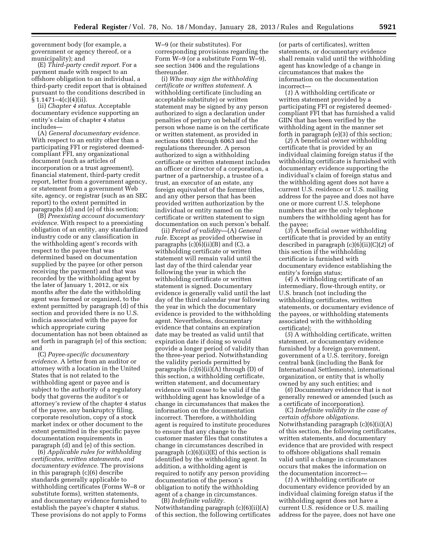government body (for example, a government or agency thereof, or a municipality); and

(E) *Third-party credit report.* For a payment made with respect to an offshore obligation to an individual, a third-party credit report that is obtained pursuant to the conditions described in  $§ 1.1471 - 4(c)(4)(ii).$ 

(ii) *Chapter 4 status.* Acceptable documentary evidence supporting an entity's claim of chapter 4 status includes—

(A) *General documentary evidence.*  With respect to an entity other than a participating FFI or registered deemedcompliant FFI, any organizational document (such as articles of incorporation or a trust agreement), financial statement, third-party credit report, letter from a government agency, or statement from a government Web site, agency, or registrar (such as an SEC report) to the extent permitted in paragraphs (d) and (e) of this section;

(B) *Preexisting account documentary evidence.* With respect to a preexisting obligation of an entity, any standardized industry code or any classification in the withholding agent's records with respect to the payee that was determined based on documentation supplied by the payee (or other person receiving the payment) and that was recorded by the withholding agent by the later of January 1, 2012, or six months after the date the withholding agent was formed or organized, to the extent permitted by paragraph (d) of this section and provided there is no U.S. indicia associated with the payee for which appropriate curing documentation has not been obtained as set forth in paragraph (e) of this section; and

(C) *Payee-specific documentary evidence.* A letter from an auditor or attorney with a location in the United States that is not related to the withholding agent or payee and is subject to the authority of a regulatory body that governs the auditor's or attorney's review of the chapter 4 status of the payee, any bankruptcy filing, corporate resolution, copy of a stock market index or other document to the extent permitted in the specific payee documentation requirements in paragraph (d) and (e) of this section.

(6) *Applicable rules for withholding certificates, written statements, and documentary evidence.* The provisions in this paragraph (c)(6) describe standards generally applicable to withholding certificates (Forms W–8 or substitute forms), written statements, and documentary evidence furnished to establish the payee's chapter 4 status. These provisions do not apply to Forms W–9 (or their substitutes). For corresponding provisions regarding the Form W–9 (or a substitute Form W–9), see section 3406 and the regulations thereunder.

(i) *Who may sign the withholding certificate or written statement.* A withholding certificate (including an acceptable substitute) or written statement may be signed by any person authorized to sign a declaration under penalties of perjury on behalf of the person whose name is on the certificate or written statement, as provided in sections 6061 through 6063 and the regulations thereunder. A person authorized to sign a withholding certificate or written statement includes an officer or director of a corporation, a partner of a partnership, a trustee of a trust, an executor of an estate, any foreign equivalent of the former titles, and any other person that has been provided written authorization by the individual or entity named on the certificate or written statement to sign documentation on such person's behalf.

(ii) *Period of validity*—(A) *General rule.* Except as provided otherwise in paragraphs  $(c)(6)(ii)(B)$  and  $(C)$ , a withholding certificate or written statement will remain valid until the last day of the third calendar year following the year in which the withholding certificate or written statement is signed. Documentary evidence is generally valid until the last day of the third calendar year following the year in which the documentary evidence is provided to the withholding agent. Nevertheless, documentary evidence that contains an expiration date may be treated as valid until that expiration date if doing so would provide a longer period of validity than the three-year period. Notwithstanding the validity periods permitted by paragraphs  $(c)(6)(ii)(A)$  through  $(D)$  of this section, a withholding certificate, written statement, and documentary evidence will cease to be valid if the withholding agent has knowledge of a change in circumstances that makes the information on the documentation incorrect. Therefore, a withholding agent is required to institute procedures to ensure that any change to the customer master files that constitutes a change in circumstances described in paragraph (c)(6)(ii)(E) of this section is identified by the withholding agent. In addition, a withholding agent is required to notify any person providing documentation of the person's obligation to notify the withholding agent of a change in circumstances.

(B) *Indefinite validity.*  Notwithstanding paragraph (c)(6)(ii)(A) of this section, the following certificates

(or parts of certificates), written statements, or documentary evidence shall remain valid until the withholding agent has knowledge of a change in circumstances that makes the information on the documentation incorrect—

(*1*) A withholding certificate or written statement provided by a participating FFI or registered deemedcompliant FFI that has furnished a valid GIIN that has been verified by the withholding agent in the manner set forth in paragraph (e)(3) of this section;

(*2*) A beneficial owner withholding certificate that is provided by an individual claiming foreign status if the withholding certificate is furnished with documentary evidence supporting the individual's claim of foreign status and the withholding agent does not have a current U.S. residence or U.S. mailing address for the payee and does not have one or more current U.S. telephone numbers that are the only telephone numbers the withholding agent has for the payee;

(*3*) A beneficial owner withholding certificate that is provided by an entity described in paragraph (c)(6)(ii)(C)(*2*) of this section if the withholding certificate is furnished with documentary evidence establishing the entity's foreign status;

(*4*) A withholding certificate of an intermediary, flow-through entity, or U.S. branch (not including the withholding certificates, written statements, or documentary evidence of the payees, or withholding statements associated with the withholding certificate);

(*5*) A withholding certificate, written statement, or documentary evidence furnished by a foreign government, government of a U.S. territory, foreign central bank (including the Bank for International Settlements), international organization, or entity that is wholly owned by any such entities; and

(*6*) Documentary evidence that is not generally renewed or amended (such as a certificate of incorporation).

(C) *Indefinite validity in the case of certain offshore obligations.*  Notwithstanding paragraph  $(c)(6)(ii)(A)$ of this section, the following certificates, written statements, and documentary evidence that are provided with respect to offshore obligations shall remain valid until a change in circumstances occurs that makes the information on the documentation incorrect—

(*1*) A withholding certificate or documentary evidence provided by an individual claiming foreign status if the withholding agent does not have a current U.S. residence or U.S. mailing address for the payee, does not have one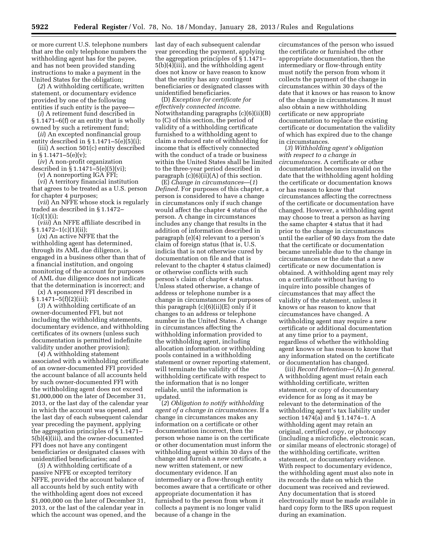or more current U.S. telephone numbers that are the only telephone numbers the withholding agent has for the payee, and has not been provided standing instructions to make a payment in the United States for the obligation;

(*2*) A withholding certificate, written statement, or documentary evidence provided by one of the following entities if such entity is the payee—

(*i*) A retirement fund described in § 1.1471–6(f) or an entity that is wholly owned by such a retirement fund;

(*ii*) An excepted nonfinancial group entity described in  $\S 1.1471 - 5(e)(5)(i);$ 

(iii) A section 501(c) entity described in  $§ 1.1471 - 5(e)(v)$ ;

(*iv*) A non-profit organization described in  $\overline{\S}$  1.1471–5(e)(5)(vi);

(*v*) A nonreporting IGA FFI;

(*vi*) A territory financial institution

that agrees to be treated as a U.S. person for chapter 4 purposes;

(*vii*) An NFFE whose stock is regularly traded as described in § 1.1472– 1(c)(1)(i);

(*viii*) An NFFE affiliate described in  $§ 1.1472-1(c)(1)(ii);$ 

(*ix*) An active NFFE that the withholding agent has determined, through its AML due diligence, is engaged in a business other than that of a financial institution, and ongoing monitoring of the account for purposes of AML due diligence does not indicate that the determination is incorrect; and

(*x*) A sponsored FFI described in  $§ 1.1471 - 5(f)(2)(iii);$ 

(*3*) A withholding certificate of an owner-documented FFI, but not including the withholding statements, documentary evidence, and withholding certificates of its owners (unless such documentation is permitted indefinite validity under another provision);

(*4*) A withholding statement associated with a withholding certificate of an owner-documented FFI provided the account balance of all accounts held by such owner-documented FFI with the withholding agent does not exceed \$1,000,000 on the later of December 31, 2013, or the last day of the calendar year in which the account was opened, and the last day of each subsequent calendar year preceding the payment, applying the aggregation principles of § 1.1471– 5(b)(4)(iii), and the owner-documented FFI does not have any contingent beneficiaries or designated classes with unidentified beneficiaries; and

(*5*) A withholding certificate of a passive NFFE or excepted territory NFFE, provided the account balance of all accounts held by such entity with the withholding agent does not exceed \$1,000,000 on the later of December 31, 2013, or the last of the calendar year in which the account was opened, and the last day of each subsequent calendar year preceding the payment, applying the aggregation principles of § 1.1471– 5(b)(4)(iii), and the withholding agent does not know or have reason to know that the entity has any contingent beneficiaries or designated classes with unidentified beneficiaries.

(D) *Exception for certificate for effectively connected income.*  Notwithstanding paragraphs (c)(6)(ii)(B) to (C) of this section, the period of validity of a withholding certificate furnished to a withholding agent to claim a reduced rate of withholding for income that is effectively connected with the conduct of a trade or business within the United States shall be limited to the three-year period described in paragraph  $(c)(6)(ii)(A)$  of this section.

(E) *Change in circumstances*—(*1*) *Defined.* For purposes of this chapter, a person is considered to have a change in circumstances only if such change would affect the chapter 4 status of the person. A change in circumstances includes any change that results in the addition of information described in paragraph (e)(4) relevant to a person's claim of foreign status (that is, U.S. indicia that is not otherwise cured by documentation on file and that is relevant to the chapter 4 status claimed) or otherwise conflicts with such person's claim of chapter 4 status. Unless stated otherwise, a change of address or telephone number is a change in circumstances for purposes of this paragraph  $(c)(6)(ii)(E)$  only if it changes to an address or telephone number in the United States. A change in circumstances affecting the withholding information provided to the withholding agent, including allocation information or withholding pools contained in a withholding statement or owner reporting statement, will terminate the validity of the withholding certificate with respect to the information that is no longer reliable, until the information is updated.

(*2*) *Obligation to notify withholding agent of a change in circumstances.* If a change in circumstances makes any information on a certificate or other documentation incorrect, then the person whose name is on the certificate or other documentation must inform the withholding agent within 30 days of the change and furnish a new certificate, a new written statement, or new documentary evidence. If an intermediary or a flow-through entity becomes aware that a certificate or other appropriate documentation it has furnished to the person from whom it collects a payment is no longer valid because of a change in the

circumstances of the person who issued the certificate or furnished the other appropriate documentation, then the intermediary or flow-through entity must notify the person from whom it collects the payment of the change in circumstances within 30 days of the date that it knows or has reason to know of the change in circumstances. It must also obtain a new withholding certificate or new appropriate documentation to replace the existing certificate or documentation the validity of which has expired due to the change in circumstances.

(*3*) *Withholding agent's obligation with respect to a change in circumstances.* A certificate or other documentation becomes invalid on the date that the withholding agent holding the certificate or documentation knows or has reason to know that circumstances affecting the correctness of the certificate or documentation have changed. However, a withholding agent may choose to treat a person as having the same chapter 4 status that it had prior to the change in circumstances until the earlier of 90 days from the date that the certificate or documentation became unreliable due to the change in circumstances or the date that a new certificate or new documentation is obtained. A withholding agent may rely on a certificate without having to inquire into possible changes of circumstances that may affect the validity of the statement, unless it knows or has reason to know that circumstances have changed. A withholding agent may require a new certificate or additional documentation at any time prior to a payment, regardless of whether the withholding agent knows or has reason to know that any information stated on the certificate or documentation has changed.

(iii) *Record Retention*—(A) *In general.*  A withholding agent must retain each withholding certificate, written statement, or copy of documentary evidence for as long as it may be relevant to the determination of the withholding agent's tax liability under section 1474(a) and § 1.1474–1. A withholding agent may retain an original, certified copy, or photocopy (including a microfiche, electronic scan, or similar means of electronic storage) of the withholding certificate, written statement, or documentary evidence. With respect to documentary evidence, the withholding agent must also note in its records the date on which the document was received and reviewed. Any documentation that is stored electronically must be made available in hard copy form to the IRS upon request during an examination.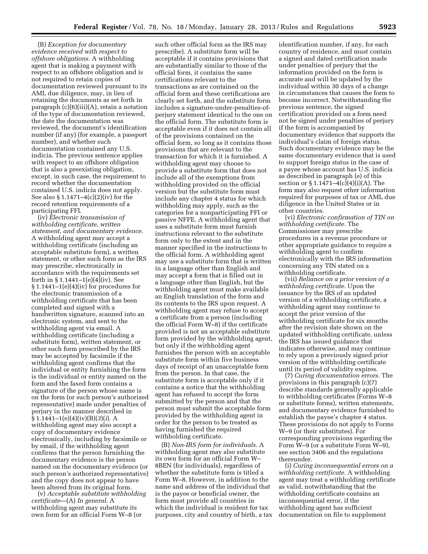(B) *Exception for documentary evidence received with respect to offshore obligations.* A withholding agent that is making a payment with respect to an offshore obligation and is not required to retain copies of documentation reviewed pursuant to its AML due diligence, may, in lieu of retaining the documents as set forth in paragraph (c)(6)(iii)(A), retain a notation of the type of documentation reviewed, the date the documentation was reviewed, the document's identification number (if any) (for example, a passport number), and whether such documentation contained any U.S. indicia. The previous sentence applies with respect to an offshore obligation that is also a preexisting obligation, except, in such case, the requirement to record whether the documentation contained U.S. indicia does not apply. See also § 1.1471–4(c)(2)(iv) for the record retention requirements of a participating FFI.

(iv) *Electronic transmission of withholding certificate, written statement, and documentary evidence.*  A withholding agent may accept a withholding certificate (including an acceptable substitute form), a written statement, or other such form as the IRS may prescribe, electronically in accordance with the requirements set forth in § 1.1441–1(e)(4)(iv). See  $§ 1.1441-1(e)(4)(iv)$  for procedures for the electronic transmission of a withholding certificate that has been completed and signed with a handwritten signature, scanned into an electronic system, and sent to the withholding agent via email. A withholding certificate (including a substitute form), written statement, or other such form prescribed by the IRS may be accepted by facsimile if the withholding agent confirms that the individual or entity furnishing the form is the individual or entity named on the form and the faxed form contains a signature of the person whose name is on the form (or such person's authorized representative) made under penalties of perjury in the manner described in § 1.1441–1(e)(4)(iv)(B)(*3*)(*i*). A withholding agent may also accept a copy of documentary evidence electronically, including by facsimile or by email, if the withholding agent confirms that the person furnishing the documentary evidence is the person named on the documentary evidence (or such person's authorized representative) and the copy does not appear to have been altered from its original form.

(v) *Acceptable substitute withholding certificate*—(A) *In general.* A withholding agent may substitute its own form for an official Form W–8 (or

such other official form as the IRS may prescribe). A substitute form will be acceptable if it contains provisions that are substantially similar to those of the official form, it contains the same certifications relevant to the transactions as are contained on the official form and these certifications are clearly set forth, and the substitute form includes a signature-under-penalties-ofperjury statement identical to the one on the official form. The substitute form is acceptable even if it does not contain all of the provisions contained on the official form, so long as it contains those provisions that are relevant to the transaction for which it is furnished. A withholding agent may choose to provide a substitute form that does not include all of the exemptions from withholding provided on the official version but the substitute form must include any chapter 4 status for which withholding may apply, such as the categories for a nonparticipating FFI or passive NFFE. A withholding agent that uses a substitute form must furnish instructions relevant to the substitute form only to the extent and in the manner specified in the instructions to the official form. A withholding agent may use a substitute form that is written in a language other than English and may accept a form that is filled out in a language other than English, but the withholding agent must make available an English translation of the form and its contents to the IRS upon request. A withholding agent may refuse to accept a certificate from a person (including the official Form W–8) if the certificate provided is not an acceptable substitute form provided by the withholding agent, but only if the withholding agent furnishes the person with an acceptable substitute form within five business days of receipt of an unacceptable form from the person. In that case, the substitute form is acceptable only if it contains a notice that the withholding agent has refused to accept the form submitted by the person and that the person must submit the acceptable form provided by the withholding agent in order for the person to be treated as having furnished the required withholding certificate.

(B) *Non-IRS form for individuals.* A withholding agent may also substitute its own form for an official Form W– 8BEN (for individuals), regardless of whether the substitute form is titled a Form W–8. However, in addition to the name and address of the individual that is the payee or beneficial owner, the form must provide all countries in which the individual is resident for tax purposes, city and country of birth, a tax

identification number, if any, for each country of residence, and must contain a signed and dated certification made under penalties of perjury that the information provided on the form is accurate and will be updated by the individual within 30 days of a change in circumstances that causes the form to become incorrect. Notwithstanding the previous sentence, the signed certification provided on a form need not be signed under penalties of perjury if the form is accompanied by documentary evidence that supports the individual's claim of foreign status. Such documentary evidence may be the same documentary evidence that is used to support foreign status in the case of a payee whose account has U.S. indicia as described in paragraph (e) of this section or § 1.1471–4(c)(4)(i)(A). The form may also request other information required for purposes of tax or AML due diligence in the United States or in other countries.

(vi) *Electronic confirmation of TIN on withholding certificate.* The Commissioner may prescribe procedures in a revenue procedure or other appropriate guidance to require a withholding agent to confirm electronically with the IRS information concerning any TIN stated on a withholding certificate.

(vii) *Reliance on a prior version of a withholding certificate.* Upon the issuance by the IRS of an updated version of a withholding certificate, a withholding agent may continue to accept the prior version of the withholding certificate for six months after the revision date shown on the updated withholding certificate, unless the IRS has issued guidance that indicates otherwise, and may continue to rely upon a previously signed prior version of the withholding certificate until its period of validity expires.

(7) *Curing documentation errors.* The provisions in this paragraph (c)(7) describe standards generally applicable to withholding certificates (Forms W–8 or substitute forms), written statements, and documentary evidence furnished to establish the payee's chapter 4 status. These provisions do not apply to Forms W–9 (or their substitutes). For corresponding provisions regarding the Form W–9 (or a substitute Form W–9), see section 3406 and the regulations thereunder.

(i) *Curing inconsequential errors on a withholding certificate.* A withholding agent may treat a withholding certificate as valid, notwithstanding that the withholding certificate contains an inconsequential error, if the withholding agent has sufficient documentation on file to supplement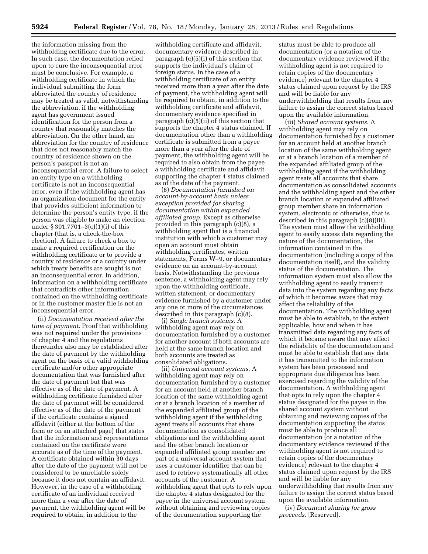the information missing from the withholding certificate due to the error. In such case, the documentation relied upon to cure the inconsequential error must be conclusive. For example, a withholding certificate in which the individual submitting the form abbreviated the country of residence may be treated as valid, notwithstanding the abbreviation, if the withholding agent has government issued identification for the person from a country that reasonably matches the abbreviation. On the other hand, an abbreviation for the country of residence that does not reasonably match the country of residence shown on the person's passport is not an inconsequential error. A failure to select an entity type on a withholding certificate is not an inconsequential error, even if the withholding agent has an organization document for the entity that provides sufficient information to determine the person's entity type, if the person was eligible to make an election under § 301.7701–3(c)(1)(i) of this chapter (that is, a check-the-box election). A failure to check a box to make a required certification on the withholding certificate or to provide a country of residence or a country under which treaty benefits are sought is not an inconsequential error. In addition, information on a withholding certificate that contradicts other information contained on the withholding certificate or in the customer master file is not an inconsequential error.

(ii) *Documentation received after the time of payment.* Proof that withholding was not required under the provisions of chapter 4 and the regulations thereunder also may be established after the date of payment by the withholding agent on the basis of a valid withholding certificate and/or other appropriate documentation that was furnished after the date of payment but that was effective as of the date of payment. A withholding certificate furnished after the date of payment will be considered effective as of the date of the payment if the certificate contains a signed affidavit (either at the bottom of the form or on an attached page) that states that the information and representations contained on the certificate were accurate as of the time of the payment. A certificate obtained within 30 days after the date of the payment will not be considered to be unreliable solely because it does not contain an affidavit. However, in the case of a withholding certificate of an individual received more than a year after the date of payment, the withholding agent will be required to obtain, in addition to the

withholding certificate and affidavit, documentary evidence described in paragraph (c)(5)(i) of this section that supports the individual's claim of foreign status. In the case of a withholding certificate of an entity received more than a year after the date of payment, the withholding agent will be required to obtain, in addition to the withholding certificate and affidavit, documentary evidence specified in paragraph (c)(5)(ii) of this section that supports the chapter 4 status claimed. If documentation other than a withholding certificate is submitted from a payee more than a year after the date of payment, the withholding agent will be required to also obtain from the payee a withholding certificate and affidavit supporting the chapter 4 status claimed as of the date of the payment.

(8) *Documentation furnished on account-by-account basis unless exception provided for sharing documentation within expanded affiliated group.* Except as otherwise provided in this paragraph (c)(8), a withholding agent that is a financial institution with which a customer may open an account must obtain withholding certificates, written statements, Forms W–9, or documentary evidence on an account-by-account basis. Notwithstanding the previous sentence, a withholding agent may rely upon the withholding certificate, written statement, or documentary evidence furnished by a customer under any one or more of the circumstances described in this paragraph (c)(8).

(i) *Single branch systems.* A withholding agent may rely on documentation furnished by a customer for another account if both accounts are held at the same branch location and both accounts are treated as consolidated obligations.

(ii) *Universal account systems.* A withholding agent may rely on documentation furnished by a customer for an account held at another branch location of the same withholding agent or at a branch location of a member of the expanded affiliated group of the withholding agent if the withholding agent treats all accounts that share documentation as consolidated obligations and the withholding agent and the other branch location or expanded affiliated group member are part of a universal account system that uses a customer identifier that can be used to retrieve systematically all other accounts of the customer. A withholding agent that opts to rely upon the chapter 4 status designated for the payee in the universal account system without obtaining and reviewing copies of the documentation supporting the

status must be able to produce all documentation (or a notation of the documentary evidence reviewed if the withholding agent is not required to retain copies of the documentary evidence) relevant to the chapter 4 status claimed upon request by the IRS and will be liable for any underwithholding that results from any failure to assign the correct status based upon the available information.

(iii) *Shared account systems.* A withholding agent may rely on documentation furnished by a customer for an account held at another branch location of the same withholding agent or at a branch location of a member of the expanded affiliated group of the withholding agent if the withholding agent treats all accounts that share documentation as consolidated accounts and the withholding agent and the other branch location or expanded affiliated group member share an information system, electronic or otherwise, that is described in this paragraph (c)(8)(iii). The system must allow the withholding agent to easily access data regarding the nature of the documentation, the information contained in the documentation (including a copy of the documentation itself), and the validity status of the documentation. The information system must also allow the withholding agent to easily transmit data into the system regarding any facts of which it becomes aware that may affect the reliability of the documentation. The withholding agent must be able to establish, to the extent applicable, how and when it has transmitted data regarding any facts of which it became aware that may affect the reliability of the documentation and must be able to establish that any data it has transmitted to the information system has been processed and appropriate due diligence has been exercised regarding the validity of the documentation. A withholding agent that opts to rely upon the chapter 4 status designated for the payee in the shared account system without obtaining and reviewing copies of the documentation supporting the status must be able to produce all documentation (or a notation of the documentary evidence reviewed if the withholding agent is not required to retain copies of the documentary evidence) relevant to the chapter 4 status claimed upon request by the IRS and will be liable for any underwithholding that results from any failure to assign the correct status based upon the available information.

(iv) *Document sharing for gross proceeds.* [Reserved].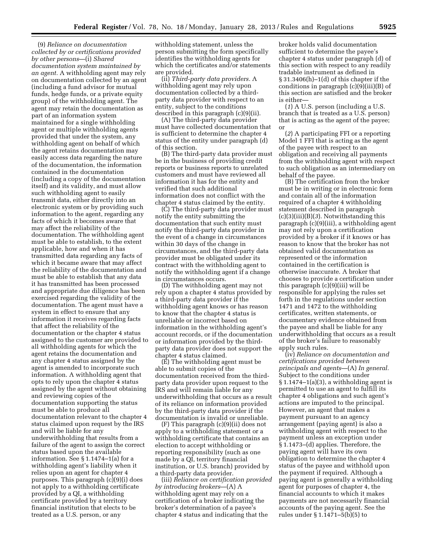(9) *Reliance on documentation collected by or certifications provided by other persons*—(i) *Shared documentation system maintained by an agent.* A withholding agent may rely on documentation collected by an agent (including a fund advisor for mutual funds, hedge funds, or a private equity group) of the withholding agent. The agent may retain the documentation as part of an information system maintained for a single withholding agent or multiple withholding agents provided that under the system, any withholding agent on behalf of which the agent retains documentation may easily access data regarding the nature of the documentation, the information contained in the documentation (including a copy of the documentation itself) and its validity, and must allow such withholding agent to easily transmit data, either directly into an electronic system or by providing such information to the agent, regarding any facts of which it becomes aware that may affect the reliability of the documentation. The withholding agent must be able to establish, to the extent applicable, how and when it has transmitted data regarding any facts of which it became aware that may affect the reliability of the documentation and must be able to establish that any data it has transmitted has been processed and appropriate due diligence has been exercised regarding the validity of the documentation. The agent must have a system in effect to ensure that any information it receives regarding facts that affect the reliability of the documentation or the chapter 4 status assigned to the customer are provided to all withholding agents for which the agent retains the documentation and any chapter 4 status assigned by the agent is amended to incorporate such information. A withholding agent that opts to rely upon the chapter 4 status assigned by the agent without obtaining and reviewing copies of the documentation supporting the status must be able to produce all documentation relevant to the chapter 4 status claimed upon request by the IRS and will be liable for any underwithholding that results from a failure of the agent to assign the correct status based upon the available information. See § 1.1474–1(a) for a withholding agent's liability when it relies upon an agent for chapter 4 purposes. This paragraph (c)(9)(i) does not apply to a withholding certificate provided by a QI, a withholding certificate provided by a territory financial institution that elects to be treated as a U.S. person, or any

withholding statement, unless the person submitting the form specifically identifies the withholding agents for which the certificates and/or statements are provided.

(ii) *Third-party data providers.* A withholding agent may rely upon documentation collected by a thirdparty data provider with respect to an entity, subject to the conditions described in this paragraph (c)(9)(ii).

(A) The third-party data provider must have collected documentation that is sufficient to determine the chapter 4 status of the entity under paragraph (d) of this section.

(B) The third-party data provider must be in the business of providing credit reports or business reports to unrelated customers and must have reviewed all information it has for the entity and verified that such additional information does not conflict with the chapter 4 status claimed by the entity.

(C) The third-party data provider must notify the entity submitting the documentation that such entity must notify the third-party data provider in the event of a change in circumstances within 30 days of the change in circumstances, and the third-party data provider must be obligated under its contract with the withholding agent to notify the withholding agent if a change in circumstances occurs.

(D) The withholding agent may not rely upon a chapter 4 status provided by a third-party data provider if the withholding agent knows or has reason to know that the chapter 4 status is unreliable or incorrect based on information in the withholding agent's account records, or if the documentation or information provided by the thirdparty data provider does not support the chapter 4 status claimed.

(E) The withholding agent must be able to submit copies of the documentation received from the thirdparty data provider upon request to the IRS and will remain liable for any underwithholding that occurs as a result of its reliance on information provided by the third-party data provider if the documentation is invalid or unreliable.

(F) This paragraph (c)(9)(ii) does not apply to a withholding statement or a withholding certificate that contains an election to accept withholding or reporting responsibility (such as one made by a QI, territory financial institution, or U.S. branch) provided by a third-party data provider.

(iii) *Reliance on certification provided by introducing brokers*—(A) A withholding agent may rely on a certification of a broker indicating the broker's determination of a payee's chapter 4 status and indicating that the

broker holds valid documentation sufficient to determine the payee's chapter 4 status under paragraph (d) of this section with respect to any readily tradable instrument as defined in § 31.3406(h)–1(d) of this chapter if the conditions in paragraph (c)(9)(iii)(B) of this section are satisfied and the broker is either—

(*1*) A U.S. person (including a U.S. branch that is treated as a U.S. person) that is acting as the agent of the payee; or

(*2*) A participating FFI or a reporting Model 1 FFI that is acting as the agent of the payee with respect to an obligation and receiving all payments from the withholding agent with respect to such obligation as an intermediary on behalf of the payee.

(B) The certification from the broker must be in writing or in electronic form and contain all of the information required of a chapter 4 withholding statement described in paragraph (c)(3)(iii)(B)(*3*). Notwithstanding this paragraph (c)(9)(iii), a withholding agent may not rely upon a certification provided by a broker if it knows or has reason to know that the broker has not obtained valid documentation as represented or the information contained in the certification is otherwise inaccurate. A broker that chooses to provide a certification under this paragraph (c)(9)(iii) will be responsible for applying the rules set forth in the regulations under section 1471 and 1472 to the withholding certificates, written statements, or documentary evidence obtained from the payee and shall be liable for any underwithholding that occurs as a result of the broker's failure to reasonably apply such rules.

(iv) *Reliance on documentation and certifications provided between principals and agents*—(A) *In general.*  Subject to the conditions under  $§ 1.1474-1(a)(3)$ , a withholding agent is permitted to use an agent to fulfill its chapter 4 obligations and such agent's actions are imputed to the principal. However, an agent that makes a payment pursuant to an agency arrangement (paying agent) is also a withholding agent with respect to the payment unless an exception under § 1.1473–(d) applies. Therefore, the paying agent will have its own obligation to determine the chapter 4 status of the payee and withhold upon the payment if required. Although a paying agent is generally a withholding agent for purposes of chapter 4, the financial accounts to which it makes payments are not necessarily financial accounts of the paying agent. See the rules under § 1.1471–5(b)(5) to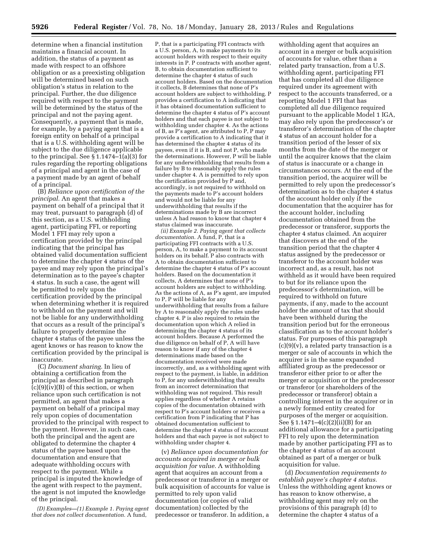determine when a financial institution maintains a financial account. In addition, the status of a payment as made with respect to an offshore obligation or as a preexisting obligation will be determined based on such obligation's status in relation to the principal. Further, the due diligence required with respect to the payment will be determined by the status of the principal and not the paying agent. Consequently, a payment that is made, for example, by a paying agent that is a foreign entity on behalf of a principal that is a U.S. withholding agent will be subject to the due diligence applicable to the principal. See  $\S 1.1474-1(a)(3)$  for rules regarding the reporting obligations of a principal and agent in the case of a payment made by an agent of behalf of a principal.

(B) *Reliance upon certification of the principal.* An agent that makes a payment on behalf of a principal that it may treat, pursuant to paragraph (d) of this section, as a U.S. withholding agent, participating FFI, or reporting Model 1 FFI may rely upon a certification provided by the principal indicating that the principal has obtained valid documentation sufficient to determine the chapter 4 status of the payee and may rely upon the principal's determination as to the payee's chapter 4 status. In such a case, the agent will be permitted to rely upon the certification provided by the principal when determining whether it is required to withhold on the payment and will not be liable for any underwithholding that occurs as a result of the principal's failure to properly determine the chapter 4 status of the payee unless the agent knows or has reason to know the certification provided by the principal is inaccurate.

(C) *Document sharing.* In lieu of obtaining a certification from the principal as described in paragraph  $(c)(9)(iv)(B)$  of this section, or when reliance upon such certification is not permitted, an agent that makes a payment on behalf of a principal may rely upon copies of documentation provided to the principal with respect to the payment. However, in such case, both the principal and the agent are obligated to determine the chapter 4 status of the payee based upon the documentation and ensure that adequate withholding occurs with respect to the payment. While a principal is imputed the knowledge of the agent with respect to the payment, the agent is not imputed the knowledge of the principal.

*(D) Examples—(1) Example 1. Paying agent that does not collect documentation.* A fund,

P, that is a participating FFI contracts with a U.S. person, A, to make payments to its account holders with respect to their equity interests in P. P contracts with another agent, B, to obtain documentation sufficient to determine the chapter 4 status of such account holders. Based on the documentation it collects, B determines that none of P's account holders are subject to withholding. P provides a certification to A indicating that it has obtained documentation sufficient to determine the chapter 4 status of P's account holders and that each payee is not subject to withholding under chapter 4. As the actions of B, as P's agent, are attributed to P, P may provide a certification to A indicating that it has determined the chapter 4 status of its payees, even if it is B, and not P, who made the determinations. However, P will be liable for any underwithholding that results from a failure by B to reasonably apply the rules under chapter 4. A is permitted to rely upon the certification provided by P and, accordingly, is not required to withhold on the payments made to P's account holders and would not be liable for any underwithholding that results if the determinations made by B are incorrect unless A had reason to know that chapter 4 status claimed was inaccurate.

*(ii) Example 2. Paying agent that collects documentation.* A fund, P, that is a participating FFI contracts with a U.S. person, A, to make a payment to its account holders on its behalf. P also contracts with A to obtain documentation sufficient to determine the chapter 4 status of P's account holders. Based on the documentation it collects, A determines that none of P's account holders are subject to withholding. As the actions of A, as P's agent, are imputed to P, P will be liable for any underwithholding that results from a failure by A to reasonably apply the rules under chapter 4. P is also required to retain the documentation upon which A relied in determining the chapter 4 status of its account holders. Because A performed the due diligence on behalf of P, A will have reason to know if any of the chapter 4 determinations made based on the documentation received were made incorrectly, and, as a withholding agent with respect to the payment, is liable, in addition to  $\overline{P}$ , for any underwithholding that results from an incorrect determination that withholding was not required. This result applies regardless of whether A retains copies of the documentation obtained with respect to P's account holders or receives a certification from P indicating that P has obtained documentation sufficient to determine the chapter 4 status of its account holders and that each payee is not subject to withholding under chapter 4.

(v) *Reliance upon documentation for accounts acquired in merger or bulk acquisition for value.* A withholding agent that acquires an account from a predecessor or transferor in a merger or bulk acquisition of accounts for value is permitted to rely upon valid documentation (or copies of valid documentation) collected by the predecessor or transferor. In addition, a

withholding agent that acquires an account in a merger or bulk acquisition of accounts for value, other than a related party transaction, from a U.S. withholding agent, participating FFI that has completed all due diligence required under its agreement with respect to the accounts transferred, or a reporting Model 1 FFI that has completed all due diligence required pursuant to the applicable Model 1 IGA, may also rely upon the predecessor's or transferor's determination of the chapter 4 status of an account holder for a transition period of the lesser of six months from the date of the merger or until the acquirer knows that the claim of status is inaccurate or a change in circumstances occurs. At the end of the transition period, the acquirer will be permitted to rely upon the predecessor's determination as to the chapter 4 status of the account holder only if the documentation that the acquirer has for the account holder, including documentation obtained from the predecessor or transferor, supports the chapter 4 status claimed. An acquirer that discovers at the end of the transition period that the chapter 4 status assigned by the predecessor or transferor to the account holder was incorrect and, as a result, has not withheld as it would have been required to but for its reliance upon the predecessor's determination, will be required to withhold on future payments, if any, made to the account holder the amount of tax that should have been withheld during the transition period but for the erroneous classification as to the account holder's status. For purposes of this paragraph  $(c)(9)(v)$ , a related party transaction is a merger or sale of accounts in which the acquirer is in the same expanded affiliated group as the predecessor or transferor either prior to or after the merger or acquisition or the predecessor or transferor (or shareholders of the predecessor or transferor) obtain a controlling interest in the acquirer or in a newly formed entity created for purposes of the merger or acquisition. See § 1.1471–4(c)(2)(ii)(B) for an additional allowance for a participating FFI to rely upon the determination made by another participating FFI as to the chapter 4 status of an account obtained as part of a merger or bulk acquisition for value.

(d) *Documentation requirements to establish payee's chapter 4 status.*  Unless the withholding agent knows or has reason to know otherwise, a withholding agent may rely on the provisions of this paragraph (d) to determine the chapter 4 status of a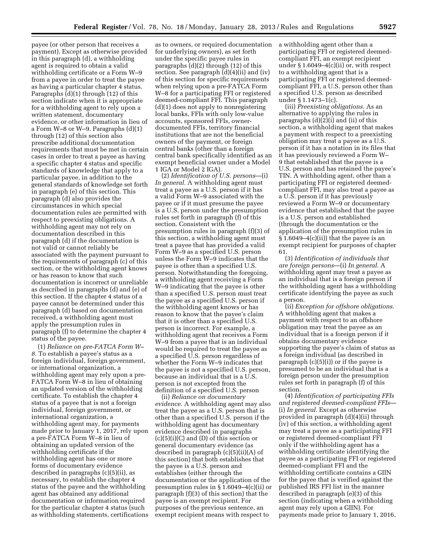payee (or other person that receives a payment). Except as otherwise provided in this paragraph (d), a withholding agent is required to obtain a valid withholding certificate or a Form W–9 from a payee in order to treat the payee as having a particular chapter 4 status. Paragraphs (d)(1) through (12) of this section indicate when it is appropriate for a withholding agent to rely upon a written statement, documentary evidence, or other information in lieu of a Form W–8 or W–9. Paragraphs (d)(1) through (12) of this section also prescribe additional documentation requirements that must be met in certain cases in order to treat a payee as having a specific chapter 4 status and specific standards of knowledge that apply to a particular payee, in addition to the general standards of knowledge set forth in paragraph (e) of this section. This paragraph (d) also provides the circumstances in which special documentation rules are permitted with respect to preexisting obligations. A withholding agent may not rely on documentation described in this paragraph (d) if the documentation is not valid or cannot reliably be associated with the payment pursuant to the requirements of paragraph (c) of this section, or the withholding agent knows or has reason to know that such documentation is incorrect or unreliable as described in paragraphs (d) and (e) of this section. If the chapter 4 status of a payee cannot be determined under this paragraph (d) based on documentation received, a withholding agent must apply the presumption rules in paragraph (f) to determine the chapter 4 status of the payee.

(1) *Reliance on pre-FATCA Form W– 8.* To establish a payee's status as a foreign individual, foreign government, or international organization, a withholding agent may rely upon a pre-FATCA Form W–8 in lieu of obtaining an updated version of the withholding certificate. To establish the chapter 4 status of a payee that is not a foreign individual, foreign government, or international organization, a withholding agent may, for payments made prior to January 1, 2017, rely upon a pre-FATCA Form W–8 in lieu of obtaining an updated version of the withholding certificate if the withholding agent has one or more forms of documentary evidence described in paragraphs (c)(5)(ii), as necessary, to establish the chapter 4 status of the payee and the withholding agent has obtained any additional documentation or information required for the particular chapter 4 status (such as withholding statements, certifications

as to owners, or required documentation for underlying owners), as set forth under the specific payee rules in paragraphs (d)(2) through (12) of this section. See paragraph (d)(4)(ii) and (iv) of this section for specific requirements when relying upon a pre-FATCA Form W–8 for a participating FFI or registered deemed-compliant FFI. This paragraph (d)(1) does not apply to nonregistering local banks, FFIs with only low-value accounts, sponsored FFIs, ownerdocumented FFIs, territory financial institutions that are not the beneficial owners of the payment, or foreign central banks (other than a foreign central bank specifically identified as an exempt beneficial owner under a Model 1 IGA or Model 2 IGA).

(2) *Identification of U.S. persons*—(i) *In general.* A withholding agent must treat a payee as a U.S. person if it has a valid Form W–9 associated with the payee or if it must presume the payee is a U.S. person under the presumption rules set forth in paragraph (f) of this section. Consistent with the presumption rules in paragraph (f)(3) of this section, a withholding agent must treat a payee that has provided a valid Form W–9 as a specified U.S. person unless the Form W–9 indicates that the payee is other than a specified U.S. person. Notwithstanding the foregoing, a withholding agent receiving a Form W–9 indicating that the payee is other than a specified U.S. person must treat the payee as a specified U.S. person if the withholding agent knows or has reason to know that the payee's claim that it is other than a specified U.S. person is incorrect. For example, a withholding agent that receives a Form W–9 from a payee that is an individual would be required to treat the payee as a specified U.S. person regardless of whether the Form W–9 indicates that the payee is not a specified U.S. person, because an individual that is a U.S. person is not excepted from the definition of a specified U.S. person

(ii) *Reliance on documentary evidence.* A withholding agent may also treat the payee as a U.S. person that is other than a specified U.S. person if the withholding agent has documentary evidence described in paragraphs  $(c)(5)(i)(C)$  and  $(D)$  of this section or general documentary evidence (as described in paragraph (c)(5)(ii)(A) of this section) that both establishes that the payee is a U.S. person and establishes (either through the documentation or the application of the presumption rules in § 1.6049–4(c)(ii) or paragraph (f)(3) of this section) that the payee is an exempt recipient. For purposes of the previous sentence, an exempt recipient means with respect to

a withholding agent other than a participating FFI or registered deemedcompliant FFI, an exempt recipient under § 1.6049–4(c)(ii) or, with respect to a withholding agent that is a participating FFI or registered deemedcompliant FFI, a U.S. person other than a specified U.S. person as described under § 1.1473–1(c).

(iii) *Preexisting obligations.* As an alternative to applying the rules in paragraphs  $(d)(2)(i)$  and (ii) of this section, a withholding agent that makes a payment with respect to a preexisting obligation may treat a payee as a U.S. person if it has a notation in its files that it has previously reviewed a Form W– 9 that established that the payee is a U.S. person and has retained the payee's TIN. A withholding agent, other than a participating FFI or registered deemedcompliant FFI, may also treat a payee as a U.S. person if it has previously reviewed a Form W–9 or documentary evidence that established that the payee is a U.S. person and established (through the documentation or the application of the presumption rules in  $§ 1.6049-4(c)(ii)$  that the payee is an exempt recipient for purposes of chapter 61.

(3) *Identification of individuals that are foreign persons*—(i) *In general.* A withholding agent may treat a payee as an individual that is a foreign person if the withholding agent has a withholding certificate identifying the payee as such a person.

(ii) *Exception for offshore obligations.*  A withholding agent that makes a payment with respect to an offshore obligation may treat the payee as an individual that is a foreign person if it obtains documentary evidence supporting the payee's claim of status as a foreign individual (as described in paragraph (c)(5)(i)) or if the payee is presumed to be an individual that is a foreign person under the presumption rules set forth in paragraph (f) of this section.

(4) *Identification of participating FFIs and registered deemed-compliant FFIs*— (i) *In general.* Except as otherwise provided in paragraph (d)(4)(ii) through (iv) of this section, a withholding agent may treat a payee as a participating FFI or registered deemed-compliant FFI only if the withholding agent has a withholding certificate identifying the payee as a participating FFI or registered deemed-compliant FFI and the withholding certificate contains a GIIN for the payee that is verified against the published IRS FFI list in the manner described in paragraph (e)(3) of this section (indicating when a withholding agent may rely upon a GIIN). For payments made prior to January 1, 2016,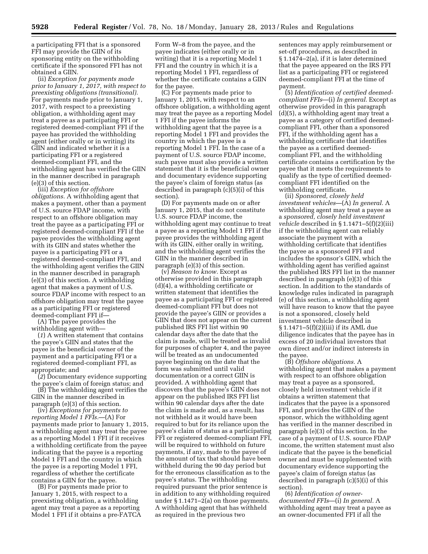a participating FFI that is a sponsored FFI may provide the GIIN of its sponsoring entity on the withholding certificate if the sponsored FFI has not obtained a GIIN.

(ii) *Exception for payments made prior to January 1, 2017, with respect to preexisting obligations (transitional).*  For payments made prior to January 1, 2017, with respect to a preexisting obligation, a withholding agent may treat a payee as a participating FFI or registered deemed-compliant FFI if the payee has provided the withholding agent (either orally or in writing) its GIIN and indicated whether it is a participating FFI or a registered deemed-compliant FFI, and the withholding agent has verified the GIIN in the manner described in paragraph (e)(3) of this section.

(iii) *Exception for offshore obligations.* A withholding agent that makes a payment, other than a payment of U.S. source FDAP income, with respect to an offshore obligation may treat the payee as a participating FFI or registered deemed-compliant FFI if the payee provides the withholding agent with its GIIN and states whether the payee is a participating FFI or a registered deemed-compliant FFI, and the withholding agent verifies the GIIN in the manner described in paragraph (e)(3) of this section. A withholding agent that makes a payment of U.S. source FDAP income with respect to an offshore obligation may treat the payee as a participating FFI or registered deemed-compliant FFI if—

(A) The payee provides the withholding agent with—

(*1*) A written statement that contains the payee's GIIN and states that the payee is the beneficial owner of the payment and a participating FFI or a registered deemed-compliant FFI, as appropriate; and

(*2*) Documentary evidence supporting the payee's claim of foreign status; and

(B) The withholding agent verifies the GIIN in the manner described in paragraph (e)(3) of this section.

(iv) *Exceptions for payments to reporting Model 1 FFIs.*—(A) For payments made prior to January 1, 2015, a withholding agent may treat the payee as a reporting Model 1 FFI if it receives a withholding certificate from the payee indicating that the payee is a reporting Model 1 FFI and the country in which the payee is a reporting Model 1 FFI, regardless of whether the certificate contains a GIIN for the payee.

(B) For payments made prior to January 1, 2015, with respect to a preexisting obligation, a withholding agent may treat a payee as a reporting Model 1 FFI if it obtains a pre-FATCA

Form W–8 from the payee, and the payee indicates (either orally or in writing) that it is a reporting Model 1 FFI and the country in which it is a reporting Model 1 FFI, regardless of whether the certificate contains a GIIN for the payee.

(C) For payments made prior to January 1, 2015, with respect to an offshore obligation, a withholding agent may treat the payee as a reporting Model 1 FFI if the payee informs the withholding agent that the payee is a reporting Model 1 FFI and provides the country in which the payee is a reporting Model 1 FFI. In the case of a payment of U.S. source FDAP income, such payee must also provide a written statement that it is the beneficial owner and documentary evidence supporting the payee's claim of foreign status (as described in paragraph (c)(5)(i) of this section).

(D) For payments made on or after January 1, 2015, that do not constitute U.S. source FDAP income, the withholding agent may continue to treat a payee as a reporting Model 1 FFI if the payee provides the withholding agent with its GIIN, either orally in writing, and the withholding agent verifies the GIIN in the manner described in paragraph (e)(3) of this section.

(v) *Reason to know.* Except as otherwise provided in this paragraph (d)(4), a withholding certificate or written statement that identifies the payee as a participating FFI or registered deemed-compliant FFI but does not provide the payee's GIIN or provides a GIIN that does not appear on the current published IRS FFI list within 90 calendar days after the date that the claim is made, will be treated as invalid for purposes of chapter 4, and the payee will be treated as an undocumented payee beginning on the date that the form was submitted until valid documentation or a correct GIIN is provided. A withholding agent that discovers that the payee's GIIN does not appear on the published IRS FFI list within 90 calendar days after the date the claim is made and, as a result, has not withheld as it would have been required to but for its reliance upon the payee's claim of status as a participating FFI or registered deemed-compliant FFI, will be required to withhold on future payments, if any, made to the payee of the amount of tax that should have been withheld during the 90 day period but for the erroneous classification as to the payee's status. The withholding required pursuant the prior sentence is in addition to any withholding required under § 1.1471–2(a) on those payments. A withholding agent that has withheld as required in the previous two

sentences may apply reimbursement or set-off procedures, as described in § 1.1474–2(a), if it is later determined that the payee appeared on the IRS FFI list as a participating FFI or registered deemed-compliant FFI at the time of payment.

(5) *Identification of certified deemedcompliant FFIs*—(i) *In general.* Except as otherwise provided in this paragraph (d)(5), a withholding agent may treat a payee as a category of certified deemedcompliant FFI, other than a sponsored FFI, if the withholding agent has a withholding certificate that identifies the payee as a certified deemedcompliant FFI, and the withholding certificate contains a certification by the payee that it meets the requirements to qualify as the type of certified deemedcompliant FFI identified on the withholding certificate.

(ii) *Sponsored, closely held investment vehicles*—(A) *In general.* A withholding agent may treat a payee as a *sponsored, closely held investment vehicle* described in § 1.1471–5(f)(2)(iii) if the withholding agent can reliably associate the payment with a withholding certificate that identifies the payee as a sponsored FFI and includes the sponsor's GIIN, which the withholding agent has verified against the published IRS FFI list in the manner described in paragraph (e)(3) of this section. In addition to the standards of knowledge rules indicated in paragraph (e) of this section, a withholding agent will have reason to know that the payee is not a sponsored, closely held investment vehicle described in § 1.1471–5(f)(2)(iii) if its AML due diligence indicates that the payee has in excess of 20 individual investors that own direct and/or indirect interests in the payee.

(B) *Offshore obligations.* A withholding agent that makes a payment with respect to an offshore obligation may treat a payee as a sponsored, closely held investment vehicle if it obtains a written statement that indicates that the payee is a sponsored FFI, and provides the GIIN of the sponsor, which the withholding agent has verified in the manner described in paragraph (e)(3) of this section. In the case of a payment of U.S. source FDAP income, the written statement must also indicate that the payee is the beneficial owner and must be supplemented with documentary evidence supporting the payee's claim of foreign status (as described in paragraph (c)(5)(i) of this section).

(6) *Identification of ownerdocumented FFIs*—(i) *In general.* A withholding agent may treat a payee as an owner-documented FFI if all the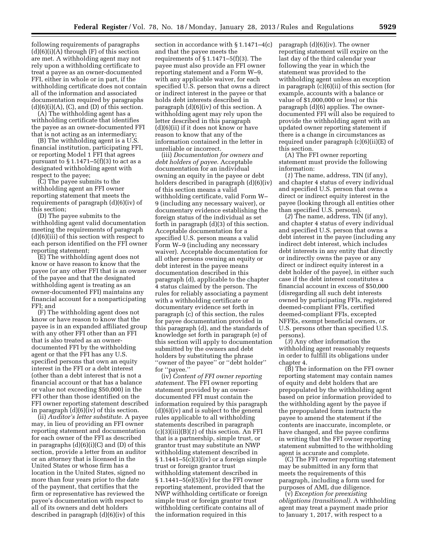following requirements of paragraphs  $(d)(6)(i)(A)$  through  $(F)$  of this section are met. A withholding agent may not rely upon a withholding certificate to treat a payee as an owner-documented FFI, either in whole or in part, if the withholding certificate does not contain all of the information and associated documentation required by paragraphs  $(d)(6)(i)(A)$ ,  $(C)$ , and  $(D)$  of this section.

(A) The withholding agent has a withholding certificate that identifies the payee as an owner-documented FFI that is not acting as an intermediary;

(B) The withholding agent is a U.S. financial institution, participating FFI, or reporting Model 1 FFI that agrees pursuant to  $\S 1.1471 - 5(f)(3)$  to act as a designated withholding agent with respect to the payee;

(C) The payee submits to the withholding agent an FFI owner reporting statement that meets the requirements of paragraph (d)(6)(iv) of this section;

(D) The payee submits to the withholding agent valid documentation meeting the requirements of paragraph (d)(6)(iii) of this section with respect to each person identified on the FFI owner reporting statement;

(E) The withholding agent does not know or have reason to know that the payee (or any other FFI that is an owner of the payee and that the designated withholding agent is treating as an owner-documented FFI) maintains any financial account for a nonparticipating FFI; and

(F) The withholding agent does not know or have reason to know that the payee is in an expanded affiliated group with any other FFI other than an FFI that is also treated as an ownerdocumented FFI by the withholding agent or that the FFI has any U.S. specified persons that own an equity interest in the FFI or a debt interest (other than a debt interest that is not a financial account or that has a balance or value not exceeding \$50,000) in the FFI other than those identified on the FFI owner reporting statement described in paragraph (d)(6)(iv) of this section.

(ii) *Auditor's letter substitute.* A payee may, in lieu of providing an FFI owner reporting statement and documentation for each owner of the FFI as described in paragraphs  $(d)(6)(i)(C)$  and  $(D)$  of this section, provide a letter from an auditor or an attorney that is licensed in the United States or whose firm has a location in the United States, signed no more than four years prior to the date of the payment, that certifies that the firm or representative has reviewed the payee's documentation with respect to all of its owners and debt holders described in paragraph (d)(6)(iv) of this

section in accordance with § 1.1471–4(c) and that the payee meets the requirements of  $\S 1.1471 - 5(f)(3)$ . The payee must also provide an FFI owner reporting statement and a Form W–9, with any applicable waiver, for each specified U.S. person that owns a direct or indirect interest in the payee or that holds debt interests described in paragraph (d)(6)(iv) of this section. A withholding agent may rely upon the letter described in this paragraph (d)(6)(ii) if it does not know or have reason to know that any of the information contained in the letter in unreliable or incorrect.

(iii) *Documentation for owners and debt holders of payee.* Acceptable documentation for an individual owning an equity in the payee or debt holders described in paragraph (d)(6)(iv) of this section means a valid withholding certificate, valid Form W– 9 (including any necessary waiver), or documentary evidence establishing the foreign status of the individual as set forth in paragraph (d)(3) of this section. Acceptable documentation for a specified U.S. person means a valid Form W–9 (including any necessary waiver). Acceptable documentation for all other persons owning an equity or debt interest in the payee means documentation described in this paragraph (d), applicable to the chapter 4 status claimed by the person. The rules for reliably associating a payment with a withholding certificate or documentary evidence set forth in paragraph (c) of this section, the rules for payee documentation provided in this paragraph (d), and the standards of knowledge set forth in paragraph (e) of this section will apply to documentation submitted by the owners and debt holders by substituting the phrase ''owner of the payee'' or ''debt holder'' for ''payee.''

(iv) *Content of FFI owner reporting statement.* The FFI owner reporting statement provided by an ownerdocumented FFI must contain the information required by this paragraph (d)(6)(iv) and is subject to the general rules applicable to all withholding statements described in paragraph (c)(3)(iii)(B)(*1*) of this section. An FFI that is a partnership, simple trust, or grantor trust may substitute an NWP withholding statement described in  $§ 1.1441 - 5(c)(3)(iv)$  or a foreign simple trust or foreign grantor trust withholding statement described in § 1.1441–5(e)(5)(iv) for the FFI owner reporting statement, provided that the NWP withholding certificate or foreign simple trust or foreign grantor trust withholding certificate contains all of the information required in this

paragraph (d)(6)(iv). The owner reporting statement will expire on the last day of the third calendar year following the year in which the statement was provided to the withholding agent unless an exception in paragraph (c)(6)(ii) of this section (for example, accounts with a balance or value of \$1,000,000 or less) or this paragraph (d)(6) applies. The ownerdocumented FFI will also be required to provide the withholding agent with an updated owner reporting statement if there is a change in circumstances as required under paragraph (c)(6)(ii)(E) of this section.

(A) The FFI owner reporting statement must provide the following information:

(*1*) The name, address, TIN (if any), and chapter 4 status of every individual and specified U.S. person that owns a direct or indirect equity interest in the payee (looking through all entities other than specified U.S. persons).

(*2*) The name, address, TIN (if any), and chapter 4 status of every individual and specified U.S. person that owns a debt interest in the payee (including any indirect debt interest, which includes debt interests in any entity that directly or indirectly owns the payee or any direct or indirect equity interest in a debt holder of the payee), in either such case if the debt interest constitutes a financial account in excess of \$50,000 (disregarding all such debt interests owned by participating FFIs, registered deemed-compliant FFIs, certified deemed-compliant FFIs, excepted NFFEs, exempt beneficial owners, or U.S. persons other than specified U.S. persons).

(*3*) Any other information the withholding agent reasonably requests in order to fulfill its obligations under chapter 4.

(B) The information on the FFI owner reporting statement may contain names of equity and debt holders that are prepopulated by the withholding agent based on prior information provided to the withholding agent by the payee if the prepopulated form instructs the payee to amend the statement if the contents are inaccurate, incomplete, or have changed, and the payee confirms in writing that the FFI owner reporting statement submitted to the withholding agent is accurate and complete.

(C) The FFI owner reporting statement may be submitted in any form that meets the requirements of this paragraph, including a form used for purposes of AML due diligence.

(v) *Exception for preexisting obligations (transitional).* A withholding agent may treat a payment made prior to January 1, 2017, with respect to a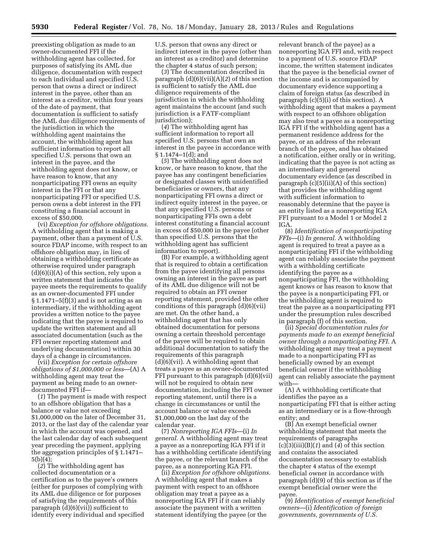preexisting obligation as made to an owner-documented FFI if the withholding agent has collected, for purposes of satisfying its AML due diligence, documentation with respect to each individual and specified U.S. person that owns a direct or indirect interest in the payee, other than an interest as a creditor, within four years of the date of payment, that documentation is sufficient to satisfy the AML due diligence requirements of the jurisdiction in which the withholding agent maintains the account, the withholding agent has sufficient information to report all specified U.S. persons that own an interest in the payee, and the withholding agent does not know, or have reason to know, that any nonparticipating FFI owns an equity interest in the FFI or that any nonparticipating FFI or specified U.S. person owns a debt interest in the FFI constituting a financial account in excess of \$50,000.

(vi) *Exception for offshore obligations.*  A withholding agent that is making a payment, other than a payment of U.S. source FDAP income, with respect to an offshore obligation may, in lieu of obtaining a withholding certificate as otherwise required under paragraph  $(d)(6)(i)(A)$  of this section, rely upon a written statement that indicates the payee meets the requirements to qualify as an owner-documented FFI under  $§ 1.1471-5(f)(3)$  and is not acting as an intermediary, if the withholding agent provides a written notice to the payee indicating that the payee is required to update the written statement and all associated documentation (such as the FFI owner reporting statement and underlying documentation) within 30 days of a change in circumstances.

(vii) *Exception for certain offshore obligations of \$1,000,000 or less*—(A) A withholding agent may treat the payment as being made to an ownerdocumented FFI if—

(*1*) The payment is made with respect to an offshore obligation that has a balance or value not exceeding \$1,000,000 on the later of December 31, 2013, or the last day of the calendar year in which the account was opened, and the last calendar day of each subsequent year preceding the payment, applying the aggregation principles of § 1.1471– 5(b)(4);

(*2*) The withholding agent has collected documentation or a certification as to the payee's owners (either for purposes of complying with its AML due diligence or for purposes of satisfying the requirements of this paragraph (d)(6)(vii)) sufficient to identify every individual and specified U.S. person that owns any direct or indirect interest in the payee (other than an interest as a creditor) and determine the chapter 4 status of such person;

(*3*) The documentation described in paragraph (d)(6)(vii)(A)(*2*) of this section is sufficient to satisfy the AML due diligence requirements of the jurisdiction in which the withholding agent maintains the account (and such jurisdiction is a FATF-compliant jurisdiction);

(*4*) The withholding agent has sufficient information to report all specified U.S. persons that own an interest in the payee in accordance with § 1.1474–1(d); and

(*5*) The withholding agent does not know, or have reason to know, that the payee has any contingent beneficiaries or designated classes with unidentified beneficiaries or owners, that any nonparticipating FFI owns a direct or indirect equity interest in the payee, or that any specified U.S. persons or nonparticipating FFIs own a debt interest constituting a financial account in excess of \$50,000 in the payee (other than specified U.S. persons that the withholding agent has sufficient information to report).

(B) For example, a withholding agent that is required to obtain a certification from the payee identifying all persons owning an interest in the payee as part of its AML due diligence will not be required to obtain an FFI owner reporting statement, provided the other conditions of this paragraph (d)(6)(vii) are met. On the other hand, a withholding agent that has only obtained documentation for persons owning a certain threshold percentage of the payee will be required to obtain additional documentation to satisfy the requirements of this paragraph  $(d)(6)(vii)$ . A withholding agent that treats a payee as an owner-documented FFI pursuant to this paragraph (d)(6)(vii) will not be required to obtain new documentation, including the FFI owner reporting statement, until there is a change in circumstances or until the account balance or value exceeds \$1,000,000 on the last day of the calendar year.

(7) *Nonreporting IGA FFIs*—(i) *In general.* A withholding agent may treat a payee as a nonreporting IGA FFI if it has a withholding certificate identifying the payee, or the relevant branch of the payee, as a nonreporting IGA FFI.

(ii) *Exception for offshore obligations.*  A withholding agent that makes a payment with respect to an offshore obligation may treat a payee as a nonreporting IGA FFI if it can reliably associate the payment with a written statement identifying the payee (or the

relevant branch of the payee) as a nonreporting IGA FFI and, with respect to a payment of U.S. source FDAP income, the written statement indicates that the payee is the beneficial owner of the income and is accompanied by documentary evidence supporting a claim of foreign status (as described in paragraph (c)(5)(i) of this section). A withholding agent that makes a payment with respect to an offshore obligation may also treat a payee as a nonreporting IGA FFI if the withholding agent has a permanent residence address for the payee, or an address of the relevant branch of the payee, and has obtained a notification, either orally or in writing, indicating that the payee is not acting as an intermediary and general documentary evidence (as described in paragraph  $(c)(5)(ii)(A)$  of this section) that provides the withholding agent with sufficient information to reasonably determine that the payee is an entity listed as a nonreporting IGA FFI pursuant to a Model 1 or Model 2 IGA.

(8) *Identification of nonparticipating FFIs*—(i) *In general.* A withholding agent is required to treat a payee as a nonparticipating FFI if the withholding agent can reliably associate the payment with a withholding certificate identifying the payee as a nonparticipating FFI, the withholding agent knows or has reason to know that the payee is a nonparticipating FFI, or the withholding agent is required to treat the payee as a nonparticipating FFI under the presumption rules described in paragraph (f) of this section.

(ii) *Special documentation rules for payments made to an exempt beneficial owner through a nonparticipating FFI.* A withholding agent may treat a payment made to a nonparticipating FFI as beneficially owned by an exempt beneficial owner if the withholding agent can reliably associate the payment with—

(A) A withholding certificate that identifies the payee as a nonparticipating FFI that is either acting as an intermediary or is a flow-through entity; and

(B) An exempt beneficial owner withholding statement that meets the requirements of paragraphs (c)(3)(iii)(B)(*1*) and (*4*) of this section and contains the associated documentation necessary to establish the chapter 4 status of the exempt beneficial owner in accordance with paragraph (d)(9) of this section as if the exempt beneficial owner were the payee.

(9) *Identification of exempt beneficial owners*—(i) *Identification of foreign governments, governments of U.S.*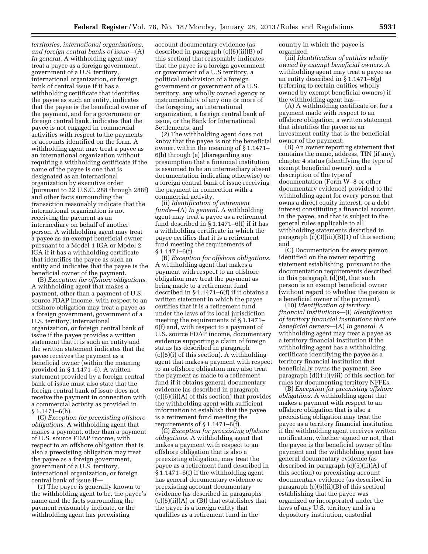*territories, international organizations, and foreign central banks of issue*—(A) *In general.* A withholding agent may treat a payee as a foreign government, government of a U.S. territory, international organization, or foreign bank of central issue if it has a withholding certificate that identifies the payee as such an entity, indicates that the payee is the beneficial owner of the payment, and for a government or foreign central bank, indicates that the payee is not engaged in commercial activities with respect to the payments or accounts identified on the form. A withholding agent may treat a payee as an international organization without requiring a withholding certificate if the name of the payee is one that is designated as an international organization by executive order (pursuant to 22 U.S.C. 288 through 288f) and other facts surrounding the transaction reasonably indicate that the international organization is not receiving the payment as an intermediary on behalf of another person. A withholding agent may treat a payee as an exempt beneficial owner pursuant to a Model 1 IGA or Model 2 IGA if it has a withholding certificate that identifies the payee as such an entity and indicates that the payee is the beneficial owner of the payment.

(B) *Exception for offshore obligations.*  A withholding agent that makes a payment, other than a payment of U.S. source FDAP income, with respect to an offshore obligation may treat a payee as a foreign government, government of a U.S. territory, international organization, or foreign central bank of issue if the payee provides a written statement that it is such an entity and the written statement indicates that the payee receives the payment as a beneficial owner (within the meaning provided in § 1.1471–6). A written statement provided by a foreign central bank of issue must also state that the foreign central bank of issue does not receive the payment in connection with a commercial activity as provided in § 1.1471–6(h).

(C) *Exception for preexisting offshore obligations.* A withholding agent that makes a payment, other than a payment of U.S. source FDAP income, with respect to an offshore obligation that is also a preexisting obligation may treat the payee as a foreign government, government of a U.S. territory, international organization, or foreign central bank of issue if—

(*1*) The payee is generally known to the withholding agent to be, the payee's name and the facts surrounding the payment reasonably indicate, or the withholding agent has preexisting

account documentary evidence (as described in paragraph (c)(5)(ii)(B) of this section) that reasonably indicates that the payee is a foreign government or government of a U.S territory, a political subdivision of a foreign government or government of a U.S. territory, any wholly owned agency or instrumentality of any one or more of the foregoing, an international organization, a foreign central bank of issue, or the Bank for International Settlements; and

(*2*) The withholding agent does not know that the payee is not the beneficial owner, within the meaning of § 1.1471– 6(b) through (e) (disregarding any presumption that a financial institution is assumed to be an intermediary absent documentation indicating otherwise) or a foreign central bank of issue receiving the payment in connection with a commercial activity.

(ii) *Identification of retirement funds*—(A) *In general.* A withholding agent may treat a payee as a retirement fund described in  $\S 1.1471-6(f)$  if it has a withholding certificate in which the payee certifies that it is a retirement fund meeting the requirements of  $§ 1.1471 - 6(f).$ 

(B) *Exception for offshore obligations.*  A withholding agent that makes a payment with respect to an offshore obligation may treat the payment as being made to a retirement fund described in § 1.1471–6(f) if it obtains a written statement in which the payee certifies that it is a retirement fund under the laws of its local jurisdiction meeting the requirements of § 1.1471– 6(f) and, with respect to a payment of U.S. source FDAP income, documentary evidence supporting a claim of foreign status (as described in paragraph (c)(5)(i) of this section). A withholding agent that makes a payment with respect to an offshore obligation may also treat the payment as made to a retirement fund if it obtains general documentary evidence (as described in paragraph (c)(5)(ii)(A) of this section) that provides the withholding agent with sufficient information to establish that the payee is a retirement fund meeting the requirements of § 1.1471–6(f).

(C) *Exception for preexisting offshore obligations.* A withholding agent that makes a payment with respect to an offshore obligation that is also a preexisting obligation, may treat the payee as a retirement fund described in § 1.1471–6(f) if the withholding agent has general documentary evidence or preexisting account documentary evidence (as described in paragraphs  $(c)(5)(ii)(A)$  or  $(B)$ ) that establishes that the payee is a foreign entity that qualifies as a retirement fund in the

country in which the payee is organized.

(iii) *Identification of entities wholly owned by exempt beneficial owners.* A withholding agent may treat a payee as an entity described in § 1.1471–6(g) (referring to certain entities wholly owned by exempt beneficial owners) if the withholding agent has—

(A) A withholding certificate or, for a payment made with respect to an offshore obligation, a written statement that identifies the payee as an investment entity that is the beneficial owner of the payment;

(B) An owner reporting statement that contains the name, address, TIN (if any), chapter 4 status (identifying the type of exempt beneficial owner), and a description of the type of documentation (Form W–8 or other documentary evidence) provided to the withholding agent for every person that owns a direct equity interest, or a debt interest constituting a financial account, in the payee, and that is subject to the general rules applicable to all withholding statements described in paragraph (c)(3)(iii)(B)(*1*) of this section; and

(C) Documentation for every person identified on the owner reporting statement establishing, pursuant to the documentation requirements described in this paragraph (d)(9), that such person is an exempt beneficial owner (without regard to whether the person is a beneficial owner of the payment).

(10) *Identification of territory financial institutions*—(i) *Identification of territory financial institutions that are beneficial owners*—(A) *In general.* A withholding agent may treat a payee as a territory financial institution if the withholding agent has a withholding certificate identifying the payee as a territory financial institution that beneficially owns the payment. See paragraph (d)(11)(viii) of this section for rules for documenting territory NFFEs.

(B) *Exception for preexisting offshore obligations.* A withholding agent that makes a payment with respect to an offshore obligation that is also a preexisting obligation may treat the payee as a territory financial institution if the withholding agent receives written notification, whether signed or not, that the payee is the beneficial owner of the payment and the withholding agent has general documentary evidence (as described in paragraph (c)(5)(ii)(A) of this section) or preexisting account documentary evidence (as described in paragraph (c)(5)(ii)(B) of this section) establishing that the payee was organized or incorporated under the laws of any U.S. territory and is a depository institution, custodial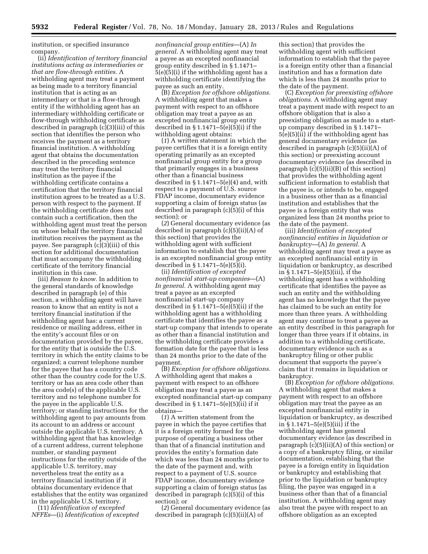institution, or specified insurance company.

(ii) *Identification of territory financial institutions acting as intermediaries or that are flow-through entities.* A withholding agent may treat a payment as being made to a territory financial institution that is acting as an intermediary or that is a flow-through entity if the withholding agent has an intermediary withholding certificate or flow-through withholding certificate as described in paragraph (c)(3)(iii) of this section that identifies the person who receives the payment as a territory financial institution. A withholding agent that obtains the documentation described in the preceding sentence may treat the territory financial institution as the payee if the withholding certificate contains a certification that the territory financial institution agrees to be treated as a U.S. person with respect to the payment. If the withholding certificate does not contain such a certification, then the withholding agent must treat the person on whose behalf the territory financial institution receives the payment as the payee. See paragraph (c)(3)(iii) of this section for additional documentation that must accompany the withholding certificate of the territory financial institution in this case.

(iii) *Reason to know.* In addition to the general standards of knowledge described in paragraph (e) of this section, a withholding agent will have reason to know that an entity is not a territory financial institution if the withholding agent has: a current residence or mailing address, either in the entity's account files or on documentation provided by the payee, for the entity that is outside the U.S. territory in which the entity claims to be organized; a current telephone number for the payee that has a country code other than the country code for the U.S. territory or has an area code other than the area code(s) of the applicable U.S. territory and no telephone number for the payee in the applicable U.S. territory; or standing instructions for the withholding agent to pay amounts from its account to an address or account outside the applicable U.S. territory. A withholding agent that has knowledge of a current address, current telephone number, or standing payment instructions for the entity outside of the applicable U.S. territory, may nevertheless treat the entity as a territory financial institution if it obtains documentary evidence that establishes that the entity was organized in the applicable U.S. territory.

(11) *Identification of excepted NFFEs*—(i) *Identification of excepted* 

*nonfinancial group entities*—(A) *In general.* A withholding agent may treat a payee as an excepted nonfinancial group entity described in § 1.1471–  $\bar{5}(e)(\bar{5})(i)$  if the withholding agent has a withholding certificate identifying the payee as such an entity.

(B) *Exception for offshore obligations.*  A withholding agent that makes a payment with respect to an offshore obligation may treat a payee as an excepted nonfinancial group entity described in  $\S 1.1471 - 5(e)(5)(i)$  if the withholding agent obtains:

(*1*) A written statement in which the payee certifies that it is a foreign entity operating primarily as an excepted nonfinancial group entity for a group that primarily engages in a business other than a financial business described in § 1.1471–5(e)(4) and, with respect to a payment of U.S. source FDAP income, documentary evidence supporting a claim of foreign status (as described in paragraph (c)(5)(i) of this section); or

(*2*) General documentary evidence (as described in paragraph (c)(5)(ii)(A) of this section) that provides the withholding agent with sufficient information to establish that the payee is an excepted nonfinancial group entity described in  $\S 1.1471 - 5(e)(5)(i)$ .

(ii) *Identification of excepted nonfinancial start-up companies*—(A) *In general.* A withholding agent may treat a payee as an excepted nonfinancial start-up company described in  $\S 1.1471 - 5(e)(5)(ii)$  if the withholding agent has a withholding certificate that identifies the payee as a start-up company that intends to operate as other than a financial institution and the withholding certificate provides a formation date for the payee that is less than 24 months prior to the date of the payment.

(B) *Exception for offshore obligations.*  A withholding agent that makes a payment with respect to an offshore obligation may treat a payee as an excepted nonfinancial start-up company described in § 1.1471–5(e)(5)(ii) if it obtains—

(*1*) A written statement from the payee in which the payee certifies that it is a foreign entity formed for the purpose of operating a business other than that of a financial institution and provides the entity's formation date which was less than 24 months prior to the date of the payment and, with respect to a payment of U.S. source FDAP income, documentary evidence supporting a claim of foreign status (as described in paragraph (c)(5)(i) of this section); or

(*2*) General documentary evidence (as described in paragraph (c)(5)(ii)(A) of

this section) that provides the withholding agent with sufficient information to establish that the payee is a foreign entity other than a financial institution and has a formation date which is less than 24 months prior to the date of the payment.

(C) *Exception for preexisting offshore obligations.* A withholding agent may treat a payment made with respect to an offshore obligation that is also a preexisting obligation as made to a startup company described in § 1.1471– 5(e)(5)(ii) if the withholding agent has general documentary evidence (as described in paragraph (c)(5)(ii)(A) of this section) or preexisting account documentary evidence (as described in paragraph  $(c)(5)(ii)(B)$  of this section) that provides the withholding agent sufficient information to establish that the payee is, or intends to be, engaged in a business other than as a financial institution and establishes that the payee is a foreign entity that was organized less than 24 months prior to the date of the payment.

(iii) *Identification of excepted nonfinancial entities in liquidation or bankruptcy*—(A) *In general.* A withholding agent may treat a payee as an excepted nonfinancial entity in liquidation or bankruptcy, as described in § 1.1471–5(e)(5)(iii), if the withholding agent has a withholding certificate that identifies the payee as such an entity and the withholding agent has no knowledge that the payee has claimed to be such an entity for more than three years. A withholding agent may continue to treat a payee as an entity described in this paragraph for longer than three years if it obtains, in addition to a withholding certificate, documentary evidence such as a bankruptcy filing or other public document that supports the payee's claim that it remains in liquidation or bankruptcy.

(B) *Exception for offshore obligations.*  A withholding agent that makes a payment with respect to an offshore obligation may treat the payee as an excepted nonfinancial entity in liquidation or bankruptcy, as described in § 1.1471–5(e)(5)(iii) if the withholding agent has general documentary evidence (as described in paragraph (c)(5)(ii)(A) of this section) or a copy of a bankruptcy filing, or similar documentation, establishing that the payee is a foreign entity in liquidation or bankruptcy and establishing that prior to the liquidation or bankruptcy filing, the payee was engaged in a business other than that of a financial institution. A withholding agent may also treat the payee with respect to an offshore obligation as an excepted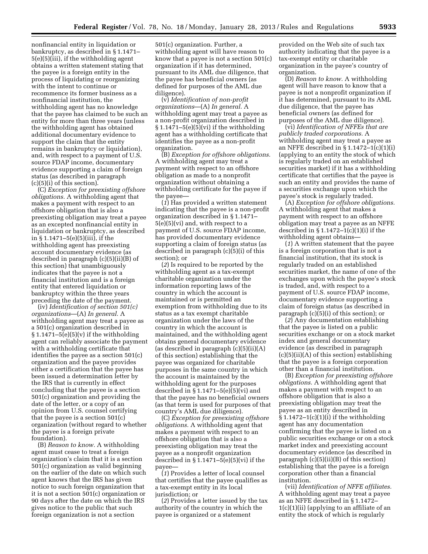nonfinancial entity in liquidation or bankruptcy, as described in § 1.1471– 5(e)(5)(iii), if the withholding agent obtains a written statement stating that the payee is a foreign entity in the process of liquidating or reorganizing with the intent to continue or recommence its former business as a nonfinancial institution, the withholding agent has no knowledge that the payee has claimed to be such an entity for more than three years (unless the withholding agent has obtained additional documentary evidence to support the claim that the entity remains in bankruptcy or liquidation), and, with respect to a payment of U.S. source FDAP income, documentary evidence supporting a claim of foreign status (as described in paragraph (c)(5)(i) of this section).

(C) *Exception for preexisting offshore obligations.* A withholding agent that makes a payment with respect to an offshore obligation that is also a preexisting obligation may treat a payee as an excepted nonfinancial entity in liquidation or bankruptcy, as described in § 1.1471–5(e)(5)(iii), if the withholding agent has preexisting account documentary evidence (as described in paragraph (c)(5)(ii)(B) of this section) that unambiguously indicates that the payee is not a financial institution and is a foreign entity that entered liquidation or bankruptcy within the three years preceding the date of the payment.

(iv) *Identification of section 501(c) organizations*—(A) *In general.* A withholding agent may treat a payee as a 501(c) organization described in  $§ 1.1471-5(e)(5)(v)$  if the withholding agent can reliably associate the payment with a withholding certificate that identifies the payee as a section 501(c) organization and the payee provides either a certification that the payee has been issued a determination letter by the IRS that is currently in effect concluding that the payee is a section 501(c) organization and providing the date of the letter, or a copy of an opinion from U.S. counsel certifying that the payee is a section 501(c) organization (without regard to whether the payee is a foreign private foundation).

(B) *Reason to know.* A withholding agent must cease to treat a foreign organization's claim that it is a section 501(c) organization as valid beginning on the earlier of the date on which such agent knows that the IRS has given notice to such foreign organization that it is not a section 501(c) organization or 90 days after the date on which the IRS gives notice to the public that such foreign organization is not a section

501(c) organization. Further, a withholding agent will have reason to know that a payee is not a section 501(c) organization if it has determined, pursuant to its AML due diligence, that the payee has beneficial owners (as defined for purposes of the AML due diligence).

(v) *Identification of non-profit organizations*—(A) *In general.* A withholding agent may treat a payee as a non-profit organization described in  $§ 1.1471-5(e)(5)(vi)$  if the withholding agent has a withholding certificate that identifies the payee as a non-profit organization.

(B) *Exception for offshore obligations.*  A withholding agent may treat a payment with respect to an offshore obligation as made to a nonprofit organization without obtaining a withholding certificate for the payee if the payee—

(*1*) Has provided a written statement indicating that the payee is a non-profit organization described in § 1.1471– 5(e)(5)(vi) and, with respect to a payment of U.S. source FDAP income, has provided documentary evidence supporting a claim of foreign status (as described in paragraph (c)(5)(i) of this section); or

(*2*) Is required to be reported by the withholding agent as a tax-exempt charitable organization under the information reporting laws of the country in which the account is maintained or is permitted an exemption from withholding due to its status as a tax exempt charitable organization under the laws of the country in which the account is maintained, and the withholding agent obtains general documentary evidence (as described in paragraph  $(c)(5)(ii)(A)$ of this section) establishing that the payee was organized for charitable purposes in the same country in which the account is maintained by the withholding agent for the purposes described in  $\S 1.1471 - 5(e)(5)(vi)$  and that the payee has no beneficial owners (as that term is used for purposes of that country's AML due diligence).

(C) *Exception for preexisting offshore obligations.* A withholding agent that makes a payment with respect to an offshore obligation that is also a preexisting obligation may treat the payee as a nonprofit organization described in  $\S 1.1471 - 5(e)(5)(vi)$  if the payee—

(*1*) Provides a letter of local counsel that certifies that the payee qualifies as a tax-exempt entity in its local jurisdiction; or

(*2*) Provides a letter issued by the tax authority of the country in which the payee is organized or a statement

provided on the Web site of such tax authority indicating that the payee is a tax-exempt entity or charitable organization in the payee's country of organization.

(D) *Reason to know.* A withholding agent will have reason to know that a payee is not a nonprofit organization if it has determined, pursuant to its AML due diligence, that the payee has beneficial owners (as defined for purposes of the AML due diligence).

(vi) *Identification of NFFEs that are publicly traded corporations.* A withholding agent may treat a payee as an NFFE described in § 1.1472–1(c)(1)(i) (applying to an entity the stock of which is regularly traded on an established securities market) if it has a withholding certificate that certifies that the payee is such an entity and provides the name of a securities exchange upon which the payee's stock is regularly traded.

(A) *Exception for offshore obligations.*  A withholding agent that makes a payment with respect to an offshore obligation may treat a payee as an NFFE described in  $\S 1.1472-1(c)(1)(i)$  if the withholding agent obtains—

(*1*) A written statement that the payee is a foreign corporation that is not a financial institution, that its stock is regularly traded on an established securities market, the name of one of the exchanges upon which the payee's stock is traded, and, with respect to a payment of U.S. source FDAP income, documentary evidence supporting a claim of foreign status (as described in paragraph (c)(5)(i) of this section); or

(*2*) Any documentation establishing that the payee is listed on a public securities exchange or on a stock market index and general documentary evidence (as described in paragraph (c)(5)(ii)(A) of this section) establishing that the payee is a foreign corporation other than a financial institution.

(B) *Exception for preexisting offshore obligations.* A withholding agent that makes a payment with respect to an offshore obligation that is also a preexisting obligation may treat the payee as an entity described in  $§ 1.1472-1(c)(1)(i)$  if the withholding agent has any documentation confirming that the payee is listed on a public securities exchange or on a stock market index and preexisting account documentary evidence (as described in paragraph (c)(5)(ii)(B) of this section) establishing that the payee is a foreign corporation other than a financial institution.

(vii) *Identification of NFFE affiliates.*  A withholding agent may treat a payee as an NFFE described in § 1.1472– 1(c)(1)(ii) (applying to an affiliate of an entity the stock of which is regularly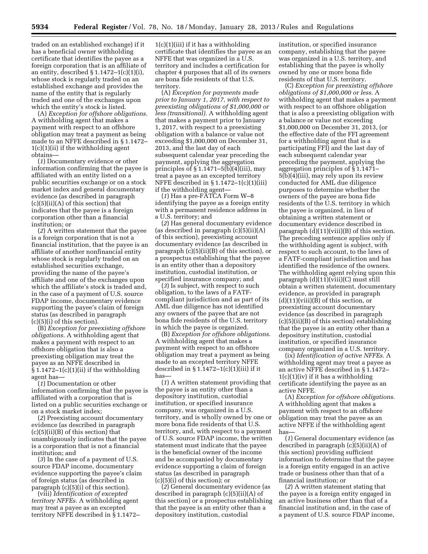traded on an established exchange) if it has a beneficial owner withholding certificate that identifies the payee as a foreign corporation that is an affiliate of an entity, described  $§ 1.1472-1(c)(1)(i),$ whose stock is regularly traded on an established exchange and provides the name of the entity that is regularly traded and one of the exchanges upon which the entity's stock is listed.

(A) *Exception for offshore obligations.*  A withholding agent that makes a payment with respect to an offshore obligation may treat a payment as being made to an NFFE described in § 1.1472–  $1(c)(1)(ii)$  if the withholding agent obtains—

(*1*) Documentary evidence or other information confirming that the payee is affiliated with an entity listed on a public securities exchange or on a stock market index and general documentary evidence (as described in paragraph  $(c)(5)(ii)(A)$  of this section) that indicates that the payee is a foreign corporation other than a financial institution; or

(*2*) A written statement that the payee is a foreign corporation that is not a financial institution, that the payee is an affiliate of another nonfinancial entity whose stock is regularly traded on an established securities exchange, providing the name of the payee's affiliate and one of the exchanges upon which the affiliate's stock is traded and, in the case of a payment of U.S. source FDAP income, documentary evidence supporting the payee's claim of foreign status (as described in paragraph (c)(5)(i) of this section).

(B) *Exception for preexisting offshore obligations.* A withholding agent that makes a payment with respect to an offshore obligation that is also a preexisting obligation may treat the payee as an NFFE described in  $\S 1.1472-1(c)(1)(ii)$  if the withholding agent has—

(*1*) Documentation or other information confirming that the payee is affiliated with a corporation that is listed on a public securities exchange or on a stock market index;

(*2*) Preexisting account documentary evidence (as described in paragraph  $(c)(5)(ii)(B)$  of this section) that unambiguously indicates that the payee is a corporation that is not a financial institution; and

(*3*) In the case of a payment of U.S. source FDAP income, documentary evidence supporting the payee's claim of foreign status (as described in paragraph (c)(5)(i) of this section).

(viii) *Identification of excepted territory NFFEs.* A withholding agent may treat a payee as an excepted territory NFFE described in § 1.1472–

 $1(c)(1)(iii)$  if it has a withholding certificate that identifies the payee as an NFFE that was organized in a U.S. territory and includes a certification for chapter 4 purposes that all of its owners are bona fide residents of that U.S. territory.

(A) *Exception for payments made prior to January 1, 2017, with respect to preexisting obligations of \$1,000,000 or less (transitional).* A withholding agent that makes a payment prior to January 1, 2017, with respect to a preexisting obligation with a balance or value not exceeding \$1,000,000 on December 31, 2013, and the last day of each subsequent calendar year preceding the payment, applying the aggregation principles of  $\S 1.1471 - 5(b)(4)(iii)$ , may treat a payee as an excepted territory NFFE described in § 1.1472–1(c)(1)(iii) if the withholding agent—

(*1*) Has a pre-FATCA Form W–8 identifying the payee as a foreign entity with a permanent residence address in a U.S. territory; and

(*2*) Has general documentary evidence (as described in paragraph  $(c)(5)(ii)(A)$ of this section), preexisting account documentary evidence (as described in paragraph (c)(5)(ii)(B) of this section), or a prospectus establishing that the payee is an entity other than a depository institution, custodial institution, or specified insurance company; and

(*3*) Is subject, with respect to such obligation, to the laws of a FATFcompliant jurisdiction and as part of its AML due diligence has not identified any owners of the payee that are not bona fide residents of the U.S. territory in which the payee is organized.

(B) *Exception for offshore obligations.*  A withholding agent that makes a payment with respect to an offshore obligation may treat a payment as being made to an excepted territory NFFE described in  $\S 1.1472-1(c)(1)(iii)$  if it has—

(*1*) A written statement providing that the payee is an entity other than a depository institution, custodial institution, or specified insurance company, was organized in a U.S. territory, and is wholly owned by one or more bona fide residents of that U.S. territory, and, with respect to a payment of U.S. source FDAP income, the written statement must indicate that the payee is the beneficial owner of the income and be accompanied by documentary evidence supporting a claim of foreign status (as described in paragraph (c)(5)(i) of this section); or

(*2*) General documentary evidence (as described in paragraph (c)(5)(ii)(A) of this section) or a prospectus establishing that the payee is an entity other than a depository institution, custodial

institution, or specified insurance company, establishing that the payee was organized in a U.S. territory, and establishing that the payee is wholly owned by one or more bona fide residents of that U.S. territory.

(C) *Exception for preexisting offshore obligations of \$1,000,000 or less.* A withholding agent that makes a payment with respect to an offshore obligation that is also a preexisting obligation with a balance or value not exceeding \$1,000,000 on December 31, 2013, (or the effective date of the FFI agreement for a withholding agent that is a participating FFI) and the last day of each subsequent calendar year preceding the payment, applying the aggregation principles of § 1.1471– 5(b)(4)(iii), may rely upon its review conducted for AML due diligence purposes to determine whether the owners of the payee are bona fide residents of the U.S. territory in which the payee is organized, in lieu of obtaining a written statement or documentary evidence described in paragraph (d)(11)(viii)(B) of this section. The preceding sentence applies only if the withholding agent is subject, with respect to such account, to the laws of a FATF-compliant jurisdiction and has identified the residence of the owners. The withholding agent relying upon this paragraph (d)(11)(viii)(C) must still obtain a written statement, documentary evidence, as provided in paragraph  $(d)(11)(viii)(B)$  of this section, or preexisting account documentary evidence (as described in paragraph (c)(5)(ii)(B) of this section) establishing that the payee is an entity other than a depository institution, custodial institution, or specified insurance company organized in a U.S. territory.

(ix) *Identification of active NFFEs.* A withholding agent may treat a payee as an active NFFE described in § 1.1472–  $1(c)(1)(iv)$  if it has a withholding certificate identifying the payee as an active NFFE.

(A) *Exception for offshore obligations.*  A withholding agent that makes a payment with respect to an offshore obligation may treat the payee as an active NFFE if the withholding agent has—

(*1*) General documentary evidence (as described in paragraph (c)(5)(ii)(A) of this section) providing sufficient information to determine that the payee is a foreign entity engaged in an active trade or business other than that of a financial institution; or

(*2*) A written statement stating that the payee is a foreign entity engaged in an active business other than that of a financial institution and, in the case of a payment of U.S. source FDAP income,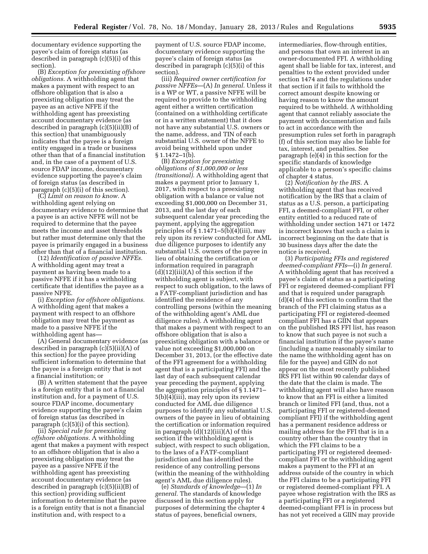documentary evidence supporting the payee's claim of foreign status (as described in paragraph (c)(5)(i) of this section).

(B) *Exception for preexisting offshore obligations.* A withholding agent that makes a payment with respect to an offshore obligation that is also a preexisting obligation may treat the payee as an active NFFE if the withholding agent has preexisting account documentary evidence (as described in paragraph (c)(5)(ii)(B) of this section) that unambiguously indicates that the payee is a foreign entity engaged in a trade or business other than that of a financial institution and, in the case of a payment of U.S. source FDAP income, documentary evidence supporting the payee's claim of foreign status (as described in paragraph (c)(5)(i) of this section).

(C) *Limit on reason to know.* A withholding agent relying on documentary evidence to determine that a payee is an active NFFE will not be required to determine that the payee meets the income and asset thresholds but rather must determine only that the payee is primarily engaged in a business other than that of a financial institution.

(12) *Identification of passive NFFEs.*  A withholding agent may treat a payment as having been made to a passive NFFE if it has a withholding certificate that identifies the payee as a passive NFFE.

(i) *Exception for offshore obligations.*  A withholding agent that makes a payment with respect to an offshore obligation may treat the payment as made to a passive NFFE if the withholding agent has—

(A) General documentary evidence (as described in paragraph (c)(5)(ii)(A) of this section) for the payee providing sufficient information to determine that the payee is a foreign entity that is not a financial institution; or

(B) A written statement that the payee is a foreign entity that is not a financial institution and, for a payment of U.S. source FDAP income, documentary evidence supporting the payee's claim of foreign status (as described in paragraph (c)(5)(i) of this section).

(ii) *Special rule for preexisting offshore obligations.* A withholding agent that makes a payment with respect to an offshore obligation that is also a preexisting obligation may treat the payee as a passive NFFE if the withholding agent has preexisting account documentary evidence (as described in paragraph (c)(5)(ii)(B) of this section) providing sufficient information to determine that the payee is a foreign entity that is not a financial institution and, with respect to a

payment of U.S. source FDAP income, documentary evidence supporting the payee's claim of foreign status (as described in paragraph (c)(5)(i) of this section).

(iii) *Required owner certification for passive NFFEs*—(A) *In general.* Unless it is a WP or WT, a passive NFFE will be required to provide to the withholding agent either a written certification (contained on a withholding certificate or in a written statement) that it does not have any substantial U.S. owners or the name, address, and TIN of each substantial U.S. owner of the NFFE to avoid being withheld upon under  $§ 1.1472 - 1(b).$ 

(B) *Exception for preexisting obligations of \$1,000,000 or less (transitional).* A withholding agent that makes a payment prior to January 1, 2017, with respect to a preexisting obligation with a balance or value not exceeding \$1,000,000 on December 31, 2013, and the last day of each subsequent calendar year preceding the payment, applying the aggregation principles of  $\S 1.1471 - 5(b)(4)(iii)$ , may rely upon its review conducted for AML due diligence purposes to identify any substantial U.S. owners of the payee in lieu of obtaining the certification or information required in paragraph (d)(12)(iii)(A) of this section if the withholding agent is subject, with respect to such obligation, to the laws of a FATF-compliant jurisdiction and has identified the residence of any controlling persons (within the meaning of the withholding agent's AML due diligence rules). A withholding agent that makes a payment with respect to an offshore obligation that is also a preexisting obligation with a balance or value not exceeding \$1,000,000 on December 31, 2013, (or the effective date of the FFI agreement for a withholding agent that is a participating FFI) and the last day of each subsequent calendar year preceding the payment, applying the aggregation principles of § 1.1471– 5(b)(4)(iii), may rely upon its review conducted for AML due diligence purposes to identify any substantial U.S. owners of the payee in lieu of obtaining the certification or information required in paragraph (d)(12)(iii)(A) of this section if the withholding agent is subject, with respect to such obligation, to the laws of a FATF-compliant jurisdiction and has identified the residence of any controlling persons (within the meaning of the withholding agent's AML due diligence rules).

(e) *Standards of knowledge*—(1) *In general.* The standards of knowledge discussed in this section apply for purposes of determining the chapter 4 status of payees, beneficial owners,

intermediaries, flow-through entities, and persons that own an interest in an owner-documented FFI. A withholding agent shall be liable for tax, interest, and penalties to the extent provided under section 1474 and the regulations under that section if it fails to withhold the correct amount despite knowing or having reason to know the amount required to be withheld. A withholding agent that cannot reliably associate the payment with documentation and fails to act in accordance with the presumption rules set forth in paragraph (f) of this section may also be liable for tax, interest, and penalties. See paragraph (e)(4) in this section for the specific standards of knowledge applicable to a person's specific claims of chapter 4 status.

(2) *Notification by the IRS.* A withholding agent that has received notification by the IRS that a claim of status as a U.S. person, a participating FFI, a deemed-compliant FFI, or other entity entitled to a reduced rate of withholding under section 1471 or 1472 is incorrect knows that such a claim is incorrect beginning on the date that is 30 business days after the date the notice is received.

(3) *Participating FFIs and registered deemed-compliant FFIs*—(i) *In general.*  A withholding agent that has received a payee's claim of status as a participating FFI or registered deemed-compliant FFI and that is required under paragraph (d)(4) of this section to confirm that the branch of the FFI claiming status as a participating FFI or registered-deemed compliant FFI has a GIIN that appears on the published IRS FFI list, has reason to know that such payee is not such a financial institution if the payee's name (including a name reasonably similar to the name the withholding agent has on file for the payee) and GIIN do not appear on the most recently published IRS FFI list within 90 calendar days of the date that the claim is made. The withholding agent will also have reason to know that an FFI is either a limited branch or limited FFI (and, thus, not a participating FFI or registered-deemed compliant FFI) if the withholding agent has a permanent residence address or mailing address for the FFI that is in a country other than the country that in which the FFI claims to be a participating FFI or registered deemedcompliant FFI or the withholding agent makes a payment to the FFI at an address outside of the country in which the FFI claims to be a participating FFI or registered deemed-compliant FFI. A payee whose registration with the IRS as a participating FFI or a registered deemed-compliant FFI is in process but has not yet received a GIIN may provide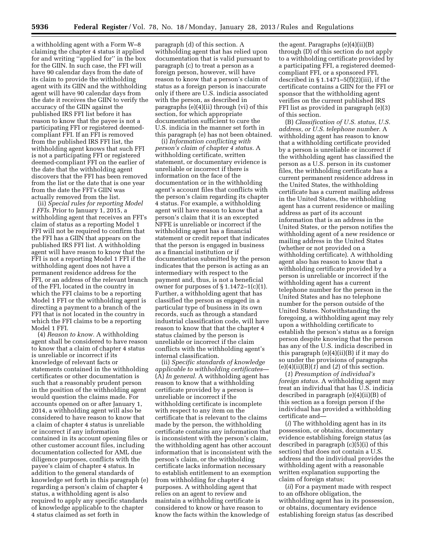a withholding agent with a Form W–8 claiming the chapter 4 status it applied for and writing ''applied for'' in the box for the GIIN. In such case, the FFI will have 90 calendar days from the date of its claim to provide the withholding agent with its GIIN and the withholding agent will have 90 calendar days from the date it receives the GIIN to verify the accuracy of the GIIN against the published IRS FFI list before it has reason to know that the payee is not a participating FFI or registered deemedcompliant FFI. If an FFI is removed from the published IRS FFI list, the withholding agent knows that such FFI is not a participating FFI or registered deemed-compliant FFI on the earlier of the date that the withholding agent discovers that the FFI has been removed from the list or the date that is one year from the date the FFI's GIIN was actually removed from the list.

(ii) *Special rules for reporting Model 1 FFIs.* Prior to January 1, 2015, a withholding agent that receives an FFI's claim of status as a reporting Model 1 FFI will not be required to confirm that the FFI has a GIIN that appears on the published IRS FFI list. A withholding agent will have reason to know that the FFI is not a reporting Model 1 FFI if the withholding agent does not have a permanent residence address for the FFI, or an address of the relevant branch of the FFI, located in the country in which the FFI claims to be a reporting Model 1 FFI or the withholding agent is directing a payment to a branch of the FFI that is not located in the country in which the FFI claims to be a reporting Model 1 FFI.

(4) *Reason to know.* A withholding agent shall be considered to have reason to know that a claim of chapter 4 status is unreliable or incorrect if its knowledge of relevant facts or statements contained in the withholding certificates or other documentation is such that a reasonably prudent person in the position of the withholding agent would question the claims made. For accounts opened on or after January 1, 2014, a withholding agent will also be considered to have reason to know that a claim of chapter 4 status is unreliable or incorrect if any information contained in its account opening files or other customer account files, including documentation collected for AML due diligence purposes, conflicts with the payee's claim of chapter 4 status. In addition to the general standards of knowledge set forth in this paragraph (e) regarding a person's claim of chapter 4 status, a withholding agent is also required to apply any specific standards of knowledge applicable to the chapter 4 status claimed as set forth in

paragraph (d) of this section. A withholding agent that has relied upon documentation that is valid pursuant to paragraph (c) to treat a person as a foreign person, however, will have reason to know that a person's claim of status as a foreign person is inaccurate only if there are U.S. indicia associated with the person, as described in paragraphs (e)(4)(ii) through (vi) of this section, for which appropriate documentation sufficient to cure the U.S. indicia in the manner set forth in this paragraph (e) has not been obtained.

(i) *Information conflicting with person's claim of chapter 4 status.* A withholding certificate, written statement, or documentary evidence is unreliable or incorrect if there is information on the face of the documentation or in the withholding agent's account files that conflicts with the person's claim regarding its chapter 4 status. For example, a withholding agent will have reason to know that a person's claim that it is an excepted NFFE is unreliable or incorrect if the withholding agent has a financial statement or credit report that indicates that the person is engaged in business as a financial institution or if documentation submitted by the person indicates that the person is acting as an intermediary with respect to the payment and, thus, is not a beneficial owner for purposes of  $\S 1.1472-1(c)(1)$ . Further, a withholding agent that has classified the person as engaged in a particular type of business in its own records, such as through a standard industrial classification code, will have reason to know that that the chapter 4 status claimed by the person is unreliable or incorrect if the claim conflicts with the withholding agent's internal classification.

(ii) *Specific standards of knowledge applicable to withholding certificates*— (A) *In general.* A withholding agent has reason to know that a withholding certificate provided by a person is unreliable or incorrect if the withholding certificate is incomplete with respect to any item on the certificate that is relevant to the claims made by the person, the withholding certificate contains any information that is inconsistent with the person's claim, the withholding agent has other account information that is inconsistent with the person's claim, or the withholding certificate lacks information necessary to establish entitlement to an exemption from withholding for chapter 4 purposes. A withholding agent that relies on an agent to review and maintain a withholding certificate is considered to know or have reason to know the facts within the knowledge of

the agent. Paragraphs (e)(4)(ii)(B) through (D) of this section do not apply to a withholding certificate provided by a participating FFI, a registered deemedcompliant FFI, or a sponsored FFI, described in  $\S 1.1471 - 5(f)(2)(iii)$ , if the certificate contains a GIIN for the FFI or sponsor that the withholding agent verifies on the current published IRS FFI list as provided in paragraph (e)(3) of this section.

(B) *Classification of U.S. status, U.S. address, or U.S. telephone number.* A withholding agent has reason to know that a withholding certificate provided by a person is unreliable or incorrect if the withholding agent has classified the person as a U.S. person in its customer files, the withholding certificate has a current permanent residence address in the United States, the withholding certificate has a current mailing address in the United States, the withholding agent has a current residence or mailing address as part of its account information that is an address in the United States, or the person notifies the withholding agent of a new residence or mailing address in the United States (whether or not provided on a withholding certificate). A withholding agent also has reason to know that a withholding certificate provided by a person is unreliable or incorrect if the withholding agent has a current telephone number for the person in the United States and has no telephone number for the person outside of the United States. Notwithstanding the foregoing, a withholding agent may rely upon a withholding certificate to establish the person's status as a foreign person despite knowing that the person has any of the U.S. indicia described in this paragraph (e)(4)(ii)(B) if it may do so under the provisions of paragraphs (e)(4)(ii)(B)(*1*) and (*2*) of this section.

(*1*) *Presumption of individual's foreign status.* A withholding agent may treat an individual that has U.S. indicia described in paragraph (e)(4)(ii)(B) of this section as a foreign person if the individual has provided a withholding certificate and—

(*i*) The withholding agent has in its possession, or obtains, documentary evidence establishing foreign status (as described in paragraph (c)(5)(i) of this section) that does not contain a U.S. address and the individual provides the withholding agent with a reasonable written explanation supporting the claim of foreign status;

(*ii*) For a payment made with respect to an offshore obligation, the withholding agent has in its possession, or obtains, documentary evidence establishing foreign status (as described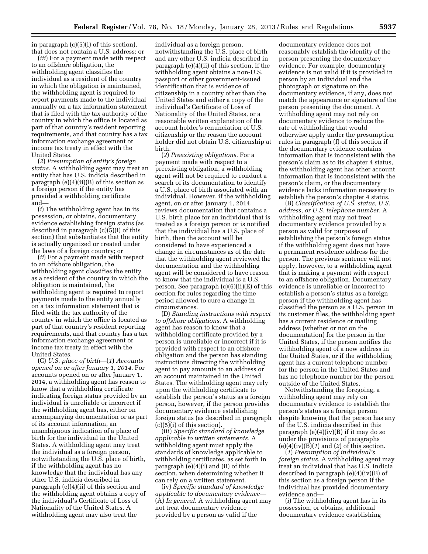in paragraph (c)(5)(i) of this section), that does not contain a U.S. address; or

(*iii*) For a payment made with respect to an offshore obligation, the withholding agent classifies the individual as a resident of the country in which the obligation is maintained, the withholding agent is required to report payments made to the individual annually on a tax information statement that is filed with the tax authority of the country in which the office is located as part of that country's resident reporting requirements, and that country has a tax information exchange agreement or income tax treaty in effect with the United States.

(*2*) *Presumption of entity's foreign status.* A withholding agent may treat an entity that has U.S. indicia described in paragraph (e)(4)(ii)(B) of this section as a foreign person if the entity has provided a withholding certificate and—

(*i*) The withholding agent has in its possession, or obtains, documentary evidence establishing foreign status (as described in paragraph (c)(5)(i) of this section) that substantiates that the entity is actually organized or created under the laws of a foreign country; or

(*ii*) For a payment made with respect to an offshore obligation, the withholding agent classifies the entity as a resident of the country in which the obligation is maintained, the withholding agent is required to report payments made to the entity annually on a tax information statement that is filed with the tax authority of the country in which the office is located as part of that country's resident reporting requirements, and that country has a tax information exchange agreement or income tax treaty in effect with the United States.

(C) *U.S. place of birth*—(*1*) *Accounts opened on or after January 1, 2014.* For accounts opened on or after January 1, 2014, a withholding agent has reason to know that a withholding certificate indicating foreign status provided by an individual is unreliable or incorrect if the withholding agent has, either on accompanying documentation or as part of its account information, an unambiguous indication of a place of birth for the individual in the United States. A withholding agent may treat the individual as a foreign person, notwithstanding the U.S. place of birth, if the withholding agent has no knowledge that the individual has any other U.S. indicia described in paragraph (e)(4)(ii) of this section and the withholding agent obtains a copy of the individual's Certificate of Loss of Nationality of the United States. A withholding agent may also treat the

individual as a foreign person, notwithstanding the U.S. place of birth and any other U.S. indicia described in paragraph (e)(4)(ii) of this section, if the withholding agent obtains a non-U.S. passport or other government-issued identification that is evidence of citizenship in a country other than the United States and either a copy of the individual's Certificate of Loss of Nationality of the United States, or a reasonable written explanation of the account holder's renunciation of U.S. citizenship or the reason the account holder did not obtain U.S. citizenship at birth.

(*2*) *Preexisting obligations.* For a payment made with respect to a preexisting obligation, a withholding agent will not be required to conduct a search of its documentation to identify a U.S. place of birth associated with an individual. However, if the withholding agent, on or after January 1, 2014, reviews documentation that contains a U.S. birth place for an individual that is treated as a foreign person or is notified that the individual has a U.S. place of birth, then the account will be considered to have experienced a change in circumstances as of the date that the withholding agent reviewed the documentation and the withholding agent will be considered to have reason to know that the individual is a U.S. person. See paragraph (c)(6)(ii)(E) of this section for rules regarding the time period allowed to cure a change in circumstances.

(D) *Standing instructions with respect to offshore obligations.* A withholding agent has reason to know that a withholding certificate provided by a person is unreliable or incorrect if it is provided with respect to an offshore obligation and the person has standing instructions directing the withholding agent to pay amounts to an address or an account maintained in the United States. The withholding agent may rely upon the withholding certificate to establish the person's status as a foreign person, however, if the person provides documentary evidence establishing foreign status (as described in paragraph  $(c)(5)(i)$  of this section).

(iii) *Specific standard of knowledge applicable to written statements.* A withholding agent must apply the standards of knowledge applicable to withholding certificates, as set forth in paragraph (e)(4)(i) and (ii) of this section, when determining whether it can rely on a written statement.

(iv) *Specific standard of knowledge applicable to documentary evidence*— (A) *In general.* A withholding agent may not treat documentary evidence provided by a person as valid if the

documentary evidence does not reasonably establish the identity of the person presenting the documentary evidence. For example, documentary evidence is not valid if it is provided in person by an individual and the photograph or signature on the documentary evidence, if any, does not match the appearance or signature of the person presenting the document. A withholding agent may not rely on documentary evidence to reduce the rate of withholding that would otherwise apply under the presumption rules in paragraph (f) of this section if the documentary evidence contains information that is inconsistent with the person's claim as to its chapter 4 status, the withholding agent has other account information that is inconsistent with the person's claim, or the documentary evidence lacks information necessary to establish the person's chapter 4 status.

(B) *Classification of U.S. status, U.S. address, or U.S. telephone number.* A withholding agent may not treat documentary evidence provided by a person as valid for purposes of establishing the person's foreign status if the withholding agent does not have a permanent residence address for the person. The previous sentence will not apply, however, to a withholding agent that is making a payment with respect to an offshore obligation. Documentary evidence is unreliable or incorrect to establish a person's status as a foreign person if the withholding agent has classified the person as a U.S. person in its customer files, the withholding agent has a current residence or mailing address (whether or not on the documentation) for the person in the United States, if the person notifies the withholding agent of a new address in the United States, or if the withholding agent has a current telephone number for the person in the United States and has no telephone number for the person outside of the United States.

Notwithstanding the foregoing, a withholding agent may rely on documentary evidence to establish the person's status as a foreign person despite knowing that the person has any of the U.S. indicia described in this paragraph (e)(4)(iv)(B) if it may do so under the provisions of paragraphs (e)(4)(iv)(B)(*1*) and (*2*) of this section.

(*1*) *Presumption of individual's foreign status.* A withholding agent may treat an individual that has U.S. indicia described in paragraph (e)(4)(iv)(B) of this section as a foreign person if the individual has provided documentary evidence and—

(*i*) The withholding agent has in its possession, or obtains, additional documentary evidence establishing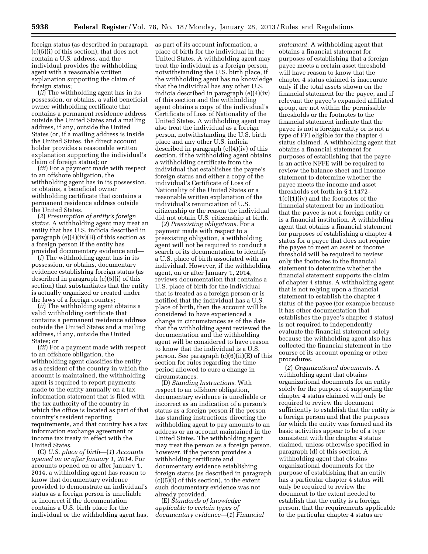foreign status (as described in paragraph (c)(5)(i) of this section), that does not contain a U.S. address, and the individual provides the withholding agent with a reasonable written explanation supporting the claim of foreign status;

(*ii*) The withholding agent has in its possession, or obtains, a valid beneficial owner withholding certificate that contains a permanent residence address outside the United States and a mailing address, if any, outside the United States (or, if a mailing address is inside the United States, the direct account holder provides a reasonable written explanation supporting the individual's claim of foreign status); or

(*iii*) For a payment made with respect to an offshore obligation, the withholding agent has in its possession, or obtains, a beneficial owner withholding certificate that contains a permanent residence address outside the United States.

(*2*) *Presumption of entity's foreign status.* A withholding agent may treat an entity that has U.S. indicia described in paragraph  $(e)(4)(iv)(B)$  of this section as a foreign person if the entity has provided documentary evidence and—

(*i*) The withholding agent has in its possession, or obtains, documentary evidence establishing foreign status (as described in paragraph (c)(5)(i) of this section) that substantiates that the entity is actually organized or created under the laws of a foreign country;

(*ii*) The withholding agent obtains a valid withholding certificate that contains a permanent residence address outside the United States and a mailing address, if any, outside the United States; or

(*iii*) For a payment made with respect to an offshore obligation, the withholding agent classifies the entity as a resident of the country in which the account is maintained, the withholding agent is required to report payments made to the entity annually on a tax information statement that is filed with the tax authority of the country in which the office is located as part of that country's resident reporting requirements, and that country has a tax information exchange agreement or income tax treaty in effect with the United States.

(C) *U.S. place of birth*—(*1*) *Accounts opened on or after January 1, 2014.* For accounts opened on or after January 1, 2014, a withholding agent has reason to know that documentary evidence provided to demonstrate an individual's status as a foreign person is unreliable or incorrect if the documentation contains a U.S. birth place for the individual or the withholding agent has, as part of its account information, a place of birth for the individual in the United States. A withholding agent may treat the individual as a foreign person, notwithstanding the U.S. birth place, if the withholding agent has no knowledge that the individual has any other U.S. indicia described in paragraph (e)(4)(iv) of this section and the withholding agent obtains a copy of the individual's Certificate of Loss of Nationality of the United States. A withholding agent may also treat the individual as a foreign person, notwithstanding the U.S. birth place and any other U.S. indicia described in paragraph (e)(4)(iv) of this section, if the withholding agent obtains a withholding certificate from the individual that establishes the payee's foreign status and either a copy of the individual's Certificate of Loss of Nationality of the United States or a reasonable written explanation of the individual's renunciation of U.S. citizenship or the reason the individual did not obtain U.S. citizenship at birth.

(*2*) *Preexisting obligations.* For a payment made with respect to a preexisting obligation, a withholding agent will not be required to conduct a search of its documentation to identify a U.S. place of birth associated with an individual. However, if the withholding agent, on or after January 1, 2014, reviews documentation that contains a U.S. place of birth for the individual that is treated as a foreign person or is notified that the individual has a U.S. place of birth, then the account will be considered to have experienced a change in circumstances as of the date that the withholding agent reviewed the documentation and the withholding agent will be considered to have reason to know that the individual is a U.S. person. See paragraph (c)(6)(ii)(E) of this section for rules regarding the time period allowed to cure a change in circumstances.

(D) *Standing Instructions.* With respect to an offshore obligation, documentary evidence is unreliable or incorrect as an indication of a person's status as a foreign person if the person has standing instructions directing the withholding agent to pay amounts to an address or an account maintained in the United States. The withholding agent may treat the person as a foreign person, however, if the person provides a withholding certificate and documentary evidence establishing foreign status (as described in paragraph  $(c)(5)(i)$  of this section), to the extent such documentary evidence was not already provided.

(E) *Standards of knowledge applicable to certain types of documentary evidence*—(*1*) *Financial* 

*statement.* A withholding agent that obtains a financial statement for purposes of establishing that a foreign payee meets a certain asset threshold will have reason to know that the chapter 4 status claimed is inaccurate only if the total assets shown on the financial statement for the payee, and if relevant the payee's expanded affiliated group, are not within the permissible thresholds or the footnotes to the financial statement indicate that the payee is not a foreign entity or is not a type of FFI eligible for the chapter 4 status claimed. A withholding agent that obtains a financial statement for purposes of establishing that the payee is an active NFFE will be required to review the balance sheet and income statement to determine whether the payee meets the income and asset thresholds set forth in § 1.1472– 1(c)(1)(iv) and the footnotes of the financial statement for an indication that the payee is not a foreign entity or is a financial institution. A withholding agent that obtains a financial statement for purposes of establishing a chapter 4 status for a payee that does not require the payee to meet an asset or income threshold will be required to review only the footnotes to the financial statement to determine whether the financial statement supports the claim of chapter 4 status. A withholding agent that is not relying upon a financial statement to establish the chapter 4 status of the payee (for example because it has other documentation that establishes the payee's chapter 4 status) is not required to independently evaluate the financial statement solely because the withholding agent also has collected the financial statement in the course of its account opening or other procedures.

(*2*) *Organizational documents.* A withholding agent that obtains organizational documents for an entity solely for the purpose of supporting the chapter 4 status claimed will only be required to review the document sufficiently to establish that the entity is a foreign person and that the purposes for which the entity was formed and its basic activities appear to be of a type consistent with the chapter 4 status claimed, unless otherwise specified in paragraph (d) of this section. A withholding agent that obtains organizational documents for the purpose of establishing that an entity has a particular chapter 4 status will only be required to review the document to the extent needed to establish that the entity is a foreign person, that the requirements applicable to the particular chapter 4 status are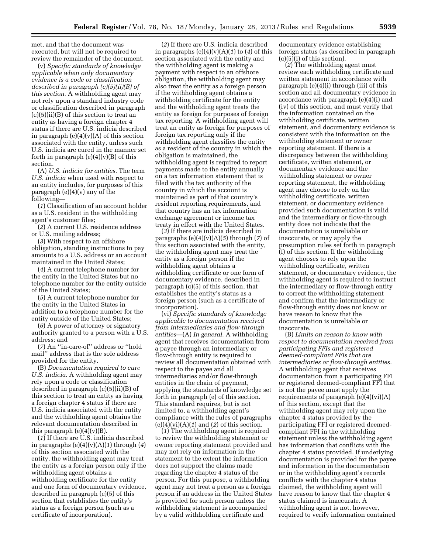met, and that the document was executed, but will not be required to review the remainder of the document.

(v) *Specific standards of knowledge applicable when only documentary evidence is a code or classification described in paragraph (c)(5)(ii)(B) of this section.* A withholding agent may not rely upon a standard industry code or classification described in paragraph  $(c)(5)(ii)(B)$  of this section to treat an entity as having a foreign chapter 4 status if there are U.S. indicia described in paragraph  $(e)(4)(v)(A)$  of this section associated with the entity, unless such U.S. indicia are cured in the manner set forth in paragraph  $(e)(4)(v)(B)$  of this section.

(A) *U.S. indicia for entities.* The term *U.S. indicia* when used with respect to an entity includes, for purposes of this paragraph  $(e)(4)(v)$  any of the following—

(*1*) Classification of an account holder as a U.S. resident in the withholding agent's customer files;

(*2*) A current U.S. residence address or U.S. mailing address;

(*3*) With respect to an offshore obligation, standing instructions to pay amounts to a U.S. address or an account maintained in the United States;

(*4*) A current telephone number for the entity in the United States but no telephone number for the entity outside of the United States;

(*5*) A current telephone number for the entity in the United States in addition to a telephone number for the entity outside of the United States;

(*6*) A power of attorney or signatory authority granted to a person with a U.S. address; and

(*7*) An ''in-care-of'' address or ''hold mail'' address that is the sole address provided for the entity.

(B) *Documentation required to cure U.S. indicia.* A withholding agent may rely upon a code or classification described in paragraph (c)(5)(ii)(B) of this section to treat an entity as having a foreign chapter 4 status if there are U.S. indicia associated with the entity and the withholding agent obtains the relevant documentation described in this paragraph  $(e)(4)(v)(B)$ .

(*1*) If there are U.S. indicia described in paragraphs (e)(4)(v)(A)(*1*) through (*4*) of this section associated with the entity, the withholding agent may treat the entity as a foreign person only if the withholding agent obtains a withholding certificate for the entity and one form of documentary evidence, described in paragraph (c)(5) of this section that establishes the entity's status as a foreign person (such as a certificate of incorporation).

(*2*) If there are U.S. indicia described in paragraphs (e)(4)(v)(A)(*1*) to (*4*) of this section associated with the entity and the withholding agent is making a payment with respect to an offshore obligation, the withholding agent may also treat the entity as a foreign person if the withholding agent obtains a withholding certificate for the entity and the withholding agent treats the entity as foreign for purposes of foreign tax reporting. A withholding agent will treat an entity as foreign for purposes of foreign tax reporting only if the withholding agent classifies the entity as a resident of the country in which the obligation is maintained, the withholding agent is required to report payments made to the entity annually on a tax information statement that is filed with the tax authority of the country in which the account is maintained as part of that country's resident reporting requirements, and that country has an tax information exchange agreement or income tax treaty in effect with the United States.

(*3*) If there are indicia described in paragraphs (e)(4)(v)(A)(*5*) through (*7*) of this section associated with the entity, the withholding agent may treat the entity as a foreign person if the withholding agent obtains a withholding certificate or one form of documentary evidence, described in paragraph (c)(5) of this section, that establishes the entity's status as a foreign person (such as a certificate of incorporation).

(vi) *Specific standards of knowledge applicable to documentation received from intermediaries and flow-through entities*—(A) *In general.* A withholding agent that receives documentation from a payee through an intermediary or flow-through entity is required to review all documentation obtained with respect to the payee and all intermediaries and/or flow-through entities in the chain of payment, applying the standards of knowledge set forth in paragraph (e) of this section. This standard requires, but is not limited to, a withholding agent's compliance with the rules of paragraphs (e)(4)(vi)(A)(*1*) and (*2*) of this section.

(*1*) The withholding agent is required to review the withholding statement or owner reporting statement provided and may not rely on information in the statement to the extent the information does not support the claims made regarding the chapter 4 status of the person. For this purpose, a withholding agent may not treat a person as a foreign person if an address in the United States is provided for such person unless the withholding statement is accompanied by a valid withholding certificate and

documentary evidence establishing foreign status (as described in paragraph (c)(5)(i) of this section).

(*2*) The withholding agent must review each withholding certificate and written statement in accordance with paragraph (e)(4)(i) through (iii) of this section and all documentary evidence in accordance with paragraph (e)(4)(i) and (iv) of this section, and must verify that the information contained on the withholding certificate, written statement, and documentary evidence is consistent with the information on the withholding statement or owner reporting statement. If there is a discrepancy between the withholding certificate, written statement, or documentary evidence and the withholding statement or owner reporting statement, the withholding agent may choose to rely on the withholding certificate, written statement, or documentary evidence provided such documentation is valid and the intermediary or flow-through entity does not indicate that the documentation is unreliable or inaccurate, or may apply the presumption rules set forth in paragraph (f) of this section. If the withholding agent chooses to rely upon the withholding certificate, written statement, or documentary evidence, the withholding agent is required to instruct the intermediary or flow-through entity to correct the withholding statement and confirm that the intermediary or flow-through entity does not know or have reason to know that the documentation is unreliable or inaccurate.

(B) *Limits on reason to know with respect to documentation received from participating FFIs and registered deemed-compliant FFIs that are intermediaries or flow-through entities.*  A withholding agent that receives documentation from a participating FFI or registered deemed-compliant FFI that is not the payee must apply the requirements of paragraph  $(e)(4)(vi)(A)$ of this section, except that the withholding agent may rely upon the chapter 4 status provided by the participating FFI or registered deemedcompliant FFI in the withholding statement unless the withholding agent has information that conflicts with the chapter 4 status provided. If underlying documentation is provided for the payee and information in the documentation or in the withholding agent's records conflicts with the chapter 4 status claimed, the withholding agent will have reason to know that the chapter 4 status claimed is inaccurate. A withholding agent is not, however, required to verify information contained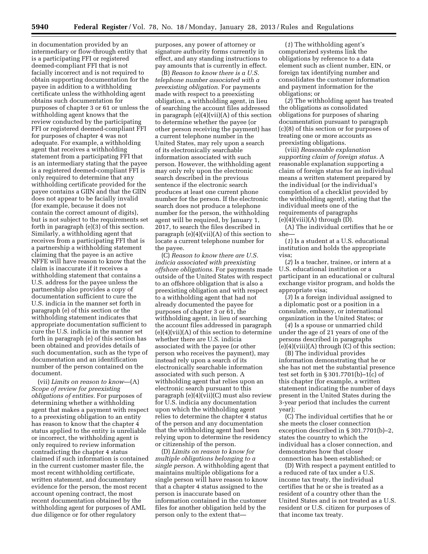in documentation provided by an intermediary or flow-through entity that is a participating FFI or registered deemed-compliant FFI that is not facially incorrect and is not required to obtain supporting documentation for the payee in addition to a withholding certificate unless the withholding agent obtains such documentation for purposes of chapter 3 or 61 or unless the withholding agent knows that the review conducted by the participating FFI or registered deemed-compliant FFI for purposes of chapter 4 was not adequate. For example, a withholding agent that receives a withholding statement from a participating FFI that is an intermediary stating that the payee is a registered deemed-compliant FFI is only required to determine that any withholding certificate provided for the payee contains a GIIN and that the GIIN does not appear to be facially invalid (for example, because it does not contain the correct amount of digits), but is not subject to the requirements set forth in paragraph (e)(3) of this section. Similarly, a withholding agent that receives from a participating FFI that is a partnership a withholding statement claiming that the payee is an active NFFE will have reason to know that the claim is inaccurate if it receives a withholding statement that contains a U.S. address for the payee unless the partnership also provides a copy of documentation sufficient to cure the U.S. indicia in the manner set forth in paragraph (e) of this section or the withholding statement indicates that appropriate documentation sufficient to cure the U.S. indicia in the manner set forth in paragraph (e) of this section has been obtained and provides details of such documentation, such as the type of documentation and an identification number of the person contained on the document.

(vii) *Limits on reason to know*—(A) *Scope of review for preexisting obligations of entities.* For purposes of determining whether a withholding agent that makes a payment with respect to a preexisting obligation to an entity has reason to know that the chapter 4 status applied to the entity is unreliable or incorrect, the withholding agent is only required to review information contradicting the chapter 4 status claimed if such information is contained in the current customer master file, the most recent withholding certificate, written statement, and documentary evidence for the person, the most recent account opening contract, the most recent documentation obtained by the withholding agent for purposes of AML due diligence or for other regulatory

purposes, any power of attorney or signature authority forms currently in effect, and any standing instructions to pay amounts that is currently in effect.

(B) *Reason to know there is a U.S. telephone number associated with a preexisting obligation.* For payments made with respect to a preexisting obligation, a withholding agent, in lieu of searching the account files addressed in paragraph (e)(4)(vii)(A) of this section to determine whether the payee (or other person receiving the payment) has a current telephone number in the United States, may rely upon a search of its electronically searchable information associated with such person. However, the withholding agent may only rely upon the electronic search described in the previous sentence if the electronic search produces at least one current phone number for the person. If the electronic search does not produce a telephone number for the person, the withholding agent will be required, by January 1, 2017, to search the files described in paragraph (e)(4)(vii)(A) of this section to locate a current telephone number for the payee.

(C) *Reason to know there are U.S. indicia associated with preexisting offshore obligations.* For payments made outside of the United States with respect to an offshore obligation that is also a preexisting obligation and with respect to a withholding agent that had not already documented the payee for purposes of chapter 3 or 61, the withholding agent, in lieu of searching the account files addressed in paragraph (e)(4)(vii)(A) of this section to determine whether there are U.S. indicia associated with the payee (or other person who receives the payment), may instead rely upon a search of its electronically searchable information associated with such person. A withholding agent that relies upon an electronic search pursuant to this paragraph (e)(4)(vii)(C) must also review for U.S. indicia any documentation upon which the withholding agent relies to determine the chapter 4 status of the person and any documentation that the withholding agent had been relying upon to determine the residency or citizenship of the person.

(D) *Limits on reason to know for multiple obligations belonging to a single person.* A withholding agent that maintains multiple obligations for a single person will have reason to know that a chapter 4 status assigned to the person is inaccurate based on information contained in the customer files for another obligation held by the person only to the extent that—

(*1*) The withholding agent's computerized systems link the obligations by reference to a data element such as client number, EIN, or foreign tax identifying number and consolidates the customer information and payment information for the obligations; or

(*2*) The withholding agent has treated the obligations as consolidated obligations for purposes of sharing documentation pursuant to paragraph (c)(8) of this section or for purposes of treating one or more accounts as preexisting obligations.

(viii) *Reasonable explanation supporting claim of foreign status.* A reasonable explanation supporting a claim of foreign status for an individual means a written statement prepared by the individual (or the individual's completion of a checklist provided by the withholding agent), stating that the individual meets one of the requirements of paragraphs  $(e)(4)(viii)(A)$  through  $(D)$ .

(A) The individual certifies that he or she—

(*1*) Is a student at a U.S. educational institution and holds the appropriate visa;

(*2*) Is a teacher, trainee, or intern at a U.S. educational institution or a participant in an educational or cultural exchange visitor program, and holds the appropriate visa;

(*3*) Is a foreign individual assigned to a diplomatic post or a position in a consulate, embassy, or international organization in the United States; or

(*4*) Is a spouse or unmarried child under the age of 21 years of one of the persons described in paragraphs  $(e)(4)(viii)(A)$  through  $(C)$  of this section;

(B) The individual provides information demonstrating that he or she has not met the substantial presence test set forth in § 301.7701(b)–1(c) of this chapter (for example, a written statement indicating the number of days present in the United States during the 3-year period that includes the current year);

(C) The individual certifies that he or she meets the closer connection exception described in § 301.7701(b)–2, states the country to which the individual has a closer connection, and demonstrates how that closer connection has been established; or

(D) With respect a payment entitled to a reduced rate of tax under a U.S. income tax treaty, the individual certifies that he or she is treated as a resident of a country other than the United States and is not treated as a U.S. resident or U.S. citizen for purposes of that income tax treaty.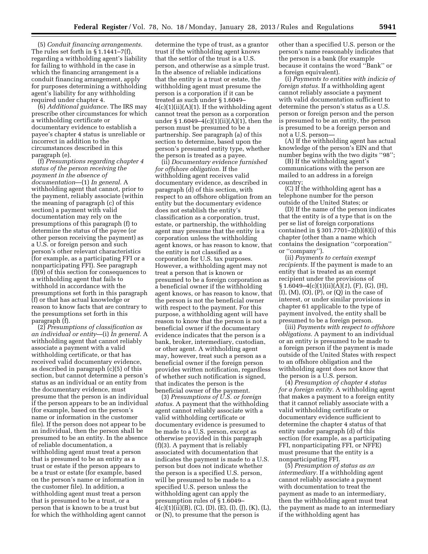(5) *Conduit financing arrangements.*  The rules set forth in  $\S 1.1441 - 7(f)$ , regarding a withholding agent's liability for failing to withhold in the case in which the financing arrangement is a conduit financing arrangement, apply for purposes determining a withholding agent's liability for any withholding required under chapter 4.

(6) *Additional guidance.* The IRS may prescribe other circumstances for which a withholding certificate or documentary evidence to establish a payee's chapter 4 status is unreliable or incorrect in addition to the circumstances described in this paragraph (e).

(f) *Presumptions regarding chapter 4 status of the person receiving the payment in the absence of documentation*—(1) *In general.* A withholding agent that cannot, prior to the payment, reliably associate (within the meaning of paragraph (c) of this section) a payment with valid documentation may rely on the presumptions of this paragraph (f) to determine the status of the payee (or other person receiving the payment) as a U.S. or foreign person and such person's other relevant characteristics (for example, as a participating FFI or a nonparticipating FFI). See paragraph (f)(9) of this section for consequences to a withholding agent that fails to withhold in accordance with the presumptions set forth in this paragraph (f) or that has actual knowledge or reason to know facts that are contrary to the presumptions set forth in this paragraph (f).

(2) *Presumptions of classification as an individual or entity*—(i) *In general.* A withholding agent that cannot reliably associate a payment with a valid withholding certificate, or that has received valid documentary evidence, as described in paragraph (c)(5) of this section, but cannot determine a person's status as an individual or an entity from the documentary evidence, must presume that the person is an individual if the person appears to be an individual (for example, based on the person's name or information in the customer file). If the person does not appear to be an individual, then the person shall be presumed to be an entity. In the absence of reliable documentation, a withholding agent must treat a person that is presumed to be an entity as a trust or estate if the person appears to be a trust or estate (for example, based on the person's name or information in the customer file). In addition, a withholding agent must treat a person that is presumed to be a trust, or a person that is known to be a trust but for which the withholding agent cannot

determine the type of trust, as a grantor trust if the withholding agent knows that the settlor of the trust is a U.S. person, and otherwise as a simple trust. In the absence of reliable indications that the entity is a trust or estate, the withholding agent must presume the person is a corporation if it can be treated as such under § 1.6049–  $4(c)(1)(ii)(A)(1)$ . If the withholding agent cannot treat the person as a corporation under § 1.6049–4(c)(1)(ii)(A)(1), then the person must be presumed to be a partnership. See paragraph (a) of this section to determine, based upon the person's presumed entity type, whether the person is treated as a payee.

(ii) *Documentary evidence furnished for offshore obligation.* If the withholding agent receives valid documentary evidence, as described in paragraph (d) of this section, with respect to an offshore obligation from an entity but the documentary evidence does not establish the entity's classification as a corporation, trust, estate, or partnership, the withholding agent may presume that the entity is a corporation unless the withholding agent knows, or has reason to know, that the entity is not classified as a corporation for U.S. tax purposes. However, a withholding agent may not treat a person that is known or presumed to be a foreign corporation as a beneficial owner if the withholding agent knows, or has reason to know, that the person is not the beneficial owner with respect to the payment. For this purpose, a withholding agent will have reason to know that the person is not a beneficial owner if the documentary evidence indicates that the person is a bank, broker, intermediary, custodian, or other agent. A withholding agent may, however, treat such a person as a beneficial owner if the foreign person provides written notification, regardless of whether such notification is signed, that indicates the person is the beneficial owner of the payment.

(3) *Presumptions of U.S. or foreign status.* A payment that the withholding agent cannot reliably associate with a valid withholding certificate or documentary evidence is presumed to be made to a U.S. person, except as otherwise provided in this paragraph (f)(3). A payment that is reliably associated with documentation that indicates the payment is made to a U.S. person but does not indicate whether the person is a specified U.S. person, will be presumed to be made to a specified U.S. person unless the withholding agent can apply the presumption rules of § 1.6049–  $4(c)(1)(ii)(B), (C), (D), (E), (I), (J), (K), (L),$ or (N), to presume that the person is

other than a specified U.S. person or the person's name reasonably indicates that the person is a bank (for example because it contains the word ''Bank'' or a foreign equivalent).

(i) *Payments to entities with indicia of foreign status.* If a withholding agent cannot reliably associate a payment with valid documentation sufficient to determine the person's status as a U.S. person or foreign person and the person is presumed to be an entity, the person is presumed to be a foreign person and not a U.S. person—

(A) If the withholding agent has actual knowledge of the person's EIN and that number begins with the two digits ''98'';

(B) If the withholding agent's communications with the person are mailed to an address in a foreign country;

(C) If the withholding agent has a telephone number for the person outside of the United States; or

(D) If the name of the person indicates that the entity is of a type that is on the per se list of foreign corporations contained in  $\S 301.7701 - 2(b)(8)(i)$  of this chapter (other than a name which contains the designation ''corporation'' or ''company'').

(ii) *Payments to certain exempt recipients.* If the payment is made to an entity that is treated as an exempt recipient under the provisions of § 1.6049–4(c)(1)(ii)(A)(*1*), (F), (G), (H),  $(I), (M), (O), (P),$  or  $(Q)$  in the case of interest, or under similar provisions in chapter 61 applicable to the type of payment involved, the entity shall be presumed to be a foreign person.

(iii) *Payments with respect to offshore obligations.* A payment to an individual or an entity is presumed to be made to a foreign person if the payment is made outside of the United States with respect to an offshore obligation and the withholding agent does not know that the person is a U.S. person.

(4) *Presumption of chapter 4 status for a foreign entity.* A withholding agent that makes a payment to a foreign entity that it cannot reliably associate with a valid withholding certificate or documentary evidence sufficient to determine the chapter 4 status of that entity under paragraph (d) of this section (for example, as a participating FFI, nonparticipating FFI, or NFFE) must presume that the entity is a nonparticipating FFI.

(5) *Presumption of status as an intermediary.* If a withholding agent cannot reliably associate a payment with documentation to treat the payment as made to an intermediary, then the withholding agent must treat the payment as made to an intermediary if the withholding agent has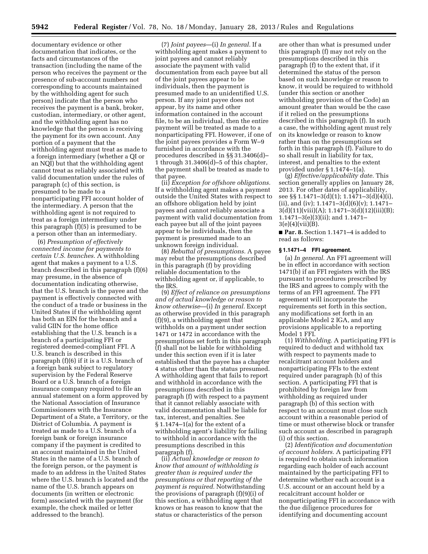documentary evidence or other documentation that indicates, or the facts and circumstances of the transaction (including the name of the person who receives the payment or the presence of sub-account numbers not corresponding to accounts maintained by the withholding agent for such person) indicate that the person who receives the payment is a bank, broker, custodian, intermediary, or other agent, and the withholding agent has no knowledge that the person is receiving the payment for its own account. Any portion of a payment that the withholding agent must treat as made to a foreign intermediary (whether a QI or an NQI) but that the withholding agent cannot treat as reliably associated with valid documentation under the rules of paragraph (c) of this section, is presumed to be made to a nonparticipating FFI account holder of the intermediary. A person that the withholding agent is not required to treat as a foreign intermediary under this paragraph (f)(5) is presumed to be a person other than an intermediary.

(6) *Presumption of effectively connected income for payments to certain U.S. branches.* A withholding agent that makes a payment to a U.S. branch described in this paragraph (f)(6) may presume, in the absence of documentation indicating otherwise, that the U.S. branch is the payee and the payment is effectively connected with the conduct of a trade or business in the United States if the withholding agent has both an EIN for the branch and a valid GIIN for the home office establishing that the U.S. branch is a branch of a participating FFI or registered deemed-compliant FFI. A U.S. branch is described in this paragraph (f)(6) if it is a U.S. branch of a foreign bank subject to regulatory supervision by the Federal Reserve Board or a U.S. branch of a foreign insurance company required to file an annual statement on a form approved by the National Association of Insurance Commissioners with the Insurance Department of a State, a Territory, or the District of Columbia. A payment is treated as made to a U.S. branch of a foreign bank or foreign insurance company if the payment is credited to an account maintained in the United States in the name of a U.S. branch of the foreign person, or the payment is made to an address in the United States where the U.S. branch is located and the name of the U.S. branch appears on documents (in written or electronic form) associated with the payment (for example, the check mailed or letter addressed to the branch).

(7) *Joint payees*—(i) *In general.* If a withholding agent makes a payment to joint payees and cannot reliably associate the payment with valid documentation from each payee but all of the joint payees appear to be individuals, then the payment is presumed made to an unidentified U.S. person. If any joint payee does not appear, by its name and other information contained in the account file, to be an individual, then the entire payment will be treated as made to a nonparticipating FFI. However, if one of the joint payees provides a Form W–9 furnished in accordance with the procedures described in §§ 31.3406(d)– 1 through 31.3406(d)–5 of this chapter, the payment shall be treated as made to that payee.

(ii) *Exception for offshore obligations.*  If a withholding agent makes a payment outside the United States with respect to an offshore obligation held by joint payees and cannot reliably associate a payment with valid documentation from each payee but all of the joint payees appear to be individuals, then the payment is presumed made to an unknown foreign individual.

(8) *Rebuttal of presumptions.* A payee may rebut the presumptions described in this paragraph (f) by providing reliable documentation to the withholding agent or, if applicable, to the IRS.

(9) *Effect of reliance on presumptions and of actual knowledge or reason to know otherwise*—(i) *In general.* Except as otherwise provided in this paragraph (f)(9), a withholding agent that withholds on a payment under section 1471 or 1472 in accordance with the presumptions set forth in this paragraph (f) shall not be liable for withholding under this section even if it is later established that the payee has a chapter 4 status other than the status presumed. A withholding agent that fails to report and withhold in accordance with the presumptions described in this paragraph (f) with respect to a payment that it cannot reliably associate with valid documentation shall be liable for tax, interest, and penalties. See § 1.1474–1(a) for the extent of a withholding agent's liability for failing to withhold in accordance with the presumptions described in this paragraph (f).

(ii) *Actual knowledge or reason to know that amount of withholding is greater than is required under the presumptions or that reporting of the payment is required.* Notwithstanding the provisions of paragraph (f)(9)(i) of this section, a withholding agent that knows or has reason to know that the status or characteristics of the person

are other than what is presumed under this paragraph (f) may not rely on the presumptions described in this paragraph (f) to the extent that, if it determined the status of the person based on such knowledge or reason to know, it would be required to withhold (under this section or another withholding provision of the Code) an amount greater than would be the case if it relied on the presumptions described in this paragraph (f). In such a case, the withholding agent must rely on its knowledge or reason to know rather than on the presumptions set forth in this paragraph (f). Failure to do so shall result in liability for tax, interest, and penalties to the extent provided under § 1.1474–1(a).

(g) *Effective/applicability date.* This section generally applies on January 28, 2013. For other dates of applicability, see §§ 1.1471–3(d)(1); 1.1471–3(d)(4)(i), (ii), and (iv); 1.1471–3(d)(6)(v); 1.1471– 3(d)(11)(viii)(A); 1.1471–3(d)(12)(iii)(B); 1.1471–3(e)(3)(ii); and 1.1471–  $3(e)(4)(vii)(B).$ 

■ **Par. 8.** Section 1.1471–4 is added to read as follows:

## **§ 1.1471–4 FFI agreement.**

(a) *In general.* An FFI agreement will be in effect in accordance with section 1471(b) if an FFI registers with the IRS pursuant to procedures prescribed by the IRS and agrees to comply with the terms of an FFI agreement. The FFI agreement will incorporate the requirements set forth in this section, any modifications set forth in an applicable Model 2 IGA, and any provisions applicable to a reporting Model 1 FFI.

(1) *Withholding.* A participating FFI is required to deduct and withhold tax with respect to payments made to recalcitrant account holders and nonparticipating FFIs to the extent required under paragraph (b) of this section. A participating FFI that is prohibited by foreign law from withholding as required under paragraph (b) of this section with respect to an account must close such account within a reasonable period of time or must otherwise block or transfer such account as described in paragraph (i) of this section.

(2) *Identification and documentation of account holders.* A participating FFI is required to obtain such information regarding each holder of each account maintained by the participating FFI to determine whether each account is a U.S. account or an account held by a recalcitrant account holder or nonparticipating FFI in accordance with the due diligence procedures for identifying and documenting account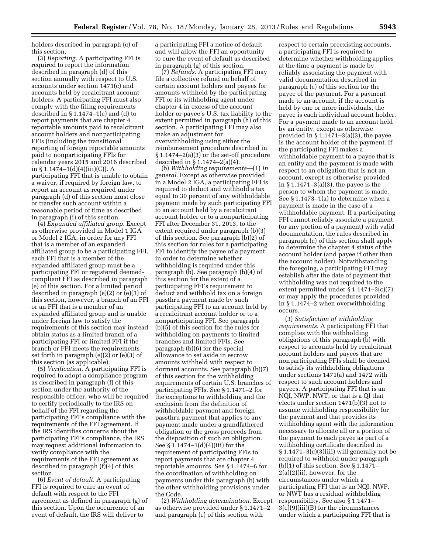holders described in paragraph (c) of this section.

(3) *Reporting.* A participating FFI is required to report the information described in paragraph (d) of this section annually with respect to U.S. accounts under section 1471(c) and accounts held by recalcitrant account holders. A participating FFI must also comply with the filing requirements described in  $\S 1.1474 - 1(c)$  and (d) to report payments that are chapter 4 reportable amounts paid to recalcitrant account holders and nonparticipating FFIs (including the transitional reporting of foreign reportable amounts paid to nonparticipating FFIs for calendar years 2015 and 2016 described in § 1.1474–1(d)(4)(iii)(C)). A participating FFI that is unable to obtain a waiver, if required by foreign law, to report an account as required under paragraph (d) of this section must close or transfer such account within a reasonable period of time as described in paragraph (i) of this section.

(4) *Expanded affiliated group.* Except as otherwise provided in Model 1 IGA or Model 2 IGA, in order for any FFI that is a member of an expanded affiliated group to be a participating FFI, each FFI that is a member of the expanded affiliated group must be a participating FFI or registered deemedcompliant FFI as described in paragraph (e) of this section. For a limited period described in paragraph (e)(2) or (e)(3) of this section, however, a branch of an FFI or an FFI that is a member of an expanded affiliated group and is unable under foreign law to satisfy the requirements of this section may instead obtain status as a limited branch of a participating FFI or limited FFI if the branch or FFI meets the requirements set forth in paragraph (e)(2) or (e)(3) of this section (as applicable).

(5) *Verification.* A participating FFI is required to adopt a compliance program as described in paragraph (f) of this section under the authority of the responsible officer, who will be required to certify periodically to the IRS on behalf of the FFI regarding the participating FFI's compliance with the requirements of the FFI agreement. If the IRS identifies concerns about the participating FFI's compliance, the IRS may request additional information to verify compliance with the requirements of the FFI agreement as described in paragraph (f)(4) of this section.

(6) *Event of default.* A participating FFI is required to cure an event of default with respect to the FFI agreement as defined in paragraph (g) of this section. Upon the occurrence of an event of default, the IRS will deliver to

a participating FFI a notice of default and will allow the FFI an opportunity to cure the event of default as described in paragraph (g) of this section.

(7) *Refunds.* A participating FFI may file a collective refund on behalf of certain account holders and payees for amounts withheld by the participating FFI or its withholding agent under chapter 4 in excess of the account holder or payee's U.S. tax liability to the extent permitted in paragraph (h) of this section. A participating FFI may also make an adjustment for overwithholding using either the reimbursement procedure described in § 1.1474–2(a)(3) or the set-off procedure described in § 1.1474–2(a)(4).

(b) *Withholding requirements*—(1) *In general.* Except as otherwise provided in a Model 2 IGA, a participating FFI is required to deduct and withhold a tax equal to 30 percent of any withholdable payment made by such participating FFI to an account held by a recalcitrant account holder or to a nonparticipating FFI after December 31, 2013, to the extent required under paragraph (b)(3) of this section. See paragraph (b)(2) of this section for rules for a participating FFI to identify the payee of a payment in order to determine whether withholding is required under this paragraph (b). See paragraph (b)(4) of this section for the extent of a participating FFI's requirement to deduct and withhold tax on a foreign passthru payment made by such participating FFI to an account held by a recalcitrant account holder or to a nonparticipating FFI. See paragraph (b)(5) of this section for the rules for withholding on payments to limited branches and limited FFIs. See paragraph (b)(6) for the special allowance to set aside in escrow amounts withheld with respect to dormant accounts. See paragraph (b)(7) of this section for the withholding requirements of certain U.S. branches of participating FFIs. See § 1.1471–2 for the exceptions to withholding and the exclusion from the definition of withholdable payment and foreign passthru payment that applies to any payment made under a grandfathered obligation or the gross proceeds from the disposition of such an obligation. See § 1.1474–1(d)(4)(iii) for the requirement of participating FFIs to report payments that are chapter 4 reportable amounts. See § 1.1474–6 for the coordination of withholding on payments under this paragraph (b) with the other withholding provisions under the Code.

(2) *Withholding determination.* Except as otherwise provided under § 1.1471–2 and paragraph (c) of this section with

respect to certain preexisting accounts, a participating FFI is required to determine whether withholding applies at the time a payment is made by reliably associating the payment with valid documentation described in paragraph (c) of this section for the payee of the payment. For a payment made to an account, if the account is held by one or more individuals, the payee is each individual account holder. For a payment made to an account held by an entity, except as otherwise provided in § 1.1471–3(a)(3), the payee is the account holder of the payment. If the participating FFI makes a withholdable payment to a payee that is an entity and the payment is made with respect to an obligation that is not an account, except as otherwise provided in § 1.1471–3(a)(3), the payee is the person to whom the payment is made. See § 1.1473–1(a) to determine when a payment is made in the case of a withholdable payment. If a participating FFI cannot reliably associate a payment (or any portion of a payment) with valid documentation, the rules described in paragraph (c) of this section shall apply to determine the chapter 4 status of the account holder (and payee if other than the account holder). Notwithstanding the foregoing, a participating FFI may establish after the date of payment that withholding was not required to the extent permitted under § 1.1471–3(c)(7) or may apply the procedures provided in § 1.1474–2 when overwithholding occurs.

(3) *Satisfaction of withholding requirements.* A participating FFI that complies with the withholding obligations of this paragraph (b) with respect to accounts held by recalcitrant account holders and payees that are nonparticipating FFIs shall be deemed to satisfy its withholding obligations under sections 1471(a) and 1472 with respect to such account holders and payees. A participating FFI that is an NQI, NWP, NWT, or that is a QI that elects under section 1471(b)(3) not to assume withholding responsibility for the payment and that provides its withholding agent with the information necessary to allocate all or a portion of the payment to each payee as part of a withholding certificate described in § 1.1471–3(c)(3)(iii) will generally not be required to withhold under paragraph (b)(1) of this section. See § 1.1471– 2(a)(2)(ii), however, for the circumstances under which a participating FFI that is an NQI, NWP, or NWT has a residual withholding responsibility. See also § 1.1471– 3(c)(9)(iii)(B) for the circumstances under which a participating FFI that is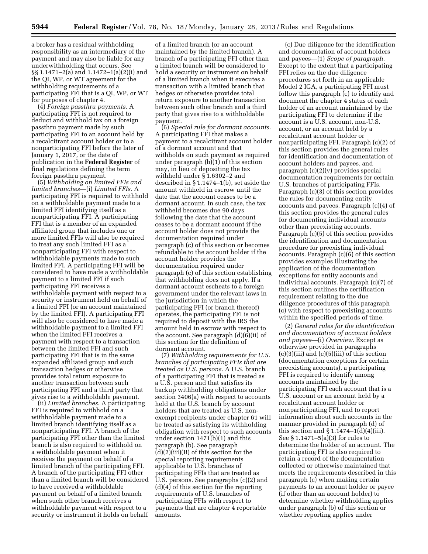a broker has a residual withholding responsibility as an intermediary of the payment and may also be liable for any underwithholding that occurs. See §§ 1.1471–2(a) and 1.1472–1(a)(2)(i) and the QI, WP, or WT agreement for the withholding requirements of a participating FFI that is a QI, WP, or WT for purposes of chapter 4.

(4) *Foreign passthru payments.* A participating FFI is not required to deduct and withhold tax on a foreign passthru payment made by such participating FFI to an account held by a recalcitrant account holder or to a nonparticipating FFI before the later of January 1, 2017, or the date of publication in the **Federal Register** of final regulations defining the term foreign passthru payment.

(5) *Withholding on limited FFIs and limited branches*—(i) *Limited FFIs.* A participating FFI is required to withhold on a withholdable payment made to a limited FFI identifying itself as a nonparticipating FFI. A participating FFI that is a member of an expanded affiliated group that includes one or more limited FFIs will also be required to treat any such limited FFI as a nonparticipating FFI with respect to withholdable payments made to such limited FFI. A participating FFI will be considered to have made a withholdable payment to a limited FFI if such participating FFI receives a withholdable payment with respect to a security or instrument held on behalf of a limited FFI (or an account maintained by the limited FFI). A participating FFI will also be considered to have made a withholdable payment to a limited FFI when the limited FFI receives a payment with respect to a transaction between the limited FFI and such participating FFI that is in the same expanded affiliated group and such transaction hedges or otherwise provides total return exposure to another transaction between such participating FFI and a third party that gives rise to a withholdable payment.

(ii) *Limited branches.* A participating FFI is required to withhold on a withholdable payment made to a limited branch identifying itself as a nonparticipating FFI. A branch of the participating FFI other than the limited branch is also required to withhold on a withholdable payment when it receives the payment on behalf of a limited branch of the participating FFI. A branch of the participating FFI other than a limited branch will be considered to have received a withholdable payment on behalf of a limited branch when such other branch receives a withholdable payment with respect to a security or instrument it holds on behalf

of a limited branch (or an account maintained by the limited branch). A branch of a participating FFI other than a limited branch will be considered to hold a security or instrument on behalf of a limited branch when it executes a transaction with a limited branch that hedges or otherwise provides total return exposure to another transaction between such other branch and a third party that gives rise to a withholdable payment.

(6) *Special rule for dormant accounts.*  A participating FFI that makes a payment to a recalcitrant account holder of a dormant account and that withholds on such payment as required under paragraph (b)(1) of this section may, in lieu of depositing the tax withheld under § 1.6302–2 and described in § 1.1474–1(b), set aside the amount withheld in escrow until the date that the account ceases to be a dormant account. In such case, the tax withheld becomes due 90 days following the date that the account ceases to be a dormant account if the account holder does not provide the documentation required under paragraph (c) of this section or becomes refundable to the account holder if the account holder provides the documentation required under paragraph (c) of this section establishing that withholding does not apply. If a dormant account escheats to a foreign government under the relevant laws in the jurisdiction in which the participating FFI (or branch thereof) operates, the participating FFI is not required to deposit with the IRS the amount held in escrow with respect to the account. See paragraph (d)(6)(ii) of this section for the definition of dormant account.

(7) *Withholding requirements for U.S. branches of participating FFIs that are treated as U.S. persons.* A U.S. branch of a participating FFI that is treated as a U.S. person and that satisfies its backup withholding obligations under section 3406(a) with respect to accounts held at the U.S. branch by account holders that are treated as U.S. nonexempt recipients under chapter 61 will be treated as satisfying its withholding obligation with respect to such accounts under section 1471(b)(1) and this paragraph (b). See paragraph (d)(2)(iii)(B) of this section for the special reporting requirements applicable to U.S. branches of participating FFIs that are treated as U.S. persons. See paragraphs (c)(2) and (d)(4) of this section for the reporting requirements of U.S. branches of participating FFIs with respect to payments that are chapter 4 reportable amounts.

(c) Due diligence for the identification and documentation of account holders and payees—(1) *Scope of paragraph.*  Except to the extent that a participating FFI relies on the due diligence procedures set forth in an applicable Model 2 IGA, a participating FFI must follow this paragraph (c) to identify and document the chapter 4 status of each holder of an account maintained by the participating FFI to determine if the account is a U.S. account, non-U.S. account, or an account held by a recalcitrant account holder or nonparticipating FFI. Paragraph (c)(2) of this section provides the general rules for identification and documentation of account holders and payees, and paragraph (c)(2)(v) provides special documentation requirements for certain U.S. branches of participating FFIs. Paragraph (c)(3) of this section provides the rules for documenting entity accounts and payees. Paragraph (c)(4) of this section provides the general rules for documenting individual accounts other than preexisting accounts. Paragraph (c)(5) of this section provides the identification and documentation procedure for preexisting individual accounts. Paragraph (c)(6) of this section provides examples illustrating the application of the documentation exceptions for entity accounts and individual accounts. Paragraph (c)(7) of this section outlines the certification requirement relating to the due diligence procedures of this paragraph (c) with respect to preexisting accounts within the specified periods of time.

(2) *General rules for the identification and documentation of account holders and payees*—(i) *Overview.* Except as otherwise provided in paragraphs  $(c)(3)(iii)$  and  $(c)(5)(iii)$  of this section (documentation exceptions for certain preexisting accounts), a participating FFI is required to identify among accounts maintained by the participating FFI each account that is a U.S. account or an account held by a recalcitrant account holder or nonparticipating FFI, and to report information about such accounts in the manner provided in paragraph (d) of this section and  $\S 1.1474-1(d)(4)(iii)$ . See § 1.1471–5(a)(3) for rules to determine the holder of an account. The participating FFI is also required to retain a record of the documentation collected or otherwise maintained that meets the requirements described in this paragraph (c) when making certain payments to an account holder or payee (if other than an account holder) to determine whether withholding applies under paragraph (b) of this section or whether reporting applies under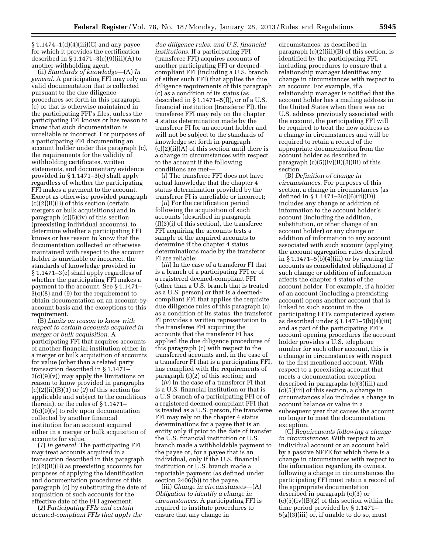$§ 1.1474-1(d)(4)(iii)(C)$  and any payee for which it provides the certification described in  $\S 1.1471 - 3(c)(9)(iii)(A)$  to another withholding agent.

(ii) *Standards of knowledge*—(A) *In general.* A participating FFI may rely on valid documentation that is collected pursuant to the due diligence procedures set forth in this paragraph (c) or that is otherwise maintained in the participating FFI's files, unless the participating FFI knows or has reason to know that such documentation is unreliable or incorrect. For purposes of a participating FFI documenting an account holder under this paragraph (c), the requirements for the validity of withholding certificates, written statements, and documentary evidence provided in § 1.1471–3(c) shall apply regardless of whether the participating FFI makes a payment to the account. Except as otherwise provided paragraph (c)(2)(ii)(B) of this section (certain mergers or bulk acquisitions) and in paragraph (c)(5)(iv) of this section (preexisting individual accounts), to determine whether a participating FFI knows or has reason to know that the documentation collected or otherwise maintained with respect to the account holder is unreliable or incorrect, the standards of knowledge provided in § 1.1471–3(e) shall apply regardless of whether the participating FFI makes a payment to the account. See § 1.1471– 3(c)(8) and (9) for the requirement to obtain documentation on an account-byaccount basis and the exceptions to this requirement.

(B) *Limits on reason to know with respect to certain accounts acquired in merger or bulk acquisition.* A participating FFI that acquires accounts of another financial institution either in a merger or bulk acquisition of accounts for value (other than a related party transaction described in § 1.1471–  $3(c)(9)(v)$  may apply the limitations on reason to know provided in paragraphs (c)(2)(ii)(B)(*1*) or (*2*) of this section (as applicable and subject to the conditions therein), or the rules of § 1.1471– 3(c)(9)(v) to rely upon documentation collected by another financial institution for an account acquired either in a merger or bulk acquisition of accounts for value.

(*1*) *In general.* The participating FFI may treat accounts acquired in a transaction described in this paragraph (c)(2)(ii)(B) as preexisting accounts for purposes of applying the identification and documentation procedures of this paragraph (c) by substituting the date of acquisition of such accounts for the effective date of the FFI agreement.

(*2*) *Participating FFIs and certain deemed-compliant FFIs that apply the* 

*due diligence rules, and U.S. financial institutions.* If a participating FFI (transferee FFI) acquires accounts of another participating FFI or deemedcompliant FFI (including a U.S. branch of either such FFI) that applies the due diligence requirements of this paragraph (c) as a condition of its status (as described in  $\S 1.1471-5(f)$ , or of a U.S. financial institution (transferor FI), the transferee FFI may rely on the chapter 4 status determination made by the transferor FI for an account holder and will not be subject to the standards of knowledge set forth in paragraph  $(c)(2)(ii)(A)$  of this section until there is a change in circumstances with respect to the account if the following conditions are met-

(*i*) The transferee FFI does not have actual knowledge that the chapter 4 status determination provided by the transferor FI is unreliable or incorrect;

(*ii*) For the certification period following the acquisition of such accounts (described in paragraph (f)(3)(i) of this section), the transferee FFI acquiring the accounts tests a sample of the acquired accounts to determine if the chapter 4 status determinations made by the transferor FI are reliable;

(*iii*) In the case of a transferor FI that is a branch of a participating FFI or of a registered deemed-compliant FFI (other than a U.S. branch that is treated as a U.S. person) or that is a deemedcompliant FFI that applies the requisite due diligence rules of this paragraph (c) as a condition of its status, the transferor FI provides a written representation to the transferee FFI acquiring the accounts that the transferor FI has applied the due diligence procedures of this paragraph (c) with respect to the transferred accounts and, in the case of a transferor FI that is a participating FFI, has complied with the requirements of paragraph (f)(2) of this section; and

(*iv*) In the case of a transferor FI that is a U.S. financial institution or that is a U.S branch of a participating FFI or of a registered deemed-compliant FFI that is treated as a U.S. person, the transferee FFI may rely on the chapter 4 status determinations for a payee that is an entity only if prior to the date of transfer the U.S. financial institution or U.S. branch made a withholdable payment to the payee or, for a payee that is an individual, only if the U.S. financial institution or U.S. branch made a reportable payment (as defined under section 3406(b)) to the payee.

(iii) *Change in circumstances*—(A) *Obligation to identify a change in circumstances.* A participating FFI is required to institute procedures to ensure that any change in

circumstances, as described in paragraph (c)(2)(iii)(B) of this section, is identified by the participating FFI, including procedures to ensure that a relationship manager identifies any change in circumstances with respect to an account. For example, if a relationship manager is notified that the account holder has a mailing address in the United States when there was no U.S. address previously associated with the account, the participating FFI will be required to treat the new address as a change in circumstances and will be required to retain a record of the appropriate documentation from the account holder as described in paragraph (c)(5)(iv)(B)(*2*)(iii) of this section.

(B) *Definition of change in circumstances.* For purposes of this section, a change in circumstances (as defined in § 1.1471–3(c)(6)(ii)(D)) includes any change or addition of information to the account holder's account (including the addition, substitution, or other change of an account holder) or any change or addition of information to any account associated with such account (applying the account aggregation rules described in  $\S 1.1471 - 5(b)(4)(iii)$  or by treating the accounts as consolidated obligations) if such change or addition of information affects the chapter 4 status of the account holder. For example, if a holder of an account (including a preexisting account) opens another account that is linked to such account in the participating FFI's computerized system as described under § 1.1471–5(b)(4)(iii) and as part of the participating FFI's account opening procedures the account holder provides a U.S. telephone number for such other account, this is a change in circumstances with respect to the first mentioned account. With respect to a preexisting account that meets a documentation exception described in paragraphs (c)(3)(iii) and (c)(5)(iii) of this section, a change in circumstances also includes a change in account balance or value in a subsequent year that causes the account no longer to meet the documentation exception.

(C) *Requirements following a change in circumstances.* With respect to an individual account or an account held by a passive NFFE for which there is a change in circumstances with respect to the information regarding its owners, following a change in circumstances the participating FFI must retain a record of the appropriate documentation described in paragraph (c)(3) or (c)(5)(iv)(B)(*2*) of this section within the time period provided by § 1.1471–  $5(g)(3)(iii)$  or, if unable to do so, must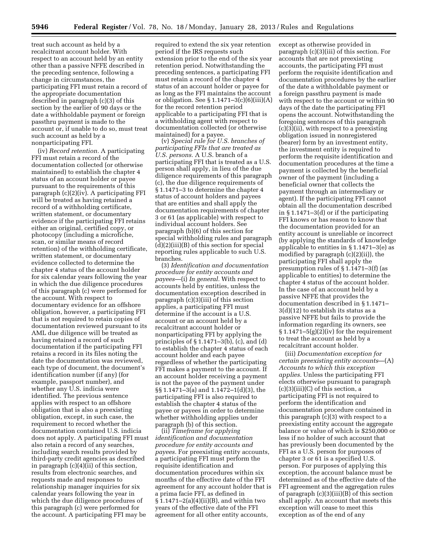treat such account as held by a recalcitrant account holder. With respect to an account held by an entity other than a passive NFFE described in the preceding sentence, following a change in circumstances, the participating FFI must retain a record of the appropriate documentation described in paragraph (c)(3) of this section by the earlier of 90 days or the date a withholdable payment or foreign passthru payment is made to the account or, if unable to do so, must treat such account as held by a nonparticipating FFI.

(iv) *Record retention.* A participating FFI must retain a record of the documentation collected (or otherwise maintained) to establish the chapter 4 status of an account holder or payee pursuant to the requirements of this paragraph (c)(2)(iv). A participating FFI will be treated as having retained a record of a withholding certificate, written statement, or documentary evidence if the participating FFI retains either an original, certified copy, or photocopy (including a microfiche, scan, or similar means of record retention) of the withholding certificate, written statement, or documentary evidence collected to determine the chapter 4 status of the account holder for six calendar years following the year in which the due diligence procedures of this paragraph (c) were performed for the account. With respect to documentary evidence for an offshore obligation, however, a participating FFI that is not required to retain copies of documentation reviewed pursuant to its AML due diligence will be treated as having retained a record of such documentation if the participating FFI retains a record in its files noting the date the documentation was reviewed, each type of document, the document's identification number (if any) (for example, passport number), and whether any U.S. indicia were identified. The previous sentence applies with respect to an offshore obligation that is also a preexisting obligation, except, in such case, the requirement to record whether the documentation contained U.S. indicia does not apply. A participating FFI must also retain a record of any searches, including search results provided by third-party credit agencies as described in paragraph (c)(4)(ii) of this section, results from electronic searches, and requests made and responses to relationship manager inquiries for six calendar years following the year in which the due diligence procedures of this paragraph (c) were performed for the account. A participating FFI may be

required to extend the six year retention period if the IRS requests such extension prior to the end of the six year retention period. Notwithstanding the preceding sentences, a participating FFI must retain a record of the chapter 4 status of an account holder or payee for as long as the FFI maintains the account or obligation. See  $\S 1.1471-3(c)(6)(iii)(A)$ for the record retention period applicable to a participating FFI that is a withholding agent with respect to documentation collected (or otherwise maintained) for a payee.

(v) *Special rule for U.S. branches of participating FFIs that are treated as U.S. persons.* A U.S. branch of a participating FFI that is treated as a U.S. person shall apply, in lieu of the due diligence requirements of this paragraph (c), the due diligence requirements of § 1.1471–3 to determine the chapter 4 status of account holders and payees that are entities and shall apply the documentation requirements of chapter 3 or 61 (as applicable) with respect to individual account holders. See paragraph (b)(6) of this section for special withholding rules and paragraph (d)(2)(iii)(B) of this section for special reporting rules applicable to such U.S. branches.

(3) *Identification and documentation procedure for entity accounts and payees*—(i) *In general.* With respect to accounts held by entities, unless the documentation exception described in paragraph (c)(3)(iii) of this section applies, a participating FFI must determine if the account is a U.S. account or an account held by a recalcitrant account holder or nonparticipating FFI by applying the principles of § 1.1471–3(b), (c), and (d) to establish the chapter 4 status of each account holder and each payee regardless of whether the participating FFI makes a payment to the account. If an account holder receiving a payment is not the payee of the payment under §§ 1.1471–3(a) and 1.1472–1(d)(3), the participating FFI is also required to establish the chapter 4 status of the payee or payees in order to determine whether withholding applies under paragraph (b) of this section.

(ii) *Timeframe for applying identification and documentation procedure for entity accounts and payees.* For preexisting entity accounts, a participating FFI must perform the requisite identification and documentation procedures within six months of the effective date of the FFI agreement for any account holder that is a prima facie FFI, as defined in § 1.1471–2(a)(4)(ii)(B), and within two years of the effective date of the FFI agreement for all other entity accounts,

except as otherwise provided in paragraph (c)(3)(iii) of this section. For accounts that are not preexisting accounts, the participating FFI must perform the requisite identification and documentation procedures by the earlier of the date a withholdable payment or a foreign passthru payment is made with respect to the account or within 90 days of the date the participating FFI opens the account. Notwithstanding the foregoing sentences of this paragraph (c)(3)(ii), with respect to a preexisting obligation issued in nonregistered (bearer) form by an investment entity, the investment entity is required to perform the requisite identification and documentation procedures at the time a payment is collected by the beneficial owner of the payment (including a beneficial owner that collects the payment through an intermediary or agent). If the participating FFI cannot obtain all the documentation described in § 1.1471–3(d) or if the participating FFI knows or has reason to know that the documentation provided for an entity account is unreliable or incorrect (by applying the standards of knowledge applicable to entities in § 1.1471–3(e) as modified by paragraph (c)(2)(ii)), the participating FFI shall apply the presumption rules of § 1.1471–3(f) (as applicable to entities) to determine the chapter 4 status of the account holder. In the case of an account held by a passive NFFE that provides the documentation described in § 1.1471– 3(d)(12) to establish its status as a passive NFFE but fails to provide the information regarding its owners, see  $\S 1.1471 - 5(g)(2)(iv)$  for the requirement to treat the account as held by a recalcitrant account holder.

(iii) *Documentation exception for certain preexisting entity accounts*—(A) *Accounts to which this exception applies.* Unless the participating FFI elects otherwise pursuant to paragraph (c)(3)(iii)(C) of this section, a participating FFI is not required to perform the identification and documentation procedure contained in this paragraph (c)(3) with respect to a preexisting entity account the aggregate balance or value of which is \$250,000 or less if no holder of such account that has previously been documented by the FFI as a U.S. person for purposes of chapter 3 or 61 is a specified U.S. person. For purposes of applying this exception, the account balance must be determined as of the effective date of the FFI agreement and the aggregation rules of paragraph (c)(3)(iii)(B) of this section shall apply. An account that meets this exception will cease to meet this exception as of the end of any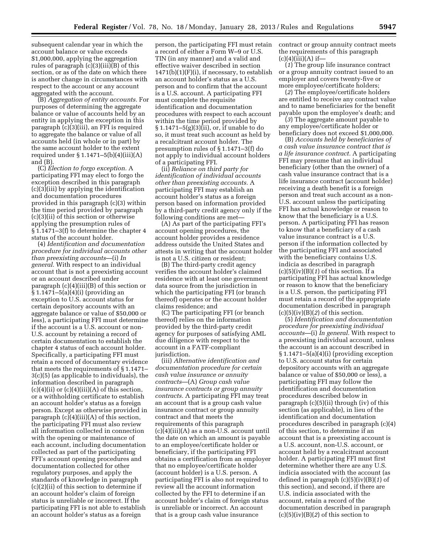subsequent calendar year in which the account balance or value exceeds \$1,000,000, applying the aggregation rules of paragraph (c)(3)(iii)(B) of this section, or as of the date on which there is another change in circumstances with respect to the account or any account aggregated with the account.

(B) *Aggregation of entity accounts.* For purposes of determining the aggregate balance or value of accounts held by an entity in applying the exception in this paragraph (c)(3)(iii), an FFI is required to aggregate the balance or value of all accounts held (in whole or in part) by the same account holder to the extent required under § 1.1471–5(b)(4)(iii)(A) and (B).

(C) *Election to forgo exception.* A participating FFI may elect to forgo the exception described in this paragraph (c)(3)(iii) by applying the identification and documentation procedures provided in this paragraph (c)(3) within the time period provided by paragraph (c)(3)(ii) of this section or otherwise applying the presumption rules of § 1.1471–3(f) to determine the chapter 4 status of the account holder.

(4) *Identification and documentation procedure for individual accounts other than preexisting accounts*—(i) *In general.* With respect to an individual account that is not a preexisting account or an account described under paragraph (c)(4)(iii)(B) of this section or § 1.1471–5(a)(4)(i) (providing an exception to U.S. account status for certain depository accounts with an aggregate balance or value of \$50,000 or less), a participating FFI must determine if the account is a U.S. account or non-U.S. account by retaining a record of certain documentation to establish the chapter 4 status of each account holder. Specifically, a participating FFI must retain a record of documentary evidence that meets the requirements of § 1.1471– 3(c)(5) (as applicable to individuals), the information described in paragraph  $(c)(4)(ii)$  or  $(c)(4)(iii)(A)$  of this section, or a withholding certificate to establish an account holder's status as a foreign person. Except as otherwise provided in paragraph (c)(4)(iii)(A) of this section, the participating FFI must also review all information collected in connection with the opening or maintenance of each account, including documentation collected as part of the participating FFI's account opening procedures and documentation collected for other regulatory purposes, and apply the standards of knowledge in paragraph (c)(2)(ii) of this section to determine if an account holder's claim of foreign status is unreliable or incorrect. If the participating FFI is not able to establish an account holder's status as a foreign

person, the participating FFI must retain a record of either a Form W–9 or U.S. TIN (in any manner) and a valid and effective waiver described in section  $1471(b)(1)(F)(i)$ , if necessary, to establish an account holder's status as a U.S. person and to confirm that the account is a U.S. account. A participating FFI must complete the requisite identification and documentation procedures with respect to each account within the time period provided by § 1.1471–5(g)(3)(ii), or, if unable to do so, it must treat such account as held by a recalcitrant account holder. The presumption rules of § 1.1471–3(f) do not apply to individual account holders of a participating FFI.

(ii) *Reliance on third party for identification of individual accounts other than preexisting accounts.* A participating FFI may establish an account holder's status as a foreign person based on information provided by a third-party credit agency only if the following conditions are met—

(A) As part of the participating FFI's account opening procedures, the account holder provides a residence address outside the United States and attests in writing that the account holder is not a U.S. citizen or resident;

(B) The third-party credit agency verifies the account holder's claimed residence with at least one government data source from the jurisdiction in which the participating FFI (or branch thereof) operates or the account holder claims residence; and

(C) The participating FFI (or branch thereof) relies on the information provided by the third-party credit agency for purposes of satisfying AML due diligence with respect to the account in a FATF-compliant jurisdiction.

(iii) *Alternative identification and documentation procedure for certain cash value insurance or annuity contracts*—(A) *Group cash value insurance contracts or group annuity contracts.* A participating FFI may treat an account that is a group cash value insurance contract or group annuity contract and that meets the requirements of this paragraph  $(c)(4)(iii)(A)$  as a non-U.S. account until the date on which an amount is payable to an employee/certificate holder or beneficiary, if the participating FFI obtains a certification from an employer that no employee/certificate holder (account holder) is a U.S. person. A participating FFI is also not required to review all the account information collected by the FFI to determine if an account holder's claim of foreign status is unreliable or incorrect. An account that is a group cash value insurance

contract or group annuity contract meets the requirements of this paragraph  $(c)(4)(iii)(A)$  if-

(*1*) The group life insurance contract or a group annuity contract issued to an employer and covers twenty-five or more employee/certificate holders;

(*2*) The employee/certificate holders are entitled to receive any contract value and to name beneficiaries for the benefit payable upon the employee's death; and

(*3*) The aggregate amount payable to any employee/certificate holder or beneficiary does not exceed \$1,000,000.

(B) *Accounts held by beneficiaries of a cash value insurance contract that is a life insurance contract.* A participating FFI may presume that an individual beneficiary (other than the owner) of a cash value insurance contract that is a life insurance contract (account holder) receiving a death benefit is a foreign person and treat such account as a non-U.S. account unless the participating FFI has actual knowledge or reason to know that the beneficiary is a U.S. person. A participating FFI has reason to know that a beneficiary of a cash value insurance contract is a U.S. person if the information collected by the participating FFI and associated with the beneficiary contains U.S. indicia as described in paragraph (c)(5)(iv)(B)(*1*) of this section. If a participating FFI has actual knowledge or reason to know that the beneficiary is a U.S. person, the participating FFI must retain a record of the appropriate documentation described in paragraph  $(c)(5)(iv)(B)(2)$  of this section.

(5) *Identification and documentation procedure for preexisting individual accounts*—(i) *In general.* With respect to a preexisting individual account, unless the account is an account described in § 1.1471–5(a)(4)(i) (providing exception to U.S. account status for certain depository accounts with an aggregate balance or value of \$50,000 or less), a participating FFI may follow the identification and documentation procedures described below in paragraph (c)(5)(ii) through (iv) of this section (as applicable), in lieu of the identification and documentation procedures described in paragraph (c)(4) of this section, to determine if an account that is a preexisting account is a U.S. account, non-U.S. account, or account held by a recalcitrant account holder. A participating FFI must first determine whether there are any U.S. indicia associated with the account (as defined in paragraph (c)(5)(iv)(B)(*1*) of this section), and second, if there are U.S. indicia associated with the account, retain a record of the documentation described in paragraph (c)(5)(iv)(B)(*2*) of this section to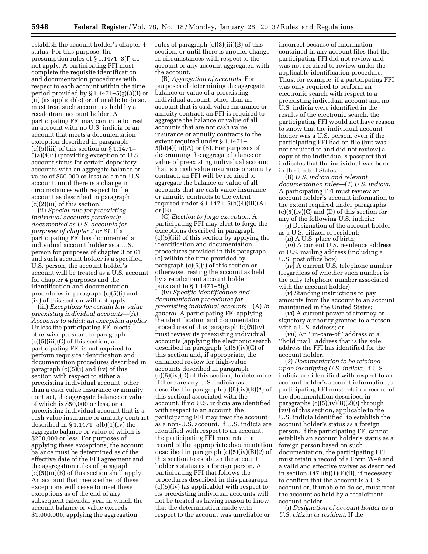establish the account holder's chapter 4 status. For this purpose, the presumption rules of § 1.1471–3(f) do not apply. A participating FFI must complete the requisite identification and documentation procedures with respect to each account within the time period provided by § 1.1471–5(g)(3)(i) or (ii) (as applicable) or, if unable to do so, must treat such account as held by a recalcitrant account holder. A participating FFI may continue to treat an account with no U.S. indicia or an account that meets a documentation exception described in paragraph  $(c)(5)(iii)$  of this section or § 1.1471– 5(a)(4)(i) (providing exception to U.S. account status for certain depository accounts with an aggregate balance or value of \$50,000 or less) as a non-U.S. account, until there is a change in circumstances with respect to the account as described in paragraph (c)(2)(iii) of this section.

(ii) *Special rule for preexisting individual accounts previously documented as U.S. accounts for purposes of chapter 3 or 61.* If a participating FFI has documented an individual account holder as a U.S. person for purposes of chapter 3 or 61 and such account holder is a specified U.S. person, the account holder's account will be treated as a U.S. account for chapter 4 purposes and the identification and documentation procedures in paragraph (c)(5)(i) and (iv) of this section will not apply.

(iii) *Exceptions for certain low value preexisting individual accounts*—(A) *Accounts to which an exception applies.*  Unless the participating FFI elects otherwise pursuant to paragraph  $(c)(5)(iii)(C)$  of this section, a participating FFI is not required to perform requisite identification and documentation procedures described in paragraph (c)(5)(i) and (iv) of this section with respect to either a preexisting individual account, other than a cash value insurance or annuity contract, the aggregate balance or value of which is \$50,000 or less, or a preexisting individual account that is a cash value insurance or annuity contract described in  $\S 1.1471 - 5(b)(1)(iv)$  the aggregate balance or value of which is \$250,000 or less. For purposes of applying these exceptions, the account balance must be determined as of the effective date of the FFI agreement and the aggregation rules of paragraph (c)(5)(iii)(B) of this section shall apply. An account that meets either of these exceptions will cease to meet these exceptions as of the end of any subsequent calendar year in which the account balance or value exceeds \$1,000,000, applying the aggregation

rules of paragraph (c)(3)(iii)(B) of this section, or until there is another change in circumstances with respect to the account or any account aggregated with the account.

(B) *Aggregation of accounts.* For purposes of determining the aggregate balance or value of a preexisting individual account, other than an account that is cash value insurance or annuity contract, an FFI is required to aggregate the balance or value of all accounts that are not cash value insurance or annuity contracts to the extent required under § 1.1471–  $5(b)(4)(iii)(A)$  or  $(B)$ . For purposes of determining the aggregate balance or value of preexisting individual account that is a cash value insurance or annuity contract, an FFI will be required to aggregate the balance or value of all accounts that are cash value insurance or annuity contracts to the extent required under § 1.1471–5(b)(4)(iii)(A) or (B).

(C) *Election to forgo exception.* A participating FFI may elect to forgo the exceptions described in paragraph (c)(5)(iii) of this section by applying the identification and documentation procedures provided in this paragraph (c) within the time provided by paragraph (c)(5)(i) of this section or otherwise treating the account as held by a recalcitrant account holder pursuant to § 1.1471–5(g).

(iv) *Specific identification and documentation procedures for preexisting individual accounts*—(A) *In general.* A participating FFI applying the identification and documentation procedures of this paragraph (c)(5)(iv) must review its preexisting individual accounts (applying the electronic search described in paragraph (c)(5)(iv)(C) of this section and, if appropriate, the enhanced review for high-value accounts described in paragraph (c)(5)(iv)(D) of this section) to determine if there are any U.S. indicia (as described in paragraph (c)(5)(iv)(B)(*1*) of this section) associated with the account. If no U.S. indicia are identified with respect to an account, the participating FFI may treat the account as a non-U.S. account. If U.S. indicia are identified with respect to an account, the participating FFI must retain a record of the appropriate documentation described in paragraph (c)(5)(iv)(B)(*2*) of this section to establish the account holder's status as a foreign person. A participating FFI that follows the procedures described in this paragraph (c)(5)(iv) (as applicable) with respect to its preexisting individual accounts will not be treated as having reason to know that the determination made with respect to the account was unreliable or

incorrect because of information contained in any account files that the participating FFI did not review and was not required to review under the applicable identification procedure. Thus, for example, if a participating FFI was only required to perform an electronic search with respect to a preexisting individual account and no U.S. indicia were identified in the results of the electronic search, the participating FFI would not have reason to know that the individual account holder was a U.S. person, even if the participating FFI had on file (but was not required to and did not review) a copy of the individual's passport that indicates that the individual was born in the United States.

(B) *U.S. indicia and relevant documentation rules*—(*1*) *U.S. indicia.*  A participating FFI must review an account holder's account information to the extent required under paragraphs  $(c)(5)(iv)(C)$  and  $(D)$  of this section for any of the following U.S. indicia:

(*i*) Designation of the account holder as a U.S. citizen or resident;

(*ii*) A U.S. place of birth;

(*iii*) A current U.S. residence address or U.S. mailing address (including a U.S. post office box);

(*iv*) A current U.S. telephone number (regardless of whether such number is the only telephone number associated with the account holder);

(*v*) Standing instructions to pay amounts from the account to an account maintained in the United States;

(*vi*) A current power of attorney or signatory authority granted to a person with a U.S. address; or

(*vii*) An ''in-care-of'' address or a ''hold mail'' address that is the sole address the FFI has identified for the account holder.

(*2*) *Documentation to be retained upon identifying U.S. indicia.* If U.S. indicia are identified with respect to an account holder's account information, a participating FFI must retain a record of the documentation described in paragraphs (c)(5)(iv)(B)(*2*)(*i*) through (*vii*) of this section, applicable to the U.S. indicia identified, to establish the account holder's status as a foreign person. If the participating FFI cannot establish an account holder's status as a foreign person based on such documentation, the participating FFI must retain a record of a Form W–9 and a valid and effective waiver as described in section  $1471(b)(1)(F)(ii)$ , if necessary, to confirm that the account is a U.S. account or, if unable to do so, must treat the account as held by a recalcitrant account holder.

(*i*) *Designation of account holder as a U.S. citizen or resident.* If the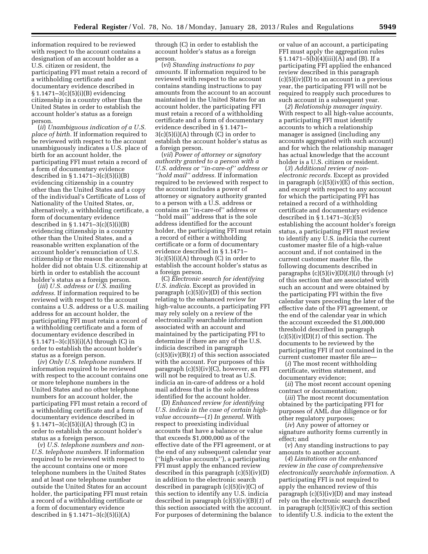information required to be reviewed with respect to the account contains a designation of an account holder as a U.S. citizen or resident, the participating FFI must retain a record of a withholding certificate and documentary evidence described in § 1.1471–3(c)(5)(i)(B) evidencing citizenship in a country other than the United States in order to establish the account holder's status as a foreign person.

(*ii*) *Unambiguous indication of a U.S. place of birth.* If information required to be reviewed with respect to the account unambiguously indicates a U.S. place of birth for an account holder, the participating FFI must retain a record of a form of documentary evidence described in § 1.1471–3(c)(5)(i)(B) evidencing citizenship in a country other than the United States and a copy of the individual's Certificate of Loss of Nationality of the United States, or, alternatively, a withholding certificate, a form of documentary evidence described in § 1.1471–3(c)(5)(i)(B) evidencing citizenship in a country other than the United States, and a reasonable written explanation of the account holder's renunciation of U.S. citizenship or the reason the account holder did not obtain U.S. citizenship at birth in order to establish the account holder's status as a foreign person.

(*iii*) *U.S. address or U.S. mailing address.* If information required to be reviewed with respect to the account contains a U.S. address or a U.S. mailing address for an account holder, the participating FFI must retain a record of a withholding certificate and a form of documentary evidence described in § 1.1471–3(c)(5)(i)(A) through (C) in order to establish the account holder's status as a foreign person.

(*iv*) *Only U.S. telephone numbers.* If information required to be reviewed with respect to the account contains one or more telephone numbers in the United States and no other telephone numbers for an account holder, the participating FFI must retain a record of a withholding certificate and a form of documentary evidence described in § 1.1471–3(c)(5)(i)(A) through (C) in order to establish the account holder's status as a foreign person.

(*v*) *U.S. telephone numbers and non-U.S. telephone numbers.* If information required to be reviewed with respect to the account contains one or more telephone numbers in the United States and at least one telephone number outside the United States for an account holder, the participating FFI must retain a record of a withholding certificate or a form of documentary evidence described in § 1.1471–3(c)(5)(i)(A)

through (C) in order to establish the account holder's status as a foreign person.

(*vi*) *Standing instructions to pay amounts.* If information required to be reviewed with respect to the account contains standing instructions to pay amounts from the account to an account maintained in the United States for an account holder, the participating FFI must retain a record of a withholding certificate and a form of documentary evidence described in § 1.1471–  $3(c)(5)(i)(A)$  through  $(C)$  in order to establish the account holder's status as a foreign person.

(*vii*) *Power of attorney or signatory authority granted to a person with a U.S. address or ''in-care-of'' address or ''hold mail'' address.* If information required to be reviewed with respect to the account includes a power of attorney or signatory authority granted to a person with a U.S. address or contains an ''in-care-of'' address or ''hold mail'' address that is the sole address identified for the account holder, the participating FFI must retain a record of either a withholding certificate or a form of documentary evidence described in § 1.1471–  $3(c)(5)(i)(A)$  through  $(C)$  in order to establish the account holder's status as a foreign person.

(C) *Electronic search for identifying U.S. indicia.* Except as provided in paragraph (c)(5)(iv)(D) of this section relating to the enhanced review for high-value accounts, a participating FFI may rely solely on a review of the electronically searchable information associated with an account and maintained by the participating FFI to determine if there are any of the U.S. indicia described in paragraph (c)(5)(iv)(B)(*1*) of this section associated with the account. For purposes of this paragraph (c)(5)(iv)(C), however, an FFI will not be required to treat as U.S. indicia an in-care-of address or a hold mail address that is the sole address identified for the account holder.

(D) *Enhanced review for identifying U.S. indicia in the case of certain highvalue accounts*—(*1*) *In general.* With respect to preexisting individual accounts that have a balance or value that exceeds \$1,000,000 as of the effective date of the FFI agreement, or at the end of any subsequent calendar year (''high-value accounts''), a participating FFI must apply the enhanced review described in this paragraph  $(c)(5)(iv)(D)$ in addition to the electronic search described in paragraph (c)(5)(iv)(C) of this section to identify any U.S. indicia described in paragraph (c)(5)(iv)(B)(*1*) of this section associated with the account. For purposes of determining the balance

or value of an account, a participating FFI must apply the aggregation rules § 1.1471–5(b)(4)(iii)(A) and (B). If a participating FFI applied the enhanced review described in this paragraph  $(c)(5)(iv)(D)$  to an account in a previous year, the participating FFI will not be required to reapply such procedures to such account in a subsequent year.

(*2*) *Relationship manager inquiry.*  With respect to all high-value accounts, a participating FFI must identify accounts to which a relationship manager is assigned (including any accounts aggregated with such account) and for which the relationship manager has actual knowledge that the account holder is a U.S. citizen or resident.

(*3*) *Additional review of nonelectronic records.* Except as provided in paragraph  $(c)(5)(iv)(E)$  of this section, and except with respect to any account for which the participating FFI has retained a record of a withholding certificate and documentary evidence described in § 1.1471–3(c)(5) establishing the account holder's foreign status, a participating FFI must review to identify any U.S. indicia the current customer master file of a high-value account and, if not contained in the current customer master file, the following documents described in paragraphs (c)(5)(iv)(D)(*3*)(*i*) through (*v*) of this section that are associated with such an account and were obtained by the participating FFI within the five calendar years preceding the later of the effective date of the FFI agreement, or the end of the calendar year in which the account exceeded the \$1,000,000 threshold described in paragraph (c)(5)(iv)(D)(*1*) of this section. The documents to be reviewed by the participating FFI if not contained in the current customer master file are—

(*i*) The most recent withholding certificate, written statement, and documentary evidence;

(*ii*) The most recent account opening contract or documentation;

(*iii*) The most recent documentation obtained by the participating FFI for purposes of AML due diligence or for other regulatory purposes;

(*iv*) Any power of attorney or signature authority forms currently in effect; and

(*v*) Any standing instructions to pay amounts to another account.

(*4*) *Limitations on the enhanced review in the case of comprehensive electronically searchable information.* A participating FFI is not required to apply the enhanced review of this paragraph (c)(5)(iv)(D) and may instead rely on the electronic search described in paragraph  $(c)(5)(iv)(C)$  of this section to identify U.S. indicia to the extent the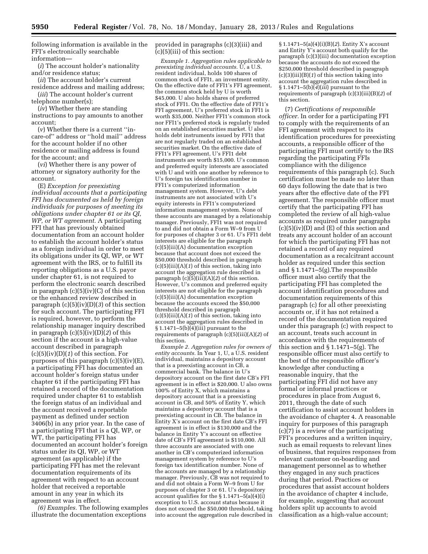following information is available in the FFI's electronically searchable information—

(*i*) The account holder's nationality and/or residence status;

(*ii*) The account holder's current residence address and mailing address; (*iii*) The account holder's current

telephone number(s);

(*iv*) Whether there are standing instructions to pay amounts to another account;

(*v*) Whether there is a current ''incare-of'' address or ''hold mail'' address for the account holder if no other residence or mailing address is found for the account; and

(*vi*) Whether there is any power of attorney or signatory authority for the account.

(E) *Exception for preexisting individual accounts that a participating FFI has documented as held by foreign individuals for purposes of meeting its obligations under chapter 61 or its QI, WP, or WT agreement.* A participating FFI that has previously obtained documentation from an account holder to establish the account holder's status as a foreign individual in order to meet its obligations under its QI, WP, or WT agreement with the IRS, or to fulfill its reporting obligations as a U.S. payor under chapter 61, is not required to perform the electronic search described in paragraph (c)(5)(iv)(C) of this section or the enhanced review described in paragraph (c)(5)(iv)(D)(*3*) of this section for such account. The participating FFI is required, however, to perform the relationship manager inquiry described in paragraph (c)(5)(iv)(D)(*2*) of this section if the account is a high-value account described in paragraph (c)(5)(iv)(D)(*1*) of this section. For purposes of this paragraph  $(c)(5)(iv)(E)$ , a participating FFI has documented an account holder's foreign status under chapter 61 if the participating FFI has retained a record of the documentation required under chapter 61 to establish the foreign status of an individual and the account received a reportable payment as defined under section 3406(b) in any prior year. In the case of a participating FFI that is a QI, WP, or WT, the participating FFI has documented an account holder's foreign status under its QI, WP, or WT agreement (as applicable) if the participating FFI has met the relevant documentation requirements of its agreement with respect to an account holder that received a reportable amount in any year in which its agreement was in effect.

*(6) Examples.* The following examples illustrate the documentation exceptions

provided in paragraphs (c)(3)(iii) and (c)(5)(iii) of this section:

*Example 1. Aggregation rules applicable to preexisting individual accounts.* U, a U.S. resident individual, holds 100 shares of common stock of FFI1, an investment entity. On the effective date of FFI1's FFI agreement, the common stock held by U is worth \$45,000. U also holds shares of preferred stock of FFI1. On the effective date of FFI1's FFI agreement, U's preferred stock in FFI1 is worth \$35,000. Neither FFI1's common stock nor FFI1's preferred stock is regularly traded on an established securities market. U also holds debt instruments issued by FFI1 that are not regularly traded on an established securities market. On the effective date of FFI1's FFI agreement, U's FFI1 debt instruments are worth \$15,000. U's common and preferred equity interests are associated with U and with one another by reference to U's foreign tax identification number in FFI1's computerized information management system. However, U's debt instruments are not associated with U's equity interests in FFI1's computerized information management system. None of these accounts are managed by a relationship manager. Previously, FFI1 was not required to and did not obtain a Form W–9 from U for purposes of chapter 3 or 61. U's FFI1 debt interests are eligible for the paragraph (c)(5)(iii)(A) documentation exception because that account does not exceed the \$50,000 threshold described in paragraph (c)(5)(iii)(A)(*1*) of this section, taking into account the aggregation rule described in paragraph (c)(5)(iii)(A)(*2*) of this section. However, U's common and preferred equity interests are not eligible for the paragraph (c)(5)(iii)(A) documentation exception because the accounts exceed the \$50,000 threshold described in paragraph (c)(5)(iii)(A)(*1*) of this section, taking into account the aggregation rules described in  $§ 1.1471-5(b)(4)(iii)$  pursuant to the requirements of paragraph (c)(5)(iii)(A)(*2*) of this section.

*Example 2. Aggregation rules for owners of entity accounts.* In Year 1, U, a U.S. resident individual, maintains a depository account that is a preexisting account in CB, a commercial bank. The balance in U's depository account on the first date CB's FFI agreement is in effect is \$20,000. U also owns 100% of Entity X, which maintains a depository account that is a preexisting account in CB, and 50% of Entity Y, which maintains a depository account that is a preexisting account in CB. The balance in Entity X's account on the first date CB's FFI agreement is in effect is \$130,000 and the balance in Entity Y's account on effective date of CB's FFI agreement is \$110,000. All three accounts are associated with one another in CB's computerized information management system by reference to U's foreign tax identification number. None of the accounts are managed by a relationship manager. Previously, CB was not required to and did not obtain a Form W–9 from U for purposes of chapter 3 or 61. U's depository account qualifies for the  $\S 1.1471 - 5(a)(4)(i)$ exception to U.S. account status because it does not exceed the \$50,000 threshold, taking into account the aggregation rule described in

§ 1.1471–5(a)(4)(i)(B)(*2*). Entity X's account and Entity Y's account both qualify for the paragraph (c)(3)(iii) documentation exception because the accounts do not exceed the \$250,000 threshold described in paragraph (c)(3)(iii)(B)(*1*) of this section taking into account the aggregation rules described in § 1.1471–5(b)(*4*)(*iii*) pursuant to the requirements of paragraph (c)(3)(iii)(B)(*2*) of this section.

(7) *Certifications of responsible officer.* In order for a participating FFI to comply with the requirements of an FFI agreement with respect to its identification procedures for preexisting accounts, a responsible officer of the participating FFI must certify to the IRS regarding the participating FFIs compliance with the diligence requirements of this paragraph (c). Such certification must be made no later than 60 days following the date that is two years after the effective date of the FFI agreement. The responsible officer must certify that the participating FFI has completed the review of all high-value accounts as required under paragraphs  $(c)(5)(iv)(D)$  and  $(E)$  of this section and treats any account holder of an account for which the participating FFI has not retained a record of any required documentation as a recalcitrant account holder as required under this section and § 1.1471–5(g).The responsible officer must also certify that the participating FFI has completed the account identification procedures and documentation requirements of this paragraph (c) for all other preexisting accounts or, if it has not retained a record of the documentation required under this paragraph (c) with respect to an account, treats such account in accordance with the requirements of this section and  $\S 1.1471 - 5(g)$ . The responsible officer must also certify to the best of the responsible officer's knowledge after conducting a reasonable inquiry, that the participating FFI did not have any formal or informal practices or procedures in place from August 6, 2011, through the date of such certification to assist account holders in the avoidance of chapter 4. A reasonable inquiry for purposes of this paragraph (c)(7) is a review of the participating FFI's procedures and a written inquiry, such as email requests to relevant lines of business, that requires responses from relevant customer on-boarding and management personnel as to whether they engaged in any such practices during that period. Practices or procedures that assist account holders in the avoidance of chapter 4 include, for example, suggesting that account holders split up accounts to avoid classification as a high-value account;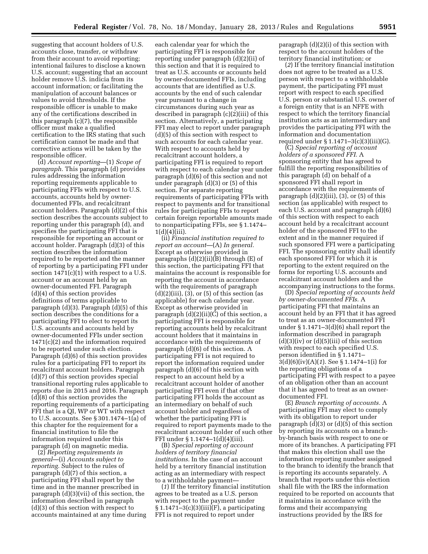suggesting that account holders of U.S. accounts close, transfer, or withdraw from their account to avoid reporting; intentional failures to disclose a known U.S. account; suggesting that an account holder remove U.S. indicia from its account information; or facilitating the manipulation of account balances or values to avoid thresholds. If the responsible officer is unable to make any of the certifications described in this paragraph (c)(7), the responsible officer must make a qualified certification to the IRS stating that such certification cannot be made and that corrective actions will be taken by the responsible officer.

(d) *Account reporting*—(1) *Scope of paragraph.* This paragraph (d) provides rules addressing the information reporting requirements applicable to participating FFIs with respect to U.S. accounts, accounts held by ownerdocumented FFIs, and recalcitrant account holders. Paragraph (d)(2) of this section describes the accounts subject to reporting under this paragraph (d), and specifies the participating FFI that is responsible for reporting an account or account holder. Paragraph (d)(3) of this section describes the information required to be reported and the manner of reporting by a participating FFI under section  $1471(c)(1)$  with respect to a U.S. account or an account held by an owner-documented FFI. Paragraph (d)(4) of this section provides definitions of terms applicable to paragraph (d)(3). Paragraph (d)(5) of this section describes the conditions for a participating FFI to elect to report its U.S. accounts and accounts held by owner-documented FFIs under section 1471(c)(2) and the information required to be reported under such election. Paragraph (d)(6) of this section provides rules for a participating FFI to report its recalcitrant account holders. Paragraph (d)(7) of this section provides special transitional reporting rules applicable to reports due in 2015 and 2016. Paragraph  $(d)(8)$  of this section provides the reporting requirements of a participating FFI that is a QI, WP or WT with respect to U.S. accounts. See § 301.1474–1(a) of this chapter for the requirement for a financial institution to file the information required under this paragraph (d) on magnetic media.

(2) *Reporting requirements in general*—(i) *Accounts subject to reporting.* Subject to the rules of paragraph (d)(7) of this section, a participating FFI shall report by the time and in the manner prescribed in paragraph (d)(3)(vii) of this section, the information described in paragraph (d)(3) of this section with respect to accounts maintained at any time during

each calendar year for which the participating FFI is responsible for reporting under paragraph (d)(2)(ii) of this section and that it is required to treat as U.S. accounts or accounts held by owner-documented FFIs, including accounts that are identified as U.S. accounts by the end of such calendar year pursuant to a change in circumstances during such year as described in paragraph (c)(2)(iii) of this section. Alternatively, a participating FFI may elect to report under paragraph (d)(5) of this section with respect to such accounts for each calendar year. With respect to accounts held by recalcitrant account holders, a participating FFI is required to report with respect to each calendar year under paragraph (d)(6) of this section and not under paragraph (d)(3) or (5) of this section. For separate reporting requirements of participating FFIs with respect to payments and for transitional rules for participating FFIs to report certain foreign reportable amounts made to nonparticipating FFIs, see § 1.1474–  $1(d)(4)(iii)$ .

(ii) *Financial institution required to report an account*—(A) *In general.*  Except as otherwise provided in paragraphs (d)(2)(ii)(B) through (E) of this section, the participating FFI that maintains the account is responsible for reporting the account in accordance with the requirements of paragraph  $(d)(2)(iii)$ ,  $(3)$ , or  $(5)$  of this section (as applicable) for each calendar year. Except as otherwise provided in paragraph  $(d)(2)(ii)(C)$  of this section, a participating FFI is responsible for reporting accounts held by recalcitrant account holders that it maintains in accordance with the requirements of paragraph (d)(6) of this section. A participating FFI is not required to report the information required under paragraph (d)(6) of this section with respect to an account held by a recalcitrant account holder of another participating FFI even if that other participating FFI holds the account as an intermediary on behalf of such account holder and regardless of whether the participating FFI is required to report payments made to the recalcitrant account holder of such other FFI under § 1.1474–1(d)(4)(iii).

(B) *Special reporting of account holders of territory financial institutions.* In the case of an account held by a territory financial institution acting as an intermediary with respect to a withholdable payment—

(*1*) If the territory financial institution agrees to be treated as a U.S. person with respect to the payment under  $§ 1.1471-3(c)(3)(iii)(F)$ , a participating FFI is not required to report under

paragraph (d)(2)(i) of this section with respect to the account holders of the territory financial institution; or

(*2*) If the territory financial institution does not agree to be treated as a U.S. person with respect to a withholdable payment, the participating FFI must report with respect to each specified U.S. person or substantial U.S. owner of a foreign entity that is an NFFE with respect to which the territory financial institution acts as an intermediary and provides the participating FFI with the information and documentation required under  $\S 1.1471 - 3(c)(3)(iii)(G)$ .

(C) *Special reporting of account holders of a sponsored FFI.* A sponsoring entity that has agreed to fulfill the reporting responsibilities of this paragraph (d) on behalf of a sponsored FFI shall report in accordance with the requirements of paragraph  $(d)(2)(iii)$ ,  $(3)$ , or  $(5)$  of this section (as applicable) with respect to each U.S. account and paragraph (d)(6) of this section with respect to each account held by a recalcitrant account holder of the sponsored FFI to the extent and in the manner required if such sponsored FFI were a participating FFI. The sponsoring entity shall identify each sponsored FFI for which it is reporting to the extent required on the forms for reporting U.S. accounts and recalcitrant account holders and the accompanying instructions to the forms.

(D) *Special reporting of accounts held by owner-documented FFIs.* A participating FFI that maintains an account held by an FFI that it has agreed to treat as an owner-documented FFI under § 1.1471–3(d)(6) shall report the information described in paragraph  $(d)(3)(iv)$  or  $(d)(5)(iii)$  of this section with respect to each specified U.S. person identified in § 1.1471– 3(d)(6)(iv)(A)(*1*). See § 1.1474–1(i) for the reporting obligations of a participating FFI with respect to a payee of an obligation other than an account that it has agreed to treat as an ownerdocumented FFI.

(E) *Branch reporting of accounts.* A participating FFI may elect to comply with its obligation to report under paragraph (d)(3) or (d)(5) of this section by reporting its accounts on a branchby-branch basis with respect to one or more of its branches. A participating FFI that makes this election shall use the information reporting number assigned to the branch to identify the branch that is reporting its accounts separately. A branch that reports under this election shall file with the IRS the information required to be reported on accounts that it maintains in accordance with the forms and their accompanying instructions provided by the IRS for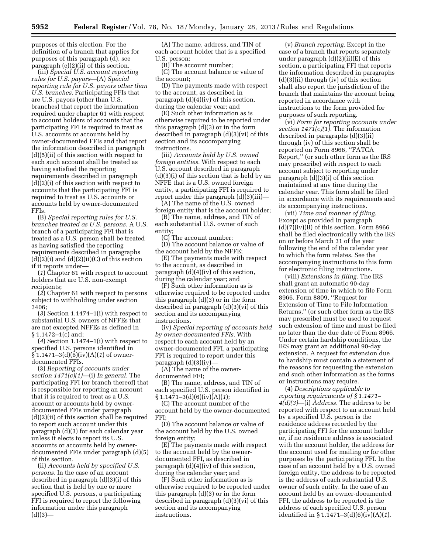purposes of this election. For the definition of a branch that applies for purposes of this paragraph (d), see paragraph (e)(2)(ii) of this section.

(iii) *Special U.S. account reporting rules for U.S. payors*—(A) *Special reporting rule for U.S. payors other than U.S. branches.* Participating FFIs that are U.S. payors (other than U.S. branches) that report the information required under chapter 61 with respect to account holders of accounts that the participating FFI is required to treat as U.S. accounts or accounts held by owner-documented FFIs and that report the information described in paragraph (d)(5)(ii) of this section with respect to each such account shall be treated as having satisfied the reporting requirements described in paragraph (d)(2)(i) of this section with respect to accounts that the participating FFI is required to treat as U.S. accounts or accounts held by owner-documented FFIs.

(B) *Special reporting rules for U.S. branches treated as U.S. persons.* A U.S. branch of a participating FFI that is treated as a U.S. person shall be treated as having satisfied the reporting requirements described in paragraphs  $(d)(2)(i)$  and  $(d)(2)(ii)(C)$  of this section if it reports under—

(*1*) Chapter 61 with respect to account holders that are U.S. non-exempt recipients;

(*2*) Chapter 61 with respect to persons subject to withholding under section 3406;

(*3*) Section 1.1474–1(i) with respect to substantial U.S. owners of NFFEs that are not excepted NFFEs as defined in § 1.1472–1(c) and;

(*4*) Section 1.1474–1(i) with respect to specified U.S. persons identified in § 1.1471–3(d)(6)(iv)(A)(*1*) of ownerdocumented FFIs.

(3) *Reporting of accounts under section 1471(c)(1)*—(i) *In general.* The participating FFI (or branch thereof) that is responsible for reporting an account that it is required to treat as a U.S. account or accounts held by ownerdocumented FFIs under paragraph (d)(2)(ii) of this section shall be required to report such account under this paragraph (d)(3) for each calendar year unless it elects to report its U.S. accounts or accounts held by ownerdocumented FFIs under paragraph (d)(5) of this section.

(ii) *Accounts held by specified U.S. persons.* In the case of an account described in paragraph (d)(3)(i) of this section that is held by one or more specified U.S. persons, a participating FFI is required to report the following information under this paragraph  $(d)(3)$ —

(A) The name, address, and TIN of each account holder that is a specified U.S. person;

(B) The account number;

(C) The account balance or value of the account;

(D) The payments made with respect to the account, as described in paragraph (d)(4)(iv) of this section, during the calendar year; and

(E) Such other information as is otherwise required to be reported under this paragraph (d)(3) or in the form described in paragraph (d)(3)(vi) of this section and its accompanying instructions.

(iii) *Accounts held by U.S. owned foreign entities.* With respect to each U.S. account described in paragraph (d)(3)(i) of this section that is held by an NFFE that is a U.S. owned foreign entity, a participating FFI is required to report under this paragraph (d)(3)(iii)—

(A) The name of the U.S. owned foreign entity that is the account holder;

(B) The name, address, and TIN of each substantial U.S. owner of such entity;

(C) The account number;

(D) The account balance or value of the account held by the NFFE;

(E) The payments made with respect to the account, as described in paragraph (d)(4)(iv) of this section, during the calendar year; and

(F) Such other information as is otherwise required to be reported under this paragraph (d)(3) or in the form described in paragraph (d)(3)(vi) of this section and its accompanying instructions.

(iv) *Special reporting of accounts held by owner-documented FFIs.* With respect to each account held by an owner-documented FFI, a participating FFI is required to report under this paragraph (d)(3)(iv)—

(A) The name of the ownerdocumented FFI;

(B) The name, address, and TIN of each specified U.S. person identified in § 1.1471–3(d)(6)(iv)(A)(*1*);

(C) The account number of the account held by the owner-documented FFI;

(D) The account balance or value of the account held by the U.S. owned foreign entity;

(E) The payments made with respect to the account held by the ownerdocumented FFI, as described in paragraph (d)(4)(iv) of this section, during the calendar year; and

(F) Such other information as is otherwise required to be reported under this paragraph (d)(3) or in the form described in paragraph (d)(3)(vi) of this section and its accompanying instructions.

(v) *Branch reporting.* Except in the case of a branch that reports separately under paragraph  $(d)(2)(ii)(E)$  of this section, a participating FFI that reports the information described in paragraphs (d)(3)(ii) through (iv) of this section shall also report the jurisdiction of the branch that maintains the account being reported in accordance with instructions to the form provided for purposes of such reporting.

(vi) *Form for reporting accounts under section 1471(c)(1).* The information described in paragraphs (d)(3)(ii) through (iv) of this section shall be reported on Form 8966, ''FATCA Report,'' (or such other form as the IRS may prescribe) with respect to each account subject to reporting under paragraph (d)(3)(i) of this section maintained at any time during the calendar year. This form shall be filed in accordance with its requirements and its accompanying instructions.

(vii) *Time and manner of filing.*  Except as provided in paragraph  $(d)(7)(iv)(B)$  of this section, Form 8966 shall be filed electronically with the IRS on or before March 31 of the year following the end of the calendar year to which the form relates. See the accompanying instructions to this form for electronic filing instructions.

(viii) *Extensions in filing.* The IRS shall grant an automatic 90-day extension of time in which to file Form 8966. Form 8809, ''Request for Extension of Time to File Information Returns,'' (or such other form as the IRS may prescribe) must be used to request such extension of time and must be filed no later than the due date of Form 8966. Under certain hardship conditions, the IRS may grant an additional 90-day extension. A request for extension due to hardship must contain a statement of the reasons for requesting the extension and such other information as the forms or instructions may require.

(4) *Descriptions applicable to reporting requirements of § 1.1471– 4(d)(3)*—(i) *Address.* The address to be reported with respect to an account held by a specified U.S. person is the residence address recorded by the participating FFI for the account holder or, if no residence address is associated with the account holder, the address for the account used for mailing or for other purposes by the participating FFI. In the case of an account held by a U.S. owned foreign entity, the address to be reported is the address of each substantial U.S. owner of such entity. In the case of an account held by an owner-documented FFI, the address to be reported is the address of each specified U.S. person identified in § 1.1471–3(d)(6)(iv)(A)(*1*).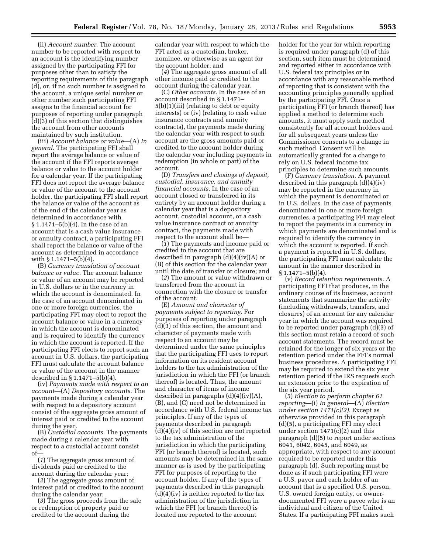(ii) *Account number.* The account number to be reported with respect to an account is the identifying number assigned by the participating FFI for purposes other than to satisfy the reporting requirements of this paragraph (d), or, if no such number is assigned to the account, a unique serial number or other number such participating FFI assigns to the financial account for purposes of reporting under paragraph (d)(3) of this section that distinguishes the account from other accounts maintained by such institution.

(iii) *Account balance or value*—(A) *In general.* The participating FFI shall report the average balance or value of the account if the FFI reports average balance or value to the account holder for a calendar year. If the participating FFI does not report the average balance or value of the account to the account holder, the participating FFI shall report the balance or value of the account as of the end of the calendar year as determined in accordance with § 1.1471–5(b)(4). In the case of an account that is a cash value insurance or annuity contract, a participating FFI shall report the balance or value of the account as determined in accordance with § 1.1471–5(b)(4).

(B) *Currency translation of account balance or value.* The account balance or value of an account may be reported in U.S. dollars or in the currency in which the account is denominated. In the case of an account denominated in one or more foreign currencies, the participating FFI may elect to report the account balance or value in a currency in which the account is denominated and is required to identify the currency in which the account is reported. If the participating FFI elects to report such an account in U.S. dollars, the participating FFI must calculate the account balance or value of the account in the manner described in § 1.1471–5(b)(4).

(iv) *Payments made with respect to an account*—(A) *Depository accounts.* The payments made during a calendar year with respect to a depository account consist of the aggregate gross amount of interest paid or credited to the account during the year.

(B) *Custodial accounts.* The payments made during a calendar year with respect to a custodial account consist of—

(*1*) The aggregate gross amount of dividends paid or credited to the account during the calendar year;

(*2*) The aggregate gross amount of interest paid or credited to the account during the calendar year;

(*3*) The gross proceeds from the sale or redemption of property paid or credited to the account during the

calendar year with respect to which the FFI acted as a custodian, broker, nominee, or otherwise as an agent for the account holder; and

(*4*) The aggregate gross amount of all other income paid or credited to the account during the calendar year.

(C) *Other accounts.* In the case of an account described in § 1.1471– 5(b)(1)(iii) (relating to debt or equity interests) or (iv) (relating to cash value insurance contracts and annuity contracts), the payments made during the calendar year with respect to such account are the gross amounts paid or credited to the account holder during the calendar year including payments in redemption (in whole or part) of the account.

(D) *Transfers and closings of deposit, custodial, insurance, and annuity financial accounts.* In the case of an account closed or transferred in its entirety by an account holder during a calendar year that is a depository account, custodial account, or a cash value insurance contract or annuity contract, the payments made with respect to the account shall be—

(*1*) The payments and income paid or credited to the account that are described in paragraph (d)(4)(iv)(A) or (B) of this section for the calendar year until the date of transfer or closure; and

(*2*) The amount or value withdrawn or transferred from the account in connection with the closure or transfer of the account.

(E) *Amount and character of payments subject to reporting.* For purposes of reporting under paragraph (d)(3) of this section, the amount and character of payments made with respect to an account may be determined under the same principles that the participating FFI uses to report information on its resident account holders to the tax administration of the jurisdiction in which the FFI (or branch thereof) is located. Thus, the amount and character of items of income described in paragraphs (d)(4)(iv)(A), (B), and (C) need not be determined in accordance with U.S. federal income tax principles. If any of the types of payments described in paragraph (d)(4)(iv) of this section are not reported to the tax administration of the jurisdiction in which the participating FFI (or branch thereof) is located, such amounts may be determined in the same manner as is used by the participating FFI for purposes of reporting to the account holder. If any of the types of payments described in this paragraph (d)(4)(iv) is neither reported to the tax administration of the jurisdiction in which the FFI (or branch thereof) is located nor reported to the account

holder for the year for which reporting is required under paragraph (d) of this section, such item must be determined and reported either in accordance with U.S. federal tax principles or in accordance with any reasonable method of reporting that is consistent with the accounting principles generally applied by the participating FFI. Once a participating FFI (or branch thereof) has applied a method to determine such amounts, it must apply such method consistently for all account holders and for all subsequent years unless the Commissioner consents to a change in such method. Consent will be automatically granted for a change to rely on U.S. federal income tax principles to determine such amounts.

(F) *Currency translation.* A payment described in this paragraph (d)(4)(iv) may be reported in the currency in which the payment is denominated or in U.S. dollars. In the case of payments denominated in one or more foreign currencies, a participating FFI may elect to report the payments in a currency in which payments are denominated and is required to identify the currency in which the account is reported. If such a payment is reported in U.S. dollars, the participating FFI must calculate the amount in the manner described in § 1.1471–5(b)(4).

(v) *Record retention requirements.* A participating FFI that produces, in the ordinary course of its business, account statements that summarize the activity (including withdrawals, transfers, and closures) of an account for any calendar year in which the account was required to be reported under paragraph (d)(3) of this section must retain a record of such account statements. The record must be retained for the longer of six years or the retention period under the FFI's normal business procedures. A participating FFI may be required to extend the six year retention period if the IRS requests such an extension prior to the expiration of the six year period.

(5) *Election to perform chapter 61 reporting*—(i) *In general*—(A) *Election under section 1471(c)(2).* Except as otherwise provided in this paragraph (d)(5), a participating FFI may elect under section 1471(c)(2) and this paragraph (d)(5) to report under sections 6041, 6042, 6045, and 6049, as appropriate, with respect to any account required to be reported under this paragraph (d). Such reporting must be done as if such participating FFI were a U.S. payor and each holder of an account that is a specified U.S. person, U.S. owned foreign entity, or ownerdocumented FFI were a payee who is an individual and citizen of the United States. If a participating FFI makes such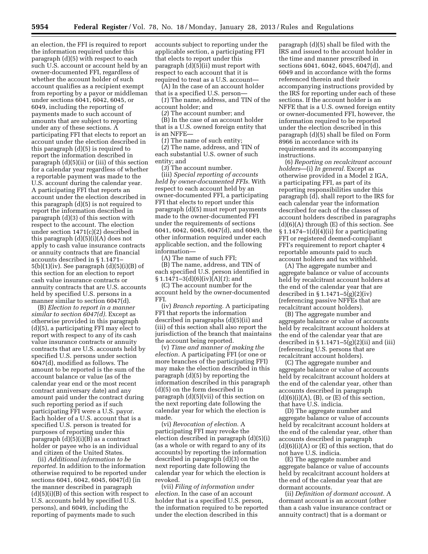an election, the FFI is required to report the information required under this paragraph (d)(5) with respect to each such U.S. account or account held by an owner-documented FFI, regardless of whether the account holder of such account qualifies as a recipient exempt from reporting by a payor or middleman under sections 6041, 6042, 6045, or 6049, including the reporting of payments made to such account of amounts that are subject to reporting under any of these sections. A participating FFI that elects to report an account under the election described in this paragraph (d)(5) is required to report the information described in paragraph (d)(5)(ii) or (iii) of this section for a calendar year regardless of whether a reportable payment was made to the U.S. account during the calendar year. A participating FFI that reports an account under the election described in this paragraph (d)(5) is not required to report the information described in paragraph (d)(3) of this section with respect to the account. The election under section 1471(c)(2) described in this paragraph (d)(5)(i)(A) does not apply to cash value insurance contracts or annuity contracts that are financial accounts described in § 1.1471–  $5(b)(1)(iv)$ . See paragraph  $(d)(5)(i)(B)$  of this section for an election to report cash value insurance contracts or annuity contracts that are U.S. accounts held by specified U.S. persons in a manner similar to section 6047(d).

(B) *Election to report in a manner similar to section 6047(d).* Except as otherwise provided in this paragraph (d)(5), a participating FFI may elect to report with respect to any of its cash value insurance contracts or annuity contracts that are U.S. accounts held by specified U.S. persons under section 6047(d), modified as follows. The amount to be reported is the sum of the account balance or value (as of the calendar year end or the most recent contract anniversary date) and any amount paid under the contract during such reporting period as if such participating FFI were a U.S. payor. Each holder of a U.S. account that is a specified U.S. person is treated for purposes of reporting under this paragraph (d)(5)(i)(B) as a contract holder or payee who is an individual and citizen of the United States.

(ii) *Additional information to be reported.* In addition to the information otherwise required to be reported under sections 6041, 6042, 6045, 6047(d) (in the manner described in paragraph (d)(5)(i)(B) of this section with respect to U.S. accounts held by specified U.S. persons), and 6049, including the reporting of payments made to such

accounts subject to reporting under the applicable section, a participating FFI that elects to report under this paragraph (d)(5)(ii) must report with respect to each account that it is required to treat as a U.S. account—

(A) In the case of an account holder that is a specified U.S. person—

(*1*) The name, address, and TIN of the account holder; and

(*2*) The account number; and

(B) In the case of an account holder that is a U.S. owned foreign entity that is an NFFE—

(*1*) The name of such entity; (*2*) The name, address, and TIN of each substantial U.S. owner of such entity; and

(*3*) The account number.

(iii) *Special reporting of accounts held by owner-documented FFIs.* With respect to each account held by an owner-documented FFI, a participating FFI that elects to report under this paragraph (d)(5) must report payments made to the owner-documented FFI under the requirements of sections 6041, 6042, 6045, 6047(d), and 6049, the other information required under each applicable section, and the following information—

(A) The name of such FFI; (B) The name, address, and TIN of each specified U.S. person identified in § 1.1471–3(d)(6)(iv)(A)(*1*); and

(C) The account number for the account held by the owner-documented FFI.

(iv) *Branch reporting.* A participating FFI that reports the information described in paragraphs (d)(5)(ii) and (iii) of this section shall also report the jurisdiction of the branch that maintains the account being reported.

(v) *Time and manner of making the election.* A participating FFI (or one or more branches of the participating FFI) may make the election described in this paragraph (d)(5) by reporting the information described in this paragraph (d)(5) on the form described in paragraph (d)(5)(vii) of this section on the next reporting date following the calendar year for which the election is made.

(vi) *Revocation of election.* A participating FFI may revoke the election described in paragraph (d)(5)(i) (as a whole or with regard to any of its accounts) by reporting the information described in paragraph (d)(3) on the next reporting date following the calendar year for which the election is revoked.

(vii) *Filing of information under election.* In the case of an account holder that is a specified U.S. person, the information required to be reported under the election described in this

paragraph (d)(5) shall be filed with the IRS and issued to the account holder in the time and manner prescribed in sections 6041, 6042, 6045, 6047(d), and 6049 and in accordance with the forms referenced therein and their accompanying instructions provided by the IRS for reporting under each of these sections. If the account holder is an NFFE that is a U.S. owned foreign entity or owner-documented FFI, however, the information required to be reported under the election described in this paragraph (d)(5) shall be filed on Form 8966 in accordance with its requirements and its accompanying instructions.

(6) *Reporting on recalcitrant account holders*—(i) *In general.* Except as otherwise provided in a Model 2 IGA, a participating FFI, as part of its reporting responsibilities under this paragraph (d), shall report to the IRS for each calendar year the information described for each of the classes of account holders described in paragraphs (d)(6)(A) through (E) of this section. See  $§ 1.1474-1(d)(4)(ii)$  for a participating FFI or registered deemed-compliant FFI's requirement to report chapter 4 reportable amounts paid to such account holders and tax withheld.

(A) The aggregate number and aggregate balance or value of accounts held by recalcitrant account holders at the end of the calendar year that are described in  $\S 1.1471 - 5(g)(2)(iv)$ (referencing passive NFFEs that are recalcitrant account holders).

(B) The aggregate number and aggregate balance or value of accounts held by recalcitrant account holders at the end of the calendar year that are described in  $\S 1.1471 - 5(g)(2)(ii)$  and (iii) (referencing U.S. persons that are recalcitrant account holders).

(C) The aggregate number and aggregate balance or value of accounts held by recalcitrant account holders at the end of the calendar year, other than accounts described in paragraph  $(d)(6)(i)(A), (B),$  or  $(E)$  of this section, that have U.S. indicia.

(D) The aggregate number and aggregate balance or value of accounts held by recalcitrant account holders at the end of the calendar year, other than accounts described in paragraph  $(d)(6)(i)(A)$  or  $(E)$  of this section, that do not have U.S. indicia.

(E) The aggregate number and aggregate balance or value of accounts held by recalcitrant account holders at the end of the calendar year that are dormant accounts.

(ii) *Definition of dormant account.* A dormant account is an account (other than a cash value insurance contract or annuity contract) that is a dormant or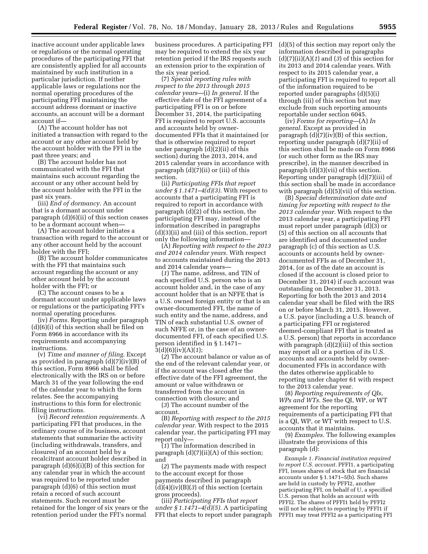inactive account under applicable laws or regulations or the normal operating procedures of the participating FFI that are consistently applied for all accounts maintained by such institution in a particular jurisdiction. If neither applicable laws or regulations nor the normal operating procedures of the participating FFI maintaining the account address dormant or inactive accounts, an account will be a dormant account if—

(A) The account holder has not initiated a transaction with regard to the account or any other account held by the account holder with the FFI in the past three years; and

(B) The account holder has not communicated with the FFI that maintains such account regarding the account or any other account held by the account holder with the FFI in the past six years.

(iii) *End of dormancy.* An account that is a dormant account under paragraph (d)(6)(ii) of this section ceases to be a dormant account when—

(A) The account holder initiates a transaction with regard to the account or any other account held by the account holder with the FFI;

(B) The account holder communicates with the FFI that maintains such account regarding the account or any other account held by the account holder with the FFI; or

(C) The account ceases to be a dormant account under applicable laws or regulations or the participating FFI's normal operating procedures.

(iv) *Forms.* Reporting under paragraph (d)(6)(i) of this section shall be filed on Form 8966 in accordance with its requirements and accompanying instructions.

(v) *Time and manner of filing.* Except as provided in paragraph (d)(7)(iv)(B) of this section, Form 8966 shall be filed electronically with the IRS on or before March 31 of the year following the end of the calendar year to which the form relates. See the accompanying instructions to this form for electronic filing instructions.

(vi) *Record retention requirements.* A participating FFI that produces, in the ordinary course of its business, account statements that summarize the activity (including withdrawals, transfers, and closures) of an account held by a recalcitrant account holder described in paragraph  $(d)(6)(i)(B)$  of this section for any calendar year in which the account was required to be reported under paragraph (d)(6) of this section must retain a record of such account statements. Such record must be retained for the longer of six years or the retention period under the FFI's normal

business procedures. A participating FFI may be required to extend the six year retention period if the IRS requests such an extension prior to the expiration of the six year period.

(7) *Special reporting rules with respect to the 2013 through 2015 calendar years*—(i) *In general.* If the effective date of the FFI agreement of a participating FFI is on or before December 31, 2014, the participating FFI is required to report U.S. accounts and accounts held by ownerdocumented FFIs that it maintained (or that is otherwise required to report under paragraph (d)(2)(ii) of this section) during the 2013, 2014, and 2015 calendar years in accordance with paragraph  $(d)(7)(ii)$  or  $(iii)$  of this section.

(ii) *Participating FFIs that report under § 1.1471–4(d)(3).* With respect to accounts that a participating FFI is required to report in accordance with paragraph (d)(2) of this section, the participating FFI may, instead of the information described in paragraphs (d)(3)(ii) and (iii) of this section, report only the following information—

(A) *Reporting with respect to the 2013 and 2014 calendar years.* With respect to accounts maintained during the 2013 and 2014 calendar years—

(*1*) The name, address, and TIN of each specified U.S. person who is an account holder and, in the case of any account holder that is an NFFE that is a U.S. owned foreign entity or that is an owner-documented FFI, the name of such entity and the name, address, and TIN of each substantial U.S. owner of such NFFE or, in the case of an ownerdocumented FFI, of each specified U.S. person identified in § 1.1471– 3(d)(6)(iv)(A)(*1*);

(*2*) The account balance or value as of the end of the relevant calendar year, or if the account was closed after the effective date of the FFI agreement, the amount or value withdrawn or transferred from the account in connection with closure; and

(*3*) The account number of the account.

(B) *Reporting with respect to the 2015 calendar year.* With respect to the 2015 calendar year, the participating FFI may report only—

(*1*) The information described in paragraph (d)(7)(ii)(A) of this section; and

(*2*) The payments made with respect to the account except for those payments described in paragraph  $(d)(4)(iv)(B)(3)$  of this section (certain gross proceeds).

(iii) *Participating FFIs that report under § 1.1471–4(d)(5).* A participating FFI that elects to report under paragraph (d)(5) of this section may report only the information described in paragraphs (d)(7)(ii)(A)(*1*) and (*3*) of this section for its 2013 and 2014 calendar years. With respect to its 2015 calendar year, a participating FFI is required to report all of the information required to be reported under paragraphs (d)(5)(i) through (iii) of this section but may exclude from such reporting amounts reportable under section 6045.

(iv) *Forms for reporting*—(A) *In general.* Except as provided in paragraph  $(d)(7)(iv)(B)$  of this section, reporting under paragraph (d)(7)(ii) of this section shall be made on Form 8966 (or such other form as the IRS may prescribe), in the manner described in paragraph (d)(3)(vii) of this section. Reporting under paragraph (d)(7)(iii) of this section shall be made in accordance with paragraph (d)(5)(vii) of this section.

(B) *Special determination date and timing for reporting with respect to the 2013 calendar year.* With respect to the 2013 calendar year, a participating FFI must report under paragraph (d)(3) or (5) of this section on all accounts that are identified and documented under paragraph (c) of this section as U.S. accounts or accounts held by ownerdocumented FFIs as of December 31, 2014, (or as of the date an account is closed if the account is closed prior to December 31, 2014) if such account was outstanding on December 31, 2013. Reporting for both the 2013 and 2014 calendar year shall be filed with the IRS on or before March 31, 2015. However, a U.S. payor (including a U.S. branch of a participating FFI or registered deemed-compliant FFI that is treated as a U.S. person) that reports in accordance with paragraph  $(d)(2)(iii)$  of this section may report all or a portion of its U.S. accounts and accounts held by ownerdocumented FFIs in accordance with the dates otherwise applicable to reporting under chapter 61 with respect to the 2013 calendar year.

(8) *Reporting requirements of QIs, WPs and WTs.* See the QI, WP, or WT agreement for the reporting requirements of a participating FFI that is a QI, WP, or WT with respect to U.S. accounts that it maintains.

(9) *Examples.* The following examples illustrate the provisions of this paragraph (d):

*Example 1. Financial institution required to report U.S. account.* PFFI1, a participating FFI, issues shares of stock that are financial accounts under § 1.1471–5(b). Such shares are held in custody by PFFI2, another participating FFI, on behalf of U, a specified U.S. person that holds an account with PFFI2. The shares of PFFI1 held by PFFI2 will not be subject to reporting by PFFI1 if PFFI1 may treat PFFI2 as a participating FFI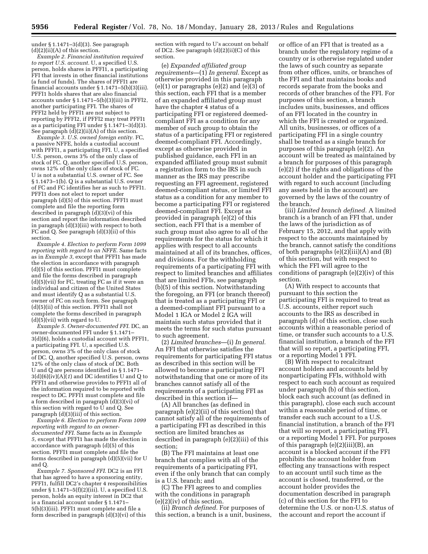under § 1.1471–3(d)(3). See paragraph  $(d)(2)(ii)(A)$  of this section.

*Example 2. Financial institution required to report U.S. account.* U, a specified U.S. person, holds shares in PFFI1, a participating FFI that invests in other financial institutions (a fund of funds). The shares of PFFI1 are financial accounts under § 1.1471–5(b)(3)(iii). PFFI1 holds shares that are also financial accounts under § 1.1471–5(b)(3)(iii) in PFFI2, another participating FFI. The shares of PFFI2 held by PFFI1 are not subject to reporting by PFFI2, if PFFI2 may treat PFFI1 as a participating FFI under § 1.1471–3(d)(3). See paragraph  $(d)(2)(ii)(A)$  of this section.

*Example 3. U.S. owned foreign entity.* FC, a passive NFFE, holds a custodial account with PFFI1, a participating FFI. U, a specified U.S. person, owns 3% of the only class of stock of FC. Q, another specified U.S. person, owns 12% of the only class of stock of FC. U is not a substantial U.S. owner of FC. See § 1.1473–1(b). Q is a substantial U.S. owner of FC and FC identifies her as such to PFFI1. PFFI1 does not elect to report under paragraph (d)(5) of this section. PFFI1 must complete and file the reporting form described in paragraph  $\tilde{d}(3)(3)(\tilde{v})$  of this section and report the information described in paragraph (d)(3)(iii) with respect to both FC and Q. See paragraph (d)(3)(ii) of this section.

*Example 4. Election to perform Form 1099 reporting with regard to an NFFE.* Same facts as in *Example 3,* except that PFFI1 has made the election in accordance with paragraph (d)(5) of this section. PFFI1 must complete and file the forms described in paragraph (d)(5)(vii) for FC, treating FC as if it were an individual and citizen of the United States and must identify Q as a substantial U.S. owner of FC on such form. See paragraph (d)(5)(ii) of this section. PFFI1 shall not complete the forms described in paragraph  $(d)(5)(vii)$  with regard to U.

*Example 5. Owner-documented FFI.* DC, an owner-documented FFI under § 1.1471– 3(d)(6), holds a custodial account with PFFI1, a participating FFI. U, a specified U.S. person, owns 3% of the only class of stock of DC. Q, another specified U.S. person, owns 12% of the only class of stock of DC. Both U and Q are persons identified in § 1.1471–  $3(d)(6)(iv)(A)(1)$  and DC identifies U and Q to PFFI1 and otherwise provides to PFFI1 all of the information required to be reported with respect to DC. PFFI1 must complete and file a form described in paragraph (d)(3)(vi) of this section with regard to  $\hat{U}$  and  $Q$ . See paragraph (d)(3)(iii) of this section.

*Example 6. Election to perform Form 1099 reporting with regard to an ownerdocumented FFI.* Same facts as in *Example 5,* except that PFFI1 has made the election in accordance with paragraph (d)(5) of this section. PFFI1 must complete and file the forms described in paragraph (d)(5)(vii) for U and Q.

*Example 7. Sponsored FFI.* DC2 is an FFI that has agreed to have a sponsoring entity, PFFI1, fulfill DC2's chapter 4 responsibilities under  $\S 1.1471 - 5(f)(2)(iii)$ . U, a specified U.S. person, holds an equity interest in DC2 that is a financial account under § 1.1471– 5(b)(3)(iii). PFFI1 must complete and file a form described in paragraph  $(d)(3)(vi)$  of this

section with regard to U's account on behalf of DC2. See paragraph (d)(2)(ii)(C) of this section.

(e) *Expanded affiliated group requirements*—(1) *In general.* Except as otherwise provided in this paragraph  $(e)(1)$  or paragraphs  $(e)(2)$  and  $(e)(3)$  of this section, each FFI that is a member of an expanded affiliated group must have the chapter 4 status of a participating FFI or registered deemedcompliant FFI as a condition for any member of such group to obtain the status of a participating FFI or registered deemed-compliant FFI. Accordingly, except as otherwise provided in published guidance, each FFI in an expanded affiliated group must submit a registration form to the IRS in such manner as the IRS may prescribe requesting an FFI agreement, registered deemed-compliant status, or limited FFI status as a condition for any member to become a participating FFI or registered deemed-compliant FFI. Except as provided in paragraph (e)(2) of this section, each FFI that is a member of such group must also agree to all of the requirements for the status for which it applies with respect to all accounts maintained at all of its branches, offices, and divisions. For the withholding requirements of a participating FFI with respect to limited branches and affiliates that are limited FFIs, see paragraph (b)(5) of this section. Notwithstanding the foregoing, an FFI (or branch thereof) that is treated as a participating FFI or a deemed-compliant FFI pursuant to a Model 1 IGA or Model 2 IGA will maintain such status provided that it meets the terms for such status pursuant to such agreement.

(2) *Limited branches*—(i) *In general.*  An FFI that otherwise satisfies the requirements for participating FFI status as described in this section will be allowed to become a participating FFI notwithstanding that one or more of its branches cannot satisfy all of the requirements of a participating FFI as described in this section if—

(A) All branches (as defined in paragraph (e)(2)(ii) of this section) that cannot satisfy all of the requirements of a participating FFI as described in this section are limited branches as described in paragraph (e)(2)(iii) of this section;

(B) The FFI maintains at least one branch that complies with all of the requirements of a participating FFI, even if the only branch that can comply is a U.S. branch; and

(C) The FFI agrees to and complies with the conditions in paragraph (e)(2)(iv) of this section.

(ii) *Branch defined.* For purposes of this section, a branch is a unit, business,

or office of an FFI that is treated as a branch under the regulatory regime of a country or is otherwise regulated under the laws of such country as separate from other offices, units, or branches of the FFI and that maintains books and records separate from the books and records of other branches of the FFI. For purposes of this section, a branch includes units, businesses, and offices of an FFI located in the country in which the FFI is created or organized. All units, businesses, or offices of a participating FFI in a single country shall be treated as a single branch for purposes of this paragraph (e)(2). An account will be treated as maintained by a branch for purposes of this paragraph (e)(2) if the rights and obligations of the account holder and the participating FFI with regard to such account (including any assets held in the account) are governed by the laws of the country of the branch.

(iii) *Limited branch defined.* A limited branch is a branch of an FFI that, under the laws of the jurisdiction as of February 15, 2012, and that apply with respect to the accounts maintained by the branch, cannot satisfy the conditions of both paragraphs  $(e)(2)(iii)(A)$  and  $(B)$ of this section, but with respect to which the FFI will agree to the conditions of paragraph (e)(2)(iv) of this section.

(A) With respect to accounts that pursuant to this section the participating FFI is required to treat as U.S. accounts, either report such accounts to the IRS as described in paragraph (d) of this section, close such accounts within a reasonable period of time, or transfer such accounts to a U.S. financial institution, a branch of the FFI that will so report, a participating FFI, or a reporting Model 1 FFI.

(B) With respect to recalcitrant account holders and accounts held by nonparticipating FFIs, withhold with respect to each such account as required under paragraph (b) of this section, block each such account (as defined in this paragraph), close each such account within a reasonable period of time, or transfer each such account to a U.S. financial institution, a branch of the FFI that will so report, a participating FFI, or a reporting Model 1 FFI. For purposes of this paragraph (e)(2)(iii)(B), an account is a blocked account if the FFI prohibits the account holder from effecting any transactions with respect to an account until such time as the account is closed, transferred, or the account holder provides the documentation described in paragraph (c) of this section for the FFI to determine the U.S. or non-U.S. status of the account and report the account if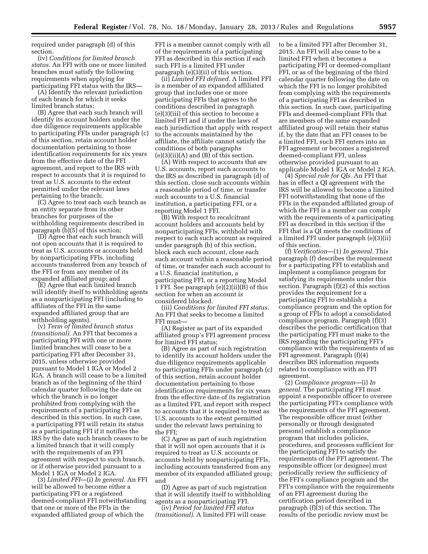required under paragraph (d) of this section.

(iv) *Conditions for limited branch status.* An FFI with one or more limited branches must satisfy the following requirements when applying for participating FFI status with the IRS—

(A) Identify the relevant jurisdiction of each branch for which it seeks limited branch status;

(B) Agree that each such branch will identify its account holders under the due diligence requirements applicable to participating FFIs under paragraph (c) of this section, retain account holder documentation pertaining to those identification requirements for six years from the effective date of the FFI agreement, and report to the IRS with respect to accounts that it is required to treat as U.S. accounts to the extent permitted under the relevant laws pertaining to the branch;

(C) Agree to treat each such branch as an entity separate from its other branches for purposes of the withholding requirements described in paragraph (b)(5) of this section;

(D) Agree that each such branch will not open accounts that it is required to treat as U.S. accounts or accounts held by nonparticipating FFIs, including accounts transferred from any branch of the FFI or from any member of its expanded affiliated group; and

(E) Agree that each limited branch will identify itself to withholding agents as a nonparticipating FFI (including to affiliates of the FFI in the same expanded affiliated group that are withholding agents).

(v) *Term of limited branch status (transitional).* An FFI that becomes a participating FFI with one or more limited branches will cease to be a participating FFI after December 31, 2015, unless otherwise provided pursuant to Model 1 IGA or Model 2 IGA. A branch will cease to be a limited branch as of the beginning of the third calendar quarter following the date on which the branch is no longer prohibited from complying with the requirements of a participating FFI as described in this section. In such case, a participating FFI will retain its status as a participating FFI if it notifies the IRS by the date such branch ceases to be a limited branch that it will comply with the requirements of an FFI agreement with respect to such branch, or if otherwise provided pursuant to a Model 1 IGA or Model 2 IGA.

(3) *Limited FFI*—(i) *In general.* An FFI will be allowed to become either a participating FFI or a registered deemed-compliant FFI notwithstanding that one or more of the FFIs in the expanded affiliated group of which the

FFI is a member cannot comply with all of the requirements of a participating FFI as described in this section if each such FFI is a limited FFI under paragraph (e)(3)(ii) of this section.

(ii) *Limited FFI defined.* A limited FFI is a member of an expanded affiliated group that includes one or more participating FFIs that agrees to the conditions described in paragraph (e)(3)(iii) of this section to become a limited FFI and if under the laws of each jurisdiction that apply with respect to the accounts maintained by the affiliate, the affiliate cannot satisfy the conditions of both paragraphs  $(e)(3)(ii)(A)$  and  $(B)$  of this section.

(A) With respect to accounts that are U.S. accounts, report such accounts to the IRS as described in paragraph (d) of this section, close such accounts within a reasonable period of time, or transfer such accounts to a U.S. financial institution, a participating FFI, or a reporting Model 1 FFI.

(B) With respect to recalcitrant account holders and accounts held by nonparticipating FFIs, withhold with respect to each such account as required under paragraph (b) of this section, block each such account, close each such account within a reasonable period of time, or transfer each such account to a U.S. financial institution, a participating FFI, or a reporting Model 1 FFI. See paragraph (e)(2)(ii)(B) of this section for when an account is considered blocked.

(iii) *Conditions for limited FFI status.*  An FFI that seeks to become a limited FFI must—

(A) Register as part of its expanded affiliated group's FFI agreement process for limited FFI status;

(B) Agree as part of such registration to identify its account holders under the due diligence requirements applicable to participating FFIs under paragraph (c) of this section, retain account holder documentation pertaining to those identification requirements for six years from the effective date of its registration as a limited FFI, and report with respect to accounts that it is required to treat as U.S. accounts to the extent permitted under the relevant laws pertaining to the FFI;

(C) Agree as part of such registration that it will not open accounts that it is required to treat as U.S. accounts or accounts held by nonparticipating FFIs, including accounts transferred from any member of its expanded affiliated group; and

(D) Agree as part of such registration that it will identify itself to withholding agents as a nonparticipating FFI.

(iv) *Period for limited FFI status (transitional).* A limited FFI will cease

to be a limited FFI after December 31, 2015. An FFI will also cease to be a limited FFI when it becomes a participating FFI or deemed-compliant FFI, or as of the beginning of the third calendar quarter following the date on which the FFI is no longer prohibited from complying with the requirements of a participating FFI as described in this section. In such case, participating FFIs and deemed-compliant FFIs that are members of the same expanded affiliated group will retain their status if, by the date that an FFI ceases to be a limited FFI, such FFI enters into an FFI agreement or becomes a registered deemed-compliant FFI, unless otherwise provided pursuant to an applicable Model 1 IGA or Model 2 IGA.

(4) *Special rule for QIs.* An FFI that has in effect a QI agreement with the IRS will be allowed to become a limited FFI notwithstanding that none of the FFIs in the expanded affiliated group of which the FFI is a member can comply with the requirements of a participating FFI as described in this section if the FFI that is a QI meets the conditions of a limited FFI under paragraph (e)(3)(ii) of this section.

(f) *Verification*—(1) *In general.* This paragraph (f) describes the requirement for a participating FFI to establish and implement a compliance program for satisfying its requirements under this section. Paragraph (f)(2) of this section provides the requirement for a participating FFI to establish a compliance program and the option for a group of FFIs to adopt a consolidated compliance program. Paragraph (f)(3) describes the periodic certification that the participating FFI must make to the IRS regarding the participating FFI's compliance with the requirements of an FFI agreement. Paragraph (f)(4) describes IRS information requests related to compliance with an FFI agreement.

(2) *Compliance program*—(i) *In general.* The participating FFI must appoint a responsible officer to oversee the participating FFI's compliance with the requirements of the FFI agreement. The responsible officer must (either personally or through designated persons) establish a compliance program that includes policies, procedures, and processes sufficient for the participating FFI to satisfy the requirements of the FFI agreement. The responsible officer (or designee) must periodically review the sufficiency of the FFI's compliance program and the FFI's compliance with the requirements of an FFI agreement during the certification period described in paragraph (f)(3) of this section. The results of the periodic review must be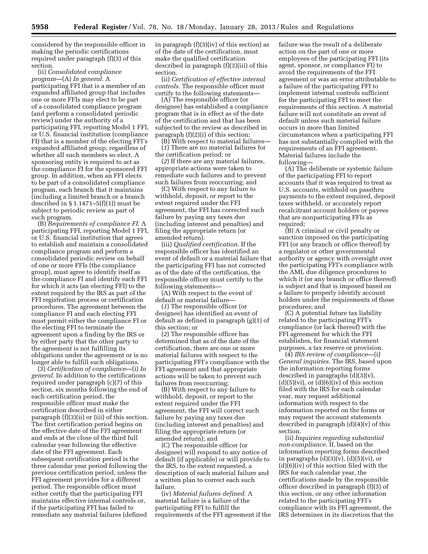considered by the responsible officer in making the periodic certifications required under paragraph (f)(3) of this section.

(ii) *Consolidated compliance program*—(A) *In general.* A participating FFI that is a member of an expanded affiliated group that includes one or more FFIs may elect to be part of a consolidated compliance program (and perform a consolidated periodic review) under the authority of a participating FFI, reporting Model 1 FFI, or U.S. financial institution (compliance FI) that is a member of the electing FFI's expanded affiliated group, regardless of whether all such members so elect. A sponsoring entity is required to act as the compliance FI for the sponsored FFI group. In addition, when an FFI elects to be part of a consolidated compliance program, each branch that it maintains (including a limited branch or a branch described in  $\S 1.1471 - 5(f)(1)$  must be subject to periodic review as part of such program.

(B) *Requirements of compliance FI.* A participating FFI, reporting Model 1 FFI, or U.S. financial institution that agrees to establish and maintain a consolidated compliance program and perform a consolidated periodic review on behalf of one or more FFIs (the compliance group), must agree to identify itself as the compliance FI and identify each FFI for which it acts (an electing FFI) to the extent required by the IRS as part of the FFI registration process or certification procedures. The agreement between the compliance FI and each electing FFI must permit either the compliance FI or the electing FFI to terminate the agreement upon a finding by the IRS or by either party that the other party to the agreement is not fulfilling its obligations under the agreement or is no longer able to fulfill such obligations.

(3) *Certification of compliance*—(i) *In general.* In addition to the certifications required under paragraph (c)(7) of this section, six months following the end of each certification period, the responsible officer must make the certification described in either paragraph (f)(3)(ii) or (iii) of this section. The first certification period begins on the effective date of the FFI agreement and ends at the close of the third full calendar year following the effective date of the FFI agreement. Each subsequent certification period is the three calendar year period following the previous certification period, unless the FFI agreement provides for a different period. The responsible officer must either certify that the participating FFI maintains effective internal controls or, if the participating FFI has failed to remediate any material failures (defined

in paragraph (f)(3)(iv) of this section) as of the date of the certification, must make the qualified certification described in paragraph (f)(3)(iii) of this section.

(ii) *Certification of effective internal controls.* The responsible officer must certify to the following statements—

(A) The responsible officer (or designee) has established a compliance program that is in effect as of the date of the certification and that has been subjected to the review as described in paragraph (f)(2)(i) of this section;

(B) With respect to material failures— (*1*) There are no material failures for the certification period; or

(*2*) If there are any material failures, appropriate actions were taken to remediate such failures and to prevent such failures from reoccurring; and

(C) With respect to any failure to withhold, deposit, or report to the extent required under the FFI agreement, the FFI has corrected such failure by paying any taxes due (including interest and penalties) and filing the appropriate return (or amended return).

(iii) *Qualified certification.* If the responsible officer has identified an event of default or a material failure that the participating FFI has not corrected as of the date of the certification, the responsible officer must certify to the following statements—

(A) With respect to the event of default or material failure—

(*1*) The responsible officer (or designee) has identified an event of default as defined in paragraph (g)(1) of this section; or

(*2*) The responsible officer has determined that as of the date of the certification, there are one or more material failures with respect to the participating FFI's compliance with the FFI agreement and that appropriate actions will be taken to prevent such failures from reoccurring;

(B) With respect to any failure to withhold, deposit, or report to the extent required under the FFI agreement, the FFI will correct such failure by paying any taxes due (including interest and penalties) and filing the appropriate return (or amended return); and

(C) The responsible officer (or designee) will respond to any notice of default (if applicable) or will provide to the IRS, to the extent requested, a description of each material failure and a written plan to correct each such failure.

(iv) *Material failures defined.* A material failure is a failure of the participating FFI to fulfill the requirements of the FFI agreement if the

failure was the result of a deliberate action on the part of one or more employees of the participating FFI (its agent, sponsor, or compliance FI) to avoid the requirements of the FFI agreement or was an error attributable to a failure of the participating FFI to implement internal controls sufficient for the participating FFI to meet the requirements of this section. A material failure will not constitute an event of default unless such material failure occurs in more than limited circumstances when a participating FFI has not substantially complied with the requirements of an FFI agreement. Material failures include the following—

(A) The deliberate or systemic failure of the participating FFI to report accounts that it was required to treat as U.S. accounts, withhold on passthru payments to the extent required, deposit taxes withheld, or accurately report recalcitrant account holders or payees that are nonparticipating FFIs as required:

(B) A criminal or civil penalty or sanction imposed on the participating FFI (or any branch or office thereof) by a regulator or other governmental authority or agency with oversight over the participating FFI's compliance with the AML due diligence procedures to which it (or any branch or office thereof) is subject and that is imposed based on a failure to properly identify account holders under the requirements of those procedures; and

(C) A potential future tax liability related to the participating FFI's compliance (or lack thereof) with the FFI agreement for which the FFI establishes, for financial statement purposes, a tax reserve or provision.

(4) *IRS review of compliance*—(i) *General inquiries.* The IRS, based upon the information reporting forms described in paragraphs (d)(3)(v), (d)(5)(vi), or (d)(6)(iv) of this section filed with the IRS for each calendar year, may request additional information with respect to the information reported on the forms or may request the account statements described in paragraph  $(d)(4)(v)$  of this section.

(ii) *Inquiries regarding substantial non-compliance.* If, based on the information reporting forms described in paragraphs  $(d)(3)(v)$ ,  $(d)(5)(vi)$ , or (d)(6)(iv) of this section filed with the IRS for each calendar year, the certifications made by the responsible officer described in paragraph (f)(3) of this section, or any other information related to the participating FFI's compliance with its FFI agreement, the IRS determines in its discretion that the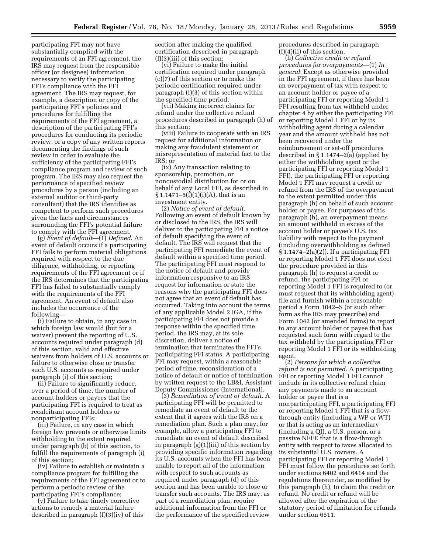participating FFI may not have substantially complied with the requirements of an FFI agreement, the IRS may request from the responsible officer (or designee) information necessary to verify the participating FFI's compliance with the FFI agreement. The IRS may request, for example, a description or copy of the participating FFI's policies and procedures for fulfilling the requirements of the FFI agreement, a description of the participating FFI's procedures for conducting its periodic review, or a copy of any written reports documenting the findings of such review in order to evaluate the sufficiency of the participating FFI's compliance program and review of such program. The IRS may also request the performance of specified review procedures by a person (including an external auditor or third-party consultant) that the IRS identifies as competent to perform such procedures given the facts and circumstances surrounding the FFI's potential failure to comply with the FFI agreement.

(g) *Event of default*—(1) *Defined.* An event of default occurs if a participating FFI fails to perform material obligations required with respect to the due diligence, withholding, or reporting requirements of the FFI agreement or if the IRS determines that the participating FFI has failed to substantially comply with the requirements of the FFI agreement. An event of default also includes the occurrence of the following—

(i) Failure to obtain, in any case in which foreign law would (but for a waiver) prevent the reporting of U.S. accounts required under paragraph (d) of this section, valid and effective waivers from holders of U.S. accounts or failure to otherwise close or transfer such U.S. accounts as required under paragraph (i) of this section;

(ii) Failure to significantly reduce, over a period of time, the number of account holders or payees that the participating FFI is required to treat as recalcitrant account holders or nonparticipating FFIs;

(iii) Failure, in any case in which foreign law prevents or otherwise limits withholding to the extent required under paragraph (b) of this section, to fulfill the requirements of paragraph (i) of this section;

(iv) Failure to establish or maintain a compliance program for fulfilling the requirements of the FFI agreement or to perform a periodic review of the participating FFI's compliance;

(v) Failure to take timely corrective actions to remedy a material failure described in paragraph (f)(3)(iv) of this section after making the qualified certification described in paragraph (f)(3)(iii) of this section;

(vi) Failure to make the initial certification required under paragraph (c)(7) of this section or to make the periodic certification required under paragraph (f)(3) of this section within the specified time period;

(vii) Making incorrect claims for refund under the collective refund procedures described in paragraph (h) of this section;

(viii) Failure to cooperate with an IRS request for additional information or making any fraudulent statement or misrepresentation of material fact to the IRS; or

(ix) Any transaction relating to sponsorship, promotion, or noncustodial distribution for or on behalf of any Local FFI, as described in  $§ 1.1471 - 5(f)(1)(i)(A)$ , that is an investment entity.

(2) *Notice of event of default.*  Following an event of default known by or disclosed to the IRS, the IRS will deliver to the participating FFI a notice of default specifying the event of default. The IRS will request that the participating FFI remediate the event of default within a specified time period. The participating FFI must respond to the notice of default and provide information responsive to an IRS request for information or state the reasons why the participating FFI does not agree that an event of default has occurred. Taking into account the terms of any applicable Model 2 IGA, if the participating FFI does not provide a response within the specified time period, the IRS may, at its sole discretion, deliver a notice of termination that terminates the FFI's participating FFI status. A participating FFI may request, within a reasonable period of time, reconsideration of a notice of default or notice of termination by written request to the LB&I, Assistant Deputy Commissioner (International).

(3) *Remediation of event of default.* A participating FFI will be permitted to remediate an event of default to the extent that it agrees with the IRS on a remediation plan. Such a plan may, for example, allow a participating FFI to remediate an event of default described in paragraph (g)(1)(iii) of this section by providing specific information regarding its U.S. accounts when the FFI has been unable to report all of the information with respect to such accounts as required under paragraph (d) of this section and has been unable to close or transfer such accounts. The IRS may, as part of a remediation plan, require additional information from the FFI or the performance of the specified review

procedures described in paragraph  $(f)(4)(ii)$  of this section.

(h) *Collective credit or refund procedures for overpayments*—(1) *In general.* Except as otherwise provided in the FFI agreement, if there has been an overpayment of tax with respect to an account holder or payee of a participating FFI or reporting Model 1 FFI resulting from tax withheld under chapter 4 by either the participating FFI or reporting Model 1 FFI or by its withholding agent during a calendar year and the amount withheld has not been recovered under the reimbursement or set-off procedures described in § 1.1474–2(a) (applied by either the withholding agent or the participating FFI or reporting Model 1 FFI), the participating FFI or reporting Model 1 FFI may request a credit or refund from the IRS of the overpayment to the extent permitted under this paragraph (h) on behalf of such account holder or payee. For purposes of this paragraph (h), an overpayment means an amount withheld in excess of the account holder or payee's U.S. tax liability with respect to the payment (including overwithholding as defined  $\S 1.1474 - 2(a)(2)$ . If a participating FFI or reporting Model 1 FFI does not elect the procedure provided in this paragraph (h) to request a credit or refund, the participating FFI or reporting Model 1 FFI is required to (or must request that its withholding agent) file and furnish within a reasonable period a Form 1042–S (or such other form as the IRS may prescribe) and Form 1042 (or amended forms) to report to any account holder or payee that has requested such form with regard to the tax withheld by the participating FFI or reporting Model 1 FFI or its withholding agent.

(2) *Persons for which a collective refund is not permitted.* A participating FFI or reporting Model 1 FFI cannot include in its collective refund claim any payments made to an account holder or payee that is a nonparticipating FFI, a participating FFI or reporting Model 1 FFI that is a flowthrough entity (including a WP or WT) or that is acting as an intermediary (including a QI), a U.S. person, or a passive NFFE that is a flow-through entity with respect to taxes allocated to its substantial U.S. owners. A participating FFI or reporting Model 1 FFI must follow the procedures set forth under sections 6402 and 6414 and the regulations thereunder, as modified by this paragraph (h), to claim the credit or refund. No credit or refund will be allowed after the expiration of the statutory period of limitation for refunds under section 6511.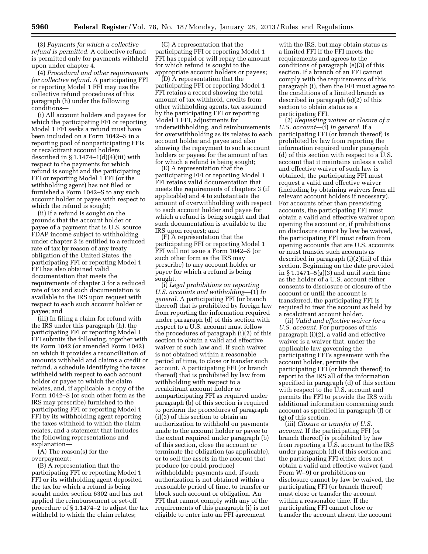(3) *Payments for which a collective refund is permitted.* A collective refund is permitted only for payments withheld upon under chapter 4.

(4) *Procedural and other requirements for collective refund.* A participating FFI or reporting Model 1 FFI may use the collective refund procedures of this paragraph (h) under the following conditions—

(i) All account holders and payees for which the participating FFI or reporting Model 1 FFI seeks a refund must have been included on a Form 1042–S in a reporting pool of nonparticipating FFIs or recalcitrant account holders described in  $§ 1.1474-1(d)(4)(iii)$  with respect to the payments for which refund is sought and the participating FFI or reporting Model 1 FFI (or the withholding agent) has not filed or furnished a Form 1042–S to any such account holder or payee with respect to which the refund is sought;

(ii) If a refund is sought on the grounds that the account holder or payee of a payment that is U.S. source FDAP income subject to withholding under chapter 3 is entitled to a reduced rate of tax by reason of any treaty obligation of the United States, the participating FFI or reporting Model 1 FFI has also obtained valid documentation that meets the requirements of chapter 3 for a reduced rate of tax and such documentation is available to the IRS upon request with respect to each such account holder or payee; and

(iii) In filing a claim for refund with the IRS under this paragraph (h), the participating FFI or reporting Model 1 FFI submits the following, together with its Form 1042 (or amended Form 1042) on which it provides a reconciliation of amounts withheld and claims a credit or refund, a schedule identifying the taxes withheld with respect to each account holder or payee to which the claim relates, and, if applicable, a copy of the Form 1042–S (or such other form as the IRS may prescribe) furnished to the participating FFI or reporting Model 1 FFI by its withholding agent reporting the taxes withheld to which the claim relates, and a statement that includes the following representations and explanation—

(A) The reason(s) for the overpayment;

(B) A representation that the participating FFI or reporting Model 1 FFI or its withholding agent deposited the tax for which a refund is being sought under section 6302 and has not applied the reimbursement or set-off procedure of § 1.1474–2 to adjust the tax withheld to which the claim relates;

(C) A representation that the participating FFI or reporting Model 1 FFI has repaid or will repay the amount for which refund is sought to the appropriate account holders or payees;

(D) A representation that the participating FFI or reporting Model 1 FFI retains a record showing the total amount of tax withheld, credits from other withholding agents, tax assumed by the participating FFI or reporting Model 1 FFI, adjustments for underwithholding, and reimbursements for overwithholding as its relates to each account holder and payee and also showing the repayment to such account holders or payees for the amount of tax for which a refund is being sought;

(E) A representation that the participating FFI or reporting Model 1 FFI retains valid documentation that meets the requirements of chapters 3 (if applicable) and 4 to substantiate the amount of overwithholding with respect to each account holder and payee for which a refund is being sought and that such documentation is available to the IRS upon request; and

(F) A representation that the participating FFI or reporting Model 1 FFI will not issue a Form 1042–S (or such other form as the IRS may prescribe) to any account holder or payee for which a refund is being sought.

(i) *Legal prohibitions on reporting U.S. accounts and withholding*—(1) *In general.* A participating FFI (or branch thereof) that is prohibited by foreign law from reporting the information required under paragraph (d) of this section with respect to a U.S. account must follow the procedures of paragraph (i)(2) of this section to obtain a valid and effective waiver of such law and, if such waiver is not obtained within a reasonable period of time, to close or transfer such account. A participating FFI (or branch thereof) that is prohibited by law from withholding with respect to a recalcitrant account holder or nonparticipating FFI as required under paragraph (b) of this section is required to perform the procedures of paragraph (i)(3) of this section to obtain an authorization to withhold on payments made to the account holder or payee to the extent required under paragraph (b) of this section, close the account or terminate the obligation (as applicable), or to sell the assets in the account that produce (or could produce) withholdable payments and, if such authorization is not obtained within a reasonable period of time, to transfer or block such account or obligation. An FFI that cannot comply with any of the requirements of this paragraph (i) is not eligible to enter into an FFI agreement

with the IRS, but may obtain status as a limited FFI if the FFI meets the requirements and agrees to the conditions of paragraph (e)(3) of this section. If a branch of an FFI cannot comply with the requirements of this paragraph (i), then the FFI must agree to the conditions of a limited branch as described in paragraph (e)(2) of this section to obtain status as a participating FFI.

(2) *Requesting waiver or closure of a U.S. account*—(i) *In general.* If a participating FFI (or branch thereof) is prohibited by law from reporting the information required under paragraph (d) of this section with respect to a U.S. account that it maintains unless a valid and effective waiver of such law is obtained, the participating FFI must request a valid and effective waiver (including by obtaining waivers from all relevant account holders if necessary). For accounts other than preexisting accounts, the participating FFI must obtain a valid and effective waiver upon opening the account or, if prohibitions on disclosure cannot by law be waived, the participating FFI must refrain from opening accounts that are U.S. accounts or must transfer such accounts as described in paragraph (i)(2)(iii) of this section. Beginning on the date provided in  $\S 1.1471 - 5(g)(3)$  and until such time as the holder of a U.S. account either consents to disclosure or closure of the account or until the account is transferred, the participating FFI is required to treat the account as held by a recalcitrant account holder.

(ii) *Valid and effective waiver for a U.S. account.* For purposes of this paragraph (i)(2), a valid and effective waiver is a waiver that, under the applicable law governing the participating FFI's agreement with the account holder, permits the participating FFI (or branch thereof) to report to the IRS all of the information specified in paragraph (d) of this section with respect to the U.S. account and permits the FFI to provide the IRS with additional information concerning such account as specified in paragraph (f) or (g) of this section.

(iii) *Closure or transfer of U.S. account.* If the participating FFI (or branch thereof) is prohibited by law from reporting a U.S. account to the IRS under paragraph (d) of this section and the participating FFI either does not obtain a valid and effective waiver (and Form W–9) or prohibitions on disclosure cannot by law be waived, the participating FFI (or branch thereof) must close or transfer the account within a reasonable time. If the participating FFI cannot close or transfer the account absent the account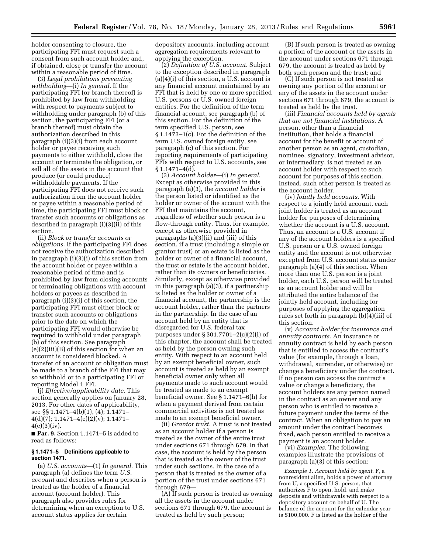holder consenting to closure, the participating FFI must request such a consent from such account holder and, if obtained, close or transfer the account within a reasonable period of time.

(3) *Legal prohibitions preventing withholding*—(i) *In general.* If the participating FFI (or branch thereof) is prohibited by law from withholding with respect to payments subject to withholding under paragraph (b) of this section, the participating FFI (or a branch thereof) must obtain the authorization described in this paragraph (i)(3)(i) from each account holder or payee receiving such payments to either withhold, close the account or terminate the obligation, or sell all of the assets in the account that produce (or could produce) withholdable payments. If the participating FFI does not receive such authorization from the account holder or payee within a reasonable period of time, the participating FFI must block or transfer such accounts or obligations as described in paragraph (i)(3)(ii) of this section.

(ii) *Block or transfer accounts or obligations.* If the participating FFI does not receive the authorization described in paragraph (i)(3)(i) of this section from the account holder or payee within a reasonable period of time and is prohibited by law from closing accounts or terminating obligations with account holders or payees as described in paragraph (i)(3)(i) of this section, the participating FFI must either block or transfer such accounts or obligations prior to the date on which the participating FFI would otherwise be required to withhold under paragraph (b) of this section. See paragraph (e)(2)(iii)(B) of this section for when an account is considered blocked. A transfer of an account or obligation must be made to a branch of the FFI that may so withhold or to a participating FFI or reporting Model 1 FFI.

(j) *Effective/applicability date.* This section generally applies on January 28, 2013. For other dates of applicability, see §§ 1.1471–4(b)(1), (4); 1.1471– 4(d)(7); 1.1471–4(e)(2)(v); 1.1471–  $4(e)(3)(iv)$ .

■ **Par. 9.** Section 1.1471–5 is added to read as follows:

## **§ 1.1471–5 Definitions applicable to section 1471.**

(a) *U.S. accounts*—(1) *In general.* This paragraph (a) defines the term *U.S. account* and describes when a person is treated as the holder of a financial account (account holder). This paragraph also provides rules for determining when an exception to U.S. account status applies for certain

depository accounts, including account aggregation requirements relevant to applying the exception.

(2) *Definition of U.S. account.* Subject to the exception described in paragraph (a)(4)(i) of this section, a U.S. account is any financial account maintained by an FFI that is held by one or more specified U.S. persons or U.S. owned foreign entities. For the definition of the term financial account, see paragraph (b) of this section. For the definition of the term specified U.S. person, see § 1.1473–1(c). For the definition of the term U.S. owned foreign entity, see paragraph (c) of this section. For reporting requirements of participating FFIs with respect to U.S. accounts, see  $§ 1.1471 - 4(d).$ 

(3) *Account holder*—(i) *In general.*  Except as otherwise provided in this paragraph (a)(3), the *account holder* is the person listed or identified as the holder or owner of the account with the FFI that maintains the account, regardless of whether such person is a flow-through entity. Thus, for example, except as otherwise provided in paragraphs (a)(3)(ii) and (iii) of this section, if a trust (including a simple or grantor trust) or an estate is listed as the holder or owner of a financial account, the trust or estate is the account holder, rather than its owners or beneficiaries. Similarly, except as otherwise provided in this paragraph (a)(3), if a partnership is listed as the holder or owner of a financial account, the partnership is the account holder, rather than the partners in the partnership. In the case of an account held by an entity that is disregarded for U.S. federal tax purposes under § 301.7701–2(c)(2)(i) of this chapter, the account shall be treated as held by the person owning such entity. With respect to an account held by an exempt beneficial owner, such account is treated as held by an exempt beneficial owner only when all payments made to such account would be treated as made to an exempt beneficial owner. See § 1.1471–6(h) for when a payment derived from certain commercial activities is not treated as made to an exempt beneficial owner.

(ii) *Grantor trust.* A trust is not treated as an account holder if a person is treated as the owner of the entire trust under sections 671 through 679. In that case, the account is held by the person that is treated as the owner of the trust under such sections. In the case of a person that is treated as the owner of a portion of the trust under sections 671 through 679—

(A) If such person is treated as owning all the assets in the account under sections 671 through 679, the account is treated as held by such person;

(B) If such person is treated as owning a portion of the account or the assets in the account under sections 671 through 679, the account is treated as held by both such person and the trust; and

(C) If such person is not treated as owning any portion of the account or any of the assets in the account under sections 671 through 679, the account is treated as held by the trust.

(iii) *Financial accounts held by agents that are not financial institutions.* A person, other than a financial institution, that holds a financial account for the benefit or account of another person as an agent, custodian, nominee, signatory, investment advisor, or intermediary, is not treated as an account holder with respect to such account for purposes of this section. Instead, such other person is treated as the account holder.

(iv) *Jointly held accounts.* With respect to a jointly held account, each joint holder is treated as an account holder for purposes of determining whether the account is a U.S. account. Thus, an account is a U.S. account if any of the account holders is a specified U.S. person or a U.S. owned foreign entity and the account is not otherwise excepted from U.S. account status under paragraph (a)(4) of this section. When more than one U.S. person is a joint holder, each U.S. person will be treated as an account holder and will be attributed the entire balance of the jointly held account, including for purposes of applying the aggregation rules set forth in paragraph (b)(4)(iii) of this section.

(v) *Account holder for insurance and annuity contracts.* An insurance or annuity contract is held by each person that is entitled to access the contract's value (for example, through a loan, withdrawal, surrender, or otherwise) or change a beneficiary under the contract. If no person can access the contract's value or change a beneficiary, the account holders are any person named in the contract as an owner and any person who is entitled to receive a future payment under the terms of the contract. When an obligation to pay an amount under the contract becomes fixed, each person entitled to receive a payment is an account holder.

(vi) *Examples.* The following examples illustrate the provisions of paragraph (a)(3) of this section:

*Example 1. Account held by agent.* F, a nonresident alien, holds a power of attorney from U, a specified U.S. person, that authorizes F to open, hold, and make deposits and withdrawals with respect to a depository account on behalf of U. The balance of the account for the calendar year is \$100,000. F is listed as the holder of the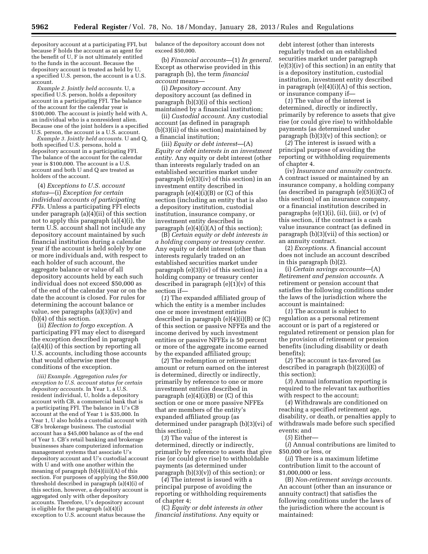depository account at a participating FFI, but because F holds the account as an agent for the benefit of U, F is not ultimately entitled to the funds in the account. Because the depository account is treated as held by U, a specified U.S. person, the account is a U.S. account.

*Example 2. Jointly held accounts.* U, a specified U.S. person, holds a depository account in a participating FFI. The balance of the account for the calendar year is \$100,000. The account is jointly held with A, an individual who is a nonresident alien. Because one of the joint holders is a specified U.S. person, the account is a U.S. account.

*Example 3. Jointly held accounts.* U and Q, both specified U.S. persons, hold a depository account in a participating FFI. The balance of the account for the calendar year is \$100,000. The account is a U.S. account and both U and Q are treated as holders of the account.

(4) *Exceptions to U.S. account status*—(i) *Exception for certain individual accounts of participating FFIs.* Unless a participating FFI elects under paragraph (a)(4)(ii) of this section not to apply this paragraph (a)(4)(i), the term U.S. account shall not include any depository account maintained by such financial institution during a calendar year if the account is held solely by one or more individuals and, with respect to each holder of such account, the aggregate balance or value of all depository accounts held by each such individual does not exceed \$50,000 as of the end of the calendar year or on the date the account is closed. For rules for determining the account balance or value, see paragraphs (a)(3)(iv) and (b)(4) of this section.

(ii) *Election to forgo exception.* A participating FFI may elect to disregard the exception described in paragraph (a)(4)(i) of this section by reporting all U.S. accounts, including those accounts that would otherwise meet the conditions of the exception.

*(iii) Example. Aggregation rules for exception to U.S. account status for certain depository accounts.* In Year 1, a U.S. resident individual, U, holds a depository account with CB, a commercial bank that is a participating FFI. The balance in U's CB account at the end of Year 1 is \$35,000. In Year 1, U also holds a custodial account with CB's brokerage business. The custodial account has a \$45,000 balance as of the end of Year 1. CB's retail banking and brokerage businesses share computerized information management systems that associate U's depository account and U's custodial account with U and with one another within the meaning of paragraph (b)(4)(iii)(A) of this section. For purposes of applying the \$50,000 threshold described in paragraph (a)(4)(i) of this section, however, a depository account is aggregated only with other depository accounts. Therefore, U's depository account is eligible for the paragraph (a)(4)(i) exception to U.S. account status because the

balance of the depository account does not exceed \$50,000.

(b) *Financial accounts*—(1) *In general.*  Except as otherwise provided in this paragraph (b), the term *financial account* means—

(i) *Depository account.* Any depository account (as defined in paragraph (b)(3)(i) of this section) maintained by a financial institution;

(ii) *Custodial account.* Any custodial account (as defined in paragraph (b)(3)(ii) of this section) maintained by a financial institution;

(iii) *Equity or debt interest*—(A) *Equity or debt interests in an investment entity.* Any equity or debt interest (other than interests regularly traded on an established securities market under paragraph (e)(3)(iv) of this section) in an investment entity described in paragraph  $(e)(4)(i)(B)$  or  $(C)$  of this section (including an entity that is also a depository institution, custodial institution, insurance company, or investment entity described in paragraph (e)(4)(i)(A) of this section);

(B) *Certain equity or debt interests in a holding company or treasury center.*  Any equity or debt interest (other than interests regularly traded on an established securities market under paragraph (e)(3)(iv) of this section) in a holding company or treasury center described in paragraph  $(e)(1)(v)$  of this section if—

(*1*) The expanded affiliated group of which the entity is a member includes one or more investment entities described in paragraph (e)(4)(i)(B) or (C) of this section or passive NFFEs and the income derived by such investment entities or passive NFFEs is 50 percent or more of the aggregate income earned by the expanded affiliated group;

(*2*) The redemption or retirement amount or return earned on the interest is determined, directly or indirectly, primarily by reference to one or more investment entities described in paragraph (e)(4)(i)(B) or (C) of this section or one or more passive NFFEs that are members of the entity's expanded affiliated group (as determined under paragraph (b)(3)(vi) of this section);

(*3*) The value of the interest is determined, directly or indirectly, primarily by reference to assets that give rise (or could give rise) to withholdable payments (as determined under paragraph  $(b)(3)(v)$  of this section); or

(*4*) The interest is issued with a principal purpose of avoiding the reporting or withholding requirements of chapter 4;

(C) *Equity or debt interests in other financial institutions.* Any equity or

debt interest (other than interests regularly traded on an established securities market under paragraph (e)(3)(iv) of this section) in an entity that is a depository institution, custodial institution, investment entity described in paragraph (e)(4)(i)(A) of this section, or insurance company if—

(*1*) The value of the interest is determined, directly or indirectly, primarily by reference to assets that give rise (or could give rise) to withholdable payments (as determined under paragraph (b)(3)(v) of this section); or

(*2*) The interest is issued with a principal purpose of avoiding the reporting or withholding requirements of chapter 4.

(iv) *Insurance and annuity contracts.*  A contract issued or maintained by an insurance company, a holding company (as described in paragraph  $(e)(5)(i)(C)$  of this section) of an insurance company, or a financial institution described in paragraphs  $(e)(1)(i)$ ,  $(ii)$ ,  $(iii)$ , or  $(v)$  of this section, if the contract is a cash value insurance contract (as defined in paragraph (b)(3)(vii) of this section) or an annuity contract.

(2) *Exceptions.* A financial account does not include an account described in this paragraph (b)(2).

(i) *Certain savings accounts*—(A) *Retirement and pension accounts.* A retirement or pension account that satisfies the following conditions under the laws of the jurisdiction where the account is maintained:

(*1*) The account is subject to regulation as a personal retirement account or is part of a registered or regulated retirement or pension plan for the provision of retirement or pension benefits (including disability or death benefits);

(*2*) The account is tax-favored (as described in paragraph (b)(2)(i)(E) of this section);

(*3*) Annual information reporting is required to the relevant tax authorities with respect to the account:

(*4*) Withdrawals are conditioned on reaching a specified retirement age, disability, or death, or penalties apply to withdrawals made before such specified events; and

(*5*) Either—

(*i*) Annual contributions are limited to \$50,000 or less, or

(*ii*) There is a maximum lifetime contribution limit to the account of \$1,000,000 or less.

(B) *Non-retirement savings accounts.*  An account (other than an insurance or annuity contract) that satisfies the following conditions under the laws of the jurisdiction where the account is maintained: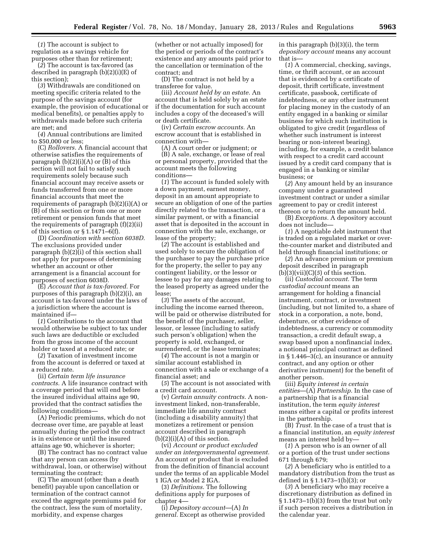(*1*) The account is subject to regulation as a savings vehicle for purposes other than for retirement;

(*2*) The account is tax-favored (as described in paragraph (b)(2)(i)(E) of this section);

(*3*) Withdrawals are conditioned on meeting specific criteria related to the purpose of the savings account (for example, the provision of educational or medical benefits), or penalties apply to withdrawals made before such criteria are met; and

(*4*) Annual contributions are limited to \$50,000 or less;

(C) *Rollovers.* A financial account that otherwise satisfies the requirements of paragraph (b)(2)(i)(A) or (B) of this section will not fail to satisfy such requirements solely because such financial account may receive assets or funds transferred from one or more financial accounts that meet the requirements of paragraph (b)(2)(i)(A) or (B) of this section or from one or more retirement or pension funds that meet the requirements of paragraph (f)(2)(ii) of this section or  $\S 1.1471-6(f)$ .

(D) *Coordination with section 6038D.*  The exclusions provided under paragraph (b)(2)(i) of this section shall not apply for purposes of determining whether an account or other arrangement is a financial account for purposes of section 6038D.

(E) *Account that is tax-favored.* For purposes of this paragraph (b)(2)(i), an account is tax-favored under the laws of a jurisdiction where the account is maintained if—

(*1*) Contributions to the account that would otherwise be subject to tax under such laws are deductible or excluded from the gross income of the account holder or taxed at a reduced rate; or

(*2*) Taxation of investment income from the account is deferred or taxed at a reduced rate.

(ii) *Certain term life insurance contracts.* A life insurance contract with a coverage period that will end before the insured individual attains age 90, provided that the contract satisfies the following conditions—

(A) Periodic premiums, which do not decrease over time, are payable at least annually during the period the contract is in existence or until the insured attains age 90, whichever is shorter;

(B) The contract has no contract value that any person can access (by withdrawal, loan, or otherwise) without terminating the contract;

(C) The amount (other than a death benefit) payable upon cancellation or termination of the contract cannot exceed the aggregate premiums paid for the contract, less the sum of mortality, morbidity, and expense charges

(whether or not actually imposed) for the period or periods of the contract's existence and any amounts paid prior to the cancellation or termination of the contract; and

(D) The contract is not held by a transferee for value.

(iii) *Account held by an estate.* An account that is held solely by an estate if the documentation for such account includes a copy of the deceased's will or death certificate.

(iv) *Certain escrow accounts.* An escrow account that is established in connection with—

(A) A court order or judgment; or (B) A sale, exchange, or lease of real or personal property, provided that the account meets the following conditions—

(*1*) The account is funded solely with a down payment, earnest money, deposit in an amount appropriate to secure an obligation of one of the parties directly related to the transaction, or a similar payment, or with a financial asset that is deposited in the account in connection with the sale, exchange, or lease of the property;

(*2*) The account is established and used solely to secure the obligation of the purchaser to pay the purchase price for the property, the seller to pay any contingent liability, or the lessor or lessee to pay for any damages relating to the leased property as agreed under the lease;

(*3*) The assets of the account, including the income earned thereon, will be paid or otherwise distributed for the benefit of the purchaser, seller, lessor, or lessee (including to satisfy such person's obligation) when the property is sold, exchanged, or surrendered, or the lease terminates;

(*4*) The account is not a margin or similar account established in connection with a sale or exchange of a financial asset; and

(*5*) The account is not associated with a credit card account.

(v) *Certain annuity contracts.* A noninvestment linked, non-transferable, immediate life annuity contract (including a disability annuity) that monetizes a retirement or pension account described in paragraph  $(b)(2)(i)(A)$  of this section.

(vi) *Account or product excluded under an intergovernmental agreement.*  An account or product that is excluded from the definition of financial account under the terms of an applicable Model 1 IGA or Model 2 IGA.

(3) *Definitions.* The following definitions apply for purposes of chapter 4—

(i) *Depository account*—(A) *In general.* Except as otherwise provided in this paragraph (b)(3)(i), the term *depository account* means any account that is—

(*1*) A commercial, checking, savings, time, or thrift account, or an account that is evidenced by a certificate of deposit, thrift certificate, investment certificate, passbook, certificate of indebtedness, or any other instrument for placing money in the custody of an entity engaged in a banking or similar business for which such institution is obligated to give credit (regardless of whether such instrument is interest bearing or non-interest bearing), including, for example, a credit balance with respect to a credit card account issued by a credit card company that is engaged in a banking or similar business; or

(*2*) Any amount held by an insurance company under a guaranteed investment contract or under a similar agreement to pay or credit interest thereon or to return the amount held.

(B) *Exceptions.* A depository account does not include—

(*1*) A negotiable debt instrument that is traded on a regulated market or overthe-counter market and distributed and held through financial institutions; or

(*2*) An advance premium or premium deposit described in paragraph  $(b)(3)(vii)(C)(5)$  of this section.

(ii) *Custodial account.* The term *custodial account* means an arrangement for holding a financial instrument, contract, or investment (including, but not limited to, a share of stock in a corporation, a note, bond, debenture, or other evidence of indebtedness, a currency or commodity transaction, a credit default swap, a swap based upon a nonfinancial index, a notional principal contract as defined in § 1.446–3(c), an insurance or annuity contract, and any option or other derivative instrument) for the benefit of another person.

(iii) *Equity interest in certain entities*—(A) *Partnership.* In the case of a partnership that is a financial institution, the term *equity interest*  means either a capital or profits interest in the partnership.

(B) *Trust.* In the case of a trust that is a financial institution, an *equity interest*  means an interest held by—

(*1*) A person who is an owner of all or a portion of the trust under sections 671 through 679;

(*2*) A beneficiary who is entitled to a mandatory distribution from the trust as defined in § 1.1473–1(b)(3); or

(*3*) A beneficiary who may receive a discretionary distribution as defined in  $§ 1.1473-1(b)(3)$  from the trust but only if such person receives a distribution in the calendar year.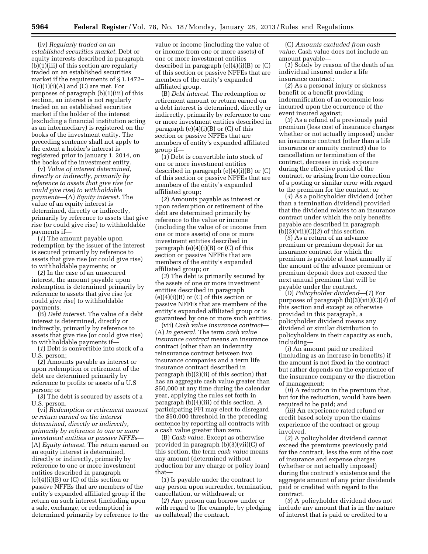(iv) *Regularly traded on an established securities market.* Debt or equity interests described in paragraph (b)(1)(iii) of this section are regularly traded on an established securities market if the requirements of § 1.1472–  $1(c)(1)(i)(A)$  and  $(C)$  are met. For purposes of paragraph (b)(1)(iii) of this section, an interest is not regularly traded on an established securities market if the holder of the interest (excluding a financial institution acting as an intermediary) is registered on the books of the investment entity. The preceding sentence shall not apply to the extent a holder's interest is registered prior to January 1, 2014, on the books of the investment entity.

(v) *Value of interest determined, directly or indirectly, primarily by reference to assets that give rise (or could give rise) to withholdable payments*—(A) *Equity interest.* The value of an equity interest is determined, directly or indirectly, primarily by reference to assets that give rise (or could give rise) to withholdable payments if—

(*1*) The amount payable upon redemption by the issuer of the interest is secured primarily by reference to assets that give rise (or could give rise) to withholdable payments; or

(*2*) In the case of an unsecured interest, the amount payable upon redemption is determined primarily by reference to assets that give rise (or could give rise) to withholdable payments.

(B) *Debt interest.* The value of a debt interest is determined, directly or indirectly, primarily by reference to assets that give rise (or could give rise) to withholdable payments if—

(*1*) Debt is convertible into stock of a U.S. person;

(*2*) Amounts payable as interest or upon redemption or retirement of the debt are determined primarily by reference to profits or assets of a U.S person; or

(*3*) The debt is secured by assets of a U.S. person.

(vi) *Redemption or retirement amount or return earned on the interest determined, directly or indirectly, primarily by reference to one or more investment entities or passive NFFEs*— (A) *Equity interest.* The return earned on an equity interest is determined, directly or indirectly, primarily by reference to one or more investment entities described in paragraph  $(e)(4)(i)(B)$  or  $(C)$  of this section or passive NFFEs that are members of the entity's expanded affiliated group if the return on such interest (including upon a sale, exchange, or redemption) is determined primarily by reference to the value or income (including the value of or income from one or more assets) of one or more investment entities described in paragraph (e)(4)(i)(B) or (C) of this section or passive NFFEs that are members of the entity's expanded affiliated group.

(B) *Debt interest.* The redemption or retirement amount or return earned on a debt interest is determined, directly or indirectly, primarily by reference to one or more investment entities described in paragraph  $(e)(4)(i)(B)$  or  $(C)$  of this section or passive NFFEs that are members of entity's expanded affiliated group if—

(*1*) Debt is convertible into stock of one or more investment entities described in paragraph (e)(4)(i)(B) or (C) of this section or passive NFFEs that are members of the entity's expanded affiliated group;

(*2*) Amounts payable as interest or upon redemption or retirement of the debt are determined primarily by reference to the value or income (including the value of or income from one or more assets) of one or more investment entities described in paragraph  $(e)(4)(i)(B)$  or  $(C)$  of this section or passive NFFEs that are members of the entity's expanded affiliated group; or

(*3*) The debt is primarily secured by the assets of one or more investment entities described in paragraph (e)(4)(i)(B) or (C) of this section or passive NFFEs that are members of the entity's expanded affiliated group or is guaranteed by one or more such entities.

(vii) *Cash value insurance contract*— (A) *In general.* The term *cash value insurance contract* means an insurance contract (other than an indemnity reinsurance contract between two insurance companies and a term life insurance contract described in paragraph (b)(2)(ii) of this section) that has an aggregate cash value greater than \$50,000 at any time during the calendar year, applying the rules set forth in paragraph (b)(4)(iii) of this section. A participating FFI may elect to disregard the \$50,000 threshold in the preceding sentence by reporting all contracts with a cash value greater than zero.

(B) *Cash value.* Except as otherwise provided in paragraph (b)(3)(vii)(C) of this section, the term *cash value* means any amount (determined without reduction for any charge or policy loan) that—

(*1*) Is payable under the contract to any person upon surrender, termination, cancellation, or withdrawal; or

(*2*) Any person can borrow under or with regard to (for example, by pledging as collateral) the contract.

(C) *Amounts excluded from cash value.* Cash value does not include an amount payable—

(*1*) Solely by reason of the death of an individual insured under a life insurance contract;

(*2*) As a personal injury or sickness benefit or a benefit providing indemnification of an economic loss incurred upon the occurrence of the event insured against;

(*3*) As a refund of a previously paid premium (less cost of insurance charges whether or not actually imposed) under an insurance contract (other than a life insurance or annuity contract) due to cancellation or termination of the contract, decrease in risk exposure during the effective period of the contract, or arising from the correction of a posting or similar error with regard to the premium for the contract; or

(*4*) As a policyholder dividend (other than a termination dividend) provided that the dividend relates to an insurance contract under which the only benefits payable are described in paragraph  $(b)(3)(vii)(C)(2)$  of this section.

(*5*) As a return of an advance premium or premium deposit for an insurance contract for which the premium is payable at least annually if the amount of the advance premium or premium deposit does not exceed the next annual premium that will be payable under the contract.

(D) *Policyholder dividend*—(*1*) For purposes of paragraph (b)(3)(vii)(C)(*4*) of this section and except as otherwise provided in this paragraph, a policyholder dividend means any dividend or similar distribution to policyholders in their capacity as such, including—

(*i*) An amount paid or credited (including as an increase in benefits) if the amount is not fixed in the contract but rather depends on the experience of the insurance company or the discretion of management;

(*ii*) A reduction in the premium that, but for the reduction, would have been required to be paid; and

(*iii*) An experience rated refund or credit based solely upon the claims experience of the contract or group involved.

(*2*) A policyholder dividend cannot exceed the premiums previously paid for the contract, less the sum of the cost of insurance and expense charges (whether or not actually imposed) during the contract's existence and the aggregate amount of any prior dividends paid or credited with regard to the contract.

(*3*) A policyholder dividend does not include any amount that is in the nature of interest that is paid or credited to a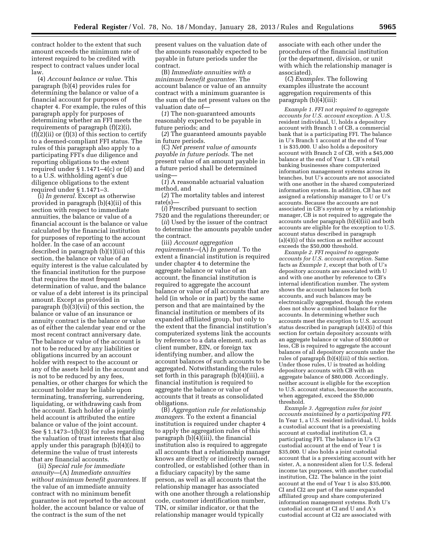contract holder to the extent that such amount exceeds the minimum rate of interest required to be credited with respect to contract values under local law.

(4) *Account balance or value.* This paragraph (b)(4) provides rules for determining the balance or value of a financial account for purposes of chapter 4. For example, the rules of this paragraph apply for purposes of determining whether an FFI meets the requirements of paragraph (f)(2)(i),  $(f)(2)(ii)$  or  $(f)(3)$  of this section to certify to a deemed-compliant FFI status. The rules of this paragraph also apply to a participating FFI's due diligence and reporting obligations to the extent required under § 1.1471–4(c) or (d) and to a U.S. withholding agent's due diligence obligations to the extent required under § 1.1471–3.

(i) *In general.* Except as otherwise provided in paragraph (b)(4)(ii) of this section with respect to immediate annuities, the balance or value of a financial account is the balance or value calculated by the financial institution for purposes of reporting to the account holder. In the case of an account described in paragraph (b)(1)(iii) of this section, the balance or value of an equity interest is the value calculated by the financial institution for the purpose that requires the most frequent determination of value, and the balance or value of a debt interest is its principal amount. Except as provided in paragraph (b)(3)(vii) of this section, the balance or value of an insurance or annuity contract is the balance or value as of either the calendar year end or the most recent contract anniversary date. The balance or value of the account is not to be reduced by any liabilities or obligations incurred by an account holder with respect to the account or any of the assets held in the account and is not to be reduced by any fees, penalties, or other charges for which the account holder may be liable upon terminating, transferring, surrendering, liquidating, or withdrawing cash from the account. Each holder of a jointly held account is attributed the entire balance or value of the joint account. See § 1.1473–1(b)(3) for rules regarding the valuation of trust interests that also apply under this paragraph (b)(4)(i) to determine the value of trust interests that are financial accounts.

(ii) *Special rule for immediate annuity*—(A) *Immediate annuities without minimum benefit guarantees.* If the value of an immediate annuity contract with no minimum benefit guarantee is not reported to the account holder, the account balance or value of the contract is the sum of the net

present values on the valuation date of the amounts reasonably expected to be payable in future periods under the contract.

(B) *Immediate annuities with a minimum benefit guarantee.* The account balance or value of an annuity contract with a minimum guarantee is the sum of the net present values on the valuation date of—

(*1*) The non-guaranteed amounts reasonably expected to be payable in future periods; and

(*2*) The guaranteed amounts payable in future periods.

(C) *Net present value of amounts payable in future periods.* The net present value of an amount payable in a future period shall be determined using—

(*1*) A reasonable actuarial valuation method, and

(*2*) The mortality tables and interest rate(s)—

(*i*) Prescribed pursuant to section 7520 and the regulations thereunder; or

(*ii*) Used by the issuer of the contract to determine the amounts payable under the contract.

(iii) *Account aggregation requirements*—(A) *In general.* To the extent a financial institution is required under chapter 4 to determine the aggregate balance or value of an account, the financial institution is required to aggregate the account balance or value of all accounts that are held (in whole or in part) by the same person and that are maintained by the financial institution or members of its expanded affiliated group, but only to the extent that the financial institution's computerized systems link the accounts by reference to a data element, such as client number, EIN, or foreign tax identifying number, and allow the account balances of such accounts to be aggregated. Notwithstanding the rules set forth in this paragraph (b)(4)(iii), a financial institution is required to aggregate the balance or value of accounts that it treats as consolidated obligations.

(B) *Aggregation rule for relationship managers.* To the extent a financial institution is required under chapter 4 to apply the aggregation rules of this paragraph (b)(4)(iii), the financial institution also is required to aggregate all accounts that a relationship manager knows are directly or indirectly owned, controlled, or established (other than in a fiduciary capacity) by the same person, as well as all accounts that the relationship manager has associated with one another through a relationship code, customer identification number, TIN, or similar indicator, or that the relationship manager would typically

associate with each other under the procedures of the financial institution (or the department, division, or unit with which the relationship manager is associated).

(*C*) *Examples.* The following examples illustrate the account aggregation requirements of this paragraph (b)(4)(iii):

*Example 1. FFI not required to aggregate accounts for U.S. account exception.* A U.S. resident individual, U, holds a depository account with Branch 1 of CB, a commercial bank that is a participating FFI. The balance in U's Branch 1 account at the end of Year 1 is \$35,000. U also holds a depository account with Branch 2 of CB, with a \$45,000 balance at the end of Year 1. CB's retail banking businesses share computerized information management systems across its branches, but U's accounts are not associated with one another in the shared computerized information system. In addition, CB has not assigned a relationship manager to U or U's accounts. Because the accounts are not associated in CB's system or by a relationship manager, CB is not required to aggregate the accounts under paragraph (b)(4)(iii) and both accounts are eligible for the exception to U.S. account status described in paragraph (a)(4)(i) of this section as neither account exceeds the \$50,000 threshold.

*Example 2. FFI required to aggregate accounts for U.S. account exception.* Same facts as *Example 1,* except that both of U's depository accounts are associated with U and with one another by reference to CB's internal identification number. The system shows the account balances for both accounts, and such balances may be electronically aggregated, though the system does not show a combined balance for the accounts. In determining whether such accounts meet the exception to U.S. account status described in paragraph (a)(4)(i) of this section for certain depository accounts with an aggregate balance or value of \$50,000 or less, CB is required to aggregate the account balances of all depository accounts under the rules of paragraph (b)(4)(iii) of this section. Under those rules, U is treated as holding depository accounts with CB with an aggregate balance of \$80,000. Accordingly, neither account is eligible for the exception to U.S. account status, because the accounts, when aggregated, exceed the \$50,000 threshold.

*Example 3. Aggregation rules for joint accounts maintained by a participating FFI.*  In Year 1, a U.S. resident individual, U, holds a custodial account that is a preexisting account at custodial institution CI, a participating FFI. The balance in U's CI custodial account at the end of Year 1 is \$35,000. U also holds a joint custodial account that is a preexisting account with her sister, A, a nonresident alien for U.S. federal income tax purposes, with another custodial institution, CI2. The balance in the joint account at the end of Year 1 is also \$35,000. CI and CI2 are part of the same expanded affiliated group and share computerized information management systems. Both U's custodial account at CI and U and A's custodial account at CI2 are associated with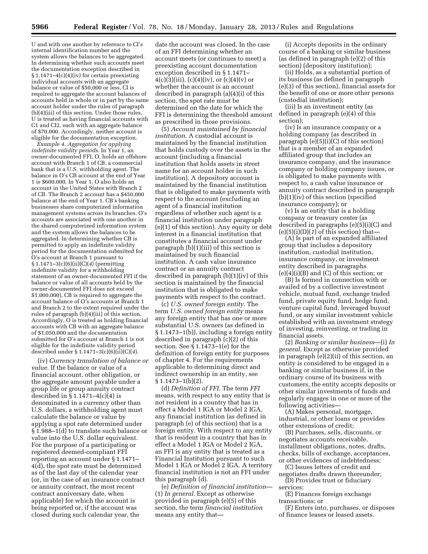U and with one another by reference to CI's internal identification number and the system allows the balances to be aggregated. In determining whether such accounts meet the documentation exception described in § 1.1471–4(c)(4)(iv) for certain preexisting individual accounts with an aggregate balance or value of \$50,000 or less, CI is required to aggregate the account balances of accounts held in whole or in part by the same account holder under the rules of paragraph (b)(4)(iii) of this section. Under those rules, U is treated as having financial accounts with C1 and CI2, each with an aggregate balance of \$70,000. Accordingly, neither account is eligible for the documentation exception.

*Example 4. Aggregation for applying indefinite validity periods.* In Year 1, an owner-documented FFI, O, holds an offshore account with Branch 1 of CB, a commercial bank that is a U.S. withholding agent. The balance in O's CB account at the end of Year 1 is \$600,000. In Year 1, O also holds an account in the United States with Branch 2 of CB. The Branch 2 account has a \$450,000 balance at the end of Year 1. CB's banking businesses share computerized information management systems across its branches. O's accounts are associated with one another in the shared computerized information system and the system allows the balances to be aggregated. In determining whether CB is permitted to apply an indefinite validity period for the documentation submitted for O's account at Branch 1 pursuant to § 1.1471–3(c)(6)(ii)(C)(*4*) (permitting indefinite validity for a withholding statement of an owner-documented FFI if the balance or value of all accounts held by the owner-documented FFI does not exceed \$1,000,000), CB is required to aggregate the account balance of O's accounts at Branch 1 and Branch 2 to the extent required under the rules of paragraph (b)(4)(iii) of this section. Accordingly, O is treated as holding financial accounts with CB with an aggregate balance of \$1,050,000 and the documentation submitted for O's account at Branch 1 is not eligible for the indefinite validity period described under § 1.1471–3(c)(6)(ii)(C)(*4*).

(iv) *Currency translation of balance or value.* If the balance or value of a financial account, other obligation, or the aggregate amount payable under a group life or group annuity contract described in  $\S 1.1471-4(c)(4)$  is denominated in a currency other than U.S. dollars, a withholding agent must calculate the balance or value by applying a spot rate determined under § 1.988–1(d) to translate such balance or value into the U.S. dollar equivalent. For the purpose of a participating or registered deemed-compliant FFI reporting an account under § 1.1471– 4(d), the spot rate must be determined as of the last day of the calendar year (or, in the case of an insurance contract or annuity contract, the most recent contract anniversary date, when applicable) for which the account is being reported or, if the account was closed during such calendar year, the

date the account was closed. In the case of an FFI determining whether an account meets (or continues to meet) a preexisting account documentation exception described in § 1.1471–  $4(c)(3)(iii)$ ,  $(c)(4)(iv)$ , or  $(c)(4)(v)$  or whether the account is an account described in paragraph (a)(4)(i) of this section, the spot rate must be determined on the date for which the FFI is determining the threshold amount as prescribed in those provisions.

(5) *Account maintained by financial institution.* A custodial account is maintained by the financial institution that holds custody over the assets in the account (including a financial institution that holds assets in street name for an account holder in such institution). A depository account is maintained by the financial institution that is obligated to make payments with respect to the account (excluding an agent of a financial institution regardless of whether such agent is a financial institution under paragraph (e)(1) of this section). Any equity or debt interest in a financial institution that constitutes a financial account under paragraph (b)(1)(iii) of this section is maintained by such financial institution. A cash value insurance contract or an annuity contract described in paragraph (b)(1)(iv) of this section is maintained by the financial institution that is obligated to make payments with respect to the contract.

(c) *U.S. owned foreign entity.* The term *U.S. owned foreign entity* means any foreign entity that has one or more substantial U.S. owners (as defined in § 1.1473–1(b)), including a foreign entity described in paragraph (c)(2) of this section. See § 1.1473–1(e) for the definition of foreign entity for purposes of chapter 4. For the requirements applicable to determining direct and indirect ownership in an entity, see  $§ 1.1473-1(b)(2).$ 

(d) *Definition of FFI.* The term *FFI*  means, with respect to any entity that is not resident in a country that has in effect a Model 1 IGA or Model 2 IGA, any financial institution (as defined in paragraph (e) of this section) that is a foreign entity. With respect to any entity that is resident in a country that has in effect a Model 1 IGA or Model 2 IGA, an FFI is any entity that is treated as a Financial Institution pursuant to such Model 1 IGA or Model 2 IGA. A territory financial institution is not an FFI under this paragraph (d).

(e) *Definition of financial institution*— (1) *In general.* Except as otherwise provided in paragraph (e)(5) of this section, the term *financial institution*  means any entity that—

(i) Accepts deposits in the ordinary course of a banking or similar business (as defined in paragraph (e)(2) of this section) (depository institution);

(ii) Holds, as a substantial portion of its business (as defined in paragraph (e)(3) of this section), financial assets for the benefit of one or more other persons (custodial institution);

(iii) Is an investment entity (as defined in paragraph (e)(4) of this section);

(iv) Is an insurance company or a holding company (as described in paragraph (e)(5)(i)(C) of this section) that is a member of an expanded affiliated group that includes an insurance company, and the insurance company or holding company issues, or is obligated to make payments with respect to, a cash value insurance or annuity contract described in paragraph (b)(1)(iv) of this section (specified insurance company); or

(v) Is an entity that is a holding company or treasury center (as described in paragraphs (e)(5)(i)(C) and  $(e)(5)(i)(D)(1)$  of this section) that-

(A) Is part of an expanded affiliated group that includes a depository institution, custodial institution, insurance company, or investment entity described in paragraphs  $(e)(4)(i)(B)$  and  $(C)$  of this section; or

(B) Is formed in connection with or availed of by a collective investment vehicle, mutual fund, exchange traded fund, private equity fund, hedge fund, venture capital fund, leveraged buyout fund, or any similar investment vehicle established with an investment strategy of investing, reinvesting, or trading in financial assets.

(2) *Banking or similar business*—(i) *In general.* Except as otherwise provided in paragraph (e)(2)(ii) of this section, an entity is considered to be engaged in a banking or similar business if, in the ordinary course of its business with customers, the entity accepts deposits or other similar investments of funds and regularly engages in one or more of the following activities—

(A) Makes personal, mortgage, industrial, or other loans or provides other extensions of credit;

(B) Purchases, sells, discounts, or negotiates accounts receivable, installment obligations, notes, drafts, checks, bills of exchange, acceptances, or other evidences of indebtedness;

(C) Issues letters of credit and

negotiates drafts drawn thereunder; (D) Provides trust or fiduciary services;

(E) Finances foreign exchange transactions; or

(F) Enters into, purchases, or disposes of finance leases or leased assets.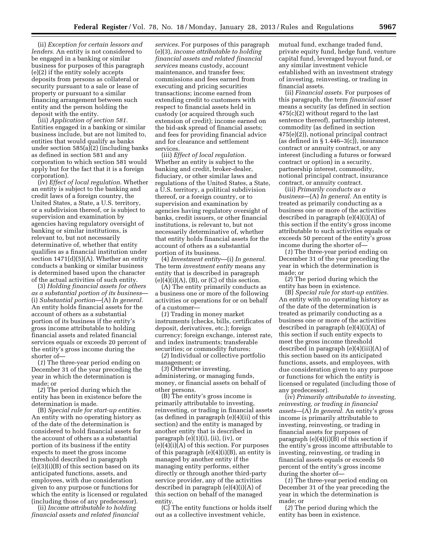(ii) *Exception for certain lessors and lenders.* An entity is not considered to be engaged in a banking or similar business for purposes of this paragraph (e)(2) if the entity solely accepts deposits from persons as collateral or security pursuant to a sale or lease of property or pursuant to a similar financing arrangement between such entity and the person holding the deposit with the entity.

(iii) *Application of section 581.*  Entities engaged in a banking or similar business include, but are not limited to, entities that would qualify as banks under section 585(a)(2) (including banks as defined in section 581 and any corporation to which section 581 would apply but for the fact that it is a foreign corporation).

(iv) *Effect of local regulation.* Whether an entity is subject to the banking and credit laws of a foreign country, the United States, a State, a U.S. territory, or a subdivision thereof, or is subject to supervision and examination by agencies having regulatory oversight of banking or similar institutions, is relevant to, but not necessarily determinative of, whether that entity qualifies as a financial institution under section 1471(d)(5)(A). Whether an entity conducts a banking or similar business is determined based upon the character of the actual activities of such entity.

(3) *Holding financial assets for others as a substantial portion of its business*— (i) *Substantial portion*—(A) *In general.*  An entity holds financial assets for the account of others as a substantial portion of its business if the entity's gross income attributable to holding financial assets and related financial services equals or exceeds 20 percent of the entity's gross income during the shorter of—

(*1*) The three-year period ending on December 31 of the year preceding the year in which the determination is made; or

(*2*) The period during which the entity has been in existence before the determination is made.

(B) *Special rule for start-up entities.*  An entity with no operating history as of the date of the determination is considered to hold financial assets for the account of others as a substantial portion of its business if the entity expects to meet the gross income threshold described in paragraph (e)(3)(i)(B) of this section based on its anticipated functions, assets, and employees, with due consideration given to any purpose or functions for which the entity is licensed or regulated (including those of any predecessor).

(ii) *Income attributable to holding financial assets and related financial* 

*services.* For purposes of this paragraph (e)(3), *income attributable to holding financial assets and related financial services* means custody, account maintenance, and transfer fees; commissions and fees earned from executing and pricing securities transactions; income earned from extending credit to customers with respect to financial assets held in custody (or acquired through such extension of credit); income earned on the bid-ask spread of financial assets; and fees for providing financial advice and for clearance and settlement services.

(iii) *Effect of local regulation.*  Whether an entity is subject to the banking and credit, broker-dealer, fiduciary, or other similar laws and regulations of the United States, a State, a U.S. territory, a political subdivision thereof, or a foreign country, or to supervision and examination by agencies having regulatory oversight of banks, credit issuers, or other financial institutions, is relevant to, but not necessarily determinative of, whether that entity holds financial assets for the account of others as a substantial portion of its business.

(4) *Investment entity*—(i) *In general.*  The term *investment entity* means any entity that is described in paragraph  $(e)(4)(i)(A)$ ,  $(B)$ , or  $(C)$  of this section.

(A) The entity primarily conducts as a business one or more of the following activities or operations for or on behalf of a customer—

(*1*) Trading in money market instruments (checks, bills, certificates of deposit, derivatives, etc.); foreign currency; foreign exchange, interest rate, and index instruments; transferable securities; or commodity futures;

(*2*) Individual or collective portfolio management; or

(*3*) Otherwise investing, administering, or managing funds, money, or financial assets on behalf of other persons.

(B) The entity's gross income is primarily attributable to investing, reinvesting, or trading in financial assets (as defined in paragraph (e)(4)(ii) of this section) and the entity is managed by another entity that is described in paragraph (e)(1)(i), (ii), (iv), or  $(e)(4)(i)(A)$  of this section. For purposes of this paragraph (e)(4)(i)(B), an entity is managed by another entity if the managing entity performs, either directly or through another third-party service provider, any of the activities described in paragraph (e)(4)(i)(A) of this section on behalf of the managed entity

(C) The entity functions or holds itself out as a collective investment vehicle,

mutual fund, exchange traded fund, private equity fund, hedge fund, venture capital fund, leveraged buyout fund, or any similar investment vehicle established with an investment strategy of investing, reinvesting, or trading in financial assets.

(ii) *Financial assets.* For purposes of this paragraph, the term *financial asset*  means a security (as defined in section 475(c)(2) without regard to the last sentence thereof), partnership interest, commodity (as defined in section 475(e)(2)), notional principal contract (as defined in  $\S 1.446-3(c)$ ), insurance contract or annuity contract, or any interest (including a futures or forward contract or option) in a security, partnership interest, commodity, notional principal contract, insurance contract, or annuity contract.

(iii) *Primarily conducts as a business*—(A) *In general.* An entity is treated as primarily conducting as a business one or more of the activities described in paragraph (e)(4)(i)(A) of this section if the entity's gross income attributable to such activities equals or exceeds 50 percent of the entity's gross income during the shorter of—

(*1*) The three-year period ending on December 31 of the year preceding the year in which the determination is made; or

(*2*) The period during which the entity has been in existence.

(B) *Special rule for start-up entities.*  An entity with no operating history as of the date of the determination is treated as primarily conducting as a business one or more of the activities described in paragraph (e)(4)(i)(A) of this section if such entity expects to meet the gross income threshold described in paragraph (e)(4)(iii)(A) of this section based on its anticipated functions, assets, and employees, with due consideration given to any purpose or functions for which the entity is licensed or regulated (including those of any predecessor).

(iv) *Primarily attributable to investing, reinvesting, or trading in financial assets*—(A) *In general.* An entity's gross income is primarily attributable to investing, reinvesting, or trading in financial assets for purposes of paragraph (e)(4)(i)(B) of this section if the entity's gross income attributable to investing, reinvesting, or trading in financial assets equals or exceeds 50 percent of the entity's gross income during the shorter of—

(*1*) The three-year period ending on December 31 of the year preceding the year in which the determination is made; or

(*2*) The period during which the entity has been in existence.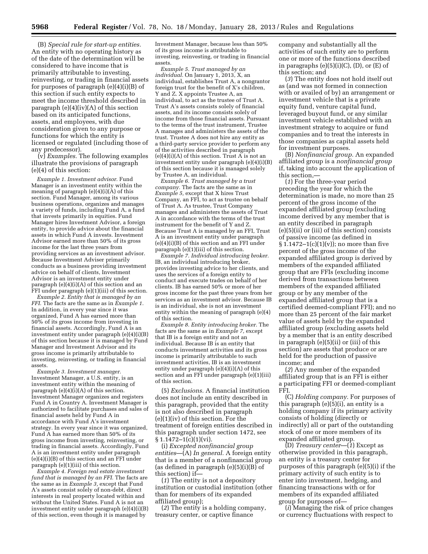(B) *Special rule for start-up entities.*  An entity with no operating history as of the date of the determination will be considered to have income that is primarily attributable to investing, reinvesting, or trading in financial assets for purposes of paragraph (e)(4)(i)(B) of this section if such entity expects to meet the income threshold described in paragraph (e)(4)(iv)(A) of this section based on its anticipated functions, assets, and employees, with due consideration given to any purpose or functions for which the entity is licensed or regulated (including those of any predecessor).

(v) *Examples.* The following examples illustrate the provisions of paragraph (e)(4) of this section:

*Example 1. Investment advisor.* Fund Manager is an investment entity within the meaning of paragraph  $(e)(4)(i)(A)$  of this section. Fund Manager, among its various business operations, organizes and manages a variety of funds, including Fund A, a fund that invests primarily in equities. Fund Manager hires Investment Advisor, a foreign entity, to provide advice about the financial assets in which Fund A invests. Investment Advisor earned more than 50% of its gross income for the last three years from providing services as an investment advisor. Because Investment Adviser primarily conducts as a business providing investment advice on behalf of clients, Investment Advisor is an investment entity under paragraph (e)(4)(i)(A) of this section and an FFI under paragraph (e)(1)(iii) of this section.

*Example 2. Entity that is managed by an FFI.* The facts are the same as in *Example 1.*  In addition, in every year since it was organized, Fund A has earned more than 50% of its gross income from investing in financial assets. Accordingly, Fund A is an investment entity under paragraph (e)(4)(i)(B) of this section because it is managed by Fund Manager and Investment Advisor and its gross income is primarily attributable to investing, reinvesting, or trading in financial assets.

*Example 3. Investment manager.*  Investment Manager, a U.S. entity, is an investment entity within the meaning of paragraph  $(e)(4)(i)(A)$  of this section. Investment Manager organizes and registers Fund A in Country A. Investment Manager is authorized to facilitate purchases and sales of financial assets held by Fund A in accordance with Fund A's investment strategy. In every year since it was organized, Fund A has earned more than 50% of its gross income from investing, reinvesting, or trading in financial assets. Accordingly, Fund A is an investment entity under paragraph (e)(4)(i)(B) of this section and an FFI under paragraph (e)(1)(iii) of this section.

*Example 4. Foreign real estate investment fund that is managed by an FFI.* The facts are the same as in *Example 3,* except that Fund A's assets consist solely of non-debt, direct interests in real property located within and without the United States. Fund A is not an investment entity under paragraph (e)(4)(i)(B) of this section, even though it is managed by

Investment Manager, because less than 50% of its gross income is attributable to investing, reinvesting, or trading in financial assets.

*Example 5. Trust managed by an individual.* On January 1, 2013, X, an individual, establishes Trust A, a nongrantor foreign trust for the benefit of X's children, Y and Z. X appoints Trustee A, an individual, to act as the trustee of Trust A. Trust A's assets consists solely of financial assets, and its income consists solely of income from those financial assets. Pursuant to the terms of the trust instrument, Trustee A manages and administers the assets of the trust. Trustee A does not hire any entity as a third-party service provider to perform any of the activities described in paragraph  $(e)(4)(i)(A)$  of this section. Trust A is not an investment entity under paragraph (e)(4)(i)(B) of this section because it is managed solely by Trustee A, an individual.

*Example 6. Trust managed by a trust company.* The facts are the same as in *Example 5,* except that X hires Trust Company, an FFI, to act as trustee on behalf of Trust A. As trustee, Trust Company manages and administers the assets of Trust A in accordance with the terms of the trust instrument for the benefit of Y and Z. Because Trust A is managed by an FFI, Trust A is an investment entity under paragraph (e)(4)(i)(B) of this section and an FFI under paragraph (e)(1)(iii) of this section.

*Example 7. Individual introducing broker.*  IB, an individual introducing broker, provides investing advice to her clients, and uses the services of a foreign entity to conduct and execute trades on behalf of her clients. IB has earned 50% or more of her gross income for the past three years from her services as an investment advisor. Because IB is an individual, she is not an investment entity within the meaning of paragraph (e)(4) of this section.

*Example 8. Entity introducing broker.* The facts are the same as in *Example 7,* except that IB is a foreign entity and not an individual. Because IB is an entity that conducts investment activities and its gross income is primarily attributable to such investment activities, IB is an investment entity under paragraph  $(e)(4)(i)(A)$  of this section and an FFI under paragraph (e)(1)(iii) of this section.

(5) *Exclusions.* A financial institution does not include an entity described in this paragraph, provided that the entity is not also described in paragraph (e)(1)(iv) of this section. For the treatment of foreign entities described in this paragraph under section 1472, see  $§ 1.1472-1(c)(1)(vi).$ 

(i) *Excepted nonfinancial group entities*—(A) *In general.* A foreign entity that is a member of a nonfinancial group (as defined in paragraph  $(e)(5)(i)(B)$  of this section) if—

(*1*) The entity is not a depository institution or custodial institution (other than for members of its expanded affiliated group);

(*2*) The entity is a holding company, treasury center, or captive finance

company and substantially all the activities of such entity are to perform one or more of the functions described in paragraphs  $(e)(5)(i)(C)$ ,  $(D)$ , or  $(E)$  of this section; and

(*3*) The entity does not hold itself out as (and was not formed in connection with or availed of by) an arrangement or investment vehicle that is a private equity fund, venture capital fund, leveraged buyout fund, or any similar investment vehicle established with an investment strategy to acquire or fund companies and to treat the interests in those companies as capital assets held for investment purposes.

(B) *Nonfinancial group.* An expanded affiliated group is a *nonfinancial group*  if, taking into account the application of this section,—

(*1*) For the three-year period preceding the year for which the determination is made, no more than 25 percent of the gross income of the expanded affiliated group (excluding income derived by any member that is an entity described in paragraph (e)(5)(ii) or (iii) of this section) consists of passive income (as defined in  $§ 1.1472-1(c)(1)(v)$ ; no more than five percent of the gross income of the expanded affiliated group is derived by members of the expanded affiliated group that are FFIs (excluding income derived from transactions between members of the expanded affiliated group or by any member of the expanded affiliated group that is a certified deemed-compliant FFI); and no more than 25 percent of the fair market value of assets held by the expanded affiliated group (excluding assets held by a member that is an entity described in paragraph (e)(5)(ii) or (iii) of this section) are assets that produce or are held for the production of passive income; and

(*2*) Any member of the expanded affiliated group that is an FFI is either a participating FFI or deemed-compliant FFI.

(C) *Holding company.* For purposes of this paragraph (e)(5)(i), an entity is a holding company if its primary activity consists of holding (directly or indirectly) all or part of the outstanding stock of one or more members of its expanded affiliated group.

(D) *Treasury center*—(*1*) Except as otherwise provided in this paragraph, an entity is a treasury center for purposes of this paragraph (e)(5)(i) if the primary activity of such entity is to enter into investment, hedging, and financing transactions with or for members of its expanded affiliated group for purposes of—

(*i*) Managing the risk of price changes or currency fluctuations with respect to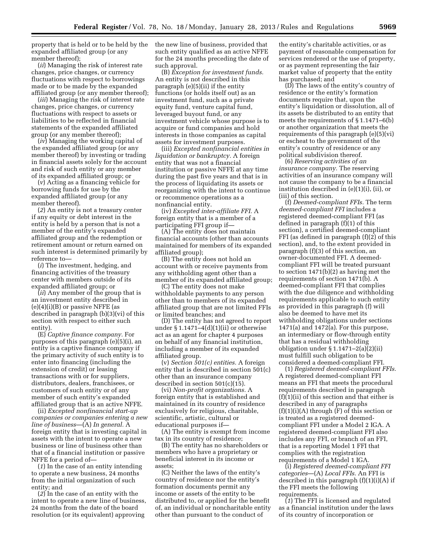property that is held or to be held by the expanded affiliated group (or any member thereof);

(*ii*) Managing the risk of interest rate changes, price changes, or currency fluctuations with respect to borrowings made or to be made by the expanded affiliated group (or any member thereof);

(*iii*) Managing the risk of interest rate changes, price changes, or currency fluctuations with respect to assets or liabilities to be reflected in financial statements of the expanded affiliated group (or any member thereof);

(*iv*) Managing the working capital of the expanded affiliated group (or any member thereof) by investing or trading in financial assets solely for the account and risk of such entity or any member of its expanded affiliated group; or

(*v*) Acting as a financing vehicle for borrowing funds for use by the expanded affiliated group (or any member thereof).

(*2*) An entity is not a treasury center if any equity or debt interest in the entity is held by a person that is not a member of the entity's expanded affiliated group and the redemption or retirement amount or return earned on such interest is determined primarily by reference to—

(*i*) The investment, hedging, and financing activities of the treasury center with members outside of its expanded affiliated group; or

(*ii*) Any member of the group that is an investment entity described in  $(e)(4)(i)(B)$  or passive NFFE (as described in paragraph (b)(3)(vi) of this section with respect to either such entity).

(E) *Captive finance company.* For purposes of this paragraph (e)(5)(i), an entity is a captive finance company if the primary activity of such entity is to enter into financing (including the extension of credit) or leasing transactions with or for suppliers, distributors, dealers, franchisees, or customers of such entity or of any member of such entity's expanded affiliated group that is an active NFFE.

(ii) *Excepted nonfinancial start-up companies or companies entering a new line of business*—(A) *In general.* A foreign entity that is investing capital in assets with the intent to operate a new business or line of business other than that of a financial institution or passive NFFE for a period of—

(*1*) In the case of an entity intending to operate a new business, 24 months from the initial organization of such entity; and

(*2*) In the case of an entity with the intent to operate a new line of business, 24 months from the date of the board resolution (or its equivalent) approving

the new line of business, provided that such entity qualified as an active NFFE for the 24 months preceding the date of such approval.

(B) *Exception for investment funds.*  An entity is not described in this paragraph (e)(5)(ii) if the entity functions (or holds itself out) as an investment fund, such as a private equity fund, venture capital fund, leveraged buyout fund, or any investment vehicle whose purpose is to acquire or fund companies and hold interests in those companies as capital assets for investment purposes.

(iii) *Excepted nonfinancial entities in liquidation or bankruptcy.* A foreign entity that was not a financial institution or passive NFFE at any time during the past five years and that is in the process of liquidating its assets or reorganizing with the intent to continue or recommence operations as a nonfinancial entity.

(iv) *Excepted inter-affiliate FFI.* A foreign entity that is a member of a participating FFI group if—

(A) The entity does not maintain financial accounts (other than accounts maintained for members of its expanded affiliated group);

(B) The entity does not hold an account with or receive payments from any withholding agent other than a member of its expanded affiliated group;

(C) The entity does not make withholdable payments to any person other than to members of its expanded affiliated group that are not limited FFIs or limited branches; and

(D) The entity has not agreed to report under  $\S 1.1471-4(d)(1)(ii)$  or otherwise act as an agent for chapter 4 purposes on behalf of any financial institution, including a member of its expanded affiliated group.

(v) *Section 501(c) entities.* A foreign entity that is described in section 501(c) other than an insurance company described in section 501(c)(15).

(vi) *Non-profit organizations.* A foreign entity that is established and maintained in its country of residence exclusively for religious, charitable, scientific, artistic, cultural or educational purposes if—

(A) The entity is exempt from income tax in its country of residence;

(B) The entity has no shareholders or members who have a proprietary or beneficial interest in its income or assets;

(C) Neither the laws of the entity's country of residence nor the entity's formation documents permit any income or assets of the entity to be distributed to, or applied for the benefit of, an individual or noncharitable entity other than pursuant to the conduct of

the entity's charitable activities, or as payment of reasonable compensation for services rendered or the use of property, or as payment representing the fair market value of property that the entity has purchased; and

(D) The laws of the entity's country of residence or the entity's formation documents require that, upon the entity's liquidation or dissolution, all of its assets be distributed to an entity that meets the requirements of § 1.1471–6(b) or another organization that meets the requirements of this paragraph (e)(5)(vi) or escheat to the government of the entity's country of residence or any political subdivision thereof.

(6) *Reserving activities of an insurance company.* The reserving activities of an insurance company will not cause the company to be a financial institution described in (e)(1)(i), (ii), or (iii) of this section.

(f) *Deemed-compliant FFIs.* The term *deemed-compliant FFI* includes a registered deemed-compliant FFI (as defined in paragraph  $(f)(1)$  of this section), a certified deemed-compliant FFI (as defined in paragraph (f)(2) of this section), and, to the extent provided in paragraph (f)(3) of this section, an owner-documented FFI. A deemedcompliant FFI will be treated pursuant to section 1471(b)(2) as having met the requirements of section 1471(b). A deemed-compliant FFI that complies with the due diligence and withholding requirements applicable to such entity as provided in this paragraph (f) will also be deemed to have met its withholding obligations under sections 1471(a) and 1472(a). For this purpose, an intermediary or flow-through entity that has a residual withholding obligation under  $\S 1.1471 - 2(a)(2)(ii)$ must fulfill such obligation to be considered a deemed-compliant FFI.

(1) *Registered deemed-compliant FFIs.*  A registered deemed-compliant FFI means an FFI that meets the procedural requirements described in paragraph  $(f)(1)(ii)$  of this section and that either is described in any of paragraphs  $(f)(1)(i)(A)$  through  $(F)$  of this section or is treated as a registered deemedcompliant FFI under a Model 2 IGA. A registered deemed-compliant FFI also includes any FFI, or branch of an FFI, that is a reporting Model 1 FFI that complies with the registration requirements of a Model 1 IGA.

(i) *Registered deemed-compliant FFI categories*—(A) *Local FFIs.* An FFI is described in this paragraph  $(f)(1)(i)(A)$  if the FFI meets the following requirements.

(*1*) The FFI is licensed and regulated as a financial institution under the laws of its country of incorporation or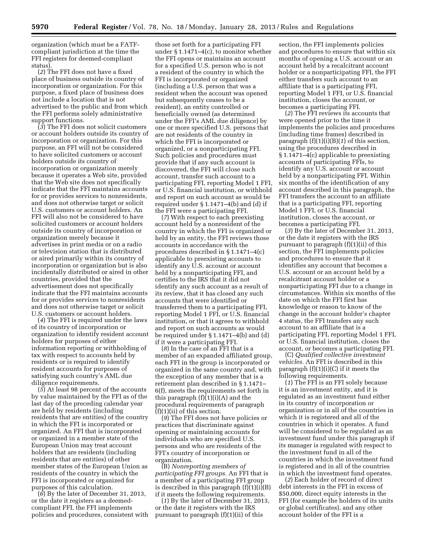organization (which must be a FATFcompliant jurisdiction at the time the FFI registers for deemed-compliant status).

(*2*) The FFI does not have a fixed place of business outside its country of incorporation or organization. For this purpose, a fixed place of business does not include a location that is not advertised to the public and from which the FFI performs solely administrative support functions.

(*3*) The FFI does not solicit customers or account holders outside its country of incorporation or organization. For this purpose, an FFI will not be considered to have solicited customers or account holders outside its country of incorporation or organization merely because it operates a Web site, provided that the Web site does not specifically indicate that the FFI maintains accounts for or provides services to nonresidents, and does not otherwise target or solicit U.S. customers or account holders. An FFI will also not be considered to have solicited customers or account holders outside its country of incorporation or organization merely because it advertises in print media or on a radio or television station that is distributed or aired primarily within its country of incorporation or organization but is also incidentally distributed or aired in other countries, provided that the advertisement does not specifically indicate that the FFI maintains accounts for or provides services to nonresidents and does not otherwise target or solicit U.S. customers or account holders.

(*4*) The FFI is required under the laws of its country of incorporation or organization to identify resident account holders for purposes of either information reporting or withholding of tax with respect to accounts held by residents or is required to identify resident accounts for purposes of satisfying such country's AML due diligence requirements.

(*5*) At least 98 percent of the accounts by value maintained by the FFI as of the last day of the preceding calendar year are held by residents (including residents that are entities) of the country in which the FFI is incorporated or organized. An FFI that is incorporated or organized in a member state of the European Union may treat account holders that are residents (including residents that are entities) of other member states of the European Union as residents of the country in which the FFI is incorporated or organized for purposes of this calculation.

(*6*) By the later of December 31, 2013, or the date it registers as a deemedcompliant FFI, the FFI implements policies and procedures, consistent with

those set forth for a participating FFI under § 1.1471–4(c), to monitor whether the FFI opens or maintains an account for a specified U.S. person who is not a resident of the country in which the FFI is incorporated or organized (including a U.S. person that was a resident when the account was opened but subsequently ceases to be a resident), an entity controlled or beneficially owned (as determined under the FFI's AML due diligence) by one or more specified U.S. persons that are not residents of the country in which the FFI is incorporated or organized, or a nonparticipating FFI. Such policies and procedures must provide that if any such account is discovered, the FFI will close such account, transfer such account to a participating FFI, reporting Model 1 FFI, or U.S. financial institution, or withhold and report on such account as would be required under  $\S 1.1471-4(b)$  and (d) if the FFI were a participating FFI.

(*7*) With respect to each preexisting account held by a nonresident of the country in which the FFI is organized or held by an entity, the FFI reviews those accounts in accordance with the procedures described in § 1.1471–4(c) applicable to preexisting accounts to identify any U.S. account or account held by a nonparticipating FFI, and certifies to the IRS that it did not identify any such account as a result of its review, that it has closed any such accounts that were identified or transferred them to a participating FFI, reporting Model 1 FFI, or U.S. financial institution, or that it agrees to withhold and report on such accounts as would be required under § 1.1471–4(b) and (d) if it were a participating FFI.

(*8*) In the case of an FFI that is a member of an expanded affiliated group, each FFI in the group is incorporated or organized in the same country and, with the exception of any member that is a retirement plan described in § 1.1471– 6(f), meets the requirements set forth in this paragraph  $(f)(1)(i)(A)$  and the procedural requirements of paragraph  $(f)(1)(ii)$  of this section.

(*9*) The FFI does not have policies or practices that discriminate against opening or maintaining accounts for individuals who are specified U.S. persons and who are residents of the FFI's country of incorporation or organization.

(B) *Nonreporting members of participating FFI groups.* An FFI that is a member of a participating FFI group is described in this paragraph  $(f)(1)(i)(B)$ if it meets the following requirements.

(*1*) By the later of December 31, 2013, or the date it registers with the IRS pursuant to paragraph (f)(1)(ii) of this

section, the FFI implements policies and procedures to ensure that within six months of opening a U.S. account or an account held by a recalcitrant account holder or a nonparticipating FFI, the FFI either transfers such account to an affiliate that is a participating FFI, reporting Model 1 FFI, or U.S. financial institution, closes the account, or becomes a participating FFI.

(*2*) The FFI reviews its accounts that were opened prior to the time it implements the policies and procedures (including time frames) described in paragraph (f)(1)(i)(B)(*1*) of this section, using the procedures described in § 1.1471–4(c) applicable to preexisting accounts of participating FFIs, to identify any U.S. account or account held by a nonparticipating FFI. Within six months of the identification of any account described in this paragraph, the FFI transfers the account to an affiliate that is a participating FFI, reporting Model 1 FFI, or U.S. financial institution, closes the account, or becomes a participating FFI.

(*3*) By the later of December 31, 2013, or the date it registers with the IRS pursuant to paragraph (f)(1)(ii) of this section, the FFI implements policies and procedures to ensure that it identifies any account that becomes a U.S. account or an account held by a recalcitrant account holder or a nonparticipating FFI due to a change in circumstances. Within six months of the date on which the FFI first has knowledge or reason to know of the change in the account holder's chapter 4 status, the FFI transfers any such account to an affiliate that is a participating FFI, reporting Model 1 FFI, or U.S. financial institution, closes the account, or becomes a participating FFI.

(C) *Qualified collective investment vehicles.* An FFI is described in this paragraph  $(f)(1)(i)(C)$  if it meets the following requirements.

(*1*) The FFI is an FFI solely because it is an investment entity, and it is regulated as an investment fund either in its country of incorporation or organization or in all of the countries in which it is registered and all of the countries in which it operates. A fund will be considered to be regulated as an investment fund under this paragraph if its manager is regulated with respect to the investment fund in all of the countries in which the investment fund is registered and in all of the countries in which the investment fund operates.

(*2*) Each holder of record of direct debt interests in the FFI in excess of \$50,000, direct equity interests in the FFI (for example the holders of its units or global certificates), and any other account holder of the FFI is a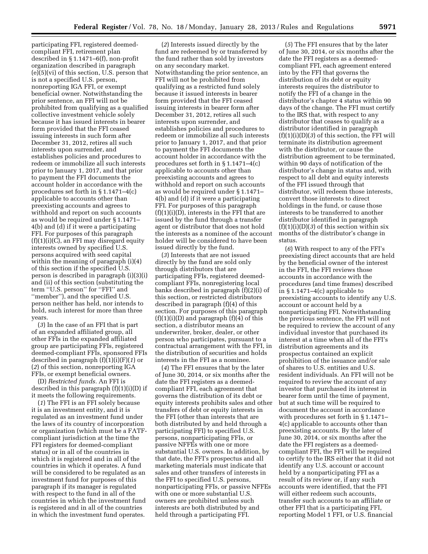participating FFI, registered deemedcompliant FFI, retirement plan described in § 1.1471–6(f), non-profit organization described in paragraph (e)(5)(vi) of this section, U.S. person that is not a specified U.S. person, nonreporting IGA FFI, or exempt beneficial owner. Notwithstanding the prior sentence, an FFI will not be prohibited from qualifying as a qualified collective investment vehicle solely because it has issued interests in bearer form provided that the FFI ceased issuing interests in such form after December 31, 2012, retires all such interests upon surrender, and establishes policies and procedures to redeem or immobilize all such interests prior to January 1, 2017, and that prior to payment the FFI documents the account holder in accordance with the procedures set forth in § 1.1471–4(c) applicable to accounts other than preexisting accounts and agrees to withhold and report on such accounts as would be required under § 1.1471– 4(b) and (d) if it were a participating FFI. For purposes of this paragraph  $(f)(1)(i)(C)$ , an FFI may disregard equity interests owned by specified U.S. persons acquired with seed capital within the meaning of paragraph (i)(4) of this section if the specified U.S. person is described in paragraph (i)(3)(i) and (ii) of this section (substituting the term ''U.S. person'' for ''FFI'' and ''member''), and the specified U.S. person neither has held, nor intends to hold, such interest for more than three years.

(*3*) In the case of an FFI that is part of an expanded affiliated group, all other FFIs in the expanded affiliated group are participating FFIs, registered deemed-compliant FFIs, sponsored FFIs described in paragraph (f)(1)(i)(F)(*1*) or (*2*) of this section, nonreporting IGA FFIs, or exempt beneficial owners.

(D) *Restricted funds.* An FFI is described in this paragraph (f)(1)(i)(D) if it meets the following requirements.

(*1*) The FFI is an FFI solely because it is an investment entity, and it is regulated as an investment fund under the laws of its country of incorporation or organization (which must be a FATFcompliant jurisdiction at the time the FFI registers for deemed-compliant status) or in all of the countries in which it is registered and in all of the countries in which it operates. A fund will be considered to be regulated as an investment fund for purposes of this paragraph if its manager is regulated with respect to the fund in all of the countries in which the investment fund is registered and in all of the countries in which the investment fund operates.

(*2*) Interests issued directly by the fund are redeemed by or transferred by the fund rather than sold by investors on any secondary market. Notwithstanding the prior sentence, an FFI will not be prohibited from qualifying as a restricted fund solely because it issued interests in bearer form provided that the FFI ceased issuing interests in bearer form after December 31, 2012, retires all such interests upon surrender, and establishes policies and procedures to redeem or immobilize all such interests prior to January 1, 2017, and that prior to payment the FFI documents the account holder in accordance with the procedures set forth in § 1.1471–4(c) applicable to accounts other than preexisting accounts and agrees to withhold and report on such accounts as would be required under § 1.1471– 4(b) and (d) if it were a participating FFI. For purposes of this paragraph  $(f)(1)(i)(D)$ , interests in the FFI that are issued by the fund through a transfer agent or distributor that does not hold the interests as a nominee of the account holder will be considered to have been issued directly by the fund.

(*3*) Interests that are not issued directly by the fund are sold only through distributors that are participating FFIs, registered deemedcompliant FFIs, nonregistering local banks described in paragraph (f)(2)(i) of this section, or restricted distributors described in paragraph (f)(4) of this section. For purposes of this paragraph  $(f)(1)(i)(D)$  and paragraph  $(f)(4)$  of this section, a distributor means an underwriter, broker, dealer, or other person who participates, pursuant to a contractual arrangement with the FFI, in the distribution of securities and holds interests in the FFI as a nominee.

(*4*) The FFI ensures that by the later of June 30, 2014, or six months after the date the FFI registers as a deemedcompliant FFI, each agreement that governs the distribution of its debt or equity interests prohibits sales and other transfers of debt or equity interests in the FFI (other than interests that are both distributed by and held through a participating FFI) to specified U.S. persons, nonparticipating FFIs, or passive NFFEs with one or more substantial U.S. owners. In addition, by that date, the FFI's prospectus and all marketing materials must indicate that sales and other transfers of interests in the FFI to specified U.S. persons, nonparticipating FFIs, or passive NFFEs with one or more substantial U.S. owners are prohibited unless such interests are both distributed by and held through a participating FFI.

(*5*) The FFI ensures that by the later of June 30, 2014, or six months after the date the FFI registers as a deemedcompliant FFI, each agreement entered into by the FFI that governs the distribution of its debt or equity interests requires the distributor to notify the FFI of a change in the distributor's chapter 4 status within 90 days of the change. The FFI must certify to the IRS that, with respect to any distributor that ceases to qualify as a distributor identified in paragraph (f)(1)(i)(D)(*3*) of this section, the FFI will terminate its distribution agreement with the distributor, or cause the distribution agreement to be terminated, within 90 days of notification of the distributor's change in status and, with respect to all debt and equity interests of the FFI issued through that distributor, will redeem those interests, convert those interests to direct holdings in the fund, or cause those interests to be transferred to another distributor identified in paragraph  $(f)(1)(i)(D)(3)$  of this section within six months of the distributor's change in status.

(*6*) With respect to any of the FFI's preexisting direct accounts that are held by the beneficial owner of the interest in the FFI, the FFI reviews those accounts in accordance with the procedures (and time frames) described in § 1.1471–4(c) applicable to preexisting accounts to identify any U.S. account or account held by a nonparticipating FFI. Notwithstanding the previous sentence, the FFI will not be required to review the account of any individual investor that purchased its interest at a time when all of the FFI's distribution agreements and its prospectus contained an explicit prohibition of the issuance and/or sale of shares to U.S. entities and U.S. resident individuals. An FFI will not be required to review the account of any investor that purchased its interest in bearer form until the time of payment, but at such time will be required to document the account in accordance with procedures set forth in § 1.1471– 4(c) applicable to accounts other than preexisting accounts. By the later of June 30, 2014, or six months after the date the FFI registers as a deemedcompliant FFI, the FFI will be required to certify to the IRS either that it did not identify any U.S. account or account held by a nonparticipating FFI as a result of its review or, if any such accounts were identified, that the FFI will either redeem such accounts, transfer such accounts to an affiliate or other FFI that is a participating FFI, reporting Model 1 FFI, or U.S. financial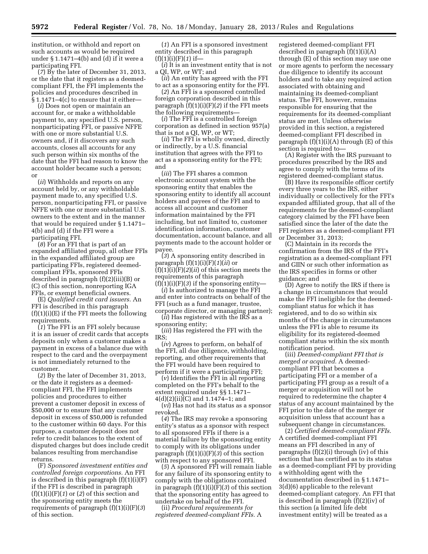institution, or withhold and report on such accounts as would be required under § 1.1471–4(b) and (d) if it were a participating FFI.

(*7*) By the later of December 31, 2013, or the date that it registers as a deemedcompliant FFI, the FFI implements the policies and procedures described in § 1.1471–4(c) to ensure that it either—

(*i*) Does not open or maintain an account for, or make a withholdable payment to, any specified U.S. person, nonparticipating FFI, or passive NFFE with one or more substantial U.S. owners and, if it discovers any such accounts, closes all accounts for any such person within six months of the date that the FFI had reason to know the account holder became such a person; or

(*ii*) Withholds and reports on any account held by, or any withholdable payment made to, any specified U.S. person, nonparticipating FFI, or passive NFFE with one or more substantial U.S. owners to the extent and in the manner that would be required under § 1.1471– 4(b) and (d) if the FFI were a participating FFI.

(*8*) For an FFI that is part of an expanded affiliated group, all other FFIs in the expanded affiliated group are participating FFIs, registered deemedcompliant FFIs, sponsored FFIs described in paragraph (f)(2)(iii)(B) or (C) of this section, nonreporting IGA FFIs, or exempt beneficial owners.

(E) *Qualified credit card issuers.* An FFI is described in this paragraph  $(f)(1)(i)(E)$  if the FFI meets the following requirements.

(*1*) The FFI is an FFI solely because it is an issuer of credit cards that accepts deposits only when a customer makes a payment in excess of a balance due with respect to the card and the overpayment is not immediately returned to the customer.

(*2*) By the later of December 31, 2013, or the date it registers as a deemedcompliant FFI, the FFI implements policies and procedures to either prevent a customer deposit in excess of \$50,000 or to ensure that any customer deposit in excess of \$50,000 is refunded to the customer within 60 days. For this purpose, a customer deposit does not refer to credit balances to the extent of disputed charges but does include credit balances resulting from merchandise returns.

(F) *Sponsored investment entities and controlled foreign corporations.* An FFI is described in this paragraph  $(f)(1)(i)(F)$ if the FFI is described in paragraph (f)(1)(i)(F)(*1*) or (*2*) of this section and the sponsoring entity meets the requirements of paragraph (f)(1)(i)(F)(*3*) of this section.

(*1*) An FFI is a sponsored investment entity described in this paragraph  $(f)(1)(i)(F)(1)$  if—

(*i*) It is an investment entity that is not a QI, WP, or WT; and

(*ii*) An entity has agreed with the FFI to act as a sponsoring entity for the FFI.

(*2*) An FFI is a sponsored controlled foreign corporation described in this paragraph (f)(1)(i)(F)(*2*) if the FFI meets the following requirements—

(*i*) The FFI is a controlled foreign corporation as defined in section 957(a) that is not a QI, WP, or WT;

(*ii*) The FFI is wholly owned, directly or indirectly, by a U.S. financial institution that agrees with the FFI to act as a sponsoring entity for the FFI; and

(*iii*) The FFI shares a common electronic account system with the sponsoring entity that enables the sponsoring entity to identify all account holders and payees of the FFI and to access all account and customer information maintained by the FFI including, but not limited to, customer identification information, customer documentation, account balance, and all payments made to the account holder or payee.

(*3*) A sponsoring entity described in paragraph  $(f)(1)(i)(F)(1)(ii)$  or  $(f)(1)(i)(F)(2)(ii)$  of this section meets the requirements of this paragraph  $(f)(1)(i)(F)(3)$  if the sponsoring entity-

(*i*) Is authorized to manage the FFI and enter into contracts on behalf of the FFI (such as a fund manager, trustee, corporate director, or managing partner);

(*ii*) Has registered with the IRS as a sponsoring entity;

(*iii*) Has registered the FFI with the IRS;

(*iv*) Agrees to perform, on behalf of the FFI, all due diligence, withholding, reporting, and other requirements that the FFI would have been required to perform if it were a participating FFI;

(*v*) Identifies the FFI in all reporting completed on the FFI's behalf to the extent required under §§ 1.1471– 4(d)(2)(ii)(C) and 1.1474–1; and

(*vi*) Has not had its status as a sponsor revoked.

(*4*) The IRS may revoke a sponsoring entity's status as a sponsor with respect to all sponsored FFIs if there is a material failure by the sponsoring entity to comply with its obligations under paragraph (f)(1)(i)(F)(*3*) of this section with respect to any sponsored FFI.

(*5*) A sponsored FFI will remain liable for any failure of its sponsoring entity to comply with the obligations contained in paragraph (f)(1)(i)(F)(*3*) of this section that the sponsoring entity has agreed to undertake on behalf of the FFI.

(ii) *Procedural requirements for registered deemed-compliant FFIs.* A

registered deemed-compliant FFI described in paragraph  $(f)(1)(i)(A)$ through (E) of this section may use one or more agents to perform the necessary due diligence to identify its account holders and to take any required action associated with obtaining and maintaining its deemed-compliant status. The FFI, however, remains responsible for ensuring that the requirements for its deemed-compliant status are met. Unless otherwise provided in this section, a registered deemed-compliant FFI described in paragraph  $(f)(1)(i)(A)$  through  $(E)$  of this section is required to—

(A) Register with the IRS pursuant to procedures prescribed by the IRS and agree to comply with the terms of its registered deemed-compliant status.

(B) Have its responsible officer certify every three years to the IRS, either individually or collectively for the FFI's expanded affiliated group, that all of the requirements for the deemed-compliant category claimed by the FFI have been satisfied since the later of the date the FFI registers as a deemed-compliant FFI or December 31, 2013;

(C) Maintain in its records the confirmation from the IRS of the FFI's registration as a deemed-compliant FFI and GIIN or such other information as the IRS specifies in forms or other guidance; and

(D) Agree to notify the IRS if there is a change in circumstances that would make the FFI ineligible for the deemedcompliant status for which it has registered, and to do so within six months of the change in circumstances unless the FFI is able to resume its eligibility for its registered-deemed compliant status within the six month notification period.

(iii) *Deemed-compliant FFI that is merged or acquired.* A deemedcompliant FFI that becomes a participating FFI or a member of a participating FFI group as a result of a merger or acquisition will not be required to redetermine the chapter 4 status of any account maintained by the FFI prior to the date of the merger or acquisition unless that account has a subsequent change in circumstances.

(2) *Certified deemed-compliant FFIs.*  A certified deemed-compliant FFI means an FFI described in any of paragraphs (f)(2)(i) through (iv) of this section that has certified as to its status as a deemed-compliant FFI by providing a withholding agent with the documentation described in § 1.1471– 3(d)(6) applicable to the relevant deemed-compliant category. An FFI that is described in paragraph (f)(2)(iv) of this section (a limited life debt investment entity) will be treated as a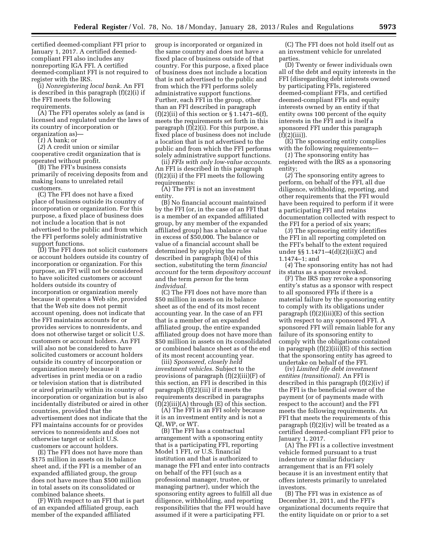certified deemed-compliant FFI prior to January 1, 2017. A certified deemedcompliant FFI also includes any nonreporting IGA FFI. A certified deemed-compliant FFI is not required to register with the IRS.

(i) *Nonregistering local bank.* An FFI is described in this paragraph (f)(2)(i) if the FFI meets the following requirements.

(A) The FFI operates solely as (and is licensed and regulated under the laws of its country of incorporation or organization as)—

(*1*) A bank; or

(*2*) A credit union or similar cooperative credit organization that is operated without profit.

(B) The FFI's business consists primarily of receiving deposits from and making loans to unrelated retail customers.

(C) The FFI does not have a fixed place of business outside its country of incorporation or organization. For this purpose, a fixed place of business does not include a location that is not advertised to the public and from which the FFI performs solely administrative support functions.

(D) The FFI does not solicit customers or account holders outside its country of incorporation or organization. For this purpose, an FFI will not be considered to have solicited customers or account holders outside its country of incorporation or organization merely because it operates a Web site, provided that the Web site does not permit account opening, does not indicate that the FFI maintains accounts for or provides services to nonresidents, and does not otherwise target or solicit U.S. customers or account holders. An FFI will also not be considered to have solicited customers or account holders outside its country of incorporation or organization merely because it advertises in print media or on a radio or television station that is distributed or aired primarily within its country of incorporation or organization but is also incidentally distributed or aired in other countries, provided that the advertisement does not indicate that the FFI maintains accounts for or provides services to nonresidents and does not otherwise target or solicit U.S. customers or account holders.

(E) The FFI does not have more than \$175 million in assets on its balance sheet and, if the FFI is a member of an expanded affiliated group, the group does not have more than \$500 million in total assets on its consolidated or combined balance sheets.

(F) With respect to an FFI that is part of an expanded affiliated group, each member of the expanded affiliated

group is incorporated or organized in the same country and does not have a fixed place of business outside of that country. For this purpose, a fixed place of business does not include a location that is not advertised to the public and from which the FFI performs solely administrative support functions. Further, each FFI in the group, other than an FFI described in paragraph  $(f)(2)(ii)$  of this section or § 1.1471–6 $(f)$ , meets the requirements set forth in this paragraph (f)(2)(i). For this purpose, a fixed place of business does not include a location that is not advertised to the public and from which the FFI performs solely administrative support functions.

(ii) *FFIs with only low-value accounts.*  An FFI is described in this paragraph (f)(2)(ii) if the FFI meets the following requirements:

(A) The FFI is not an investment entity.

(B) No financial account maintained by the FFI (or, in the case of an FFI that is a member of an expanded affiliated group, by any member of the expanded affiliated group) has a balance or value in excess of \$50,000. The balance or value of a financial account shall be determined by applying the rules described in paragraph (b)(4) of this section, substituting the term *financial account* for the term *depository account*  and the term *person* for the term *individual.* 

(C) The FFI does not have more than \$50 million in assets on its balance sheet as of the end of its most recent accounting year. In the case of an FFI that is a member of an expanded affiliated group, the entire expanded affiliated group does not have more than \$50 million in assets on its consolidated or combined balance sheet as of the end of its most recent accounting year.

(iii) *Sponsored, closely held investment vehicles.* Subject to the provisions of paragraph (f)(2)(iii)(F) of this section, an FFI is described in this paragraph (f)(2)(iii) if it meets the requirements described in paragraphs  $(f)(2)(iii)(A)$  through  $(E)$  of this section.

(A) The FFI is an FFI solely because it is an investment entity and is not a QI, WP, or WT.

(B) The FFI has a contractual arrangement with a sponsoring entity that is a participating FFI, reporting Model 1 FFI, or U.S. financial institution and that is authorized to manage the FFI and enter into contracts on behalf of the FFI (such as a professional manager, trustee, or managing partner), under which the sponsoring entity agrees to fulfill all due diligence, withholding, and reporting responsibilities that the FFI would have assumed if it were a participating FFI.

(C) The FFI does not hold itself out as an investment vehicle for unrelated parties.

(D) Twenty or fewer individuals own all of the debt and equity interests in the FFI (disregarding debt interests owned by participating FFIs, registered deemed-compliant FFIs, and certified deemed-compliant FFIs and equity interests owned by an entity if that entity owns 100 percent of the equity interests in the FFI and is itself a sponsored FFI under this paragraph  $(f)(2)(iii)$ ).

(E) The sponsoring entity complies with the following requirements-

(*1*) The sponsoring entity has registered with the IRS as a sponsoring entity;

(*2*) The sponsoring entity agrees to perform, on behalf of the FFI, all due diligence, withholding, reporting, and other requirements that the FFI would have been required to perform if it were a participating FFI and retains documentation collected with respect to the FFI for a period of six years;

(*3*) The sponsoring entity identifies the FFI in all reporting completed on the FFI's behalf to the extent required under §§ 1.1471–4(d)(2)(ii)(C) and 1.1474–1; and

(*4*) The sponsoring entity has not had its status as a sponsor revoked.

(F) The IRS may revoke a sponsoring entity's status as a sponsor with respect to all sponsored FFIs if there is a material failure by the sponsoring entity to comply with its obligations under paragraph  $(f)(2)(iii)(E)$  of this section with respect to any sponsored FFI. A sponsored FFI will remain liable for any failure of its sponsoring entity to comply with the obligations contained in paragraph (f)(2)(iii)(E) of this section that the sponsoring entity has agreed to undertake on behalf of the FFI.

(iv) *Limited life debt investment entities (transitional).* An FFI is described in this paragraph (f)(2)(iv) if the FFI is the beneficial owner of the payment (or of payments made with respect to the account) and the FFI meets the following requirements. An FFI that meets the requirements of this paragraph (f)(2)(iv) will be treated as a certified deemed-compliant FFI prior to January 1, 2017.

(A) The FFI is a collective investment vehicle formed pursuant to a trust indenture or similar fiduciary arrangement that is an FFI solely because it is an investment entity that offers interests primarily to unrelated investors.

(B) The FFI was in existence as of December 31, 2011, and the FFI's organizational documents require that the entity liquidate on or prior to a set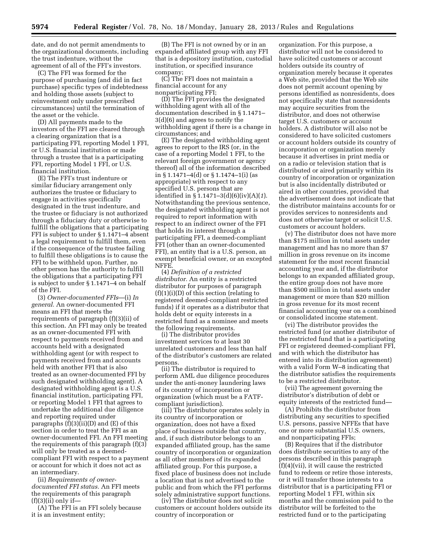date, and do not permit amendments to the organizational documents, including the trust indenture, without the agreement of all of the FFI's investors.

(C) The FFI was formed for the purpose of purchasing (and did in fact purchase) specific types of indebtedness and holding those assets (subject to reinvestment only under prescribed circumstances) until the termination of the asset or the vehicle.

(D) All payments made to the investors of the FFI are cleared through a clearing organization that is a participating FFI, reporting Model 1 FFI, or U.S. financial institution or made through a trustee that is a participating FFI, reporting Model 1 FFI, or U.S. financial institution.

(E) The FFI's trust indenture or similar fiduciary arrangement only authorizes the trustee or fiduciary to engage in activities specifically designated in the trust indenture, and the trustee or fiduciary is not authorized through a fiduciary duty or otherwise to fulfill the obligations that a participating FFI is subject to under § 1.1471–4 absent a legal requirement to fulfill them, even if the consequence of the trustee failing to fulfill these obligations is to cause the FFI to be withheld upon. Further, no other person has the authority to fulfill the obligations that a participating FFI is subject to under § 1.1471–4 on behalf of the FFI.

(3) *Owner-documented FFIs*—(i) *In general.* An owner-documented FFI means an FFI that meets the requirements of paragraph (f)(3)(ii) of this section. An FFI may only be treated as an owner-documented FFI with respect to payments received from and accounts held with a designated withholding agent (or with respect to payments received from and accounts held with another FFI that is also treated as an owner-documented FFI by such designated withholding agent). A designated withholding agent is a U.S. financial institution, participating FFI, or reporting Model 1 FFI that agrees to undertake the additional due diligence and reporting required under paragraphs  $(f)(3)(ii)(D)$  and  $(E)$  of this section in order to treat the FFI as an owner-documented FFI. An FFI meeting the requirements of this paragraph (f)(3) will only be treated as a deemedcompliant FFI with respect to a payment or account for which it does not act as an intermediary.

(ii) *Requirements of ownerdocumented FFI status.* An FFI meets the requirements of this paragraph  $(f)(3)(ii)$  only if—

(A) The FFI is an FFI solely because it is an investment entity;

(B) The FFI is not owned by or in an expanded affiliated group with any FFI that is a depository institution, custodial institution, or specified insurance company;

(C) The FFI does not maintain a financial account for any nonparticipating FFI;

(D) The FFI provides the designated withholding agent with all of the documentation described in § 1.1471– 3(d)(6) and agrees to notify the withholding agent if there is a change in circumstances; and

(E) The designated withholding agent agrees to report to the IRS (or, in the case of a reporting Model 1 FFI, to the relevant foreign government or agency thereof) all of the information described in § 1.1471–4(d) or § 1.1474–1(i) (as appropriate) with respect to any specified U.S. persons that are identified in § 1.1471–3(d)(6)(iv)(A)(*1*). Notwithstanding the previous sentence, the designated withholding agent is not required to report information with respect to an indirect owner of the FFI that holds its interest through a participating FFI, a deemed-compliant FFI (other than an owner-documented FFI), an entity that is a U.S. person, an exempt beneficial owner, or an excepted NFFE.

(4) *Definition of a restricted distributor.* An entity is a restricted distributor for purposes of paragraph  $(f)(1)(i)(D)$  of this section (relating to registered deemed-compliant restricted funds) if it operates as a distributor that holds debt or equity interests in a restricted fund as a nominee and meets the following requirements.

(i) The distributor provides investment services to at least 30 unrelated customers and less than half of the distributor's customers are related persons.

(ii) The distributor is required to perform AML due diligence procedures under the anti-money laundering laws of its country of incorporation or organization (which must be a FATFcompliant jurisdiction).

(iii) The distributor operates solely in its country of incorporation or organization, does not have a fixed place of business outside that country, and, if such distributor belongs to an expanded affiliated group, has the same country of incorporation or organization as all other members of its expanded affiliated group. For this purpose, a fixed place of business does not include a location that is not advertised to the public and from which the FFI performs solely administrative support functions.

(iv) The distributor does not solicit customers or account holders outside its country of incorporation or

organization. For this purpose, a distributor will not be considered to have solicited customers or account holders outside its country of organization merely because it operates a Web site, provided that the Web site does not permit account opening by persons identified as nonresidents, does not specifically state that nonresidents may acquire securities from the distributor, and does not otherwise target U.S. customers or account holders. A distributor will also not be considered to have solicited customers or account holders outside its country of incorporation or organization merely because it advertises in print media or on a radio or television station that is distributed or aired primarily within its country of incorporation or organization but is also incidentally distributed or aired in other countries, provided that the advertisement does not indicate that the distributor maintains accounts for or provides services to nonresidents and does not otherwise target or solicit U.S. customers or account holders.

(v) The distributor does not have more than \$175 million in total assets under management and has no more than \$7 million in gross revenue on its income statement for the most recent financial accounting year and, if the distributor belongs to an expanded affiliated group, the entire group does not have more than \$500 million in total assets under management or more than \$20 million in gross revenue for its most recent financial accounting year on a combined or consolidated income statement.

(vi) The distributor provides the restricted fund (or another distributor of the restricted fund that is a participating FFI or registered deemed-compliant FFI, and with which the distributor has entered into its distribution agreement) with a valid Form W–8 indicating that the distributor satisfies the requirements to be a restricted distributor.

(vii) The agreement governing the distributor's distribution of debt or equity interests of the restricted fund—

(A) Prohibits the distributor from distributing any securities to specified U.S. persons, passive NFFEs that have one or more substantial U.S. owners, and nonparticipating FFIs;

(B) Requires that if the distributor does distribute securities to any of the persons described in this paragraph (f)(4)(vii), it will cause the restricted fund to redeem or retire those interests, or it will transfer those interests to a distributor that is a participating FFI or reporting Model 1 FFI, within six months and the commission paid to the distributor will be forfeited to the restricted fund or to the participating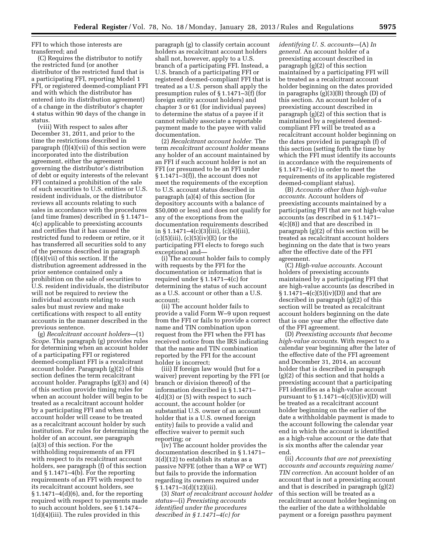FFI to which those interests are transferred; and

(C) Requires the distributor to notify the restricted fund (or another distributor of the restricted fund that is a participating FFI, reporting Model 1 FFI, or registered deemed-compliant FFI and with which the distributor has entered into its distribution agreement) of a change in the distributor's chapter 4 status within 90 days of the change in status.

(viii) With respect to sales after December 31, 2011, and prior to the time the restrictions described in paragraph (f)(4)(vii) of this section were incorporated into the distribution agreement, either the agreement governing the distributor's distribution of debt or equity interests of the relevant FFI contained a prohibition of the sale of such securities to U.S. entities or U.S. resident individuals, or the distributor reviews all accounts relating to such sales in accordance with the procedures (and time frames) described in § 1.1471– 4(c) applicable to preexisting accounts and certifies that it has caused the restricted fund to redeem or retire, or it has transferred all securities sold to any of the persons described in paragraph (f)(4)(vii) of this section. If the distribution agreement addressed in the prior sentence contained only a prohibition on the sale of securities to U.S. resident individuals, the distributor will not be required to review the individual accounts relating to such sales but must review and make certifications with respect to all entity accounts in the manner described in the previous sentence.

(g) *Recalcitrant account holders*—(1) *Scope.* This paragraph (g) provides rules for determining when an account holder of a participating FFI or registered deemed-compliant FFI is a recalcitrant account holder. Paragraph (g)(2) of this section defines the term recalcitrant account holder. Paragraphs (g)(3) and (4) of this section provide timing rules for when an account holder will begin to be treated as a recalcitrant account holder by a participating FFI and when an account holder will cease to be treated as a recalcitrant account holder by such institution. For rules for determining the holder of an account, see paragraph (a)(3) of this section. For the withholding requirements of an FFI with respect to its recalcitrant account holders, see paragraph (f) of this section and § 1.1471–4(b). For the reporting requirements of an FFI with respect to its recalcitrant account holders, see  $§ 1.1471-4(d)(6)$ , and, for the reporting required with respect to payments made to such account holders, see § 1.1474– 1(d)(4)(iii). The rules provided in this

paragraph (g) to classify certain account holders as recalcitrant account holders shall not, however, apply to a U.S. branch of a participating FFI. Instead, a U.S. branch of a participating FFI or registered deemed-compliant FFI that is treated as a U.S. person shall apply the presumption rules of § 1.1471–3(f) (for foreign entity account holders) and chapter 3 or 61 (for individual payees) to determine the status of a payee if it cannot reliably associate a reportable payment made to the payee with valid documentation.

(2) *Recalcitrant account holder.* The term *recalcitrant account holder* means any holder of an account maintained by an FFI if such account holder is not an FFI (or presumed to be an FFI under  $§ 1.147\overline{1} - 3(f)$ , the account does not meet the requirements of the exception to U.S. account status described in paragraph (a)(4) of this section (for depository accounts with a balance of \$50,000 or less) and does not qualify for any of the exceptions from the documentation requirements described in § 1.1471–4(c)(3)(iii), (c)(4)(iii),  $(c)(5)(iii), (c)(5)(iv)(E)$  (or the participating FFI elects to forego such exceptions) and—

(i) The account holder fails to comply with requests by the FFI for the documentation or information that is required under § 1.1471–4(c) for determining the status of such account as a U.S. account or other than a U.S. account;

(ii) The account holder fails to provide a valid Form W–9 upon request from the FFI or fails to provide a correct name and TIN combination upon request from the FFI when the FFI has received notice from the IRS indicating that the name and TIN combination reported by the FFI for the account holder is incorrect;

(iii) If foreign law would (but for a waiver) prevent reporting by the FFI (or branch or division thereof) of the information described in § 1.1471– 4(d)(3) or (5) with respect to such account, the account holder (or substantial U.S. owner of an account holder that is a U.S. owned foreign entity) fails to provide a valid and effective waiver to permit such reporting; or

(iv) The account holder provides the documentation described in § 1.1471– 3(d)(12) to establish its status as a passive NFFE (other than a WP or WT) but fails to provide the information regarding its owners required under  $§ 1.1471 - 3(d)(12)(iii).$ 

(3) *Start of recalcitrant account holder status*—(i) *Preexisting accounts identified under the procedures described in § 1.1471–4(c) for* 

*identifying U. S. accounts*—(A) *In general.* An account holder of a preexisting account described in paragraph (g)(2) of this section maintained by a participating FFI will be treated as a recalcitrant account holder beginning on the dates provided in paragraphs (g)(3)(B) through (D) of this section. An account holder of a preexisting account described in paragraph (g)(2) of this section that is maintained by a registered deemedcompliant FFI will be treated as a recalcitrant account holder beginning on the dates provided in paragraph (f) of this section (setting forth the time by which the FFI must identify its accounts in accordance with the requirements of § 1.1471–4(c) in order to meet the requirements of its applicable registered deemed-compliant status).

(B) *Accounts other than high-value accounts.* Account holders of preexisting accounts maintained by a participating FFI that are not high-value accounts (as described in § 1.1471– 4(c)(8)) and that are described in paragraph (g)(2) of this section will be treated as recalcitrant account holders beginning on the date that is two years after the effective date of the FFI agreement.

(C) *High-value accounts.* Account holders of preexisting accounts maintained by a participating FFI that are high-value accounts (as described in  $\S 1.1471 - 4(c)(5)(iv)(D)$  and that are described in paragraph (g)(2) of this section will be treated as recalcitrant account holders beginning on the date that is one year after the effective date of the FFI agreement.

(D) *Preexisting accounts that become high-value accounts.* With respect to a calendar year beginning after the later of the effective date of the FFI agreement and December 31, 2014, an account holder that is described in paragraph (g)(2) of this section and that holds a preexisting account that a participating FFI identifies as a high-value account pursuant to  $\S 1.1471-4(c)(5)(iv)(D)$  will be treated as a recalcitrant account holder beginning on the earlier of the date a withholdable payment is made to the account following the calendar year end in which the account is identified as a high-value account or the date that is six months after the calendar year end.

(ii) *Accounts that are not preexisting accounts and accounts requiring name/ TIN correction.* An account holder of an account that is not a preexisting account and that is described in paragraph (g)(2) of this section will be treated as a recalcitrant account holder beginning on the earlier of the date a withholdable payment or a foreign passthru payment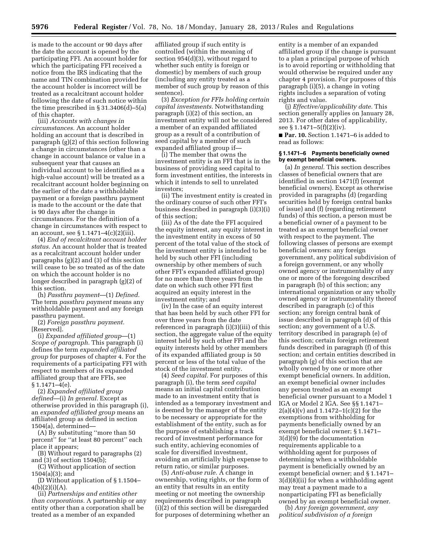is made to the account or 90 days after the date the account is opened by the participating FFI. An account holder for which the participating FFI received a notice from the IRS indicating that the name and TIN combination provided for the account holder is incorrect will be treated as a recalcitrant account holder following the date of such notice within the time prescribed in § 31.3406(d)–5(a) of this chapter.

(iii) *Accounts with changes in circumstances.* An account holder holding an account that is described in paragraph (g)(2) of this section following a change in circumstances (other than a change in account balance or value in a subsequent year that causes an individual account to be identified as a high-value account) will be treated as a recalcitrant account holder beginning on the earlier of the date a withholdable payment or a foreign passthru payment is made to the account or the date that is 90 days after the change in circumstances. For the definition of a change in circumstances with respect to an account, see  $\S 1.1471 - 4(c)(2)(iii)$ .

(4) *End of recalcitrant account holder status.* An account holder that is treated as a recalcitrant account holder under paragraphs (g)(2) and (3) of this section will cease to be so treated as of the date on which the account holder is no longer described in paragraph (g)(2) of this section.

(h) *Passthru payment*—(1) *Defined.*  The term *passthru payment* means any withholdable payment and any foreign passthru payment.

(2) *Foreign passthru payment.*  [Reserved].

(i) *Expanded affiliated group*—(1) *Scope of paragraph.* This paragraph (i) defines the term *expanded affiliated group* for purposes of chapter 4. For the requirements of a participating FFI with respect to members of its expanded affiliated group that are FFIs, see § 1.1471–4(e).

(2) *Expanded affiliated group defined*—(i) *In general.* Except as otherwise provided in this paragraph (i), an *expanded affiliated group* means an affiliated group as defined in section 1504(a), determined—

(A) By substituting ''more than 50 percent'' for ''at least 80 percent'' each place it appears;

(B) Without regard to paragraphs (2) and (3) of section 1504(b);

(C) Without application of section 1504(a)(3); and

(D Without application of § 1.1504–  $4(b)(2)(i)(A)$ .

(ii) *Partnerships and entities other than corporations.* A partnership or any entity other than a corporation shall be treated as a member of an expanded

affiliated group if such entity is controlled (within the meaning of section 954(d)(3), without regard to whether such entity is foreign or domestic) by members of such group (including any entity treated as a member of such group by reason of this sentence).

(3) *Exception for FFIs holding certain capital investments.* Notwithstanding paragraph (i)(2) of this section, an investment entity will not be considered a member of an expanded affiliated group as a result of a contribution of seed capital by a member of such expanded affiliated group if—

(i) The member that owns the investment entity is an FFI that is in the business of providing seed capital to form investment entities, the interests in which it intends to sell to unrelated investors;

(ii) The investment entity is created in the ordinary course of such other FFI's business described in paragraph (i)(3)(i) of this section;

(iii) As of the date the FFI acquired the equity interest, any equity interest in the investment entity in excess of 50 percent of the total value of the stock of the investment entity is intended to be held by such other FFI (including ownership by other members of such other FFI's expanded affiliated group) for no more than three years from the date on which such other FFI first acquired an equity interest in the investment entity; and

(iv) In the case of an equity interest that has been held by such other FFI for over three years from the date referenced in paragraph (i)(3)(iii) of this section, the aggregate value of the equity interest held by such other FFI and the equity interests held by other members of its expanded affiliated group is 50 percent or less of the total value of the stock of the investment entity.

(4) *Seed capital.* For purposes of this paragraph (i), the term *seed capital*  means an initial capital contribution made to an investment entity that is intended as a temporary investment and is deemed by the manager of the entity to be necessary or appropriate for the establishment of the entity, such as for the purpose of establishing a track record of investment performance for such entity, achieving economies of scale for diversified investment, avoiding an artificially high expense to return ratio, or similar purposes.

(5) *Anti-abuse rule.* A change in ownership, voting rights, or the form of an entity that results in an entity meeting or not meeting the ownership requirements described in paragraph (i)(2) of this section will be disregarded for purposes of determining whether an

entity is a member of an expanded affiliated group if the change is pursuant to a plan a principal purpose of which is to avoid reporting or withholding that would otherwise be required under any chapter 4 provision. For purposes of this paragraph (i)(5), a change in voting rights includes a separation of voting rights and value.

(j) *Effective/applicability date.* This section generally applies on January 28, 2013. For other dates of applicability, see § 1.1471–5(f)(2)(iv).

■ **Par. 10.** Section 1.1471–6 is added to read as follows:

## **§ 1.1471–6 Payments beneficially owned by exempt beneficial owners.**

(a) *In general.* This section describes classes of beneficial owners that are identified in section 1471(f) (exempt beneficial owners). Except as otherwise provided in paragraphs (d) (regarding securities held by foreign central banks of issue) and (f) (regarding retirement funds) of this section, a person must be a beneficial owner of a payment to be treated as an exempt beneficial owner with respect to the payment. The following classes of persons are exempt beneficial owners: any foreign government, any political subdivision of a foreign government, or any wholly owned agency or instrumentality of any one or more of the foregoing described in paragraph (b) of this section; any international organization or any wholly owned agency or instrumentality thereof described in paragraph (c) of this section; any foreign central bank of issue described in paragraph (d) of this section; any government of a U.S. territory described in paragraph (e) of this section; certain foreign retirement funds described in paragraph (f) of this section; and certain entities described in paragraph (g) of this section that are wholly owned by one or more other exempt beneficial owners. In addition, an exempt beneficial owner includes any person treated as an exempt beneficial owner pursuant to a Model 1 IGA or Model 2 IGA. See §§ 1.1471–  $2(a)(4)(v)$  and  $1.1472-1(c)(2)$  for the exemptions from withholding for payments beneficially owned by an exempt beneficial owner; § 1.1471– 3(d)(9) for the documentation requirements applicable to a withholding agent for purposes of determining when a withholdable payment is beneficially owned by an exempt beneficial owner; and § 1.1471–  $3(d)(8)(ii)$  for when a withholding agent may treat a payment made to a nonparticipating FFI as beneficially owned by an exempt beneficial owner.

(b) *Any foreign government, any political subdivision of a foreign*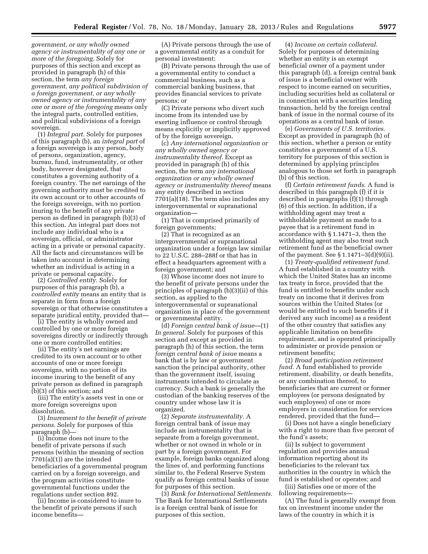*government, or any wholly owned agency or instrumentality of any one or more of the foregoing.* Solely for purposes of this section and except as provided in paragraph (h) of this section, the term *any foreign government, any political subdivision of a foreign government, or any wholly owned agency or instrumentality of any one or more of the foregoing* means only the integral parts, controlled entities, and political subdivisions of a foreign sovereign.

(1) *Integral part.* Solely for purposes of this paragraph (b), an *integral part* of a foreign sovereign is any person, body of persons, organization, agency, bureau, fund, instrumentality, or other body, however designated, that constitutes a governing authority of a foreign country. The net earnings of the governing authority must be credited to its own account or to other accounts of the foreign sovereign, with no portion inuring to the benefit of any private person as defined in paragraph (b)(3) of this section. An integral part does not include any individual who is a sovereign, official, or administrator acting in a private or personal capacity. All the facts and circumstances will be taken into account in determining whether an individual is acting in a private or personal capacity.

(2) *Controlled entity.* Solely for purposes of this paragraph (b), a *controlled entity* means an entity that is separate in form from a foreign sovereign or that otherwise constitutes a separate juridical entity, provided that—

(i) The entity is wholly owned and controlled by one or more foreign sovereigns directly or indirectly through one or more controlled entities;

(ii) The entity's net earnings are credited to its own account or to other accounts of one or more foreign sovereigns, with no portion of its income inuring to the benefit of any private person as defined in paragraph (b)(3) of this section; and

(iii) The entity's assets vest in one or more foreign sovereigns upon dissolution.

(3) *Inurement to the benefit of private persons.* Solely for purposes of this paragraph (b)—

(i) Income does not inure to the benefit of private persons if such persons (within the meaning of section 7701(a)(1)) are the intended beneficiaries of a governmental program carried on by a foreign sovereign, and the program activities constitute governmental functions under the regulations under section 892.

(ii) Income is considered to inure to the benefit of private persons if such income benefits—

(A) Private persons through the use of a governmental entity as a conduit for personal investment;

(B) Private persons through the use of a governmental entity to conduct a commercial business, such as a commercial banking business, that provides financial services to private persons; or

(C) Private persons who divert such income from its intended use by exerting influence or control through means explicitly or implicitly approved of by the foreign sovereign.

(c) *Any international organization or any wholly owned agency or instrumentality thereof.* Except as provided in paragraph (h) of this section, the term *any international organization or any wholly owned agency or instrumentality thereof* means any entity described in section 7701(a)(18). The term also includes any intergovernmental or supranational organization—

(1) That is comprised primarily of foreign governments;

(2) That is recognized as an intergovernmental or supranational organization under a foreign law similar to 22 U.S.C. 288–288f or that has in effect a headquarters agreement with a foreign government; and

(3) Whose income does not inure to the benefit of private persons under the principles of paragraph (b)(3)(ii) of this section, as applied to the intergovernmental or supranational organization in place of the government or governmental entity.

(d) *Foreign central bank of issue*—(1) *In general.* Solely for purposes of this section and except as provided in paragraph (h) of this section, the term *foreign central bank of issue* means a bank that is by law or government sanction the principal authority, other than the government itself, issuing instruments intended to circulate as currency. Such a bank is generally the custodian of the banking reserves of the country under whose law it is organized.

(2) *Separate instrumentality.* A foreign central bank of issue may include an instrumentality that is separate from a foreign government, whether or not owned in whole or in part by a foreign government. For example, foreign banks organized along the lines of, and performing functions similar to, the Federal Reserve System qualify as foreign central banks of issue for purposes of this section.

(3) *Bank for International Settlements.*  The Bank for International Settlements is a foreign central bank of issue for purposes of this section.

(4) *Income on certain collateral.*  Solely for purposes of determining whether an entity is an exempt beneficial owner of a payment under this paragraph (d), a foreign central bank of issue is a beneficial owner with respect to income earned on securities, including securities held as collateral or in connection with a securities lending transaction, held by the foreign central bank of issue in the normal course of its operations as a central bank of issue.

(e) *Governments of U.S. territories.*  Except as provided in paragraph (h) of this section, whether a person or entity constitutes a government of a U.S. territory for purposes of this section is determined by applying principles analogous to those set forth in paragraph (b) of this section.

(f) *Certain retirement funds.* A fund is described in this paragraph (f) if it is described in paragraphs (f)(1) through (6) of this section. In addition, if a withholding agent may treat a withholdable payment as made to a payee that is a retirement fund in accordance with § 1.1471–3, then the withholding agent may also treat such retirement fund as the beneficial owner of the payment. See § 1.1471–3(d)(9)(ii).

(1) *Treaty-qualified retirement fund.*  A fund established in a country with which the United States has an income tax treaty in force, provided that the fund is entitled to benefits under such treaty on income that it derives from sources within the United States (or would be entitled to such benefits if it derived any such income) as a resident of the other country that satisfies any applicable limitation on benefits requirement, and is operated principally to administer or provide pension or retirement benefits;

(2) *Broad participation retirement fund.* A fund established to provide retirement, disability, or death benefits, or any combination thereof, to beneficiaries that are current or former employees (or persons designated by such employees) of one or more employers in consideration for services rendered, provided that the fund—

(i) Does not have a single beneficiary with a right to more than five percent of the fund's assets;

(ii) Is subject to government regulation and provides annual information reporting about its beneficiaries to the relevant tax authorities in the country in which the fund is established or operates; and

(iii) Satisfies one or more of the following requirements—

(A) The fund is generally exempt from tax on investment income under the laws of the country in which it is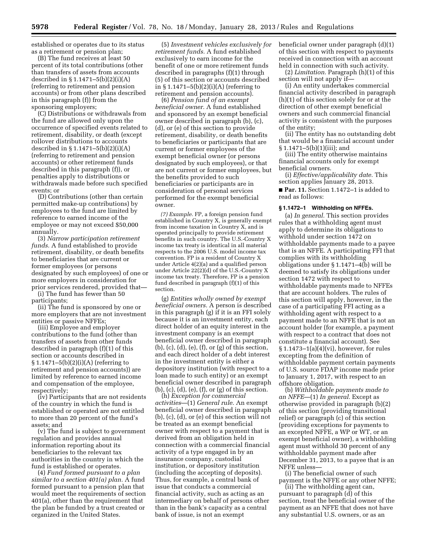established or operates due to its status as a retirement or pension plan;

(B) The fund receives at least 50 percent of its total contributions (other than transfers of assets from accounts described in  $\S 1.1471 - 5(b)(2)(i)(A)$ (referring to retirement and pension accounts) or from other plans described in this paragraph (f)) from the sponsoring employers;

(C) Distributions or withdrawals from the fund are allowed only upon the occurrence of specified events related to retirement, disability, or death (except rollover distributions to accounts described in § 1.1471–5(b)(2)(i)(A) (referring to retirement and pension accounts) or other retirement funds described in this paragraph (f)), or penalties apply to distributions or withdrawals made before such specified events; or

(D) Contributions (other than certain permitted make-up contributions) by employees to the fund are limited by reference to earned income of the employee or may not exceed \$50,000 annually.

(3) *Narrow participation retirement funds.* A fund established to provide retirement, disability, or death benefits to beneficiaries that are current or former employees (or persons designated by such employees) of one or more employers in consideration for prior services rendered, provided that—

(i) The fund has fewer than 50 participants;

(ii) The fund is sponsored by one or more employers that are not investment entities or passive NFFEs;

(iii) Employee and employer contributions to the fund (other than transfers of assets from other funds described in paragraph (f)(1) of this section or accounts described in § 1.1471–5(b)(2)(i)(A) (referring to retirement and pension accounts)) are limited by reference to earned income and compensation of the employee, respectively;

(iv) Participants that are not residents of the country in which the fund is established or operated are not entitled to more than 20 percent of the fund's assets; and

(v) The fund is subject to government regulation and provides annual information reporting about its beneficiaries to the relevant tax authorities in the country in which the fund is established or operates.

(4) *Fund formed pursuant to a plan similar to a section 401(a) plan.* A fund formed pursuant to a pension plan that would meet the requirements of section 401(a), other than the requirement that the plan be funded by a trust created or organized in the United States.

(5) *Investment vehicles exclusively for retirement funds.* A fund established exclusively to earn income for the benefit of one or more retirement funds described in paragraphs (f)(1) through (5) of this section or accounts described in § 1.1471–5(b)(2)(i)(A) (referring to retirement and pension accounts).

(6) *Pension fund of an exempt beneficial owner.* A fund established and sponsored by an exempt beneficial owner described in paragraph (b), (c), (d), or (e) of this section to provide retirement, disability, or death benefits to beneficiaries or participants that are current or former employees of the exempt beneficial owner (or persons designated by such employees), or that are not current or former employees, but the benefits provided to such beneficiaries or participants are in consideration of personal services performed for the exempt beneficial owner.

*(7) Example.* FP, a foreign pension fund established in Country X, is generally exempt from income taxation in Country X, and is operated principally to provide retirement benefits in such country. The U.S.-Country X income tax treaty is identical in all material respects to the 2006 U.S. model income tax convention. FP is a resident of Country X under Article 4(2)(a) and a qualified person under Article 22(2)(d) of the U.S.-Country X income tax treaty. Therefore, FP is a pension fund described in paragraph (f)(1) of this section.

(g) *Entities wholly owned by exempt beneficial owners.* A person is described in this paragraph (g) if it is an FFI solely because it is an investment entity, each direct holder of an equity interest in the investment company is an exempt beneficial owner described in paragraph (b), (c), (d), (e), (f), or (g) of this section, and each direct holder of a debt interest in the investment entity is either a depository institution (with respect to a loan made to such entity) or an exempt beneficial owner described in paragraph (b), (c), (d), (e), (f), or (g) of this section.

(h) *Exception for commercial activities*—(1) *General rule.* An exempt beneficial owner described in paragraph (b), (c), (d), or (e) of this section will not be treated as an exempt beneficial owner with respect to a payment that is derived from an obligation held in connection with a commercial financial activity of a type engaged in by an insurance company, custodial institution, or depository institution (including the accepting of deposits). Thus, for example, a central bank of issue that conducts a commercial financial activity, such as acting as an intermediary on behalf of persons other than in the bank's capacity as a central bank of issue, is not an exempt

beneficial owner under paragraph (d)(1) of this section with respect to payments received in connection with an account held in connection with such activity.

(2) *Limitation.* Paragraph (h)(1) of this section will not apply if—

(i) An entity undertakes commercial financial activity described in paragraph (h)(1) of this section solely for or at the direction of other exempt beneficial owners and such commercial financial activity is consistent with the purposes of the entity;

(ii) The entity has no outstanding debt that would be a financial account under § 1.1471–5(b)(1)(iii); and

(iii) The entity otherwise maintains financial accounts only for exempt beneficial owners.

(i) *Effective/applicability date.* This section applies January 28, 2013.

■ **Par. 11.** Section 1.1472–1 is added to read as follows:

## **§ 1.1472–1 Withholding on NFFEs.**

(a) *In general.* This section provides rules that a withholding agent must apply to determine its obligations to withhold under section 1472 on withholdable payments made to a payee that is an NFFE. A participating FFI that complies with its withholding obligations under § 1.1471–4(b) will be deemed to satisfy its obligations under section 1472 with respect to withholdable payments made to NFFEs that are account holders. The rules of this section will apply, however, in the case of a participating FFI acting as a withholding agent with respect to a payment made to an NFFE that is not an account holder (for example, a payment with respect to a contract that does not constitute a financial account). See § 1.1473–1(a)(4)(vi), however, for rules excepting from the definition of withholdable payment certain payments of U.S. source FDAP income made prior to January 1, 2017, with respect to an offshore obligation.

(b) *Withholdable payments made to an NFFE*—(1) *In general.* Except as otherwise provided in paragraph (b)(2) of this section (providing transitional relief) or paragraph (c) of this section (providing exceptions for payments to an excepted NFFE, a WP or WT, or an exempt beneficial owner), a withholding agent must withhold 30 percent of any withholdable payment made after December 31, 2013, to a payee that is an NFFE unless—

(i) The beneficial owner of such payment is the NFFE or any other NFFE;

(ii) The withholding agent can, pursuant to paragraph (d) of this section, treat the beneficial owner of the payment as an NFFE that does not have any substantial U.S. owners, or as an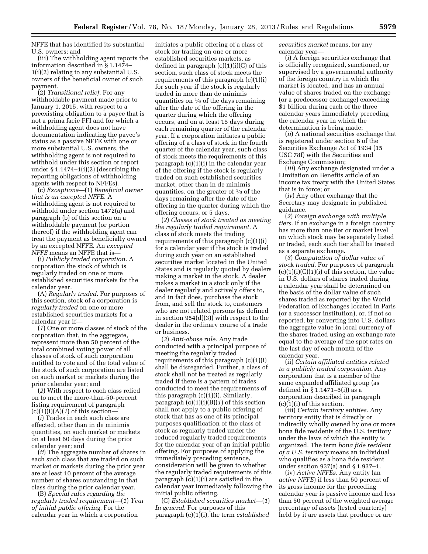NFFE that has identified its substantial U.S. owners; and

(iii) The withholding agent reports the information described in § 1.1474– 1(i)(2) relating to any substantial U.S. owners of the beneficial owner of such payment.

(2) *Transitional relief.* For any withholdable payment made prior to January 1, 2015, with respect to a preexisting obligation to a payee that is not a prima facie FFI and for which a withholding agent does not have documentation indicating the payee's status as a passive NFFE with one or more substantial U.S. owners, the withholding agent is not required to withhold under this section or report under § 1.1474–1(i)(2) (describing the reporting obligations of withholding agents with respect to NFFEs).

(c) *Exceptions*—(1) *Beneficial owner that is an excepted NFFE.* A withholding agent is not required to withhold under section 1472(a) and paragraph (b) of this section on a withholdable payment (or portion thereof) if the withholding agent can treat the payment as beneficially owned by an excepted NFFE. An *excepted NFFE* means an NFFE that is—

(i) *Publicly traded corporation.* A corporation the stock of which is regularly traded on one or more established securities markets for the calendar year.

(A) *Regularly traded.* For purposes of this section, stock of a corporation is *regularly traded* on one or more established securities markets for a calendar year if—

(*1*) One or more classes of stock of the corporation that, in the aggregate, represent more than 50 percent of the total combined voting power of all classes of stock of such corporation entitled to vote and of the total value of the stock of such corporation are listed on such market or markets during the prior calendar year; and

(*2*) With respect to each class relied on to meet the more-than-50-percent listing requirement of paragraph  $(c)(1)(i)(A)(1)$  of this section-

(*i*) Trades in each such class are effected, other than in de minimis quantities, on such market or markets on at least 60 days during the prior calendar year; and

(*ii*) The aggregate number of shares in each such class that are traded on such market or markets during the prior year are at least 10 percent of the average number of shares outstanding in that class during the prior calendar year.

(B) *Special rules regarding the regularly traded requirement*—(*1*) *Year of initial public offering.* For the calendar year in which a corporation

initiates a public offering of a class of stock for trading on one or more established securities markets, as defined in paragraph (c)(1)(i)(C) of this section, such class of stock meets the requirements of this paragraph (c)(1)(i) for such year if the stock is regularly traded in more than de minimis quantities on 1⁄6 of the days remaining after the date of the offering in the quarter during which the offering occurs, and on at least 15 days during each remaining quarter of the calendar year. If a corporation initiates a public offering of a class of stock in the fourth quarter of the calendar year, such class of stock meets the requirements of this paragraph (c)(1)(i) in the calendar year of the offering if the stock is regularly traded on such established securities market, other than in de minimis quantities, on the greater of  $\frac{1}{6}$  of the days remaining after the date of the offering in the quarter during which the offering occurs, or 5 days.

(*2*) *Classes of stock treated as meeting the regularly traded requirement.* A class of stock meets the trading requirements of this paragraph (c)(1)(i) for a calendar year if the stock is traded during such year on an established securities market located in the United States and is regularly quoted by dealers making a market in the stock. A dealer makes a market in a stock only if the dealer regularly and actively offers to, and in fact does, purchase the stock from, and sell the stock to, customers who are not related persons (as defined in section 954(d)(3)) with respect to the dealer in the ordinary course of a trade or business.

(*3*) *Anti-abuse rule.* Any trade conducted with a principal purpose of meeting the regularly traded requirements of this paragraph (c)(1)(i) shall be disregarded. Further, a class of stock shall not be treated as regularly traded if there is a pattern of trades conducted to meet the requirements of this paragraph (c)(1)(i). Similarly, paragraph (c)(1)(i)(B)(*1*) of this section shall not apply to a public offering of stock that has as one of its principal purposes qualification of the class of stock as regularly traded under the reduced regularly traded requirements for the calendar year of an initial public offering. For purposes of applying the immediately preceding sentence, consideration will be given to whether the regularly traded requirements of this paragraph (c)(1)(i) are satisfied in the calendar year immediately following the initial public offering.

(C) *Established securities market*—(*1*) *In general.* For purposes of this paragraph (c)(1)(i), the term *established* 

*securities market* means, for any calendar year—

(*i*) A foreign securities exchange that is officially recognized, sanctioned, or supervised by a governmental authority of the foreign country in which the market is located, and has an annual value of shares traded on the exchange (or a predecessor exchange) exceeding \$1 billion during each of the three calendar years immediately preceding the calendar year in which the determination is being made;

(*ii*) A national securities exchange that is registered under section 6 of the Securities Exchange Act of 1934 (15 USC 78f) with the Securities and Exchange Commission;

(*iii*) Any exchange designated under a Limitation on Benefits article of an income tax treaty with the United States that is in force; or

(*iv*) Any other exchange that the Secretary may designate in published guidance.

(*2*) *Foreign exchange with multiple tiers.* If an exchange in a foreign country has more than one tier or market level on which stock may be separately listed or traded, each such tier shall be treated as a separate exchange.

(*3*) *Computation of dollar value of stock traded.* For purposes of paragraph  $(c)(1)(i)(C)(1)(i)$  of this section, the value in U.S. dollars of shares traded during a calendar year shall be determined on the basis of the dollar value of such shares traded as reported by the World Federation of Exchanges located in Paris (or a successor institution), or, if not so reported, by converting into U.S. dollars the aggregate value in local currency of the shares traded using an exchange rate equal to the average of the spot rates on the last day of each month of the calendar year.

(ii) *Certain affiliated entities related to a publicly traded corporation.* Any corporation that is a member of the same expanded affiliated group (as defined in § 1.1471–5(i)) as a corporation described in paragraph  $(c)(1)(i)$  of this section.

(iii) *Certain territory entities.* Any territory entity that is directly or indirectly wholly owned by one or more bona fide residents of the U.S. territory under the laws of which the entity is organized. The term *bona fide resident of a U.S. territory* means an individual who qualifies as a bona fide resident under section 937(a) and § 1.937–1.

(iv) *Active NFFEs.* Any entity (an *active NFFE*) if less than 50 percent of its gross income for the preceding calendar year is passive income and less than 50 percent of the weighted average percentage of assets (tested quarterly) held by it are assets that produce or are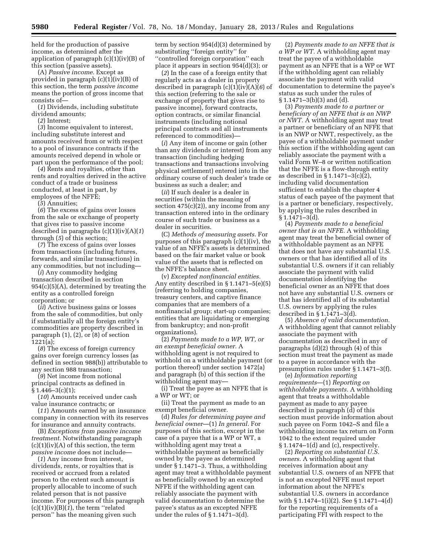held for the production of passive income, as determined after the application of paragraph  $(c)(1)(iv)(B)$  of this section (passive assets).

(A) *Passive income.* Except as provided in paragraph (c)(1)(iv)(B) of this section, the term *passive income*  means the portion of gross income that consists of—

(*1*) Dividends, including substitute dividend amounts;

(*2*) Interest;

(*3*) Income equivalent to interest, including substitute interest and amounts received from or with respect to a pool of insurance contracts if the amounts received depend in whole or part upon the performance of the pool;

(*4*) Rents and royalties, other than rents and royalties derived in the active conduct of a trade or business conducted, at least in part, by employees of the NFFE;

(*5*) Annuities;

(*6*) The excess of gains over losses from the sale or exchange of property that gives rise to passive income described in paragraphs (c)(1)(iv)(A)(*1*) through (*5*) of this section;

(*7*) The excess of gains over losses from transactions (including futures, forwards, and similar transactions) in any commodities, but not including—

(*i*) Any commodity hedging transaction described in section  $954(c)(5)(A)$ , determined by treating the entity as a controlled foreign corporation; or

(*ii*) Active business gains or losses from the sale of commodities, but only if substantially all the foreign entity's commodities are property described in paragraph (1), (2), or (8) of section 1221(a);

(*8*) The excess of foreign currency gains over foreign currency losses (as defined in section 988(b)) attributable to any section 988 transaction;

(*9*) Net income from notional principal contracts as defined in § 1.446–3(c)(1);

(*10*) Amounts received under cash value insurance contracts; or

(*11*) Amounts earned by an insurance company in connection with its reserves for insurance and annuity contracts.

(B) *Exceptions from passive income treatment.* Notwithstanding paragraph  $(c)(1)(iv)(A)$  of this section, the term *passive income* does not include—

(*1*) Any income from interest, dividends, rents, or royalties that is received or accrued from a related person to the extent such amount is properly allocable to income of such related person that is not passive income. For purposes of this paragraph  $(c)(1)(iv)(B)(1)$ , the term "related" person'' has the meaning given such

term by section 954(d)(3) determined by substituting ''foreign entity'' for ''controlled foreign corporation'' each place it appears in section 954(d)(3); or

(*2*) In the case of a foreign entity that regularly acts as a dealer in property described in paragraph (c)(1)(iv)(A)(*6*) of this section (referring to the sale or exchange of property that gives rise to passive income), forward contracts, option contracts, or similar financial instruments (including notional principal contracts and all instruments referenced to commodities)—

(*i*) Any item of income or gain (other than any dividends or interest) from any transaction (including hedging transactions and transactions involving physical settlement) entered into in the ordinary course of such dealer's trade or business as such a dealer; and

(*ii*) If such dealer is a dealer in securities (within the meaning of section  $475(c)(2)$ ), any income from any transaction entered into in the ordinary course of such trade or business as a dealer in securities.

(C) *Methods of measuring assets.* For purposes of this paragraph (c)(1)(iv), the value of an NFFE's assets is determined based on the fair market value or book value of the assets that is reflected on the NFFE's balance sheet.

(v) *Excepted nonfinancial entities.*  Any entity described in § 1.1471–5(e)(5) (referring to holding companies, treasury centers, and captive finance companies that are members of a nonfinancial group; start-up companies; entities that are liquidating or emerging from bankruptcy; and non-profit organizations).

(2) *Payments made to a WP, WT, or an exempt beneficial owner.* A withholding agent is not required to withhold on a withholdable payment (or portion thereof) under section 1472(a) and paragraph (b) of this section if the withholding agent may—

(i) Treat the payee as an NFFE that is a WP or WT; or

(ii) Treat the payment as made to an exempt beneficial owner.

(d) *Rules for determining payee and beneficial owner*—(1) *In general.* For purposes of this section, except in the case of a payee that is a WP or WT, a withholding agent may treat a withholdable payment as beneficially owned by the payee as determined under § 1.1471–3. Thus, a withholding agent may treat a withholdable payment as beneficially owned by an excepted NFFE if the withholding agent can reliably associate the payment with valid documentation to determine the payee's status as an excepted NFFE under the rules of § 1.1471–3(d).

(2) *Payments made to an NFFE that is a WP or WT.* A withholding agent may treat the payee of a withholdable payment as an NFFE that is a WP or WT if the withholding agent can reliably associate the payment with valid documentation to determine the payee's status as such under the rules of § 1.1471–3(b)(3) and (d).

(3) *Payments made to a partner or beneficiary of an NFFE that is an NWP or NWT.* A withholding agent may treat a partner or beneficiary of an NFFE that is an NWP or NWT, respectively, as the payee of a withholdable payment under this section if the withholding agent can reliably associate the payment with a valid Form W–8 or written notification that the NFFE is a flow-through entity as described in § 1.1471–3(c)(2), including valid documentation sufficient to establish the chapter 4 status of each payee of the payment that is a partner or beneficiary, respectively, by applying the rules described in  $§ 1.1471 - 3(d).$ 

(4) *Payments made to a beneficial owner that is an NFFE.* A withholding agent may treat the beneficial owner of a withholdable payment as an NFFE that does not have any substantial U.S. owners or that has identified all of its substantial U.S. owners if it can reliably associate the payment with valid documentation identifying the beneficial owner as an NFFE that does not have any substantial U.S. owners or that has identified all of its substantial U.S. owners by applying the rules described in § 1.1471–3(d).

(5) *Absence of valid documentation.*  A withholding agent that cannot reliably associate the payment with documentation as described in any of paragraphs (d)(2) through (4) of this section must treat the payment as made to a payee in accordance with the presumption rules under § 1.1471–3(f).

(e) *Information reporting requirements*—(1) *Reporting on withholdable payments.* A withholding agent that treats a withholdable payment as made to any payee described in paragraph (d) of this section must provide information about such payee on Form 1042–S and file a withholding income tax return on Form 1042 to the extent required under § 1.1474–1(d) and (c), respectively.

(2) *Reporting on substantial U.S. owners.* A withholding agent that receives information about any substantial U.S. owners of an NFFE that is not an excepted NFFE must report information about the NFFE's substantial U.S. owners in accordance with § 1.1474–1(i)(2). See § 1.1471–4(d) for the reporting requirements of a participating FFI with respect to the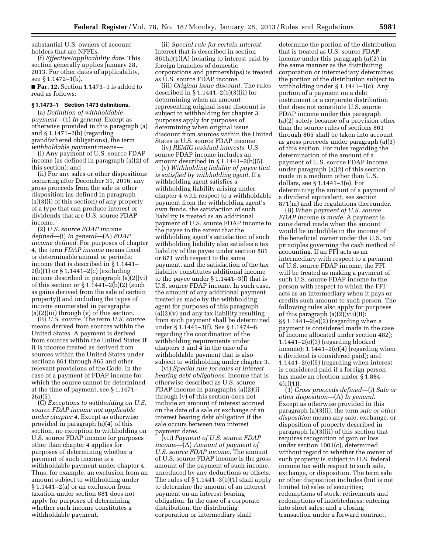substantial U.S. owners of account holders that are NFFEs.

(f) *Effective/applicability date.* This section generally applies January 28, 2013. For other dates of applicability, see § 1.1472–1(b).

■ **Par. 12.** Section 1.1473–1 is added to read as follows:

## **§ 1.1473–1 Section 1473 definitions.**

(a) *Definition of withholdable payment*—(1) *In general.* Except as otherwise provided in this paragraph (a) and § 1.1471–2(b) (regarding grandfathered obligations), the term *withholdable payment* means—

(i) Any payment of U.S. source FDAP income (as defined in paragraph (a)(2) of this section); and

(ii) For any sales or other dispositions occurring after December 31, 2016, any gross proceeds from the sale or other disposition (as defined in paragraph (a)(3)(i) of this section) of any property of a type that can produce interest or dividends that are U.S. source FDAP income.

(2) *U.S. source FDAP income defined*—(i) *In general*—(A) *FDAP income defined.* For purposes of chapter 4, the term *FDAP income* means fixed or determinable annual or periodic income that is described in § 1.1441– 2(b)(1) or § 1.1441–2(c) (excluding income described in paragraph (a)(2)(vi) of this section or § 1.1441–2(b)(2) (such as gains derived from the sale of certain property)) and including the types of income enumerated in paragraphs  $(a)(2)(iii)$  through  $(v)$  of this section.

(B) *U.S. source.* The term *U.S. source*  means derived from sources within the United States. A payment is derived from sources within the United States if it is income treated as derived from sources within the United States under sections 861 through 865 and other relevant provisions of the Code. In the case of a payment of FDAP income for which the source cannot be determined at the time of payment, see § 1.1471–  $2(a)(5)$ .

(C) *Exceptions to withholding on U.S. source FDAP income not applicable under chapter 4.* Except as otherwise provided in paragraph (a)(4) of this section, no exception to withholding on U.S. source FDAP income for purposes other than chapter 4 applies for purposes of determining whether a payment of such income is a withholdable payment under chapter 4. Thus, for example, an exclusion from an amount subject to withholding under § 1.1441–2(a) or an exclusion from taxation under section 881 does not apply for purposes of determining whether such income constitutes a withholdable payment.

(ii) *Special rule for certain interest.*  Interest that is described in section  $861(a)(1)(A)$  (relating to interest paid by foreign branches of domestic corporations and partnerships) is treated as U.S. source FDAP income.

(iii) *Original issue discount.* The rules described in § 1.1441–2(b)(3)(ii) for determining when an amount representing original issue discount is subject to withholding for chapter 3 purposes apply for purposes of determining when original issue discount from sources within the United States is U.S. source FDAP income.

(iv) *REMIC residual interests.* U.S. source FDAP income includes an amount described in  $\S 1.1441 - 2(b)(5)$ .

(v) *Withholding liability of payee that is satisfied by withholding agent.* If a withholding agent satisfies a withholding liability arising under chapter 4 with respect to a withholdable payment from the withholding agent's own funds, the satisfaction of such liability is treated as an additional payment of U.S. source FDAP income to the payee to the extent that the withholding agent's satisfaction of such withholding liability also satisfies a tax liability of the payee under section 881 or 871 with respect to the same payment, and the satisfaction of the tax liability constitutes additional income to the payee under § 1.1441–3(f) that is U.S. source FDAP income. In such case, the amount of any additional payment treated as made by the withholding agent for purposes of this paragraph (a)(2)(v) and any tax liability resulting from such payment shall be determined under § 1.1441–3(f). See § 1.1474–6 regarding the coordination of the withholding requirements under chapters 3 and 4 in the case of a withholdable payment that is also subject to withholding under chapter 3.

(vi) *Special rule for sales of interest bearing debt obligations.* Income that is otherwise described as U.S. source FDAP income in paragraphs (a)(2)(i) through (v) of this section does not include an amount of interest accrued on the date of a sale or exchange of an interest bearing debt obligation if the sale occurs between two interest payment dates.

(vii) *Payment of U.S. source FDAP income*—(A) *Amount of payment of U.S. source FDAP income.* The amount of U.S. source FDAP income is the gross amount of the payment of such income, unreduced by any deductions or offsets. The rules of § 1.1441–3(b)(1) shall apply to determine the amount of an interest payment on an interest-bearing obligation. In the case of a corporate distribution, the distributing corporation or intermediary shall

determine the portion of the distribution that is treated as U.S. source FDAP income under this paragraph (a)(2) in the same manner as the distributing corporation or intermediary determines the portion of the distribution subject to withholding under § 1.1441–3(c). Any portion of a payment on a debt instrument or a corporate distribution that does not constitute U.S. source FDAP income under this paragraph (a)(2) solely because of a provision other than the source rules of sections 861 through 865 shall be taken into account as gross proceeds under paragraph (a)(3) of this section. For rules regarding the determination of the amount of a payment of U.S. source FDAP income under paragraph (a)(2) of this section made in a medium other than U.S. dollars, see § 1.1441–3(e). For determining the amount of a payment of a dividend equivalent, see section 871(m) and the regulations thereunder.

(B) *When payment of U.S. source FDAP income is made.* A payment is considered made when the amount would be includible in the income of the beneficial owner under the U.S. tax principles governing the cash method of accounting. If an FFI acts as an intermediary with respect to a payment of U.S. source FDAP income, the FFI will be treated as making a payment of such U.S. source FDAP income to the person with respect to which the FFI acts as an intermediary when it pays or credits such amount to such person. The following rules also apply for purposes of this paragraph (a)(2)(vii)(B): §§  $1.1441 - 2(e)(2)$  (regarding when a payment is considered made in the case of income allocated under section 482); 1.1441–2(e)(3) (regarding blocked income);  $1.1441-2(e)(4)$  (regarding when a dividend is considered paid); and 1.1441–2(e)(5) (regarding when interest is considered paid if a foreign person has made an election under § 1.884–  $4(c)(1)$ ).

(3) *Gross proceeds defined*—(i) *Sale or other disposition*—(A) *In general.*  Except as otherwise provided in this paragraph (a)(3)(i), the term *sale or other disposition* means any sale, exchange, or disposition of property described in paragraph (a)(3)(ii) of this section that requires recognition of gain or loss under section 1001(c), determined without regard to whether the owner of such property is subject to U.S. federal income tax with respect to such sale, exchange, or disposition. The term sale or other disposition includes (but is not limited to) sales of securities; redemptions of stock; retirements and redemptions of indebtedness; entering into short sales; and a closing transaction under a forward contract,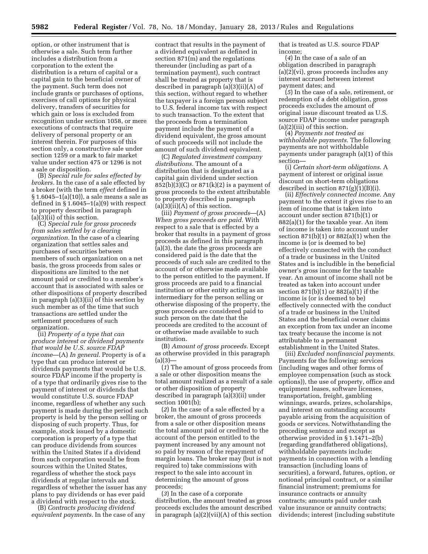**5982 Federal Register** / Vol. 78, No. 18 / Monday, January 28, 2013 / Rules and Regulations

option, or other instrument that is otherwise a sale. Such term further includes a distribution from a corporation to the extent the distribution is a return of capital or a capital gain to the beneficial owner of the payment. Such term does not include grants or purchases of options, exercises of call options for physical delivery, transfers of securities for which gain or loss is excluded from recognition under section 1058, or mere executions of contracts that require delivery of personal property or an interest therein. For purposes of this section only, a constructive sale under section 1259 or a mark to fair market value under section 475 or 1296 is not a sale or disposition.

(B) *Special rule for sales effected by brokers.* In the case of a sale effected by a broker (with the term *effect* defined in § 1.6045–1(a)(10)), a sale means a sale as defined in  $\S 1.6045-1(a)(9)$  with respect to property described in paragraph (a)(3)(ii) of this section.

(C) *Special rule for gross proceeds from sales settled by a clearing organization.* In the case of a clearing organization that settles sales and purchases of securities between members of such organization on a net basis, the gross proceeds from sales or dispositions are limited to the net amount paid or credited to a member's account that is associated with sales or other dispositions of property described in paragraph (a)(3)(ii) of this section by such member as of the time that such transactions are settled under the settlement procedures of such organization.

(ii) *Property of a type that can produce interest or dividend payments that would be U.S. source FDAP income*—(A) *In general.* Property is of a type that can produce interest or dividends payments that would be U.S. source FDAP income if the property is of a type that ordinarily gives rise to the payment of interest or dividends that would constitute U.S. source FDAP income, regardless of whether any such payment is made during the period such property is held by the person selling or disposing of such property. Thus, for example, stock issued by a domestic corporation is property of a type that can produce dividends from sources within the United States if a dividend from such corporation would be from sources within the United States, regardless of whether the stock pays dividends at regular intervals and regardless of whether the issuer has any plans to pay dividends or has ever paid a dividend with respect to the stock.

(B) *Contracts producing dividend equivalent payments.* In the case of any

contract that results in the payment of a dividend equivalent as defined in section 871(m) and the regulations thereunder (including as part of a termination payment), such contract shall be treated as property that is described in paragraph (a)(3)(ii)(A) of this section, without regard to whether the taxpayer is a foreign person subject to U.S. federal income tax with respect to such transaction. To the extent that the proceeds from a termination payment include the payment of a dividend equivalent, the gross amount of such proceeds will not include the amount of such dividend equivalent.

(C) *Regulated investment company distributions.* The amount of a distribution that is designated as a capital gain dividend under section  $852(b)(3)(C)$  or  $871(k)(2)$  is a payment of gross proceeds to the extent attributable to property described in paragraph  $(a)(3)(ii)(A)$  of this section.

(iii) *Payment of gross proceeds*—(A) *When gross proceeds are paid.* With respect to a sale that is effected by a broker that results in a payment of gross proceeds as defined in this paragraph (a)(3), the date the gross proceeds are considered paid is the date that the proceeds of such sale are credited to the account of or otherwise made available to the person entitled to the payment. If gross proceeds are paid to a financial institution or other entity acting as an intermediary for the person selling or otherwise disposing of the property, the gross proceeds are considered paid to such person on the date that the proceeds are credited to the account of or otherwise made available to such institution.

(B) *Amount of gross proceeds.* Except as otherwise provided in this paragraph  $(a)(3)$ 

(*1*) The amount of gross proceeds from a sale or other disposition means the total amount realized as a result of a sale or other disposition of property described in paragraph (a)(3)(ii) under section 1001(b);

(*2*) In the case of a sale effected by a broker, the amount of gross proceeds from a sale or other disposition means the total amount paid or credited to the account of the person entitled to the payment increased by any amount not so paid by reason of the repayment of margin loans. The broker may (but is not required to) take commissions with respect to the sale into account in determining the amount of gross proceeds;

(*3*) In the case of a corporate distribution, the amount treated as gross proceeds excludes the amount described in paragraph (a)(2)(vii)(A) of this section that is treated as U.S. source FDAP income;

(*4*) In the case of a sale of an obligation described in paragraph (a)(2)(vi), gross proceeds includes any interest accrued between interest payment dates; and

(*5*) In the case of a sale, retirement, or redemption of a debt obligation, gross proceeds excludes the amount of original issue discount treated as U.S. source FDAP income under paragraph (a)(2)(iii) of this section.

(4) *Payments not treated as withholdable payments.* The following payments are not withholdable payments under paragraph (a)(1) of this section—

(i) *Certain short-term obligations.* A payment of interest or original issue discount on short-term obligations described in section 871(g)(1)(B)(i).

(ii) *Effectively connected income.* Any payment to the extent it gives rise to an item of income that is taken into account under section 871(b)(1) or 882(a)(1) for the taxable year. An item of income is taken into account under section  $871(b)(1)$  or  $882(a)(1)$  when the income is (or is deemed to be) effectively connected with the conduct of a trade or business in the United States and is includible in the beneficial owner's gross income for the taxable year. An amount of income shall not be treated as taken into account under section 871(b)(1) or 882(a)(1) if the income is (or is deemed to be) effectively connected with the conduct of a trade or business in the United States and the beneficial owner claims an exception from tax under an income tax treaty because the income is not attributable to a permanent establishment in the United States.

(iii) *Excluded nonfinancial payments.*  Payments for the following: services (including wages and other forms of employee compensation (such as stock options)), the use of property, office and equipment leases, software licenses, transportation, freight, gambling winnings, awards, prizes, scholarships, and interest on outstanding accounts payable arising from the acquisition of goods or services. Notwithstanding the preceding sentence and except as otherwise provided in § 1.1471–2(b) (regarding grandfathered obligations), withholdable payments include: payments in connection with a lending transaction (including loans of securities), a forward, futures, option, or notional principal contract, or a similar financial instrument; premiums for insurance contracts or annuity contracts; amounts paid under cash value insurance or annuity contracts; dividends; interest (including substitute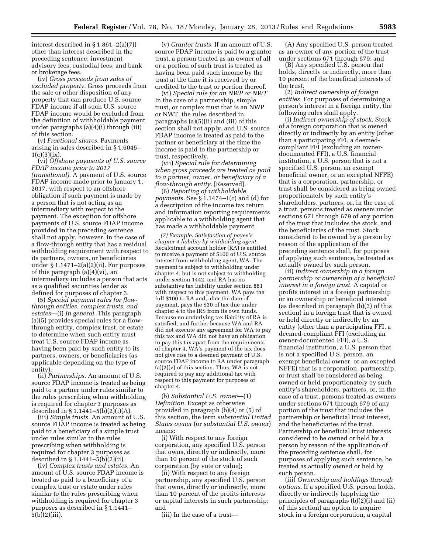interest described in § 1.861–2(a)(7)) other than interest described in the preceding sentence; investment advisory fees; custodial fees; and bank or brokerage fees.

(iv) *Gross proceeds from sales of excluded property.* Gross proceeds from the sale or other disposition of any property that can produce U.S. source FDAP income if all such U.S. source FDAP income would be excluded from the definition of withholdable payment under paragraphs (a)(4)(i) through (iii) of this section.

(v) *Fractional shares.* Payments arising in sales described in § 1.6045–  $1(c)(3)(ix)$ .

(vi) *Offshore payments of U.S. source FDAP income prior to 2017 (transitional).* A payment of U.S. source FDAP income made prior to January 1, 2017, with respect to an offshore obligation if such payment is made by a person that is not acting as an intermediary with respect to the payment. The exception for offshore payments of U.S. source FDAP income provided in the preceding sentence shall not apply, however, in the case of a flow-through entity that has a residual withholding requirement with respect to its partners, owners, or beneficiaries under § 1.1471–2(a)(2)(ii). For purposes of this paragraph (a)(4)(vi), an intermediary includes a person that acts as a qualified securities lender as defined for purposes of chapter 3.

(5) *Special payment rules for flowthrough entities, complex trusts, and estates*—(i) *In general.* This paragraph (a)(5) provides special rules for a flowthrough entity, complex trust, or estate to determine when such entity must treat U.S. source FDAP income as having been paid by such entity to its partners, owners, or beneficiaries (as applicable depending on the type of entity).

(ii) *Partnerships.* An amount of U.S. source FDAP income is treated as being paid to a partner under rules similar to the rules prescribing when withholding is required for chapter 3 purposes as described in § 1.1441–5(b)(2)(i)(A).

(iii) *Simple trusts.* An amount of U.S. source FDAP income is treated as being paid to a beneficiary of a simple trust under rules similar to the rules prescribing when withholding is required for chapter 3 purposes as described in § 1.1441–5(b)(2)(ii).

(iv) *Complex trusts and estates.* An amount of U.S. source FDAP income is treated as paid to a beneficiary of a complex trust or estate under rules similar to the rules prescribing when withholding is required for chapter 3 purposes as described in § 1.1441– 5(b)(2)(iii).

(v) *Grantor trusts.* If an amount of U.S. source FDAP income is paid to a grantor trust, a person treated as an owner of all or a portion of such trust is treated as having been paid such income by the trust at the time it is received by or credited to the trust or portion thereof.

(vi) *Special rule for an NWP or NWT.*  In the case of a partnership, simple trust, or complex trust that is an NWP or NWT, the rules described in paragraphs (a)(5)(ii) and (iii) of this section shall not apply, and U.S. source FDAP income is treated as paid to the partner or beneficiary at the time the income is paid to the partnership or trust, respectively.

(vii) *Special rule for determining when gross proceeds are treated as paid to a partner, owner, or beneficiary of a flow-through entity.* [Reserved].

(6) *Reporting of withholdable payments.* See § 1.1474–1(c) and (d) for a description of the income tax return and information reporting requirements applicable to a withholding agent that has made a withholdable payment.

*(7) Example. Satisfaction of payee's chapter 4 liability by withholding agent.*  Recalcitrant account holder (RA) is entitled to receive a payment of \$100 of U.S. source interest from withholding agent, WA. The payment is subject to withholding under chapter 4, but is not subject to withholding under section 1442, and RA has no substantive tax liability under section 881 with respect to this payment. WA pays the full \$100 to RA and, after the date of payment, pays the \$30 of tax due under chapter 4 to the IRS from its own funds. Because no underlying tax liability of RA is satisfied, and further because WA and RA did not execute any agreement for WA to pay this tax and WA did not have an obligation to pay this tax apart from the requirements of chapter 4, WA's payment of the tax does not give rise to a deemed payment of U.S. source FDAP income to RA under paragraph  $(a)(2)(v)$  of this section. Thus, WA is not required to pay any additional tax with respect to this payment for purposes of chapter 4.

(b) *Substantial U.S. owner*—(1) *Definition.* Except as otherwise provided in paragraph (b)(4) or (5) of this section, the term *substantial United States owner* (or *substantial U.S. owner*) means:

(i) With respect to any foreign corporation, any specified U.S. person that owns, directly or indirectly, more than 10 percent of the stock of such corporation (by vote or value);

(ii) With respect to any foreign partnership, any specified U.S. person that owns, directly or indirectly, more than 10 percent of the profits interests or capital interests in such partnership; and

(iii) In the case of a trust—

(A) Any specified U.S. person treated as an owner of any portion of the trust under sections 671 through 679; and

(B) Any specified U.S. person that holds, directly or indirectly, more than 10 percent of the beneficial interests of the trust.

(2) *Indirect ownership of foreign entities.* For purposes of determining a person's interest in a foreign entity, the following rules shall apply.

(i) *Indirect ownership of stock.* Stock of a foreign corporation that is owned directly or indirectly by an entity (other than a participating FFI, a deemedcompliant FFI (excluding an ownerdocumented FFI), a U.S. financial institution, a U.S. person that is not a specified U.S. person, an exempt beneficial owner, or an excepted NFFE) that is a corporation, partnership, or trust shall be considered as being owned proportionately by such entity's shareholders, partners, or, in the case of a trust, persons treated as owners under sections 671 through 679 of any portion of the trust that includes the stock, and the beneficiaries of the trust. Stock considered to be owned by a person by reason of the application of the preceding sentence shall, for purposes of applying such sentence, be treated as actually owned by such person.

(ii) *Indirect ownership in a foreign partnership or ownership of a beneficial interest in a foreign trust.* A capital or profits interest in a foreign partnership or an ownership or beneficial interest (as described in paragraph (b)(3) of this section) in a foreign trust that is owned or held directly or indirectly by an entity (other than a participating FFI, a deemed-compliant FFI (excluding an owner-documented FFI), a U.S. financial institution, a U.S. person that is not a specified U.S. person, an exempt beneficial owner, or an excepted NFFE) that is a corporation, partnership, or trust shall be considered as being owned or held proportionately by such entity's shareholders, partners, or, in the case of a trust, persons treated as owners under sections 671 through 679 of any portion of the trust that includes the partnership or beneficial trust interest, and the beneficiaries of the trust. Partnership or beneficial trust interests considered to be owned or held by a person by reason of the application of the preceding sentence shall, for purposes of applying such sentence, be treated as actually owned or held by such person.

(iii) *Ownership and holdings through options.* If a specified U.S. person holds, directly or indirectly (applying the principles of paragraphs (b)(2)(i) and (ii) of this section) an option to acquire stock in a foreign corporation, a capital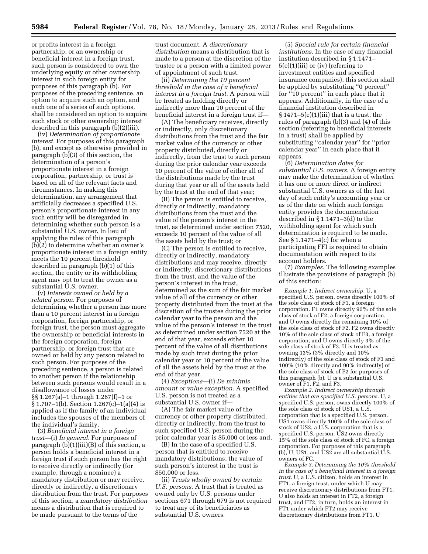or profits interest in a foreign partnership, or an ownership or beneficial interest in a foreign trust, such person is considered to own the underlying equity or other ownership interest in such foreign entity for purposes of this paragraph (b). For purposes of the preceding sentence, an option to acquire such an option, and each one of a series of such options, shall be considered an option to acquire such stock or other ownership interest described in this paragraph (b)(2)(iii).

(iv) *Determination of proportionate interest.* For purposes of this paragraph (b), and except as otherwise provided in paragraph (b)(3) of this section, the determination of a person's proportionate interest in a foreign corporation, partnership, or trust is based on all of the relevant facts and circumstances. In making this determination, any arrangement that artificially decreases a specified U.S. person's proportionate interest in any such entity will be disregarded in determining whether such person is a substantial U.S. owner. In lieu of applying the rules of this paragraph (b)(2) to determine whether an owner's proportionate interest in a foreign entity meets the 10 percent threshold described in paragraph (b)(1) of this section, the entity or its withholding agent may opt to treat the owner as a substantial U.S. owner.

(v) *Interests owned or held by a related person.* For purposes of determining whether a person has more than a 10 percent interest in a foreign corporation, foreign partnership, or foreign trust, the person must aggregate the ownership or beneficial interests in the foreign corporation, foreign partnership, or foreign trust that are owned or held by any person related to such person. For purposes of the preceding sentence, a person is related to another person if the relationship between such persons would result in a disallowance of losses under §§ 1.267(a)–1 through 1.267(f)–1 or § 1.707–1(b). Section 1.267(c)–1(a)(4) is applied as if the family of an individual includes the spouses of the members of the individual's family.

(3) *Beneficial interest in a foreign trust*—(i) *In general.* For purposes of paragraph (b)(1)(iii)(B) of this section, a person holds a beneficial interest in a foreign trust if such person has the right to receive directly or indirectly (for example, through a nominee) a mandatory distribution or may receive, directly or indirectly, a discretionary distribution from the trust. For purposes of this section, a *mandatory distribution*  means a distribution that is required to be made pursuant to the terms of the

trust document. A *discretionary distribution* means a distribution that is made to a person at the discretion of the trustee or a person with a limited power of appointment of such trust.

(ii) *Determining the 10 percent threshold in the case of a beneficial interest in a foreign trust.* A person will be treated as holding directly or indirectly more than 10 percent of the beneficial interest in a foreign trust if—

(A) The beneficiary receives, directly or indirectly, only discretionary distributions from the trust and the fair market value of the currency or other property distributed, directly or indirectly, from the trust to such person during the prior calendar year exceeds 10 percent of the value of either all of the distributions made by the trust during that year or all of the assets held by the trust at the end of that year;

(B) The person is entitled to receive, directly or indirectly, mandatory distributions from the trust and the value of the person's interest in the trust, as determined under section 7520, exceeds 10 percent of the value of all the assets held by the trust; or

(C) The person is entitled to receive, directly or indirectly, mandatory distributions and may receive, directly or indirectly, discretionary distributions from the trust, and the value of the person's interest in the trust, determined as the sum of the fair market value of all of the currency or other property distributed from the trust at the discretion of the trustee during the prior calendar year to the person and the value of the person's interest in the trust as determined under section 7520 at the end of that year, exceeds either 10 percent of the value of all distributions made by such trust during the prior calendar year or 10 percent of the value of all the assets held by the trust at the end of that year.

(4) *Exceptions*—(i) *De minimis amount or value exception.* A specified U.S. person is not treated as a substantial U.S. owner if—

(A) The fair market value of the currency or other property distributed, directly or indirectly, from the trust to such specified U.S. person during the prior calendar year is \$5,000 or less and,

(B) In the case of a specified U.S. person that is entitled to receive mandatory distributions, the value of such person's interest in the trust is \$50,000 or less.

(ii) *Trusts wholly owned by certain U.S. persons.* A trust that is treated as owned only by U.S. persons under sections 671 through 679 is not required to treat any of its beneficiaries as substantial U.S. owners.

(5) *Special rule for certain financial institutions.* In the case of any financial institution described in § 1.1471– 5(e)(1)(iii) or (iv) (referring to investment entities and specified insurance companies), this section shall be applied by substituting ''0 percent'' for ''10 percent'' in each place that it appears. Additionally, in the case of a financial institution described in  $§ 1471-5(e)(1)(iii)$  that is a trust, the rules of paragraph (b)(3) and (4) of this section (referring to beneficial interests in a trust) shall be applied by substituting ''calendar year'' for ''prior calendar year'' in each place that it appears.

(6) *Determination dates for substantial U.S. owners.* A foreign entity may make the determination of whether it has one or more direct or indirect substantial U.S. owners as of the last day of such entity's accounting year or as of the date on which such foreign entity provides the documentation described in § 1.1471–3(d) to the withholding agent for which such determination is required to be made. See § 1.1471–4(c) for when a participating FFI is required to obtain documentation with respect to its account holders.

(7) *Examples.* The following examples illustrate the provisions of paragraph (b) of this section:

*Example 1. Indirect ownership.* U, a specified U.S. person, owns directly 100% of the sole class of stock of F1, a foreign corporation. F1 owns directly 90% of the sole class of stock of F2, a foreign corporation, and U owns directly the remaining 10% of the sole class of stock of F2. F2 owns directly 10% of the sole class of stock of F3, a foreign corporation, and U owns directly 3% of the sole class of stock of F3. U is treated as owning 13% (3% directly and 10% indirectly) of the sole class of stock of F3 and 100% (10% directly and 90% indirectly) of the sole class of stock of F2 for purposes of this paragraph (b). U is a substantial U.S. owner of F1, F2, and F3.

*Example 2. Indirect ownership through entities that are specified U.S. persons.* U, a specified U.S. person, owns directly 100% of the sole class of stock of US1, a U.S. corporation that is a specified U.S. person. US1 owns directly 100% of the sole class of stock of US2, a U.S. corporation that is a specified U.S. person. US2 owns directly 15% of the sole class of stock of FC, a foreign corporation. For purposes of this paragraph (b), U, US1, and US2 are all substantial U.S. owners of FC.

*Example 3. Determining the 10% threshold in the case of a beneficial interest in a foreign trust.* U, a U.S. citizen, holds an interest in FT1, a foreign trust, under which U may receive discretionary distributions from FT1. U also holds an interest in FT2, a foreign trust, and FT2, in turn, holds an interest in FT1 under which FT2 may receive discretionary distributions from FT1. U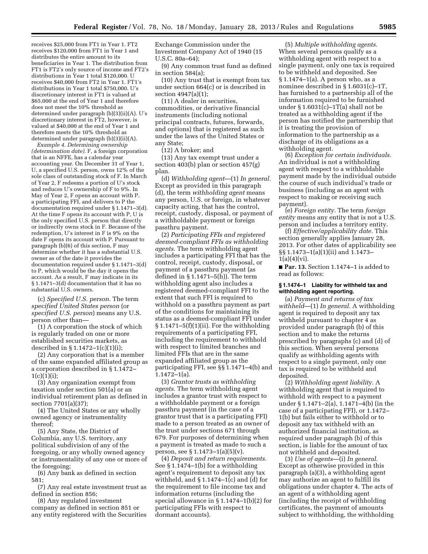receives \$25,000 from FT1 in Year 1. FT2 receives \$120,000 from FT1 in Year 1 and distributes the entire amount to its beneficiaries in Year 1. The distribution from FT1 is FT2's only source of income and FT2's distributions in Year 1 total \$120,000. U receives \$40,000 from FT2 in Year 1. FT1's distributions in Year 1 total \$750,000. U's discretionary interest in FT1 is valued at \$65,000 at the end of Year 1 and therefore does not meet the 10% threshold as determined under paragraph (b)(3)(ii)(A). U's discretionary interest in FT2, however, is valued at \$40,000 at the end of Year 1 and therefore meets the 10% threshold as determined under paragraph (b)(3)(ii)(A).

*Example 4. Determining ownership (determination date).* F, a foreign corporation that is an NFFE, has a calendar year accounting year. On December 31 of Year 1, U, a specified U.S. person, owns 12% of the sole class of outstanding stock of F. In March of Year 2, F redeems a portion of U's stock and reduces U's ownership of F to 9%. In May of Year 2, F opens an account with P, a participating FFI, and delivers to P the documentation required under § 1.1471–3(d). At the time F opens its account with P, U is the only specified U.S. person that directly or indirectly owns stock in F. Because of the redemption, U's interest in F is 9% on the date F opens its account with P. Pursuant to paragraph (b)(6) of this section, F may determine whether it has a substantial U.S. owner as of the date it provides the documentation required under § 1.1471–3(d) to P, which would be the day it opens the account. As a result, F may indicate in its § 1.1471–3(d) documentation that it has no substantial U.S. owners.

(c) *Specified U.S. person.* The term *specified United States person* (or *specified U.S. person*) means any U.S. person other than—

(1) A corporation the stock of which is regularly traded on one or more established securities markets, as described in § 1.1472–1(c)(1)(i);

(2) Any corporation that is a member of the same expanded affiliated group as a corporation described in § 1.1472–  $1(c)(1)(i);$ 

(3) Any organization exempt from taxation under section 501(a) or an individual retirement plan as defined in section 7701(a)(37);

(4) The United States or any wholly owned agency or instrumentality thereof;

(5) Any State, the District of Columbia, any U.S. territory, any political subdivision of any of the foregoing, or any wholly owned agency or instrumentality of any one or more of the foregoing;

(6) Any bank as defined in section 581;

(7) Any real estate investment trust as defined in section 856;

(8) Any regulated investment company as defined in section 851 or any entity registered with the Securities Exchange Commission under the Investment Company Act of 1940 (15 U.S.C. 80a–64);

(9) Any common trust fund as defined in section 584(a);

(10) Any trust that is exempt from tax under section 664(c) or is described in section 4947(a)(1);

(11) A dealer in securities, commodities, or derivative financial instruments (including notional principal contracts, futures, forwards, and options) that is registered as such under the laws of the United States or any State;

(12) A broker; and

(13) Any tax exempt trust under a section 403(b) plan or section 457(g) plan.

(d) *Withholding agent*—(1) *In general.*  Except as provided in this paragraph (d), the term *withholding agent* means any person, U.S. or foreign, in whatever capacity acting, that has the control, receipt, custody, disposal, or payment of a withholdable payment or foreign passthru payment.

(2) *Participating FFIs and registered deemed-compliant FFIs as withholding agents.* The term withholding agent includes a participating FFI that has the control, receipt, custody, disposal, or payment of a passthru payment (as defined in § 1.1471–5(h)). The term withholding agent also includes a registered deemed-compliant FFI to the extent that such FFI is required to withhold on a passthru payment as part of the conditions for maintaining its status as a deemed-compliant FFI under  $§ 1.1471-5(f)(1)(ii)$ . For the withholding requirements of a participating FFI, including the requirement to withhold with respect to limited branches and limited FFIs that are in the same expanded affiliated group as the participating FFI, see §§ 1.1471–4(b) and 1.1472–1(a).

(3) *Grantor trusts as withholding agents.* The term withholding agent includes a grantor trust with respect to a withholdable payment or a foreign passthru payment (in the case of a grantor trust that is a participating FFI) made to a person treated as an owner of the trust under sections 671 through 679. For purposes of determining when a payment is treated as made to such a person, see § 1.1473–1(a)(5)(v).

(4) *Deposit and return requirements.*  See § 1.1474–1(b) for a withholding agent's requirement to deposit any tax withheld, and  $\S 1.1474 - 1(c)$  and (d) for the requirement to file income tax and information returns (including the special allowance in § 1.1474–1(b)(2) for participating FFIs with respect to dormant accounts).

(5) *Multiple withholding agents.*  When several persons qualify as a withholding agent with respect to a single payment, only one tax is required to be withheld and deposited. See § 1.1474–1(a). A person who, as a nominee described in § 1.6031(c)–1T, has furnished to a partnership all of the information required to be furnished under  $\S 1.6031(c) - 1T(a)$  shall not be treated as a withholding agent if the person has notified the partnership that it is treating the provision of information to the partnership as a discharge of its obligations as a withholding agent.

(6) *Exception for certain individuals.*  An individual is not a withholding agent with respect to a withholdable payment made by the individual outside the course of such individual's trade or business (including as an agent with respect to making or receiving such payment).

(e) *Foreign entity.* The term *foreign entity* means any entity that is not a U.S. person and includes a territory entity.

(f) *Effective/applicability date.* This section generally applies January 28, 2013. For other dates of applicability see §§ 1.1473–1(a)(1)(ii) and 1.1473– 1(a)(4)(vi).

■ **Par. 13.** Section 1.1474–1 is added to read as follows:

## **§ 1.1474–1 Liability for withheld tax and withholding agent reporting.**

(a) *Payment and returns of tax withheld*—(1) *In general.* A withholding agent is required to deposit any tax withheld pursuant to chapter 4 as provided under paragraph (b) of this section and to make the returns prescribed by paragraphs (c) and (d) of this section. When several persons qualify as withholding agents with respect to a single payment, only one tax is required to be withheld and deposited.

(2) *Withholding agent liability.* A withholding agent that is required to withhold with respect to a payment under § 1.1471–2(a), 1.1471–4(b) (in the case of a participating FFI), or 1.1472– 1(b) but fails either to withhold or to deposit any tax withheld with an authorized financial institution, as required under paragraph (b) of this section, is liable for the amount of tax not withheld and deposited.

(3) *Use of agents*—(i) *In general.*  Except as otherwise provided in this paragraph (a)(3), a withholding agent may authorize an agent to fulfill its obligations under chapter 4. The acts of an agent of a withholding agent (including the receipt of withholding certificates, the payment of amounts subject to withholding, the withholding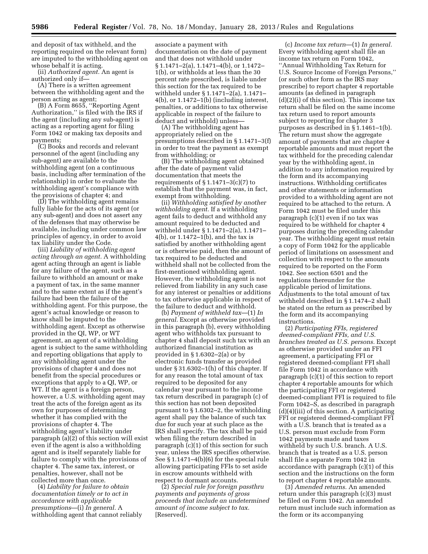and deposit of tax withheld, and the reporting required on the relevant form) are imputed to the withholding agent on whose behalf it is acting.

(ii) *Authorized agent.* An agent is authorized only if—

(A) There is a written agreement between the withholding agent and the person acting as agent;

(B) A Form 8655, ''Reporting Agent Authorization,'' is filed with the IRS if the agent (including any sub-agent) is acting as a reporting agent for filing Form 1042 or making tax deposits and payments;

(C) Books and records and relevant personnel of the agent (including any sub-agent) are available to the withholding agent (on a continuous basis, including after termination of the relationship) in order to evaluate the withholding agent's compliance with the provisions of chapter 4; and

(D) The withholding agent remains fully liable for the acts of its agent (or any sub-agent) and does not assert any of the defenses that may otherwise be available, including under common law principles of agency, in order to avoid tax liability under the Code.

(iii) *Liability of withholding agent acting through an agent.* A withholding agent acting through an agent is liable for any failure of the agent, such as a failure to withhold an amount or make a payment of tax, in the same manner and to the same extent as if the agent's failure had been the failure of the withholding agent. For this purpose, the agent's actual knowledge or reason to know shall be imputed to the withholding agent. Except as otherwise provided in the QI, WP, or WT agreement, an agent of a withholding agent is subject to the same withholding and reporting obligations that apply to any withholding agent under the provisions of chapter 4 and does not benefit from the special procedures or exceptions that apply to a QI, WP, or WT. If the agent is a foreign person, however, a U.S. withholding agent may treat the acts of the foreign agent as its own for purposes of determining whether it has complied with the provisions of chapter 4. The withholding agent's liability under paragraph (a)(2) of this section will exist even if the agent is also a withholding agent and is itself separately liable for failure to comply with the provisions of chapter 4. The same tax, interest, or penalties, however, shall not be collected more than once.

(4) *Liability for failure to obtain documentation timely or to act in accordance with applicable presumptions*—(i) *In general.* A withholding agent that cannot reliably

associate a payment with documentation on the date of payment and that does not withhold under § 1.1471–2(a), 1.1471–4(b), or 1.1472– 1(b), or withholds at less than the 30 percent rate prescribed, is liable under this section for the tax required to be withheld under § 1.1471–2(a), 1.1471– 4(b), or 1.1472–1(b) (including interest, penalties, or additions to tax otherwise applicable in respect of the failure to deduct and withhold) unless—

(A) The withholding agent has appropriately relied on the presumptions described in § 1.1471–3(f) in order to treat the payment as exempt from withholding; or

(B) The withholding agent obtained after the date of payment valid documentation that meets the requirements of § 1.1471–3(c)(7) to establish that the payment was, in fact, exempt from withholding.

(ii) *Withholding satisfied by another withholding agent.* If a withholding agent fails to deduct and withhold any amount required to be deducted and withheld under § 1.1471–2(a), 1.1471– 4(b), or 1.1472–1(b), and the tax is satisfied by another withholding agent or is otherwise paid, then the amount of tax required to be deducted and withheld shall not be collected from the first-mentioned withholding agent. However, the withholding agent is not relieved from liability in any such case for any interest or penalties or additions to tax otherwise applicable in respect of the failure to deduct and withhold.

(b) *Payment of withheld tax*—(1) *In general.* Except as otherwise provided in this paragraph (b), every withholding agent who withholds tax pursuant to chapter 4 shall deposit such tax with an authorized financial institution as provided in § 1.6302–2(a) or by electronic funds transfer as provided under § 31.6302–1(h) of this chapter. If for any reason the total amount of tax required to be deposited for any calendar year pursuant to the income tax return described in paragraph (c) of this section has not been deposited pursuant to § 1.6302–2, the withholding agent shall pay the balance of such tax due for such year at such place as the IRS shall specify. The tax shall be paid when filing the return described in paragraph (c)(1) of this section for such year, unless the IRS specifies otherwise. See § 1.1471–4(b)(6) for the special rule allowing participating FFIs to set aside in escrow amounts withheld with respect to dormant accounts.

(2) *Special rule for foreign passthru payments and payments of gross proceeds that include an undetermined amount of income subject to tax.*  [Reserved].

(c) *Income tax return*—(1) *In general.*  Every withholding agent shall file an income tax return on Form 1042, ''Annual Withholding Tax Return for U.S. Source Income of Foreign Persons,'' (or such other form as the IRS may prescribe) to report chapter 4 reportable amounts (as defined in paragraph (d)(2)(i) of this section). This income tax return shall be filed on the same income tax return used to report amounts subject to reporting for chapter 3 purposes as described in § 1.1461–1(b). The return must show the aggregate amount of payments that are chapter 4 reportable amounts and must report the tax withheld for the preceding calendar year by the withholding agent, in addition to any information required by the form and its accompanying instructions. Withholding certificates and other statements or information provided to a withholding agent are not required to be attached to the return. A Form 1042 must be filed under this paragraph (c)(1) even if no tax was required to be withheld for chapter 4 purposes during the preceding calendar year. The withholding agent must retain a copy of Form 1042 for the applicable period of limitations on assessment and collection with respect to the amounts required to be reported on the Form 1042. See section 6501 and the regulations thereunder for the applicable period of limitations. Adjustments to the total amount of tax withheld described in § 1.1474–2 shall be stated on the return as prescribed by the form and its accompanying instructions.

(2) *Participating FFIs, registered deemed-compliant FFIs, and U.S. branches treated as U.S. persons.* Except as otherwise provided under an FFI agreement, a participating FFI or registered deemed-compliant FFI shall file Form 1042 in accordance with paragraph (c)(1) of this section to report chapter 4 reportable amounts for which the participating FFI or registered deemed-compliant FFI is required to file Form 1042–S, as described in paragraph (d)(4)(iii) of this section. A participating FFI or registered deemed-compliant FFI with a U.S. branch that is treated as a U.S. person must exclude from Form 1042 payments made and taxes withheld by such U.S. branch. A U.S. branch that is treated as a U.S. person shall file a separate Form 1042 in accordance with paragraph (c)(1) of this section and the instructions on the form to report chapter 4 reportable amounts.

(3) *Amended returns.* An amended return under this paragraph (c)(3) must be filed on Form 1042. An amended return must include such information as the form or its accompanying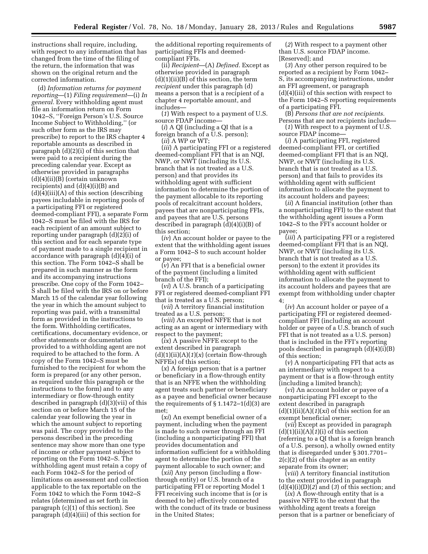instructions shall require, including, with respect to any information that has changed from the time of the filing of the return, the information that was shown on the original return and the corrected information.

(d) *Information returns for payment reporting*—(1) *Filing requirement*—(i) *In general.* Every withholding agent must file an information return on Form 1042–S, ''Foreign Person's U.S. Source Income Subject to Withholding,'' (or such other form as the IRS may prescribe) to report to the IRS chapter 4 reportable amounts as described in paragraph (d)(2)(i) of this section that were paid to a recipient during the preceding calendar year. Except as otherwise provided in paragraphs (d)(4)(ii)(B) (certain unknown recipients) and (d)(4)(i)(B) and (d)(4)(iii)(A) of this section (describing payees includable in reporting pools of a participating FFI or registered deemed-compliant FFI), a separate Form 1042–S must be filed with the IRS for each recipient of an amount subject to reporting under paragraph (d)(2)(i) of this section and for each separate type of payment made to a single recipient in accordance with paragraph (d)(4)(i) of this section. The Form 1042–S shall be prepared in such manner as the form and its accompanying instructions prescribe. One copy of the Form 1042– S shall be filed with the IRS on or before March 15 of the calendar year following the year in which the amount subject to reporting was paid, with a transmittal form as provided in the instructions to the form. Withholding certificates, certifications, documentary evidence, or other statements or documentation provided to a withholding agent are not required to be attached to the form. A copy of the Form 1042–S must be furnished to the recipient for whom the form is prepared (or any other person, as required under this paragraph or the instructions to the form) and to any intermediary or flow-through entity described in paragraph (d)(3)(vii) of this section on or before March 15 of the calendar year following the year in which the amount subject to reporting was paid. The copy provided to the persons described in the preceding sentence may show more than one type of income or other payment subject to reporting on the Form 1042–S. The withholding agent must retain a copy of each Form 1042–S for the period of limitations on assessment and collection applicable to the tax reportable on the Form 1042 to which the Form 1042–S relates (determined as set forth in paragraph (c)(1) of this section). See paragraph (d)(4)(iii) of this section for

the additional reporting requirements of participating FFIs and deemedcompliant FFIs.

(ii) *Recipient*—(A) *Defined.* Except as otherwise provided in paragraph  $(d)(1)(ii)(B)$  of this section, the term *recipient* under this paragraph (d) means a person that is a recipient of a chapter 4 reportable amount, and includes—

(*1*) With respect to a payment of U.S. source FDAP income—

(*i*) A QI (including a QI that is a foreign branch of a U.S. person); (*ii*) A WP or WT;

(*iii*) A participating FFI or a registered deemed-compliant FFI that is an NQI, NWP, or NWT (including its U.S. branch that is not treated as a U.S. person) and that provides its withholding agent with sufficient information to determine the portion of the payment allocable to its reporting pools of recalcitrant account holders, payees that are nonparticipating FFIs, and payees that are U.S. persons described in paragraph (d)(4)(i)(B) of this section;

(*iv*) An account holder or payee to the extent that the withholding agent issues a Form 1042–S to such account holder or payee;

(*v*) An FFI that is a beneficial owner of the payment (including a limited branch of the FFI);

(*vi*) A U.S. branch of a participating FFI or registered deemed-compliant FFI that is treated as a U.S. person;

(*vii*) A territory financial institution treated as a U.S. person;

(*viii*) An excepted NFFE that is not acting as an agent or intermediary with respect to the payment;

(*ix*) A passive NFFE except to the extent described in paragraph  $(d)(1)(ii)(A)(1)(x)$  (certain flow-through NFFEs) of this section;

(*x*) A foreign person that is a partner or beneficiary in a flow-through entity that is an NFFE when the withholding agent treats such partner or beneficiary as a payee and beneficial owner because the requirements of  $\S 1.1472-1(d)(3)$  are met;

(*xi*) An exempt beneficial owner of a payment, including when the payment is made to such owner through an FFI (including a nonparticipating FFI) that provides documentation and information sufficient for a withholding agent to determine the portion of the payment allocable to such owner; and

(*xii*) Any person (including a flowthrough entity) or U.S. branch of a participating FFI or reporting Model 1 FFI receiving such income that is (or is deemed to be) effectively connected with the conduct of its trade or business in the United States;

(*2*) With respect to a payment other than U.S. source FDAP income. [Reserved]; and

(*3*) Any other person required to be reported as a recipient by Form 1042– S, its accompanying instructions, under an FFI agreement, or paragraph (d)(4)(iii) of this section with respect to the Form 1042–S reporting requirements of a participating FFI.

(B) *Persons that are not recipients.*  Persons that are not recipients include—

(*1*) With respect to a payment of U.S. source FDAP income—

(*i*) A participating FFI, registered deemed-compliant FFI, or certified deemed-compliant FFI that is an NQI, NWP, or NWT (including its U.S. branch that is not treated as a U.S. person) and that fails to provides its withholding agent with sufficient information to allocate the payment to its account holders and payees;

(*ii*) A financial institution (other than a nonparticipating FFI) to the extent that the withholding agent issues a Form 1042–S to the FFI's account holder or payee;

(*iii*) A participating FFI or a registered deemed-compliant FFI that is an NQI, NWP, or NWT (including its U.S. branch that is not treated as a U.S. person) to the extent it provides its withholding agent with sufficient information to allocate the payment to its account holders and payees that are exempt from withholding under chapter 4;

(*iv*) An account holder or payee of a participating FFI or registered deemedcompliant FFI (including an account holder or payee of a U.S. branch of such FFI that is not treated as a U.S. person) that is included in the FFI's reporting pools described in paragraph (d)(4)(i)(B) of this section;

(*v*) A nonparticipating FFI that acts as an intermediary with respect to a payment or that is a flow-through entity (including a limited branch);

(*vi*) An account holder or payee of a nonparticipating FFI except to the extent described in paragraph  $(d)(1)(ii)(A)(1)(xi)$  of this section for an exempt beneficial owner;

(*vii*) Except as provided in paragraph (d)(1)(ii)(A)(*1*)(i) of this section (referring to a QI that is a foreign branch of a U.S. person), a wholly owned entity that is disregarded under § 301.7701– 2(c)(2) of this chapter as an entity separate from its owner;

(*viii*) A territory financial institution to the extent provided in paragraph (d)(4)(i)(D)(*2*) and (*3*) of this section; and

(*ix*) A flow-through entity that is a passive NFFE to the extent that the withholding agent treats a foreign person that is a partner or beneficiary of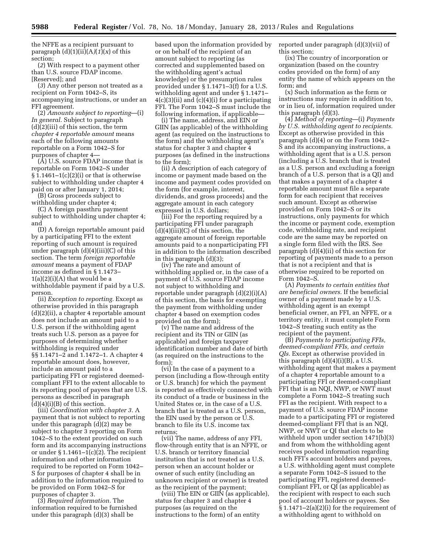the NFFE as a recipient pursuant to paragraph  $(d)(1)(ii)(A)(1)(x)$  of this section;

(*2*) With respect to a payment other than U.S. source FDAP income. [Reserved]; and

(*3*) Any other person not treated as a recipient on Form 1042–S, its accompanying instructions, or under an FFI agreement.

(2) *Amounts subject to reporting*—(i) *In general.* Subject to paragraph (d)(2)(iii) of this section, the term *chapter 4 reportable amount* means each of the following amounts reportable on a Form 1042–S for purposes of chapter 4—

(A) U.S. source FDAP income that is reportable on Form 1042–S under  $§ 1.1461-1(c)(2)(i)$  or that is otherwise subject to withholding under chapter 4 paid on or after January 1, 2014;

(B) Gross proceeds subject to withholding under chapter 4;

(C) A foreign passthru payment subject to withholding under chapter 4; and

(D) A foreign reportable amount paid by a participating FFI to the extent reporting of such amount is required under paragraph  $(d)(4)(iii)(C)$  of this section. The term *foreign reportable amount* means a payment of FDAP income as defined in § 1.1473–  $1(a)(2)(i)(A)$  that would be a withholdable payment if paid by a U.S. person.

(ii) *Exception to reporting.* Except as otherwise provided in this paragraph (d)(2)(ii), a chapter 4 reportable amount does not include an amount paid to a U.S. person if the withholding agent treats such U.S. person as a payee for purposes of determining whether withholding is required under §§ 1.1471–2 and 1.1472–1. A chapter 4 reportable amount does, however, include an amount paid to a participating FFI or registered deemedcompliant FFI to the extent allocable to its reporting pool of payees that are U.S. persons as described in paragraph  $(d)(4)(i)(B)$  of this section.

(iii) *Coordination with chapter 3.* A payment that is not subject to reporting under this paragraph (d)(2) may be subject to chapter 3 reporting on Form 1042–S to the extent provided on such form and its accompanying instructions or under § 1.1461–1(c)(2). The recipient information and other information required to be reported on Form 1042– S for purposes of chapter 4 shall be in addition to the information required to be provided on Form 1042–S for purposes of chapter 3.

(3) *Required information.* The information required to be furnished under this paragraph (d)(3) shall be

based upon the information provided by or on behalf of the recipient of an amount subject to reporting (as corrected and supplemented based on the withholding agent's actual knowledge) or the presumption rules provided under § 1.1471–3(f) for a U.S. withholding agent and under § 1.1471–  $4(c)(3)(ii)$  and  $(c)(4)(i)$  for a participating FFI. The Form 1042–S must include the following information, if applicable—

(i) The name, address, and EIN or GIIN (as applicable) of the withholding agent (as required on the instructions to the form) and the withholding agent's status for chapter 3 and chapter 4 purposes (as defined in the instructions to the form);

(ii) A description of each category of income or payment made based on the income and payment codes provided on the form (for example, interest, dividends, and gross proceeds) and the aggregate amount in each category expressed in U.S. dollars;

(iii) For the reporting required by a participating FFI under paragraph  $(d)(4)(iii)(C)$  of this section, the aggregate amount of foreign reportable amounts paid to a nonparticipating FFI in addition to the information described in this paragraph (d)(3);

(iv) The rate and amount of withholding applied or, in the case of a payment of U.S. source FDAP income not subject to withholding and reportable under paragraph (d)(2)(i)(A) of this section, the basis for exempting the payment from withholding under chapter 4 based on exemption codes provided on the form);

(v) The name and address of the recipient and its TIN or GIIN (as applicable) and foreign taxpayer identification number and date of birth (as required on the instructions to the form);

(vi) In the case of a payment to a person (including a flow-through entity or U.S. branch) for which the payment is reported as effectively connected with its conduct of a trade or business in the United States or, in the case of a U.S. branch that is treated as a U.S. person, the EIN used by the person or U.S. branch to file its U.S. income tax returns;

(vii) The name, address of any FFI, flow-through entity that is an NFFE, or U.S. branch or territory financial institution that is not treated as a U.S. person when an account holder or owner of such entity (including an unknown recipient or owner) is treated as the recipient of the payment;

(viii) The EIN or GIIN (as applicable), status for chapter 3 and chapter 4 purposes (as required on the instructions to the form) of an entity

reported under paragraph (d)(3)(vii) of this section;

(ix) The country of incorporation or organization (based on the country codes provided on the form) of any entity the name of which appears on the form; and

(x) Such information as the form or instructions may require in addition to, or in lieu of, information required under this paragraph (d)(3).

(4) *Method of reporting*—(i) *Payments by U.S. withholding agent to recipients.*  Except as otherwise provided in this paragraph (d)(4) or on the Form 1042– S and its accompanying instructions, a withholding agent that is a U.S. person (including a U.S. branch that is treated as a U.S. person and excluding a foreign branch of a U.S. person that is a QI) and that makes a payment of a chapter 4 reportable amount must file a separate form for each recipient that receives such amount. Except as otherwise provided on Form 1042–S or its instructions, only payments for which the income or payment code, exemption code, withholding rate, and recipient code are the same may be reported on a single form filed with the IRS. See paragraph (d)(4)(ii) of this section for reporting of payments made to a person that is not a recipient and that is otherwise required to be reported on Form 1042–S.

(A) *Payments to certain entities that are beneficial owners.* If the beneficial owner of a payment made by a U.S. withholding agent is an exempt beneficial owner, an FFI, an NFFE, or a territory entity, it must complete Form 1042–S treating such entity as the recipient of the payment.

(B) *Payments to participating FFIs, deemed-compliant FFIs, and certain QIs.* Except as otherwise provided in this paragraph  $(d)(4)(i)(B)$ , a U.S. withholding agent that makes a payment of a chapter 4 reportable amount to a participating FFI or deemed-compliant FFI that is an NQI, NWP, or NWT must complete a Form 1042–S treating such FFI as the recipient. With respect to a payment of U.S. source FDAP income made to a participating FFI or registered deemed-compliant FFI that is an NQI, NWP, or NWT or QI that elects to be withheld upon under section 1471(b)(3) and from whom the withholding agent receives pooled information regarding such FFI's account holders and payees, a U.S. withholding agent must complete a separate Form 1042–S issued to the participating FFI, registered deemedcompliant FFI, or QI (as applicable) as the recipient with respect to each such pool of account holders or payees. See  $§ 1.1471-2(a)(2)(i)$  for the requirement of a withholding agent to withhold on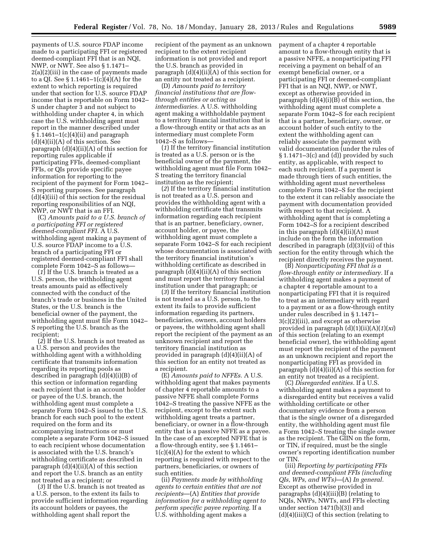payments of U.S. source FDAP income made to a participating FFI or registered deemed-compliant FFI that is an NQI, NWP, or NWT. See also § 1.1471– 2(a)(2)(iii) in the case of payments made to a QI. See § 1.1461–1(c)(4)(A) for the extent to which reporting is required under that section for U.S. source FDAP income that is reportable on Form 1042– S under chapter 3 and not subject to withholding under chapter 4, in which case the U.S. withholding agent must report in the manner described under  $§ 1.1461-1(c)(4)(ii)$  and paragraph  $(d)(4)(ii)(A)$  of this section. See paragraph (d)(4)(ii)(A) of this section for reporting rules applicable if participating FFIs, deemed-compliant FFIs, or QIs provide specific payee information for reporting to the recipient of the payment for Form 1042– S reporting purposes. See paragraph (d)(4)(iii) of this section for the residual reporting responsibilities of an NQI, NWP, or NWT that is an FFI.

(C) *Amounts paid to a U.S. branch of a participating FFI or registered deemed-compliant FFI.* A U.S. withholding agent making a payment of U.S. source FDAP income to a U.S. branch of a participating FFI or registered deemed-compliant FFI shall complete Form 1042–S as follows—

(*1*) If the U.S. branch is treated as a U.S. person, the withholding agent treats amounts paid as effectively connected with the conduct of the branch's trade or business in the United States, or the U.S. branch is the beneficial owner of the payment, the withholding agent must file Form 1042– S reporting the U.S. branch as the recipient;

(*2*) If the U.S. branch is not treated as a U.S. person and provides the withholding agent with a withholding certificate that transmits information regarding its reporting pools as described in paragraph (d)(4)(i)(B) of this section or information regarding each recipient that is an account holder or payee of the U.S. branch, the withholding agent must complete a separate Form 1042–S issued to the U.S. branch for each such pool to the extent required on the form and its accompanying instructions or must complete a separate Form 1042–S issued to each recipient whose documentation is associated with the U.S. branch's withholding certificate as described in paragraph (d)(4)(ii)(A) of this section and report the U.S. branch as an entity not treated as a recipient; or

(*3*) If the U.S. branch is not treated as a U.S. person, to the extent its fails to provide sufficient information regarding its account holders or payees, the withholding agent shall report the

recipient of the payment as an unknown recipient to the extent recipient information is not provided and report the U.S. branch as provided in paragraph (d)(4)(ii)(A) of this section for an entity not treated as a recipient.

(D) *Amounts paid to territory financial institutions that are flowthrough entities or acting as intermediaries.* A U.S. withholding agent making a withholdable payment to a territory financial institution that is a flow-through entity or that acts as an intermediary must complete Form 1042–S as follows—

(*1*) If the territory financial institution is treated as a U.S. person or is the beneficial owner of the payment, the withholding agent must file Form 1042– S treating the territory financial institution as the recipient;

(*2*) If the territory financial institution is not treated as a U.S. person and provides the withholding agent with a withholding certificate that transmits information regarding each recipient that is an partner, beneficiary, owner, account holder, or payee, the withholding agent must complete a separate Form 1042–S for each recipient whose documentation is associated with the territory financial institution's withholding certificate as described in paragraph  $(d)(4)(ii)(A)$  of this section and must report the territory financial institution under that paragraph; or

(*3*) If the territory financial institution is not treated as a U.S. person, to the extent its fails to provide sufficient information regarding its partners, beneficiaries, owners, account holders or payees, the withholding agent shall report the recipient of the payment as an unknown recipient and report the territory financial institution as provided in paragraph (d)(4)(ii)(A) of this section for an entity not treated as a recipient.

(E) *Amounts paid to NFFEs.* A U.S. withholding agent that makes payments of chapter 4 reportable amounts to a passive NFFE shall complete Forms 1042–S treating the passive NFFE as the recipient, except to the extent such withholding agent treats a partner, beneficiary, or owner in a flow-through entity that is a passive NFFE as a payee. In the case of an excepted NFFE that is a flow-through entity, see § 1.1461– 1(c)(4)(A) for the extent to which reporting is required with respect to the partners, beneficiaries, or owners of such entities.

(ii) *Payments made by withholding agents to certain entities that are not recipients*—(A) *Entities that provide information for a withholding agent to perform specific payee reporting.* If a U.S. withholding agent makes a

payment of a chapter 4 reportable amount to a flow-through entity that is a passive NFFE, a nonparticipating FFI receiving a payment on behalf of an exempt beneficial owner, or a participating FFI or deemed-compliant FFI that is an NQI, NWP, or NWT, except as otherwise provided in paragraph (d)(4)(i)(B) of this section, the withholding agent must complete a separate Form 1042–S for each recipient that is a partner, beneficiary, owner, or account holder of such entity to the extent the withholding agent can reliably associate the payment with valid documentation (under the rules of § 1.1471–3(c) and (d)) provided by such entity, as applicable, with respect to each such recipient. If a payment is made through tiers of such entities, the withholding agent must nevertheless complete Form 1042–S for the recipient to the extent it can reliably associate the payment with documentation provided with respect to that recipient. A withholding agent that is completing a Form 1042–S for a recipient described in this paragraph (d)(4)(ii)(A) must include on the form the information described in paragraph (d)(3)(vii) of this section for the entity through which the recipient directly receives the payment.

(B) *Nonparticipating FFI that is a flow-through entity or intermediary.* If a withholding agent makes a payment of a chapter 4 reportable amount to a nonparticipating FFI that it is required to treat as an intermediary with regard to a payment or as a flow-through entity under rules described in § 1.1471– 3(c)(2)(iii), and except as otherwise provided in paragraph (d)(1)(ii)(A)(*1*)(*xi*) of this section (relating to an exempt beneficial owner), the withholding agent must report the recipient of the payment as an unknown recipient and report the nonparticipating FFI as provided in paragraph (d)(4)(ii)(A) of this section for an entity not treated as a recipient.

(C) *Disregarded entities.* If a U.S. withholding agent makes a payment to a disregarded entity but receives a valid withholding certificate or other documentary evidence from a person that is the single owner of a disregarded entity, the withholding agent must file a Form 1042–S treating the single owner as the recipient. The GIIN on the form, or TIN, if required, must be the single owner's reporting identification number or TIN.

(iii) *Reporting by participating FFIs and deemed-compliant FFIs (including QIs, WPs, and WTs)*—(A) *In general.*  Except as otherwise provided in paragraphs (d)(4)(iii)(B) (relating to NQIs, NWPs, NWTs, and FFIs electing under section 1471(b)(3)) and (d)(4)(iii)(C) of this section (relating to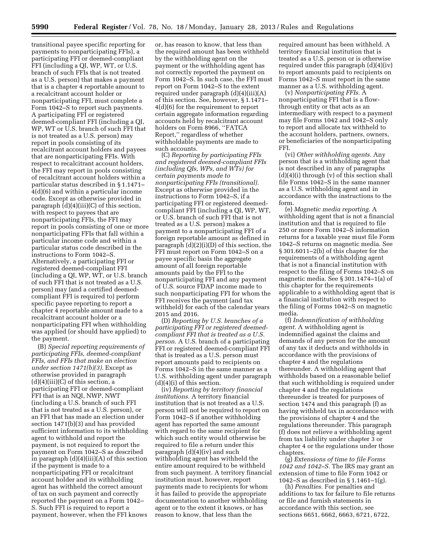transitional payee specific reporting for payments to nonparticipating FFIs), a participating FFI or deemed-compliant FFI (including a QI, WP, WT, or U.S. branch of such FFIs that is not treated as a U.S. person) that makes a payment that is a chapter 4 reportable amount to a recalcitrant account holder or nonparticipating FFI, must complete a Form 1042–S to report such payments. A participating FFI or registered deemed-compliant FFI (including a QI, WP, WT or U.S. branch of such FFI that is not treated as a U.S. person) may report in pools consisting of its recalcitrant account holders and payees that are nonparticipating FFIs. With respect to recalcitrant account holders, the FFI may report in pools consisting of recalcitrant account holders within a particular status described in § 1.1471– 4(d)(6) and within a particular income code. Except as otherwise provided in paragraph  $(d)(4)(iii)(C)$  of this section, with respect to payees that are nonparticipating FFIs, the FFI may report in pools consisting of one or more nonparticipating FFIs that fall within a particular income code and within a particular status code described in the instructions to Form 1042–S. Alternatively, a participating FFI or registered deemed-compliant FFI (including a QI, WP, WT, or U.S. branch of such FFI that is not treated as a U.S. person) may (and a certified deemedcompliant FFI is required to) perform specific payee reporting to report a chapter 4 reportable amount made to a recalcitrant account holder or a nonparticipating FFI when withholding was applied (or should have applied) to the payment.

(B) *Special reporting requirements of participating FFIs, deemed-compliant FFIs, and FFIs that make an election under section 1471(b)(3).* Except as otherwise provided in paragraph  $(d)(4)(iii)(C)$  of this section, a participating FFI or deemed-compliant FFI that is an NQI, NWP, NWT (including a U.S. branch of such FFI that is not treated as a U.S. person), or an FFI that has made an election under section 1471(b)(3) and has provided sufficient information to its withholding agent to withhold and report the payment, is not required to report the payment on Form 1042–S as described in paragraph (d)(4)(iii)(A) of this section if the payment is made to a nonparticipating FFI or recalcitrant account holder and its withholding agent has withheld the correct amount of tax on such payment and correctly reported the payment on a Form 1042– S. Such FFI is required to report a payment, however, when the FFI knows

or, has reason to know, that less than the required amount has been withheld by the withholding agent on the payment or the withholding agent has not correctly reported the payment on Form 1042–S. In such case, the FFI must report on Form 1042–S to the extent required under paragraph (d)(4)(iii)(A) of this section. See, however, § 1.1471– 4(d)(6) for the requirement to report certain aggregate information regarding accounts held by recalcitrant account holders on Form 8966, ''FATCA Report,'' regardless of whether withholdable payments are made to such accounts.

(C) *Reporting by participating FFIs and registered deemed-compliant FFIs (including QIs, WPs, and WTs) for certain payments made to nonparticipating FFIs (transitional).*  Except as otherwise provided in the instructions to Form 1042–S, if a participating FFI or registered deemedcompliant FFI (including a QI, WP, WT, or U.S. branch of such FFI that is not treated as a U.S. person) makes a payment to a nonparticipating FFI of a foreign reportable amount as defined in paragraph (d)(2)(i)(D) of this section, the FFI must report on Form 1042–S on a payee specific basis the aggregate amount of all foreign reportable amounts paid by the FFI to the nonparticipating FFI and any payment of U.S. source FDAP income made to such nonparticipating FFI for whom the FFI receives the payment (and tax withheld) for each of the calendar years 2015 and 2016.

(D) *Reporting by U.S. branches of a participating FFI or registered deemedcompliant FFI that is treated as a U.S. person.* A U.S. branch of a participating FFI or registered deemed-compliant FFI that is treated as a U.S. person must report amounts paid to recipients on Forms 1042–S in the same manner as a U.S. withholding agent under paragraph (d)(4)(i) of this section.

(iv) *Reporting by territory financial institutions.* A territory financial institution that is not treated as a U.S. person will not be required to report on Form 1042–S if another withholding agent has reported the same amount with regard to the same recipient for which such entity would otherwise be required to file a return under this paragraph (d)(4)(iv) and such withholding agent has withheld the entire amount required to be withheld from such payment. A territory financial institution must, however, report payments made to recipients for whom it has failed to provide the appropriate documentation to another withholding agent or to the extent it knows, or has reason to know, that less than the

required amount has been withheld. A territory financial institution that is treated as a U.S. person or is otherwise required under this paragraph (d)(4)(iv) to report amounts paid to recipients on Forms 1042–S must report in the same manner as a U.S. withholding agent.

(v) *Nonparticipating FFIs.* A nonparticipating FFI that is a flowthrough entity or that acts as an intermediary with respect to a payment may file Forms 1042 and 1042–S only to report and allocate tax withheld to the account holders, partners, owners, or beneficiaries of the nonparticipating FFI.

(vi) *Other withholding agents.* Any person that is a withholding agent that is not described in any of paragraphs  $(d)(4)(i)$  through  $(v)$  of this section shall file Forms 1042–S in the same manner as a U.S. withholding agent and in accordance with the instructions to the form.

(e) *Magnetic media reporting.* A withholding agent that is not a financial institution and that is required to file 250 or more Form 1042–S information returns for a taxable year must file Form 1042–S returns on magnetic media. See § 301.6011–2(b) of this chapter for the requirements of a withholding agent that is not a financial institution with respect to the filing of Forms 1042–S on magnetic media. See § 301.1474–1(a) of this chapter for the requirements applicable to a withholding agent that is a financial institution with respect to the filing of Forms 1042–S on magnetic media.

(f) *Indemnification of withholding agent.* A withholding agent is indemnified against the claims and demands of any person for the amount of any tax it deducts and withholds in accordance with the provisions of chapter 4 and the regulations thereunder. A withholding agent that withholds based on a reasonable belief that such withholding is required under chapter 4 and the regulations thereunder is treated for purposes of section 1474 and this paragraph (f) as having withheld tax in accordance with the provisions of chapter 4 and the regulations thereunder. This paragraph (f) does not relieve a withholding agent from tax liability under chapter 3 or chapter 4 or the regulations under those chapters.

(g) *Extensions of time to file Forms 1042 and 1042–S.* The IRS may grant an extension of time to file Form 1042 or 1042–S as described in § 1.1461–1(g).

(h) *Penalties.* For penalties and additions to tax for failure to file returns or file and furnish statements in accordance with this section, see sections 6651, 6662, 6663, 6721, 6722,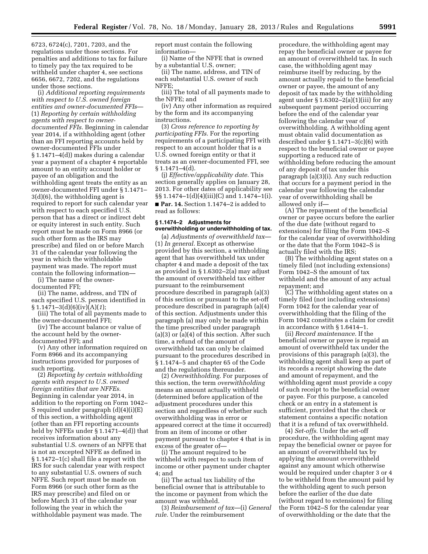6723, 6724(c), 7201, 7203, and the regulations under those sections. For penalties and additions to tax for failure to timely pay the tax required to be withheld under chapter 4, see sections 6656, 6672, 7202, and the regulations under those sections.

(i) *Additional reporting requirements with respect to U.S. owned foreign entities and owner-documented FFIs*— (1) *Reporting by certain withholding agents with respect to ownerdocumented FFIs.* Beginning in calendar year 2014, if a withholding agent (other than an FFI reporting accounts held by owner-documented FFIs under § 1.1471–4(d)) makes during a calendar year a payment of a chapter 4 reportable amount to an entity account holder or payee of an obligation and the withholding agent treats the entity as an owner-documented FFI under § 1.1471– 3(d)(6), the withholding agent is required to report for such calendar year with respect to each specified U.S. person that has a direct or indirect debt or equity interest in such entity. Such report must be made on Form 8966 (or such other form as the IRS may prescribe) and filed on or before March 31 of the calendar year following the year in which the withholdable payment was made. The report must contain the following information— (i) The name of the owner-

documented FFI;

(ii) The name, address, and TIN of each specified U.S. person identified in § 1.1471–3(d)(6)(iv)(A)(*1*);

(iii) The total of all payments made to the owner-documented FFI;

(iv) The account balance or value of the account held by the ownerdocumented FFI; and

(v) Any other information required on Form 8966 and its accompanying instructions provided for purposes of such reporting.

(2) *Reporting by certain withholding agents with respect to U.S. owned foreign entities that are NFFEs.*  Beginning in calendar year 2014, in addition to the reporting on Form 1042– S required under paragraph (d)(4)(i)(E) of this section, a withholding agent (other than an FFI reporting accounts held by NFFEs under § 1.1471–4(d)) that receives information about any substantial U.S. owners of an NFFE that is not an excepted NFFE as defined in § 1.1472–1(c) shall file a report with the IRS for such calendar year with respect to any substantial U.S. owners of such NFFE. Such report must be made on Form 8966 (or such other form as the IRS may prescribe) and filed on or before March 31 of the calendar year following the year in which the withholdable payment was made. The

report must contain the following information—

(i) Name of the NFFE that is owned by a substantial U.S. owner;

(ii) The name, address, and TIN of each substantial U.S. owner of such NFFE;

(iii) The total of all payments made to the NFFE; and

(iv) Any other information as required by the form and its accompanying instructions.

(3) *Cross reference to reporting by participating FFIs.* For the reporting requirements of a participating FFI with respect to an account holder that is a U.S. owned foreign entity or that it treats as an owner-documented FFI, see § 1.1471–4(d).

(j) *Effective/applicability date.* This section generally applies on January 28, 2013. For other dates of applicability see §§ 1.1474–1(d)(4)(iii)(C) and 1.1474–1(i). ■ **Par. 14.** Section 1.1474–2 is added to read as follows:

#### **§ 1.1474–2 Adjustments for overwithholding or underwithholding of tax.**

(a) *Adjustments of overwithheld tax*— (1) *In general.* Except as otherwise provided by this section, a withholding agent that has overwithheld tax under chapter 4 and made a deposit of the tax as provided in § 1.6302–2(a) may adjust the amount of overwithheld tax either pursuant to the reimbursement procedure described in paragraph (a)(3) of this section or pursuant to the set-off procedure described in paragraph (a)(4) of this section. Adjustments under this paragraph (a) may only be made within the time prescribed under paragraph (a)(3) or (a)(4) of this section. After such time, a refund of the amount of overwithheld tax can only be claimed pursuant to the procedures described in § 1.1474–5 and chapter 65 of the Code and the regulations thereunder.

(2) *Overwithholding.* For purposes of this section, the term *overwithholding*  means an amount actually withheld (determined before application of the adjustment procedures under this section and regardless of whether such overwithholding was in error or appeared correct at the time it occurred) from an item of income or other payment pursuant to chapter 4 that is in excess of the greater of—

(i) The amount required to be withheld with respect to such item of income or other payment under chapter 4; and

(ii) The actual tax liability of the beneficial owner that is attributable to the income or payment from which the amount was withheld.

(3) *Reimbursement of tax*—(i) *General rule.* Under the reimbursement

procedure, the withholding agent may repay the beneficial owner or payee for an amount of overwithheld tax. In such case, the withholding agent may reimburse itself by reducing, by the amount actually repaid to the beneficial owner or payee, the amount of any deposit of tax made by the withholding agent under  $\S 1.6302 - 2(a)(1)(iii)$  for any subsequent payment period occurring before the end of the calendar year following the calendar year of overwithholding. A withholding agent must obtain valid documentation as described under § 1.1471–3(c)(6) with respect to the beneficial owner or payee supporting a reduced rate of withholding before reducing the amount of any deposit of tax under this paragraph (a)(3)(i). Any such reduction that occurs for a payment period in the calendar year following the calendar year of overwithholding shall be allowed only if—

(A) The repayment of the beneficial owner or payee occurs before the earlier of the due date (without regard to extensions) for filing the Form 1042–S for the calendar year of overwithholding or the date that the Form 1042–S is actually filed with the IRS;

(B) The withholding agent states on a timely filed (not including extensions) Form 1042–S the amount of tax withheld and the amount of any actual repayment; and

(C) The withholding agent states on a timely filed (not including extensions) Form 1042 for the calendar year of overwithholding that the filing of the Form 1042 constitutes a claim for credit in accordance with § 1.6414–1.

(ii) *Record maintenance.* If the beneficial owner or payee is repaid an amount of overwithheld tax under the provisions of this paragraph (a)(3), the withholding agent shall keep as part of its records a receipt showing the date and amount of repayment, and the withholding agent must provide a copy of such receipt to the beneficial owner or payee. For this purpose, a canceled check or an entry in a statement is sufficient, provided that the check or statement contains a specific notation that it is a refund of tax overwithheld.

(4) *Set-offs.* Under the set-off procedure, the withholding agent may repay the beneficial owner or payee for an amount of overwithheld tax by applying the amount overwithheld against any amount which otherwise would be required under chapter 3 or 4 to be withheld from the amount paid by the withholding agent to such person before the earlier of the due date (without regard to extensions) for filing the Form 1042–S for the calendar year of overwithholding or the date that the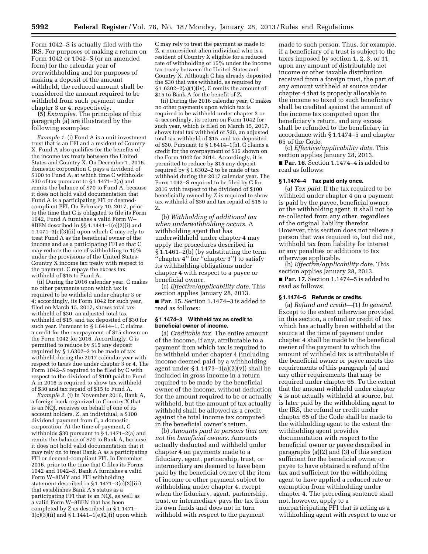Form 1042–S is actually filed with the IRS. For purposes of making a return on Form 1042 or 1042–S (or an amended form) for the calendar year of overwithholding and for purposes of making a deposit of the amount withheld, the reduced amount shall be considered the amount required to be withheld from such payment under chapter 3 or 4, respectively.

(5) *Examples.* The principles of this paragraph (a) are illustrated by the following examples:

*Example 1.* (i) Fund A is a unit investment trust that is an FFI and a resident of Country X. Fund A also qualifies for the benefits of the income tax treaty between the United States and Country X. On December 1, 2016, domestic corporation C pays a dividend of \$100 to Fund A, at which time C withholds \$30 of tax pursuant to § 1.1471–2(a) and remits the balance of \$70 to Fund A, because it does not hold valid documentation that Fund A is a participating FFI or deemedcompliant FFI. On February 10, 2017, prior to the time that C is obligated to file its Form 1042, Fund A furnishes a valid Form W– 8BEN described in §§ 1.1441–1(e)(2)(i) and 1.1471–3(c)(3)(ii) upon which C may rely to treat Fund A as the beneficial owner of the income and as a participating FFI so that C may reduce the rate of withholding to 15% under the provisions of the United States-Country X income tax treaty with respect to the payment. C repays the excess tax withheld of \$15 to Fund A.

(ii) During the 2016 calendar year, C makes no other payments upon which tax is required to be withheld under chapter 3 or 4; accordingly, its Form 1042 for such year, filed on March 15, 2017, shows total tax withheld of \$30, an adjusted total tax withheld of \$15, and tax deposited of \$30 for such year. Pursuant to § 1.6414–1, C claims a credit for the overpayment of \$15 shown on the Form 1042 for 2016. Accordingly, C is permitted to reduce by \$15 any deposit required by § 1.6302–2 to be made of tax withheld during the 2017 calendar year with respect to taxes due under chapter 3 or 4. The Form 1042–S required to be filed by C with respect to the dividend of \$100 paid to Fund A in 2016 is required to show tax withheld of \$30 and tax repaid of \$15 to Fund A.

*Example 2.* (i) In November 2016, Bank A, a foreign bank organized in Country X that is an NQI, receives on behalf of one of its account holders, Z, an individual, a \$100 dividend payment from C, a domestic corporation. At the time of payment, C withholds \$30 pursuant to  $\bar{S}$  1.1471–2(a) and remits the balance of \$70 to Bank A, because it does not hold valid documentation that it may rely on to treat Bank A as a participating FFI or deemed-compliant FFI. In December 2016, prior to the time that C files its Forms 1042 and 1042–S, Bank A furnishes a valid Form W–8IMY and FFI withholding statement described in § 1.1471–3(c)(3)(iii) that establishes Bank A's status as a participating FFI that is an NQI, as well as a valid Form W–8BEN that has been completed by Z as described in § 1.1471–  $3(c)(3)(ii)$  and  $$ 1.1441-1(e)(2)(i)$  upon which

C may rely to treat the payment as made to Z, a nonresident alien individual who is a resident of Country X eligible for a reduced rate of withholding of 15% under the income tax treaty between the United States and Country X. Although C has already deposited the \$30 that was withheld, as required by § 1.6302–2(a)(1)(iv), C remits the amount of \$15 to Bank A for the benefit of Z.

(ii) During the 2016 calendar year, C makes no other payments upon which tax is required to be withheld under chapter 3 or 4; accordingly, its return on Form 1042 for such year, which is filed on March 15, 2017, shows total tax withheld of \$30, an adjusted total tax withheld of \$15, and tax deposited of \$30. Pursuant to § 1.6414–1(b), C claims a credit for the overpayment of \$15 shown on the Form 1042 for 2014. Accordingly, it is permitted to reduce by \$15 any deposit required by § 1.6302–2 to be made of tax withheld during the 2017 calendar year. The Form 1042–S required to be filed by C for 2016 with respect to the dividend of \$100 beneficially owned by Z is required to show tax withheld of \$30 and tax repaid of \$15 to Z.

(b) *Withholding of additional tax when underwithholding occurs.* A withholding agent that has underwithheld under chapter 4 may apply the procedures described in § 1.1461–2(b) (by substituting the term ''chapter 4'' for ''chapter 3'') to satisfy its withholding obligations under chapter 4 with respect to a payee or beneficial owner.

(c) *Effective/applicability date.* This section applies January 28, 2013. ■ **Par. 15.** Section 1.1474–3 is added to read as follows:

## **§ 1.1474–3 Withheld tax as credit to beneficial owner of income.**

(a) *Creditable tax.* The entire amount of the income, if any, attributable to a payment from which tax is required to be withheld under chapter 4 (including income deemed paid by a withholding agent under  $\S 1.1473-1(a)(2)(v)$  shall be included in gross income in a return required to be made by the beneficial owner of the income, without deduction for the amount required to be or actually withheld, but the amount of tax actually withheld shall be allowed as a credit against the total income tax computed in the beneficial owner's return.

(b) *Amounts paid to persons that are not the beneficial owners.* Amounts actually deducted and withheld under chapter 4 on payments made to a fiduciary, agent, partnership, trust, or intermediary are deemed to have been paid by the beneficial owner of the item of income or other payment subject to withholding under chapter 4, except when the fiduciary, agent, partnership, trust, or intermediary pays the tax from its own funds and does not in turn withhold with respect to the payment

made to such person. Thus, for example, if a beneficiary of a trust is subject to the taxes imposed by section 1, 2, 3, or 11 upon any amount of distributable net income or other taxable distribution received from a foreign trust, the part of any amount withheld at source under chapter 4 that is properly allocable to the income so taxed to such beneficiary shall be credited against the amount of the income tax computed upon the beneficiary's return, and any excess shall be refunded to the beneficiary in accordance with § 1.1474–5 and chapter 65 of the Code.

(c) *Effective/applicability date.* This section applies January 28, 2013. ■ **Par. 16.** Section 1.1474–4 is added to read as follows:

## **§ 1.1474–4 Tax paid only once.**

(a) *Tax paid.* If the tax required to be withheld under chapter 4 on a payment is paid by the payee, beneficial owner, or the withholding agent, it shall not be re-collected from any other, regardless of the original liability therefor. However, this section does not relieve a person that was required to, but did not, withhold tax from liability for interest or any penalties or additions to tax otherwise applicable.

(b) *Effective/applicability date.* This section applies January 28, 2013. ■ **Par. 17.** Section 1.1474–5 is added to read as follows:

#### **§ 1.1474–5 Refunds or credits.**

(a) *Refund and credit*—(1) *In general.*  Except to the extent otherwise provided in this section, a refund or credit of tax which has actually been withheld at the source at the time of payment under chapter 4 shall be made to the beneficial owner of the payment to which the amount of withheld tax is attributable if the beneficial owner or payee meets the requirements of this paragraph (a) and any other requirements that may be required under chapter 65. To the extent that the amount withheld under chapter 4 is not actually withheld at source, but is later paid by the withholding agent to the IRS, the refund or credit under chapter 65 of the Code shall be made to the withholding agent to the extent the withholding agent provides documentation with respect to the beneficial owner or payee described in paragraphs (a)(2) and (3) of this section sufficient for the beneficial owner or payee to have obtained a refund of the tax and sufficient for the withholding agent to have applied a reduced rate or exemption from withholding under chapter 4. The preceding sentence shall not, however, apply to a nonparticipating FFI that is acting as a withholding agent with respect to one or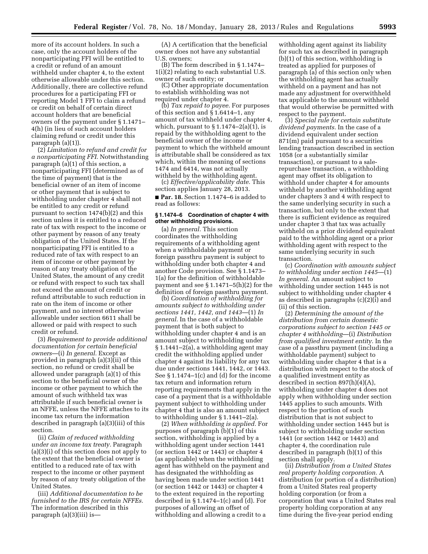more of its account holders. In such a case, only the account holders of the nonparticipating FFI will be entitled to a credit or refund of an amount withheld under chapter 4, to the extent otherwise allowable under this section. Additionally, there are collective refund procedures for a participating FFI or reporting Model 1 FFI to claim a refund or credit on behalf of certain direct account holders that are beneficial owners of the payment under § 1.1471– 4(h) (in lieu of such account holders claiming refund or credit under this paragraph (a)(1)).

(2) *Limitation to refund and credit for a nonparticipating FFI.* Notwithstanding paragraph (a)(1) of this section, a nonparticipating FFI (determined as of the time of payment) that is the beneficial owner of an item of income or other payment that is subject to withholding under chapter 4 shall not be entitled to any credit or refund pursuant to section 1474(b)(2) and this section unless it is entitled to a reduced rate of tax with respect to the income or other payment by reason of any treaty obligation of the United States. If the nonparticipating FFI is entitled to a reduced rate of tax with respect to an item of income or other payment by reason of any treaty obligation of the United States, the amount of any credit or refund with respect to such tax shall not exceed the amount of credit or refund attributable to such reduction in rate on the item of income or other payment, and no interest otherwise allowable under section 6611 shall be allowed or paid with respect to such credit or refund.

(3) *Requirement to provide additional documentation for certain beneficial owners*—(i) *In general.* Except as provided in paragraph (a)(3)(ii) of this section, no refund or credit shall be allowed under paragraph (a)(1) of this section to the beneficial owner of the income or other payment to which the amount of such withheld tax was attributable if such beneficial owner is an NFFE, unless the NFFE attaches to its income tax return the information described in paragraph (a)(3)(iii) of this section.

(ii) *Claim of reduced withholding under an income tax treaty.* Paragraph (a)(3)(i) of this section does not apply to the extent that the beneficial owner is entitled to a reduced rate of tax with respect to the income or other payment by reason of any treaty obligation of the United States.

(iii) *Additional documentation to be furnished to the IRS for certain NFFEs.*  The information described in this paragraph (a)(3)(iii) is—

(A) A certification that the beneficial owner does not have any substantial U.S. owners;

(B) The form described in § 1.1474– 1(i)(2) relating to each substantial U.S. owner of such entity; or

(C) Other appropriate documentation to establish withholding was not required under chapter 4.

(b) *Tax repaid to payee.* For purposes of this section and § 1.6414–1, any amount of tax withheld under chapter 4, which, pursuant to  $\S 1.1474 - 2(a)(1)$ , is repaid by the withholding agent to the beneficial owner of the income or payment to which the withheld amount is attributable shall be considered as tax which, within the meaning of sections 1474 and 6414, was not actually withheld by the withholding agent.

(c) *Effective/applicability date.* This section applies January 28, 2013. ■ **Par. 18.** Section 1.1474–6 is added to read as follows:

#### **§ 1.1474–6 Coordination of chapter 4 with other withholding provisions.**

(a) *In general.* This section coordinates the withholding requirements of a withholding agent when a withholdable payment or foreign passthru payment is subject to withholding under both chapter 4 and another Code provision. See § 1.1473– 1(a) for the definition of withholdable payment and see § 1.1471–5(h)(2) for the definition of foreign passthru payment.

(b) *Coordination of withholding for amounts subject to withholding under sections 1441, 1442, and 1443*—(1) *In general.* In the case of a withholdable payment that is both subject to withholding under chapter 4 and is an amount subject to withholding under § 1.1441–2(a), a withholding agent may credit the withholding applied under chapter 4 against its liability for any tax due under sections 1441, 1442, or 1443. See § 1.1474–1(c) and (d) for the income tax return and information return reporting requirements that apply in the case of a payment that is a withholdable payment subject to withholding under chapter 4 that is also an amount subject to withholding under § 1.1441–2(a).

(2) *When withholding is applied.* For purposes of paragraph (b)(1) of this section, withholding is applied by a withholding agent under section 1441 (or section 1442 or 1443) or chapter 4 (as applicable) when the withholding agent has withheld on the payment and has designated the withholding as having been made under section 1441 (or section 1442 or 1443) or chapter 4 to the extent required in the reporting described in § 1.1474–1(c) and (d). For purposes of allowing an offset of withholding and allowing a credit to a

withholding agent against its liability for such tax as described in paragraph (b)(1) of this section, withholding is treated as applied for purposes of paragraph (a) of this section only when the withholding agent has actually withheld on a payment and has not made any adjustment for overwithheld tax applicable to the amount withheld that would otherwise be permitted with respect to the payment.

(3) *Special rule for certain substitute dividend payments.* In the case of a dividend equivalent under section 871(m) paid pursuant to a securities lending transaction described in section 1058 (or a substantially similar transaction), or pursuant to a salerepurchase transaction, a withholding agent may offset its obligation to withhold under chapter 4 for amounts withheld by another withholding agent under chapters 3 and 4 with respect to the same underlying security in such a transaction, but only to the extent that there is sufficient evidence as required under chapter 3 that tax was actually withheld on a prior dividend equivalent paid to the withholding agent or a prior withholding agent with respect to the same underlying security in such transaction.

(c) *Coordination with amounts subject to withholding under section 1445*—(1) *In general.* An amount subject to withholding under section 1445 is not subject to withholding under chapter 4 as described in paragraphs (c)(2)(i) and (ii) of this section.

(2) *Determining the amount of the distribution from certain domestic corporations subject to section 1445 or chapter 4 withholding*—(i) *Distribution from qualified investment entity.* In the case of a passthru payment (including a withholdable payment) subject to withholding under chapter 4 that is a distribution with respect to the stock of a qualified investment entity as described in section 897(h)(4)(A), withholding under chapter 4 does not apply when withholding under section 1445 applies to such amounts. With respect to the portion of such distribution that is not subject to withholding under section 1445 but is subject to withholding under section 1441 (or section 1442 or 1443) and chapter 4, the coordination rule described in paragraph (b)(1) of this section shall apply.

(ii) *Distribution from a United States real property holding corporation.* A distribution (or portion of a distribution) from a United States real property holding corporation (or from a corporation that was a United States real property holding corporation at any time during the five-year period ending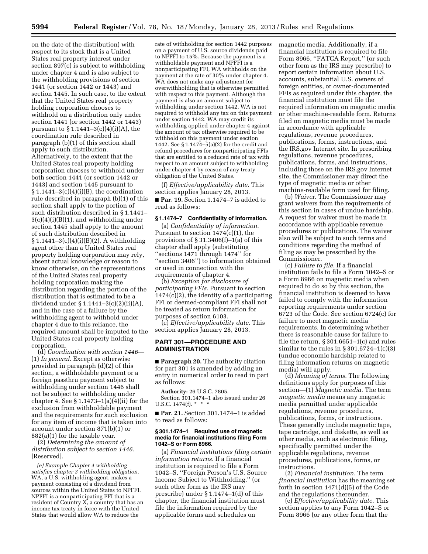on the date of the distribution) with respect to its stock that is a United States real property interest under section 897(c) is subject to withholding under chapter 4 and is also subject to the withholding provisions of section 1441 (or section 1442 or 1443) and section 1445. In such case, to the extent that the United States real property holding corporation chooses to withhold on a distribution only under section 1441 (or section 1442 or 1443) pursuant to  $\S 1.1441 - 3(c)(4)(i)(A)$ , the coordination rule described in paragraph (b)(1) of this section shall apply to such distribution. Alternatively, to the extent that the United States real property holding corporation chooses to withhold under both section 1441 (or section 1442 or 1443) and section 1445 pursuant to  $§ 1.1441-3(c)(4)(i)(B)$ , the coordination rule described in paragraph (b)(1) of this section shall apply to the portion of such distribution described in § 1.1441–  $3(c)(4)(i)(B)(1)$ , and withholding under section 1445 shall apply to the amount of such distribution described in § 1.1441–3(c)(4)(i)(B)(2). A withholding agent other than a United States real property holding corporation may rely, absent actual knowledge or reason to know otherwise, on the representations of the United States real property holding corporation making the distribution regarding the portion of the distribution that is estimated to be a dividend under § 1.1441–3(c)(2)(ii)(A), and in the case of a failure by the withholding agent to withhold under chapter 4 due to this reliance, the required amount shall be imputed to the United States real property holding corporation.

(d) *Coordination with section 1446*— (1) *In general.* Except as otherwise provided in paragraph (d)(2) of this section, a withholdable payment or a foreign passthru payment subject to withholding under section 1446 shall not be subject to withholding under chapter 4. See § 1.1473–1(a)(4)(ii) for the exclusion from withholdable payment and the requirements for such exclusion for any item of income that is taken into account under section 871(b)(1) or 882(a)(1) for the taxable year.

(2) *Determining the amount of distribution subject to section 1446.*  [Reserved].

*(e) Example Chapter 4 withholding satisfies chapter 3 withholding obligation.*  WA, a U.S. withholding agent, makes a payment consisting of a dividend from sources within the United States to NPFFI. NPFFI is a nonparticipating FFI that is a resident of Country X, a country that has an income tax treaty in force with the United States that would allow WA to reduce the

rate of withholding for section 1442 purposes on a payment of U.S. source dividends paid to NPFFI to 15%. Because the payment is a withholdable payment and NPFFI is a nonparticipating FFI, WA withholds on the payment at the rate of 30% under chapter 4. WA does not make any adjustment for overwithholding that is otherwise permitted with respect to this payment. Although the payment is also an amount subject to withholding under section 1442, WA is not required to withhold any tax on this payment under section 1442. WA may credit its withholding applied under chapter 4 against the amount of tax otherwise required to be withheld on this payment under section 1442. See § 1.1474–5(a)(2) for the credit and refund procedures for nonparticipating FFIs that are entitled to a reduced rate of tax with respect to an amount subject to withholding under chapter 4 by reason of any treaty obligation of the United States.

(f) *Effective/applicability date.* This section applies January 28, 2013. ■ **Par. 19.** Section 1.1474–7 is added to

read as follows:

# **§ 1.1474–7 Confidentiality of information.**

(a) *Confidentiality of information.*  Pursuant to section  $1474(c)(1)$ , the provisions of § 31.3406(f)–1(a) of this chapter shall apply (substituting ''sections 1471 through 1474'' for ''section 3406'') to information obtained or used in connection with the requirements of chapter 4.

(b) *Exception for disclosure of participating FFIs.* Pursuant to section 1474(c)(2), the identity of a participating FFI or deemed-compliant FFI shall not be treated as return information for purposes of section 6103.

(c) *Effective/applicability date.* This section applies January 28, 2013.

## **PART 301—PROCEDURE AND ADMINISTRATION**

■ **Paragraph 20.** The authority citation for part 301 is amended by adding an entry in numerical order to read in part as follows:

**Authority:** 26 U.S.C. 7805. Section 301.1474–1 also issued under 26 U.S.C. 1474(f). \* \* \*

■ **Par. 21.** Section 301.1474–1 is added to read as follows:

#### **§ 301.1474–1 Required use of magnetic media for financial institutions filing Form 1042–S or Form 8966.**

(a) *Financial institutions filing certain information returns.* If a financial institution is required to file a Form 1042–S, ''Foreign Person's U.S. Source Income Subject to Withholding,'' (or such other form as the IRS may prescribe) under § 1.1474–1(d) of this chapter, the financial institution must file the information required by the applicable forms and schedules on

magnetic media. Additionally, if a financial institution is required to file Form 8966, "FATCA Report," (or such other form as the IRS may prescribe) to report certain information about U.S. accounts, substantial U.S. owners of foreign entities, or owner-documented FFIs as required under this chapter, the financial institution must file the required information on magnetic media or other machine-readable form. Returns filed on magnetic media must be made in accordance with applicable regulations, revenue procedures, publications, forms, instructions, and the IRS.gov Internet site. In prescribing regulations, revenue procedures, publications, forms, and instructions, including those on the IRS.gov Internet site, the Commissioner may direct the type of magnetic media or other machine-readable form used for filing.

(b) *Waiver.* The Commissioner may grant waivers from the requirements of this section in cases of undue hardship. A request for waiver must be made in accordance with applicable revenue procedures or publications. The waiver also will be subject to such terms and conditions regarding the method of filing as may be prescribed by the Commissioner.

(c) *Failure to file.* If a financial institution fails to file a Form 1042–S or a Form 8966 on magnetic media when required to do so by this section, the financial institution is deemed to have failed to comply with the information reporting requirements under section 6723 of the Code. See section 6724(c) for failure to meet magnetic media requirements. In determining whether there is reasonable cause for failure to file the return,  $\S 301.6651 - 1(c)$  and rules similar to the rules in  $\S 301.6724 - 1(c)(3)$ (undue economic hardship related to filing information returns on magnetic media) will apply.

(d) *Meaning of terms.* The following definitions apply for purposes of this section—(1) *Magnetic media.* The term *magnetic media* means any magnetic media permitted under applicable regulations, revenue procedures, publications, forms, or instructions. These generally include magnetic tape, tape cartridge, and diskette, as well as other media, such as electronic filing, specifically permitted under the applicable regulations, revenue procedures, publications, forms, or instructions.

(2) *Financial institution.* The term *financial institution* has the meaning set forth in section 1471(d)(5) of the Code and the regulations thereunder.

(e) *Effective/applicability date.* This section applies to any Form 1042–S or Form 8966 (or any other form that the